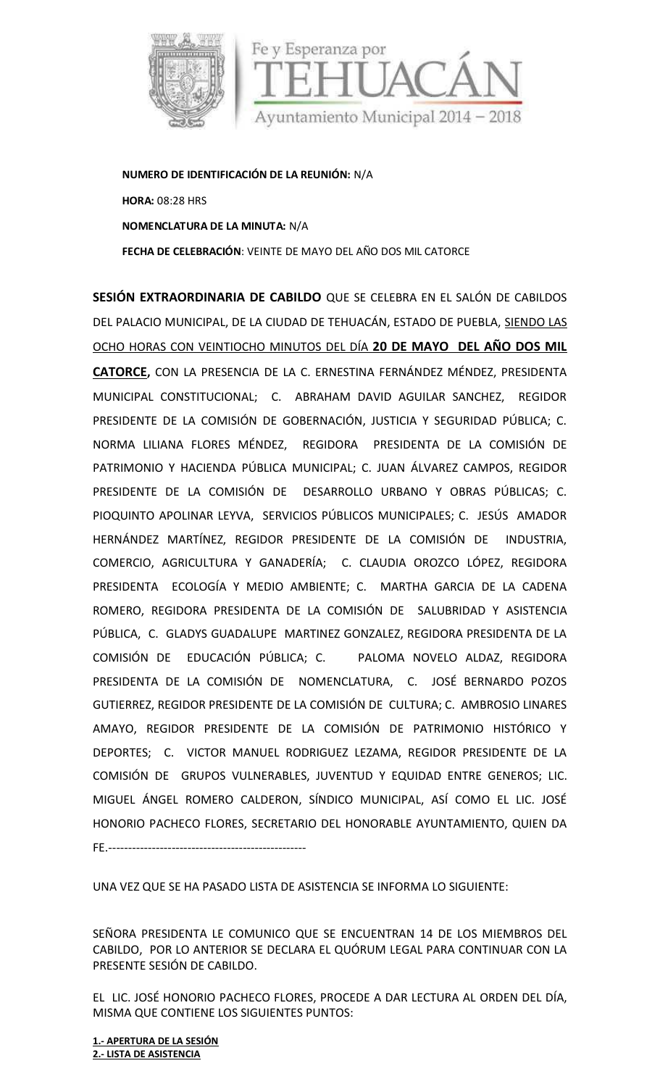

**NUMERO DE IDENTIFICACIÓN DE LA REUNIÓN:** N/A **HORA:** 08:28 HRS **NOMENCLATURA DE LA MINUTA:** N/A **FECHA DE CELEBRACIÓN**: VEINTE DE MAYO DELAÑO DOS MIL CATORCE

**SESIÓN EXTRAORDINARIA DE CABILDO** QUE SE CELEBRA EN EL SALÓN DE CABILDOS DEL PALACIO MUNICIPAL, DE LA CIUDAD DE TEHUACÁN, ESTADO DE PUEBLA, SIENDO LAS OCHO HORAS CON VEINTIOCHO MINUTOS DEL DÍA **20 DE MAYO DEL AÑO DOS MIL CATORCE,** CON LA PRESENCIA DE LA C. ERNESTINA FERNÁNDEZ MÉNDEZ, PRESIDENTA MUNICIPAL CONSTITUCIONAL; C. ABRAHAM DAVID AGUILAR SANCHEZ, REGIDOR PRESIDENTE DE LA COMISIÓN DE GOBERNACIÓN, JUSTICIA Y SEGURIDAD PÚBLICA; C. NORMA LILIANA FLORES MÉNDEZ, REGIDORA PRESIDENTA DE LA COMISIÓN DE PATRIMONIO Y HACIENDA PÚBLICA MUNICIPAL; C. JUAN ÁLVAREZ CAMPOS, REGIDOR PRESIDENTE DE LA COMISIÓN DE DESARROLLO URBANO Y OBRAS PÚBLICAS; C. PIOQUINTO APOLINAR LEYVA, SERVICIOS PÚBLICOS MUNICIPALES; C. JESÚS AMADOR HERNÁNDEZ MARTÍNEZ, REGIDOR PRESIDENTE DE LA COMISIÓN DE INDUSTRIA, COMERCIO, AGRICULTURA Y GANADERÍA; C. CLAUDIA OROZCO LÓPEZ, REGIDORA PRESIDENTA ECOLOGÍA Y MEDIO AMBIENTE; C. MARTHA GARCIA DE LA CADENA ROMERO, REGIDORA PRESIDENTA DE LA COMISIÓN DE SALUBRIDAD Y ASISTENCIA PÚBLICA, C. GLADYS GUADALUPE MARTINEZ GONZALEZ, REGIDORA PRESIDENTA DE LA COMISIÓN DE EDUCACIÓN PÚBLICA; C. PALOMA NOVELO ALDAZ, REGIDORA PRESIDENTA DE LA COMISIÓN DE NOMENCLATURA, C. JOSÉ BERNARDO POZOS GUTIERREZ, REGIDOR PRESIDENTE DE LA COMISIÓN DE CULTURA; C. AMBROSIO LINARES AMAYO, REGIDOR PRESIDENTE DE LA COMISIÓN DE PATRIMONIO HISTÓRICO Y DEPORTES; C. VICTOR MANUEL RODRIGUEZ LEZAMA, REGIDOR PRESIDENTE DE LA COMISIÓN DE GRUPOS VULNERABLES, JUVENTUD Y EQUIDAD ENTRE GENEROS; LIC. MIGUEL ÁNGEL ROMERO CALDERON, SÍNDICO MUNICIPAL, ASÍ COMO EL LIC. JOSÉ HONORIO PACHECO FLORES, SECRETARIO DEL HONORABLE AYUNTAMIENTO, QUIEN DA FE.--------------------------------------------------

UNA VEZ QUE SE HA PASADO LISTA DE ASISTENCIA SE INFORMA LO SIGUIENTE:

SEÑORA PRESIDENTA LE COMUNICO QUE SE ENCUENTRAN 14 DE LOS MIEMBROS DEL CABILDO, POR LO ANTERIOR SE DECLARA EL QUÓRUM LEGAL PARA CONTINUAR CON LA PRESENTE SESIÓN DE CABILDO.

EL LIC. JOSÉ HONORIO PACHECO FLORES, PROCEDE A DAR LECTURA AL ORDEN DEL DÍA, MISMA QUE CONTIENE LOS SIGUIENTES PUNTOS:

**1.- APERTURA DE LA SESIÓN 2.- LISTA DE ASISTENCIA**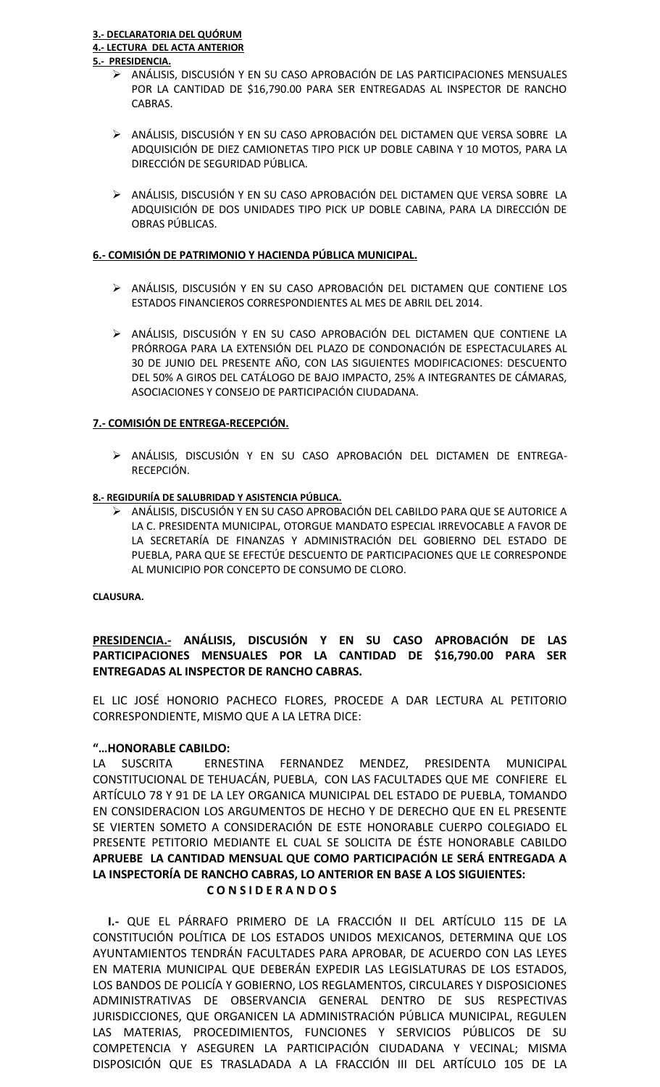- ANÁLISIS, DISCUSIÓN Y EN SU CASO APROBACIÓN DE LAS PARTICIPACIONES MENSUALES POR LA CANTIDAD DE \$16,790.00 PARA SER ENTREGADAS AL INSPECTOR DE RANCHO CABRAS.
- ANÁLISIS, DISCUSIÓN Y EN SU CASO APROBACIÓN DEL DICTAMEN QUE VERSA SOBRE LA ADQUISICIÓN DE DIEZ CAMIONETAS TIPO PICK UP DOBLE CABINA Y 10 MOTOS, PARA LA DIRECCIÓN DE SEGURIDAD PÚBLICA.
- ANÁLISIS, DISCUSIÓN Y EN SU CASO APROBACIÓN DEL DICTAMEN QUE VERSA SOBRE LA ADQUISICIÓN DE DOS UNIDADES TIPO PICK UP DOBLE CABINA, PARA LA DIRECCIÓN DE OBRAS PÚBLICAS.

## **6.- COMISIÓN DE PATRIMONIO Y HACIENDA PÚBLICA MUNICIPAL.**

- ANÁLISIS, DISCUSIÓN Y EN SU CASO APROBACIÓN DEL DICTAMEN QUE CONTIENE LOS ESTADOS FINANCIEROS CORRESPONDIENTES AL MES DE ABRIL DEL 2014.
- ANÁLISIS, DISCUSIÓN Y EN SU CASO APROBACIÓN DEL DICTAMEN QUE CONTIENE LA PRÓRROGA PARA LA EXTENSIÓN DEL PLAZO DE CONDONACIÓN DE ESPECTACULARES AL 30 DE JUNIO DEL PRESENTE AÑO, CON LAS SIGUIENTES MODIFICACIONES: DESCUENTO DEL 50% A GIROS DEL CATÁLOGO DE BAJO IMPACTO, 25% A INTEGRANTES DE CÁMARAS, ASOCIACIONES Y CONSEJO DE PARTICIPACIÓN CIUDADANA.

## **7.- COMISIÓN DE ENTREGA-RECEPCIÓN.**

 ANÁLISIS, DISCUSIÓN Y EN SU CASO APROBACIÓN DEL DICTAMEN DE ENTREGA- RECEPCIÓN.

#### **8.- REGIDURIÍA DE SALUBRIDAD Y ASISTENCIA PÚBLICA.**

 ANÁLISIS, DISCUSIÓN Y EN SU CASO APROBACIÓN DEL CABILDO PARA QUE SE AUTORICE A LA C. PRESIDENTA MUNICIPAL, OTORGUE MANDATO ESPECIAL IRREVOCABLE A FAVOR DE LA SECRETARÍA DE FINANZAS Y ADMINISTRACIÓN DEL GOBIERNO DEL ESTADO DE PUEBLA, PARA QUE SE EFECTÚE DESCUENTO DE PARTICIPACIONES QUE LE CORRESPONDE AL MUNICIPIO POR CONCEPTO DE CONSUMO DE CLORO.

#### **CLAUSURA.**

# **PRESIDENCIA.- ANÁLISIS, DISCUSIÓN Y EN SU CASO APROBACIÓN DE LAS PARTICIPACIONES MENSUALES POR LA CANTIDAD DE \$16,790.00 PARA SER ENTREGADAS AL INSPECTOR DE RANCHO CABRAS.**

EL LIC JOSÉ HONORIO PACHECO FLORES, PROCEDE A DAR LECTURA AL PETITORIO CORRESPONDIENTE, MISMO QUE A LA LETRA DICE:

# **"…HONORABLE CABILDO:**

LA SUSCRITA ERNESTINA FERNANDEZ MENDEZ, PRESIDENTA MUNICIPAL CONSTITUCIONAL DE TEHUACÁN, PUEBLA, CON LAS FACULTADES QUE ME CONFIERE EL ARTÍCULO 78 Y 91 DE LA LEY ORGANICA MUNICIPAL DEL ESTADO DE PUEBLA, TOMANDO EN CONSIDERACION LOS ARGUMENTOS DE HECHO Y DE DERECHO QUE EN EL PRESENTE SE VIERTEN SOMETO A CONSIDERACIÓN DE ESTE HONORABLE CUERPO COLEGIADO EL PRESENTE PETITORIO MEDIANTE EL CUAL SE SOLICITA DE ÉSTE HONORABLE CABILDO **APRUEBE LA CANTIDAD MENSUAL QUE COMO PARTICIPACIÓN LE SERÁ ENTREGADA A LA INSPECTORÍA DE RANCHO CABRAS, LO ANTERIOR EN BASE A LOS SIGUIENTES: C O N S I D E R A N D O S**

**I.-** QUE EL PÁRRAFO PRIMERO DE LA FRACCIÓN II DEL ARTÍCULO 115 DE LA CONSTITUCIÓN POLÍTICA DE LOS ESTADOS UNIDOS MEXICANOS, DETERMINA QUE LOS AYUNTAMIENTOS TENDRÁN FACULTADES PARA APROBAR, DE ACUERDO CON LAS LEYES EN MATERIA MUNICIPAL QUE DEBERÁN EXPEDIR LAS LEGISLATURAS DE LOS ESTADOS, LOS BANDOS DE POLICÍA Y GOBIERNO, LOS REGLAMENTOS, CIRCULARES Y DISPOSICIONES ADMINISTRATIVAS DE OBSERVANCIA GENERAL DENTRO DE SUS RESPECTIVAS JURISDICCIONES, QUE ORGANICEN LA ADMINISTRACIÓN PÚBLICA MUNICIPAL, REGULEN LAS MATERIAS, PROCEDIMIENTOS, FUNCIONES Y SERVICIOS PÚBLICOS DE SU COMPETENCIA Y ASEGUREN LA PARTICIPACIÓN CIUDADANA Y VECINAL; MISMA DISPOSICIÓN QUE ES TRASLADADA A LA FRACCIÓN III DEL ARTÍCULO 105 DE LA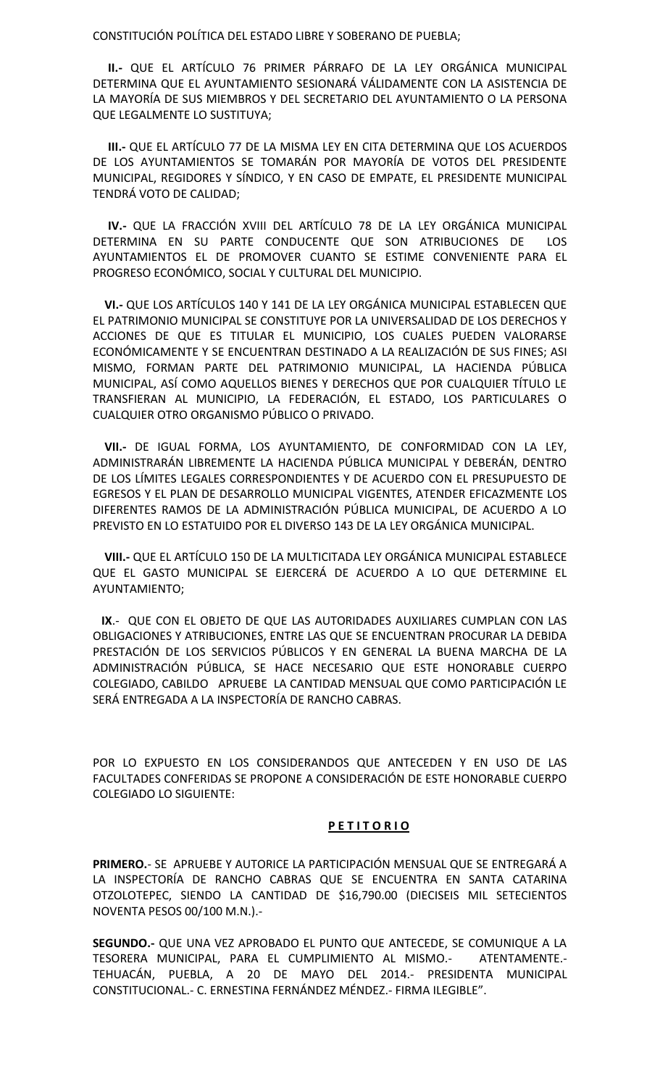CONSTITUCIÓN POLÍTICA DEL ESTADO LIBRE Y SOBERANO DE PUEBLA;

**II.-** QUE EL ARTÍCULO 76 PRIMER PÁRRAFO DE LA LEY ORGÁNICA MUNICIPAL DETERMINA QUE EL AYUNTAMIENTO SESIONARÁ VÁLIDAMENTE CON LA ASISTENCIA DE LA MAYORÍA DE SUS MIEMBROS Y DEL SECRETARIO DEL AYUNTAMIENTO O LA PERSONA QUE LEGALMENTE LO SUSTITUYA;

**III.-** QUE EL ARTÍCULO 77 DE LA MISMA LEY EN CITA DETERMINA QUE LOS ACUERDOS DE LOS AYUNTAMIENTOS SE TOMARÁN POR MAYORÍA DE VOTOS DEL PRESIDENTE MUNICIPAL, REGIDORES Y SÍNDICO, Y EN CASO DE EMPATE, EL PRESIDENTE MUNICIPAL TENDRÁ VOTO DE CALIDAD;

**IV.-** QUE LA FRACCIÓN XVIII DEL ARTÍCULO 78 DE LA LEY ORGÁNICA MUNICIPAL DETERMINA EN SU PARTE CONDUCENTE QUE SON ATRIBUCIONES DE LOS AYUNTAMIENTOS EL DE PROMOVER CUANTO SE ESTIME CONVENIENTE PARA EL PROGRESO ECONÓMICO, SOCIAL Y CULTURAL DEL MUNICIPIO.

**VI.-** QUE LOS ARTÍCULOS 140 Y 141 DE LA LEY ORGÁNICA MUNICIPAL ESTABLECEN QUE EL PATRIMONIO MUNICIPAL SE CONSTITUYE POR LA UNIVERSALIDAD DE LOS DERECHOS Y ACCIONES DE QUE ES TITULAR EL MUNICIPIO, LOS CUALES PUEDEN VALORARSE ECONÓMICAMENTE Y SE ENCUENTRAN DESTINADO A LA REALIZACIÓN DE SUS FINES; ASI MISMO, FORMAN PARTE DEL PATRIMONIO MUNICIPAL, LA HACIENDA PÚBLICA MUNICIPAL, ASÍ COMO AQUELLOS BIENES Y DERECHOS QUE POR CUALQUIER TÍTULO LE TRANSFIERAN AL MUNICIPIO, LA FEDERACIÓN, EL ESTADO, LOS PARTICULARES O CUALQUIER OTRO ORGANISMO PÚBLICO O PRIVADO.

**VII.-** DE IGUAL FORMA, LOS AYUNTAMIENTO, DE CONFORMIDAD CON LA LEY, ADMINISTRARÁN LIBREMENTE LA HACIENDA PÚBLICA MUNICIPAL Y DEBERÁN, DENTRO DE LOS LÍMITES LEGALES CORRESPONDIENTES Y DE ACUERDO CON EL PRESUPUESTO DE EGRESOS Y EL PLAN DE DESARROLLO MUNICIPAL VIGENTES, ATENDER EFICAZMENTE LOS DIFERENTES RAMOS DE LA ADMINISTRACIÓN PÚBLICA MUNICIPAL, DE ACUERDO A LO PREVISTO EN LO ESTATUIDO POR EL DIVERSO 143 DE LA LEY ORGÁNICA MUNICIPAL.

**VIII.-** QUE EL ARTÍCULO 150 DE LA MULTICITADA LEY ORGÁNICA MUNICIPAL ESTABLECE QUE EL GASTO MUNICIPAL SE EJERCERÁ DE ACUERDO A LO QUE DETERMINE EL AYUNTAMIENTO;

**IX**.- QUE CON EL OBJETO DE QUE LAS AUTORIDADES AUXILIARES CUMPLAN CON LAS OBLIGACIONES Y ATRIBUCIONES, ENTRE LAS QUE SE ENCUENTRAN PROCURAR LA DEBIDA PRESTACIÓN DE LOS SERVICIOS PÚBLICOS Y EN GENERAL LA BUENA MARCHA DE LA ADMINISTRACIÓN PÚBLICA, SE HACE NECESARIO QUE ESTE HONORABLE CUERPO COLEGIADO, CABILDO APRUEBE LA CANTIDAD MENSUAL QUE COMO PARTICIPACIÓN LE SERÁ ENTREGADA A LA INSPECTORÍA DE RANCHO CABRAS.

POR LO EXPUESTO EN LOS CONSIDERANDOS QUE ANTECEDEN Y EN USO DE LAS FACULTADES CONFERIDAS SE PROPONE A CONSIDERACIÓN DE ESTE HONORABLE CUERPO COLEGIADO LO SIGUIENTE:

#### **P E T I T O R I O**

**PRIMERO.**- SE APRUEBE Y AUTORICE LA PARTICIPACIÓN MENSUAL QUE SE ENTREGARÁ A LA INSPECTORÍA DE RANCHO CABRAS QUE SE ENCUENTRA EN SANTA CATARINA OTZOLOTEPEC, SIENDO LA CANTIDAD DE \$16,790.00 (DIECISEIS MIL SETECIENTOS NOVENTA PESOS 00/100 M.N.).-

**SEGUNDO.-** QUE UNA VEZ APROBADO EL PUNTO QUE ANTECEDE, SE COMUNIQUE A LA TESORERA MUNICIPAL, PARA EL CUMPLIMIENTO AL MISMO.- ATENTAMENTE.- TEHUACÁN, PUEBLA, A 20 DE MAYO DEL 2014.- PRESIDENTA MUNICIPAL CONSTITUCIONAL.- C. ERNESTINA FERNÁNDEZ MÉNDEZ.- FIRMA ILEGIBLE".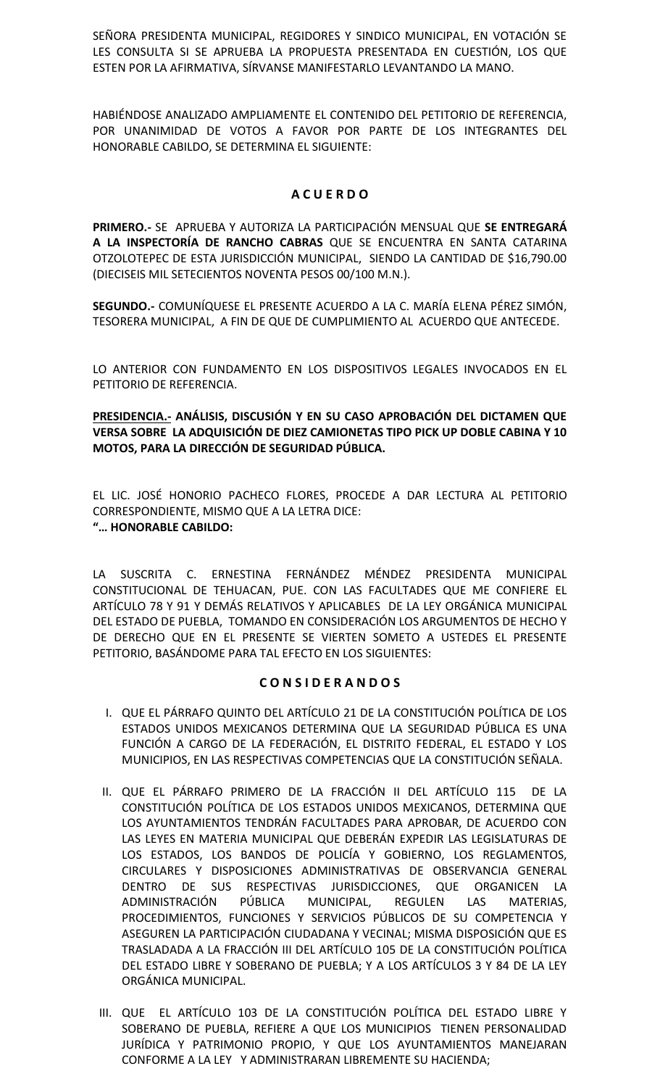SEÑORA PRESIDENTA MUNICIPAL, REGIDORES Y SINDICO MUNICIPAL, EN VOTACIÓN SE LES CONSULTA SI SE APRUEBA LA PROPUESTA PRESENTADA EN CUESTIÓN, LOS QUE ESTEN POR LA AFIRMATIVA, SÍRVANSE MANIFESTARLO LEVANTANDO LA MANO.

HABIÉNDOSE ANALIZADO AMPLIAMENTE EL CONTENIDO DEL PETITORIO DE REFERENCIA, POR UNANIMIDAD DE VOTOS A FAVOR POR PARTE DE LOS INTEGRANTES DEL HONORABLE CABILDO, SE DETERMINA EL SIGUIENTE:

# **A C U E R D O**

**PRIMERO.-** SE APRUEBA Y AUTORIZA LA PARTICIPACIÓN MENSUAL QUE **SE ENTREGARÁ A LA INSPECTORÍA DE RANCHO CABRAS** QUE SE ENCUENTRA EN SANTA CATARINA OTZOLOTEPEC DE ESTA JURISDICCIÓN MUNICIPAL, SIENDO LA CANTIDAD DE \$16,790.00 (DIECISEIS MIL SETECIENTOS NOVENTA PESOS 00/100 M.N.).

**SEGUNDO.-** COMUNÍQUESE EL PRESENTE ACUERDO A LA C. MARÍA ELENA PÉREZ SIMÓN, TESORERA MUNICIPAL, A FIN DE QUE DE CUMPLIMIENTO AL ACUERDO QUE ANTECEDE.

LO ANTERIOR CON FUNDAMENTO EN LOS DISPOSITIVOS LEGALES INVOCADOS EN EL PETITORIO DE REFERENCIA.

**PRESIDENCIA.- ANÁLISIS, DISCUSIÓN Y EN SU CASO APROBACIÓN DEL DICTAMEN QUE VERSA SOBRE LA ADQUISICIÓN DE DIEZ CAMIONETAS TIPO PICK UP DOBLE CABINA Y 10 MOTOS, PARA LA DIRECCIÓN DE SEGURIDAD PÚBLICA.**

EL LIC. JOSÉ HONORIO PACHECO FLORES, PROCEDE A DAR LECTURA AL PETITORIO CORRESPONDIENTE, MISMO QUE A LA LETRA DICE: **"… HONORABLE CABILDO:**

LA SUSCRITA C. ERNESTINA FERNÁNDEZ MÉNDEZ PRESIDENTA MUNICIPAL CONSTITUCIONAL DE TEHUACAN, PUE. CON LAS FACULTADES QUE ME CONFIERE EL ARTÍCULO 78 Y 91 Y DEMÁS RELATIVOS Y APLICABLES DE LA LEY ORGÁNICA MUNICIPAL DEL ESTADO DE PUEBLA, TOMANDO EN CONSIDERACIÓN LOS ARGUMENTOS DE HECHO Y DE DERECHO QUE EN EL PRESENTE SE VIERTEN SOMETO A USTEDES EL PRESENTE PETITORIO, BASÁNDOME PARA TAL EFECTO EN LOS SIGUIENTES:

# **C O N S I D E R A N D O S**

- I. QUE EL PÁRRAFO QUINTO DEL ARTÍCULO 21 DE LA CONSTITUCIÓN POLÍTICA DE LOS ESTADOS UNIDOS MEXICANOS DETERMINA QUE LA SEGURIDAD PÚBLICA ES UNA FUNCIÓN A CARGO DE LA FEDERACIÓN, EL DISTRITO FEDERAL, EL ESTADO Y LOS MUNICIPIOS, EN LAS RESPECTIVAS COMPETENCIAS QUE LA CONSTITUCIÓN SEÑALA.
- II. QUE EL PÁRRAFO PRIMERO DE LA FRACCIÓN II DEL ARTÍCULO 115 DE LA CONSTITUCIÓN POLÍTICA DE LOS ESTADOS UNIDOS MEXICANOS, DETERMINA QUE LOS AYUNTAMIENTOS TENDRÁN FACULTADES PARA APROBAR, DE ACUERDO CON LAS LEYES EN MATERIA MUNICIPAL QUE DEBERÁN EXPEDIR LAS LEGISLATURAS DE LOS ESTADOS, LOS BANDOS DE POLICÍA Y GOBIERNO, LOS REGLAMENTOS, CIRCULARES Y DISPOSICIONES ADMINISTRATIVAS DE OBSERVANCIA GENERAL DENTRO DE SUS RESPECTIVAS JURISDICCIONES, QUE ORGANICEN LA ADMINISTRACIÓN PÚBLICA MUNICIPAL, REGULEN LAS MATERIAS, PROCEDIMIENTOS, FUNCIONES Y SERVICIOS PÚBLICOS DE SU COMPETENCIA Y ASEGUREN LA PARTICIPACIÓN CIUDADANA Y VECINAL; MISMA DISPOSICIÓN QUE ES TRASLADADA A LA FRACCIÓN III DEL ARTÍCULO 105 DE LA CONSTITUCIÓN POLÍTICA DEL ESTADO LIBRE Y SOBERANO DE PUEBLA; Y A LOS ARTÍCULOS 3 Y 84 DE LA LEY ORGÁNICA MUNICIPAL.
- III. QUE EL ARTÍCULO 103 DE LA CONSTITUCIÓN POLÍTICA DEL ESTADO LIBRE Y SOBERANO DE PUEBLA, REFIERE A QUE LOS MUNICIPIOS TIENEN PERSONALIDAD JURÍDICA Y PATRIMONIO PROPIO, Y QUE LOS AYUNTAMIENTOS MANEJARAN CONFORME A LA LEY Y ADMINISTRARAN LIBREMENTE SU HACIENDA;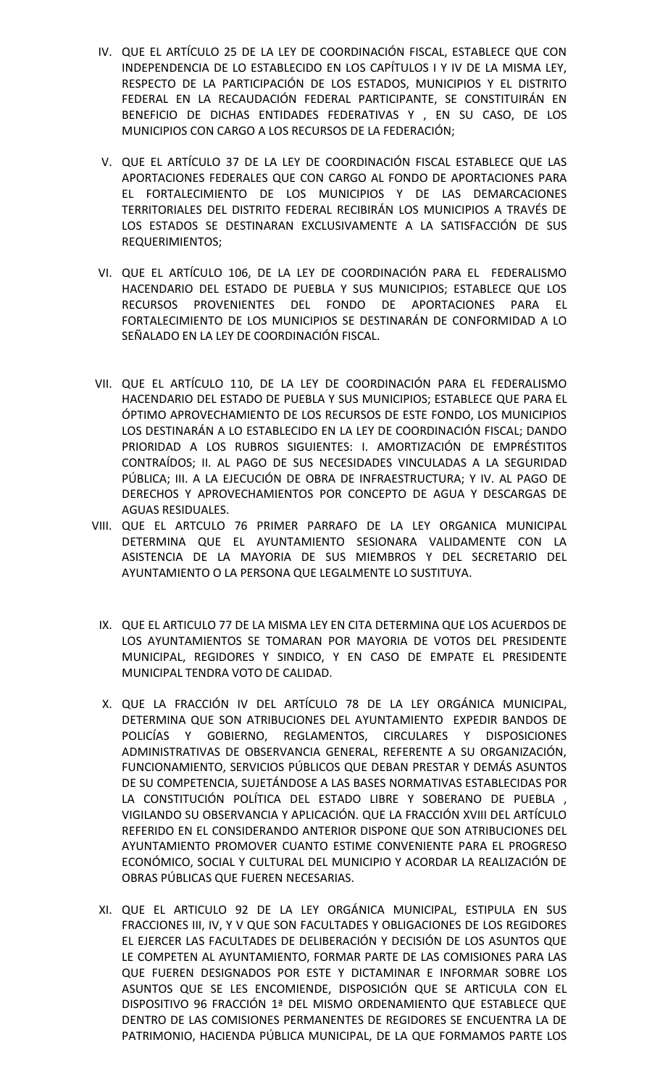- IV. QUE EL ARTÍCULO 25 DE LA LEY DE COORDINACIÓN FISCAL, ESTABLECE QUE CON INDEPENDENCIA DE LO ESTABLECIDO EN LOS CAPÍTULOS I Y IV DE LA MISMA LEY, RESPECTO DE LA PARTICIPACIÓN DE LOS ESTADOS, MUNICIPIOS Y EL DISTRITO FEDERAL EN LA RECAUDACIÓN FEDERAL PARTICIPANTE, SE CONSTITUIRÁN EN BENEFICIO DE DICHAS ENTIDADES FEDERATIVAS Y , EN SU CASO, DE LOS MUNICIPIOS CON CARGO A LOS RECURSOS DE LA FEDERACIÓN;
- V. QUE EL ARTÍCULO 37 DE LA LEY DE COORDINACIÓN FISCAL ESTABLECE QUE LAS APORTACIONES FEDERALES QUE CON CARGO AL FONDO DE APORTACIONES PARA EL FORTALECIMIENTO DE LOS MUNICIPIOS Y DE LAS DEMARCACIONES TERRITORIALES DEL DISTRITO FEDERAL RECIBIRÁN LOS MUNICIPIOS A TRAVÉS DE LOS ESTADOS SE DESTINARAN EXCLUSIVAMENTE A LA SATISFACCIÓN DE SUS REQUERIMIENTOS;
- VI. QUE EL ARTÍCULO 106, DE LA LEY DE COORDINACIÓN PARA EL FEDERALISMO HACENDARIO DEL ESTADO DE PUEBLA Y SUS MUNICIPIOS; ESTABLECE QUE LOS RECURSOS PROVENIENTES DEL FONDO DE APORTACIONES PARA EL FORTALECIMIENTO DE LOS MUNICIPIOS SE DESTINARÁN DE CONFORMIDAD A LO SEÑALADO EN LA LEY DE COORDINACIÓN FISCAL.
- VII. QUE EL ARTÍCULO 110, DE LA LEY DE COORDINACIÓN PARA EL FEDERALISMO HACENDARIO DEL ESTADO DE PUEBLA Y SUS MUNICIPIOS; ESTABLECE QUE PARA EL ÓPTIMO APROVECHAMIENTO DE LOS RECURSOS DE ESTE FONDO, LOS MUNICIPIOS LOS DESTINARÁN A LO ESTABLECIDO EN LA LEY DE COORDINACIÓN FISCAL; DANDO PRIORIDAD A LOS RUBROS SIGUIENTES: I. AMORTIZACIÓN DE EMPRÉSTITOS CONTRAÍDOS; II. AL PAGO DE SUS NECESIDADES VINCULADAS A LA SEGURIDAD PÚBLICA; III. A LA EJECUCIÓN DE OBRA DE INFRAESTRUCTURA; Y IV. AL PAGO DE DERECHOS Y APROVECHAMIENTOS POR CONCEPTO DE AGUA Y DESCARGAS DE AGUAS RESIDUALES.
- VIII. QUE EL ARTCULO 76 PRIMER PARRAFO DE LA LEY ORGANICA MUNICIPAL DETERMINA QUE EL AYUNTAMIENTO SESIONARA VALIDAMENTE CON LA ASISTENCIA DE LA MAYORIA DE SUS MIEMBROS Y DEL SECRETARIO DEL AYUNTAMIENTO O LA PERSONA QUE LEGALMENTE LO SUSTITUYA.
	- IX. QUE EL ARTICULO 77 DE LA MISMA LEY EN CITA DETERMINA QUE LOS ACUERDOS DE LOS AYUNTAMIENTOS SE TOMARAN POR MAYORIA DE VOTOS DEL PRESIDENTE MUNICIPAL, REGIDORES Y SINDICO, Y EN CASO DE EMPATE EL PRESIDENTE MUNICIPAL TENDRA VOTO DE CALIDAD.
	- X. QUE LA FRACCIÓN IV DEL ARTÍCULO 78 DE LA LEY ORGÁNICA MUNICIPAL, DETERMINA QUE SON ATRIBUCIONES DEL AYUNTAMIENTO EXPEDIR BANDOS DE POLICÍAS Y GOBIERNO, REGLAMENTOS, CIRCULARES Y DISPOSICIONES ADMINISTRATIVAS DE OBSERVANCIA GENERAL, REFERENTE A SU ORGANIZACIÓN, FUNCIONAMIENTO, SERVICIOS PÚBLICOS QUE DEBAN PRESTAR Y DEMÁS ASUNTOS DE SU COMPETENCIA, SUJETÁNDOSE A LAS BASES NORMATIVAS ESTABLECIDAS POR LA CONSTITUCIÓN POLÍTICA DEL ESTADO LIBRE Y SOBERANO DE PUEBLA , VIGILANDO SU OBSERVANCIA Y APLICACIÓN. QUE LA FRACCIÓN XVIII DEL ARTÍCULO REFERIDO EN EL CONSIDERANDO ANTERIOR DISPONE QUE SON ATRIBUCIONES DEL AYUNTAMIENTO PROMOVER CUANTO ESTIME CONVENIENTE PARA EL PROGRESO ECONÓMICO, SOCIAL Y CULTURAL DEL MUNICIPIO Y ACORDAR LA REALIZACIÓN DE OBRAS PÚBLICAS QUE FUEREN NECESARIAS.
	- XI. QUE EL ARTICULO 92 DE LA LEY ORGÁNICA MUNICIPAL, ESTIPULA EN SUS FRACCIONES III, IV, Y V QUE SON FACULTADES Y OBLIGACIONES DE LOS REGIDORES EL EJERCER LAS FACULTADES DE DELIBERACIÓN Y DECISIÓN DE LOS ASUNTOS QUE LE COMPETEN AL AYUNTAMIENTO, FORMAR PARTE DE LAS COMISIONES PARA LAS QUE FUEREN DESIGNADOS POR ESTE Y DICTAMINAR E INFORMAR SOBRE LOS ASUNTOS QUE SE LES ENCOMIENDE, DISPOSICIÓN QUE SE ARTICULA CON EL DISPOSITIVO 96 FRACCIÓN 1ª DEL MISMO ORDENAMIENTO QUE ESTABLECE QUE DENTRO DE LAS COMISIONES PERMANENTES DE REGIDORES SE ENCUENTRA LA DE PATRIMONIO, HACIENDA PÚBLICA MUNICIPAL, DE LA QUE FORMAMOS PARTE LOS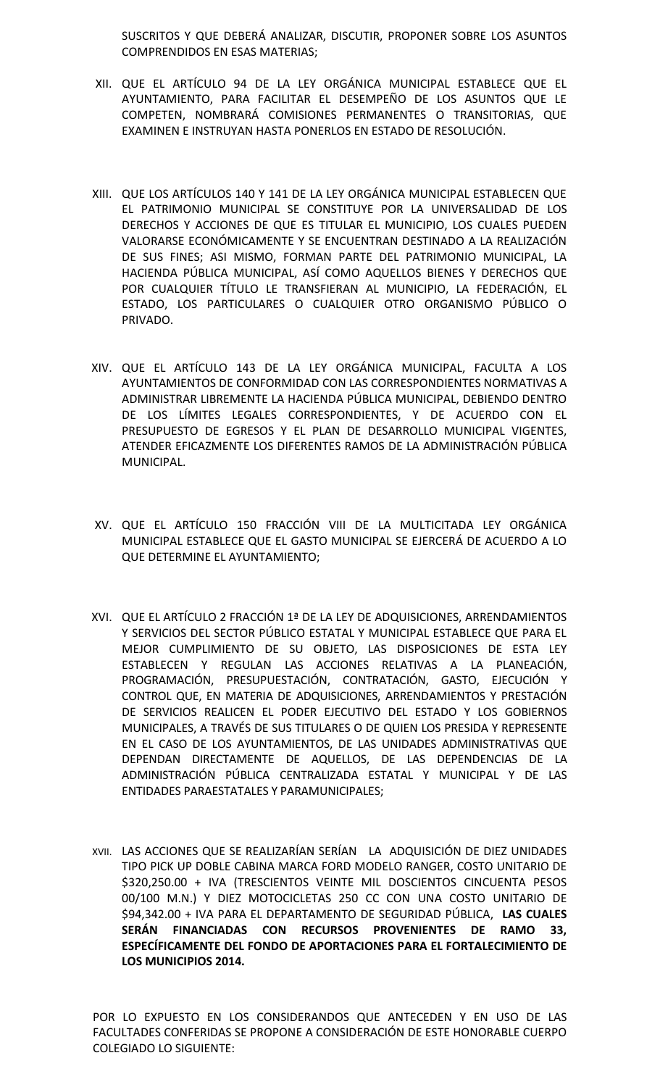SUSCRITOS Y QUE DEBERÁ ANALIZAR, DISCUTIR, PROPONER SOBRE LOS ASUNTOS COMPRENDIDOS EN ESAS MATERIAS;

- XII. QUE EL ARTÍCULO 94 DE LA LEY ORGÁNICA MUNICIPAL ESTABLECE QUE EL AYUNTAMIENTO, PARA FACILITAR EL DESEMPEÑO DE LOS ASUNTOS QUE LE COMPETEN, NOMBRARÁ COMISIONES PERMANENTES O TRANSITORIAS, QUE EXAMINEN E INSTRUYAN HASTA PONERLOS EN ESTADO DE RESOLUCIÓN.
- XIII. QUE LOS ARTÍCULOS 140 Y 141 DE LA LEY ORGÁNICA MUNICIPAL ESTABLECEN QUE EL PATRIMONIO MUNICIPAL SE CONSTITUYE POR LA UNIVERSALIDAD DE LOS DERECHOS Y ACCIONES DE QUE ES TITULAR EL MUNICIPIO, LOS CUALES PUEDEN VALORARSE ECONÓMICAMENTE Y SE ENCUENTRAN DESTINADO A LA REALIZACIÓN DE SUS FINES; ASI MISMO, FORMAN PARTE DEL PATRIMONIO MUNICIPAL, LA HACIENDA PÚBLICA MUNICIPAL, ASÍ COMO AQUELLOS BIENES Y DERECHOS QUE POR CUALQUIER TÍTULO LE TRANSFIERAN AL MUNICIPIO, LA FEDERACIÓN, EL ESTADO, LOS PARTICULARES O CUALQUIER OTRO ORGANISMO PÚBLICO O PRIVADO.
- XIV. QUE EL ARTÍCULO 143 DE LA LEY ORGÁNICA MUNICIPAL, FACULTA A LOS AYUNTAMIENTOS DE CONFORMIDAD CON LAS CORRESPONDIENTES NORMATIVAS A ADMINISTRAR LIBREMENTE LA HACIENDA PÚBLICA MUNICIPAL, DEBIENDO DENTRO DE LOS LÍMITES LEGALES CORRESPONDIENTES, Y DE ACUERDO CON EL PRESUPUESTO DE EGRESOS Y EL PLAN DE DESARROLLO MUNICIPAL VIGENTES, ATENDER EFICAZMENTE LOS DIFERENTES RAMOS DE LA ADMINISTRACIÓN PÚBLICA MUNICIPAL.
- XV. QUE EL ARTÍCULO 150 FRACCIÓN VIII DE LA MULTICITADA LEY ORGÁNICA MUNICIPAL ESTABLECE QUE EL GASTO MUNICIPAL SE EJERCERÁ DE ACUERDO A LO QUE DETERMINE EL AYUNTAMIENTO;
- XVI. QUE EL ARTÍCULO 2 FRACCIÓN 1ª DE LA LEY DE ADQUISICIONES, ARRENDAMIENTOS Y SERVICIOS DEL SECTOR PÚBLICO ESTATAL Y MUNICIPAL ESTABLECE QUE PARA EL MEJOR CUMPLIMIENTO DE SU OBJETO, LAS DISPOSICIONES DE ESTA LEY ESTABLECEN Y REGULAN LAS ACCIONES RELATIVAS A LA PLANEACIÓN, PROGRAMACIÓN, PRESUPUESTACIÓN, CONTRATACIÓN, GASTO, EJECUCIÓN Y CONTROL QUE, EN MATERIA DE ADQUISICIONES, ARRENDAMIENTOS Y PRESTACIÓN DE SERVICIOS REALICEN EL PODER EJECUTIVO DEL ESTADO Y LOS GOBIERNOS MUNICIPALES, A TRAVÉS DE SUS TITULARES O DE QUIEN LOS PRESIDA Y REPRESENTE EN EL CASO DE LOS AYUNTAMIENTOS, DE LAS UNIDADES ADMINISTRATIVAS QUE DEPENDAN DIRECTAMENTE DE AQUELLOS, DE LAS DEPENDENCIAS DE LA ADMINISTRACIÓN PÚBLICA CENTRALIZADA ESTATAL Y MUNICIPAL Y DE LAS ENTIDADES PARAESTATALES Y PARAMUNICIPALES;
- XVII. LAS ACCIONES QUE SE REALIZARÍAN SERÍAN LA ADQUISICIÓN DE DIEZ UNIDADES TIPO PICK UP DOBLE CABINA MARCA FORD MODELO RANGER, COSTO UNITARIO DE \$320,250.00 + IVA (TRESCIENTOS VEINTE MIL DOSCIENTOS CINCUENTA PESOS 00/100 M.N.) Y DIEZ MOTOCICLETAS 250 CC CON UNA COSTO UNITARIO DE \$94,342.00 + IVA PARA EL DEPARTAMENTO DE SEGURIDAD PÚBLICA, **LAS CUALES SERÁN FINANCIADAS CON RECURSOS PROVENIENTES DE RAMO 33, ESPECÍFICAMENTE DEL FONDO DE APORTACIONES PARA EL FORTALECIMIENTO DE LOS MUNICIPIOS 2014.**

POR LO EXPUESTO EN LOS CONSIDERANDOS QUE ANTECEDEN Y EN USO DE LAS FACULTADES CONFERIDAS SE PROPONE A CONSIDERACIÓN DE ESTE HONORABLE CUERPO COLEGIADO LO SIGUIENTE: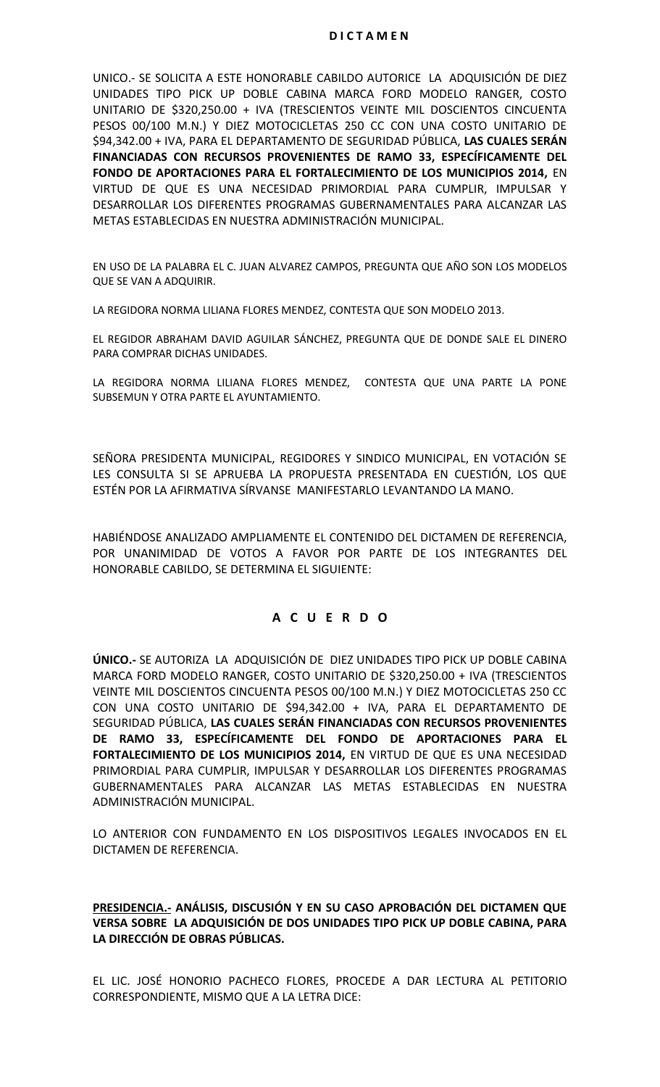UNICO.- SE SOLICITA A ESTE HONORABLE CABILDO AUTORICE LA ADQUISICIÓN DE DIEZ UNIDADES TIPO PICK UP DOBLE CABINA MARCA FORD MODELO RANGER, COSTO UNITARIO DE \$320,250.00 + IVA (TRESCIENTOS VEINTE MIL DOSCIENTOS CINCUENTA PESOS 00/100 M.N.) Y DIEZ MOTOCICLETAS 250 CC CON UNA COSTO UNITARIO DE \$94,342.00 + IVA, PARA EL DEPARTAMENTO DE SEGURIDAD PÚBLICA, **LAS CUALES SERÁN FINANCIADAS CON RECURSOS PROVENIENTES DE RAMO 33, ESPECÍFICAMENTE DEL FONDO DE APORTACIONES PARA EL FORTALECIMIENTO DE LOS MUNICIPIOS 2014,** EN VIRTUD DE QUE ES UNA NECESIDAD PRIMORDIAL PARA CUMPLIR, IMPULSAR Y DESARROLLAR LOS DIFERENTES PROGRAMAS GUBERNAMENTALES PARA ALCANZAR LAS METAS ESTABLECIDAS EN NUESTRA ADMINISTRACIÓN MUNICIPAL.

EN USO DE LA PALABRA EL C. JUAN ALVAREZ CAMPOS, PREGUNTA QUE AÑO SON LOS MODELOS QUE SE VAN A ADQUIRIR.

LA REGIDORA NORMA LILIANA FLORES MENDEZ, CONTESTA QUE SON MODELO 2013.

EL REGIDOR ABRAHAM DAVID AGUILAR SÁNCHEZ, PREGUNTA QUE DE DONDE SALE EL DINERO PARA COMPRAR DICHAS UNIDADES.

LA REGIDORA NORMA LILIANA FLORES MENDEZ, CONTESTA QUE UNA PARTE LA PONE SUBSEMUN Y OTRA PARTE EL AYUNTAMIENTO.

SEÑORA PRESIDENTA MUNICIPAL, REGIDORES Y SINDICO MUNICIPAL, EN VOTACIÓN SE LES CONSULTA SI SE APRUEBA LA PROPUESTA PRESENTADA EN CUESTIÓN, LOS QUE ESTÉN POR LA AFIRMATIVA SÍRVANSE MANIFESTARLO LEVANTANDO LA MANO.

HABIÉNDOSE ANALIZADO AMPLIAMENTE EL CONTENIDO DEL DICTAMEN DE REFERENCIA, POR UNANIMIDAD DE VOTOS A FAVOR POR PARTE DE LOS INTEGRANTES DEL HONORABLE CABILDO, SE DETERMINA EL SIGUIENTE:

# **A C U E R D O**

**ÚNICO.-** SE AUTORIZA LA ADQUISICIÓN DE DIEZ UNIDADES TIPO PICK UP DOBLE CABINA MARCA FORD MODELO RANGER, COSTO UNITARIO DE \$320,250.00 + IVA (TRESCIENTOS VEINTE MIL DOSCIENTOS CINCUENTA PESOS 00/100 M.N.) Y DIEZ MOTOCICLETAS 250 CC CON UNA COSTO UNITARIO DE \$94,342.00 + IVA, PARA EL DEPARTAMENTO DE SEGURIDAD PÚBLICA, **LAS CUALES SERÁN FINANCIADAS CON RECURSOS PROVENIENTES DE RAMO 33, ESPECÍFICAMENTE DEL FONDO DE APORTACIONES PARA EL FORTALECIMIENTO DE LOS MUNICIPIOS 2014,** EN VIRTUD DE QUE ES UNA NECESIDAD PRIMORDIAL PARA CUMPLIR, IMPULSAR Y DESARROLLAR LOS DIFERENTES PROGRAMAS GUBERNAMENTALES PARA ALCANZAR LAS METAS ESTABLECIDAS EN NUESTRA ADMINISTRACIÓN MUNICIPAL.

LO ANTERIOR CON FUNDAMENTO EN LOS DISPOSITIVOS LEGALES INVOCADOS EN EL DICTAMEN DE REFERENCIA.

**PRESIDENCIA.- ANÁLISIS, DISCUSIÓN Y EN SU CASO APROBACIÓN DEL DICTAMEN QUE VERSA SOBRE LA ADQUISICIÓN DE DOS UNIDADES TIPO PICK UP DOBLE CABINA, PARA LA DIRECCIÓN DE OBRAS PÚBLICAS.**

EL LIC. JOSÉ HONORIO PACHECO FLORES, PROCEDE A DAR LECTURA AL PETITORIO CORRESPONDIENTE, MISMO QUE A LA LETRA DICE: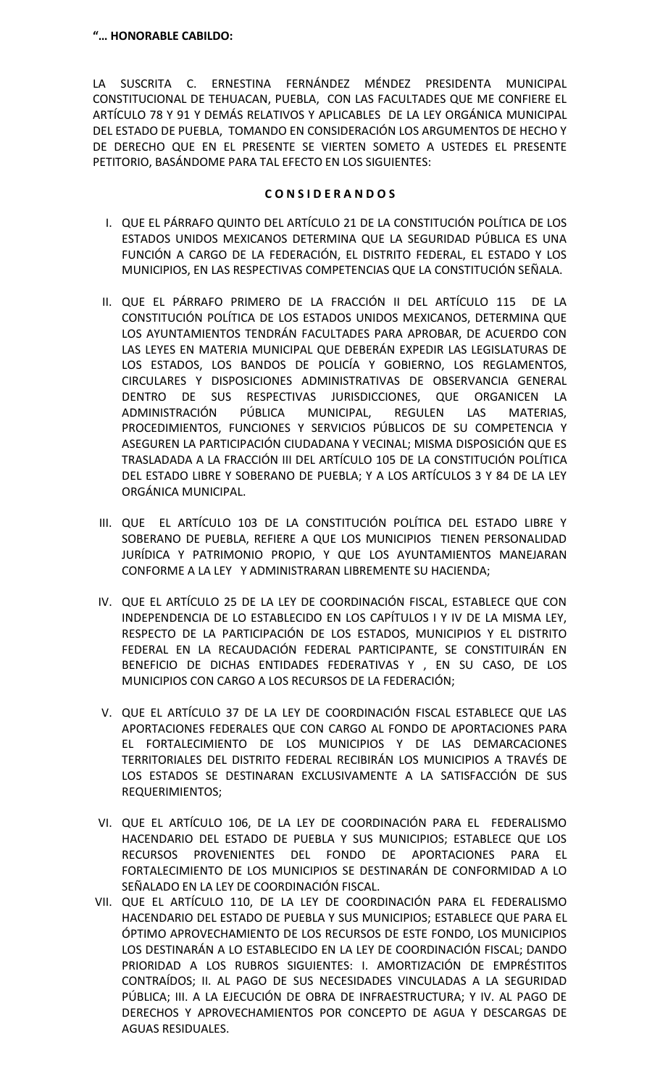LA SUSCRITA C. ERNESTINA FERNÁNDEZ MÉNDEZ PRESIDENTA MUNICIPAL CONSTITUCIONAL DE TEHUACAN, PUEBLA, CON LAS FACULTADES QUE ME CONFIERE EL ARTÍCULO 78 Y 91 Y DEMÁS RELATIVOS Y APLICABLES DE LA LEY ORGÁNICA MUNICIPAL DEL ESTADO DE PUEBLA, TOMANDO EN CONSIDERACIÓN LOS ARGUMENTOS DE HECHO Y DE DERECHO QUE EN EL PRESENTE SE VIERTEN SOMETO A USTEDES EL PRESENTE PETITORIO, BASÁNDOME PARA TAL EFECTO EN LOS SIGUIENTES:

# **C O N S I D E R A N D O S**

- I. QUE EL PÁRRAFO QUINTO DEL ARTÍCULO 21 DE LA CONSTITUCIÓN POLÍTICA DE LOS ESTADOS UNIDOS MEXICANOS DETERMINA QUE LA SEGURIDAD PÚBLICA ES UNA FUNCIÓN A CARGO DE LA FEDERACIÓN, EL DISTRITO FEDERAL, EL ESTADO Y LOS MUNICIPIOS, EN LAS RESPECTIVAS COMPETENCIAS QUE LA CONSTITUCIÓN SEÑALA.
- II. QUE EL PÁRRAFO PRIMERO DE LA FRACCIÓN II DEL ARTÍCULO 115 DE LA CONSTITUCIÓN POLÍTICA DE LOS ESTADOS UNIDOS MEXICANOS, DETERMINA QUE LOS AYUNTAMIENTOS TENDRÁN FACULTADES PARA APROBAR, DE ACUERDO CON LAS LEYES EN MATERIA MUNICIPAL QUE DEBERÁN EXPEDIR LAS LEGISLATURAS DE LOS ESTADOS, LOS BANDOS DE POLICÍA Y GOBIERNO, LOS REGLAMENTOS, CIRCULARES Y DISPOSICIONES ADMINISTRATIVAS DE OBSERVANCIA GENERAL DENTRO DE SUS RESPECTIVAS JURISDICCIONES, QUE ORGANICEN LA ADMINISTRACIÓN PÚBLICA MUNICIPAL, REGULEN LAS MATERIAS, PROCEDIMIENTOS, FUNCIONES Y SERVICIOS PÚBLICOS DE SU COMPETENCIA Y ASEGUREN LA PARTICIPACIÓN CIUDADANA Y VECINAL; MISMA DISPOSICIÓN QUE ES TRASLADADA A LA FRACCIÓN III DEL ARTÍCULO 105 DE LA CONSTITUCIÓN POLÍTICA DEL ESTADO LIBRE Y SOBERANO DE PUEBLA; Y A LOS ARTÍCULOS 3 Y 84 DE LA LEY ORGÁNICA MUNICIPAL.
- III. QUE EL ARTÍCULO 103 DE LA CONSTITUCIÓN POLÍTICA DEL ESTADO LIBRE Y SOBERANO DE PUEBLA, REFIERE A QUE LOS MUNICIPIOS TIENEN PERSONALIDAD JURÍDICA Y PATRIMONIO PROPIO, Y QUE LOS AYUNTAMIENTOS MANEJARAN CONFORME A LA LEY Y ADMINISTRARAN LIBREMENTE SU HACIENDA;
- IV. QUE EL ARTÍCULO 25 DE LA LEY DE COORDINACIÓN FISCAL, ESTABLECE QUE CON INDEPENDENCIA DE LO ESTABLECIDO EN LOS CAPÍTULOS I Y IV DE LA MISMA LEY, RESPECTO DE LA PARTICIPACIÓN DE LOS ESTADOS, MUNICIPIOS Y EL DISTRITO FEDERAL EN LA RECAUDACIÓN FEDERAL PARTICIPANTE, SE CONSTITUIRÁN EN BENEFICIO DE DICHAS ENTIDADES FEDERATIVAS Y , EN SU CASO, DE LOS MUNICIPIOS CON CARGO A LOS RECURSOS DE LA FEDERACIÓN;
- V. QUE EL ARTÍCULO 37 DE LA LEY DE COORDINACIÓN FISCAL ESTABLECE QUE LAS APORTACIONES FEDERALES QUE CON CARGO AL FONDO DE APORTACIONES PARA EL FORTALECIMIENTO DE LOS MUNICIPIOS Y DE LAS DEMARCACIONES TERRITORIALES DEL DISTRITO FEDERAL RECIBIRÁN LOS MUNICIPIOS A TRAVÉS DE LOS ESTADOS SE DESTINARAN EXCLUSIVAMENTE A LA SATISFACCIÓN DE SUS REQUERIMIENTOS;
- VI. QUE EL ARTÍCULO 106, DE LA LEY DE COORDINACIÓN PARA EL FEDERALISMO HACENDARIO DEL ESTADO DE PUEBLA Y SUS MUNICIPIOS; ESTABLECE QUE LOS RECURSOS PROVENIENTES DEL FONDO DE APORTACIONES PARA EL FORTALECIMIENTO DE LOS MUNICIPIOS SE DESTINARÁN DE CONFORMIDAD A LO SEÑALADO EN LA LEY DE COORDINACIÓN FISCAL.
- VII. QUE EL ARTÍCULO 110, DE LA LEY DE COORDINACIÓN PARA EL FEDERALISMO HACENDARIO DEL ESTADO DE PUEBLA Y SUS MUNICIPIOS; ESTABLECE QUE PARA EL ÓPTIMO APROVECHAMIENTO DE LOS RECURSOS DE ESTE FONDO, LOS MUNICIPIOS LOS DESTINARÁN A LO ESTABLECIDO EN LA LEY DE COORDINACIÓN FISCAL; DANDO PRIORIDAD A LOS RUBROS SIGUIENTES: I. AMORTIZACIÓN DE EMPRÉSTITOS CONTRAÍDOS; II. AL PAGO DE SUS NECESIDADES VINCULADAS A LA SEGURIDAD PÚBLICA; III. A LA EJECUCIÓN DE OBRA DE INFRAESTRUCTURA; Y IV. AL PAGO DE DERECHOS Y APROVECHAMIENTOS POR CONCEPTO DE AGUA Y DESCARGAS DE AGUAS RESIDUALES.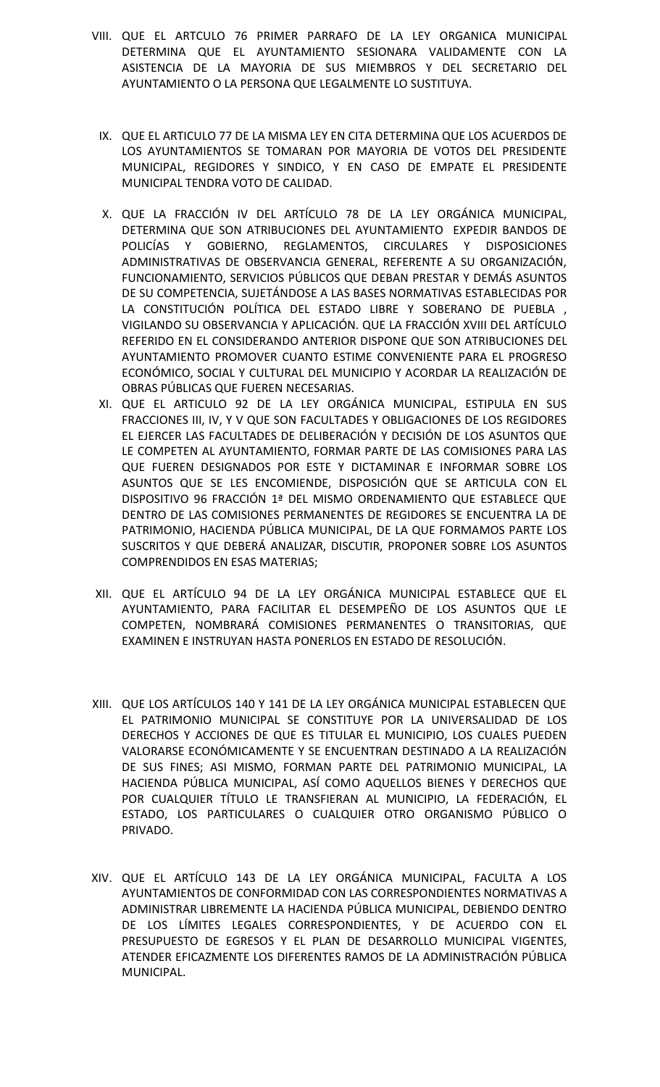- VIII. QUE EL ARTCULO 76 PRIMER PARRAFO DE LA LEY ORGANICA MUNICIPAL DETERMINA QUE EL AYUNTAMIENTO SESIONARA VALIDAMENTE CON LA ASISTENCIA DE LA MAYORIA DE SUS MIEMBROS Y DEL SECRETARIO DEL AYUNTAMIENTO O LA PERSONA QUE LEGALMENTE LO SUSTITUYA.
	- IX. QUE EL ARTICULO 77 DE LA MISMA LEY EN CITA DETERMINA QUE LOS ACUERDOS DE LOS AYUNTAMIENTOS SE TOMARAN POR MAYORIA DE VOTOS DEL PRESIDENTE MUNICIPAL, REGIDORES Y SINDICO, Y EN CASO DE EMPATE EL PRESIDENTE MUNICIPAL TENDRA VOTO DE CALIDAD.
	- X. QUE LA FRACCIÓN IV DEL ARTÍCULO 78 DE LA LEY ORGÁNICA MUNICIPAL, DETERMINA QUE SON ATRIBUCIONES DEL AYUNTAMIENTO EXPEDIR BANDOS DE POLICÍAS Y GOBIERNO, REGLAMENTOS, CIRCULARES Y DISPOSICIONES ADMINISTRATIVAS DE OBSERVANCIA GENERAL, REFERENTE A SU ORGANIZACIÓN, FUNCIONAMIENTO, SERVICIOS PÚBLICOS QUE DEBAN PRESTAR Y DEMÁS ASUNTOS DE SU COMPETENCIA, SUJETÁNDOSE A LAS BASES NORMATIVAS ESTABLECIDAS POR LA CONSTITUCIÓN POLÍTICA DEL ESTADO LIBRE Y SOBERANO DE PUEBLA , VIGILANDO SU OBSERVANCIA Y APLICACIÓN. QUE LA FRACCIÓN XVIII DEL ARTÍCULO REFERIDO EN EL CONSIDERANDO ANTERIOR DISPONE QUE SON ATRIBUCIONES DEL AYUNTAMIENTO PROMOVER CUANTO ESTIME CONVENIENTE PARA EL PROGRESO ECONÓMICO, SOCIAL Y CULTURAL DEL MUNICIPIO Y ACORDAR LA REALIZACIÓN DE OBRAS PÚBLICAS QUE FUEREN NECESARIAS.
	- XI. QUE EL ARTICULO 92 DE LA LEY ORGÁNICA MUNICIPAL, ESTIPULA EN SUS FRACCIONES III, IV, Y V QUE SON FACULTADES Y OBLIGACIONES DE LOS REGIDORES EL EJERCER LAS FACULTADES DE DELIBERACIÓN Y DECISIÓN DE LOS ASUNTOS QUE LE COMPETEN AL AYUNTAMIENTO, FORMAR PARTE DE LAS COMISIONES PARA LAS QUE FUEREN DESIGNADOS POR ESTE Y DICTAMINAR E INFORMAR SOBRE LOS ASUNTOS QUE SE LES ENCOMIENDE, DISPOSICIÓN QUE SE ARTICULA CON EL DISPOSITIVO 96 FRACCIÓN 1ª DEL MISMO ORDENAMIENTO QUE ESTABLECE QUE DENTRO DE LAS COMISIONES PERMANENTES DE REGIDORES SE ENCUENTRA LA DE PATRIMONIO, HACIENDA PÚBLICA MUNICIPAL, DE LA QUE FORMAMOS PARTE LOS SUSCRITOS Y QUE DEBERÁ ANALIZAR, DISCUTIR, PROPONER SOBRE LOS ASUNTOS COMPRENDIDOS EN ESAS MATERIAS;
- XII. QUE EL ARTÍCULO 94 DE LA LEY ORGÁNICA MUNICIPAL ESTABLECE QUE EL AYUNTAMIENTO, PARA FACILITAR EL DESEMPEÑO DE LOS ASUNTOS QUE LE COMPETEN, NOMBRARÁ COMISIONES PERMANENTES O TRANSITORIAS, QUE EXAMINEN E INSTRUYAN HASTA PONERLOS EN ESTADO DE RESOLUCIÓN.
- XIII. QUE LOS ARTÍCULOS 140 Y 141 DE LA LEY ORGÁNICA MUNICIPAL ESTABLECEN QUE EL PATRIMONIO MUNICIPAL SE CONSTITUYE POR LA UNIVERSALIDAD DE LOS DERECHOS Y ACCIONES DE QUE ES TITULAR EL MUNICIPIO, LOS CUALES PUEDEN VALORARSE ECONÓMICAMENTE Y SE ENCUENTRAN DESTINADO A LA REALIZACIÓN DE SUS FINES; ASI MISMO, FORMAN PARTE DEL PATRIMONIO MUNICIPAL, LA HACIENDA PÚBLICA MUNICIPAL, ASÍ COMO AQUELLOS BIENES Y DERECHOS QUE POR CUALQUIER TÍTULO LE TRANSFIERAN AL MUNICIPIO, LA FEDERACIÓN, EL ESTADO, LOS PARTICULARES O CUALQUIER OTRO ORGANISMO PÚBLICO O PRIVADO.
- XIV. QUE EL ARTÍCULO 143 DE LA LEY ORGÁNICA MUNICIPAL, FACULTA A LOS AYUNTAMIENTOS DE CONFORMIDAD CON LAS CORRESPONDIENTES NORMATIVAS A ADMINISTRAR LIBREMENTE LA HACIENDA PÚBLICA MUNICIPAL, DEBIENDO DENTRO DE LOS LÍMITES LEGALES CORRESPONDIENTES, Y DE ACUERDO CON EL PRESUPUESTO DE EGRESOS Y EL PLAN DE DESARROLLO MUNICIPAL VIGENTES, ATENDER EFICAZMENTE LOS DIFERENTES RAMOS DE LA ADMINISTRACIÓN PÚBLICA MUNICIPAL.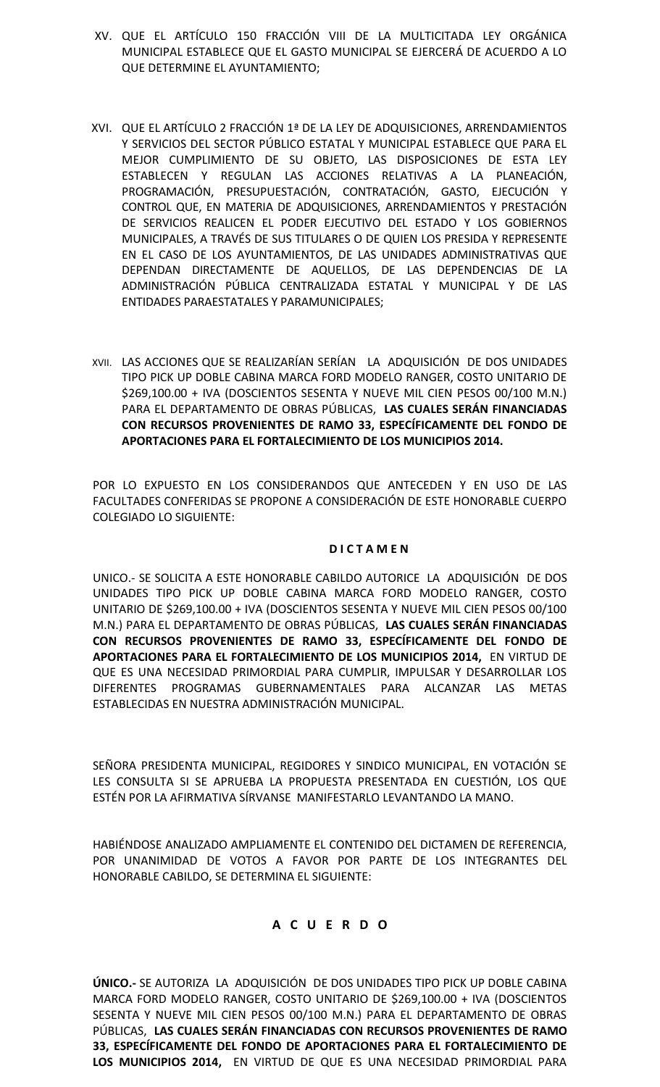- XV. QUE EL ARTÍCULO 150 FRACCIÓN VIII DE LA MULTICITADA LEY ORGÁNICA MUNICIPAL ESTABLECE QUE EL GASTO MUNICIPAL SE EJERCERÁ DE ACUERDO A LO QUE DETERMINE EL AYUNTAMIENTO;
- XVI. QUE EL ARTÍCULO 2 FRACCIÓN 1ª DE LA LEY DE ADQUISICIONES, ARRENDAMIENTOS Y SERVICIOS DEL SECTOR PÚBLICO ESTATAL Y MUNICIPAL ESTABLECE QUE PARA EL MEJOR CUMPLIMIENTO DE SU OBJETO, LAS DISPOSICIONES DE ESTA LEY ESTABLECEN Y REGULAN LAS ACCIONES RELATIVAS A LA PLANEACIÓN, PROGRAMACIÓN, PRESUPUESTACIÓN, CONTRATACIÓN, GASTO, EJECUCIÓN Y CONTROL QUE, EN MATERIA DE ADQUISICIONES, ARRENDAMIENTOS Y PRESTACIÓN DE SERVICIOS REALICEN EL PODER EJECUTIVO DEL ESTADO Y LOS GOBIERNOS MUNICIPALES, A TRAVÉS DE SUS TITULARES O DE QUIEN LOS PRESIDA Y REPRESENTE EN EL CASO DE LOS AYUNTAMIENTOS, DE LAS UNIDADES ADMINISTRATIVAS QUE DEPENDAN DIRECTAMENTE DE AQUELLOS, DE LAS DEPENDENCIAS DE LA ADMINISTRACIÓN PÚBLICA CENTRALIZADA ESTATAL Y MUNICIPAL Y DE LAS ENTIDADES PARAESTATALES Y PARAMUNICIPALES;
- XVII. LAS ACCIONES QUE SE REALIZARÍAN SERÍAN LA ADQUISICIÓN DE DOS UNIDADES TIPO PICK UP DOBLE CABINA MARCA FORD MODELO RANGER, COSTO UNITARIO DE \$269,100.00 + IVA (DOSCIENTOS SESENTA Y NUEVE MIL CIEN PESOS 00/100 M.N.) PARA EL DEPARTAMENTO DE OBRAS PÚBLICAS, **LAS CUALES SERÁN FINANCIADAS CON RECURSOS PROVENIENTES DE RAMO 33, ESPECÍFICAMENTE DEL FONDO DE APORTACIONES PARA EL FORTALECIMIENTO DE LOS MUNICIPIOS 2014.**

POR LO EXPUESTO EN LOS CONSIDERANDOS QUE ANTECEDEN Y EN USO DE LAS FACULTADES CONFERIDAS SE PROPONE A CONSIDERACIÓN DE ESTE HONORABLE CUERPO COLEGIADO LO SIGUIENTE:

# **D I C T A M E N**

UNICO.- SE SOLICITA A ESTE HONORABLE CABILDO AUTORICE LA ADQUISICIÓN DE DOS UNIDADES TIPO PICK UP DOBLE CABINA MARCA FORD MODELO RANGER, COSTO UNITARIO DE \$269,100.00 + IVA (DOSCIENTOS SESENTA Y NUEVE MIL CIEN PESOS 00/100 M.N.) PARA EL DEPARTAMENTO DE OBRAS PÚBLICAS, **LAS CUALES SERÁN FINANCIADAS CON RECURSOS PROVENIENTES DE RAMO 33, ESPECÍFICAMENTE DEL FONDO DE APORTACIONES PARA EL FORTALECIMIENTO DE LOS MUNICIPIOS 2014,** EN VIRTUD DE QUE ES UNA NECESIDAD PRIMORDIAL PARA CUMPLIR, IMPULSAR Y DESARROLLAR LOS DIFERENTES PROGRAMAS GUBERNAMENTALES PARA ALCANZAR LAS METAS ESTABLECIDAS EN NUESTRA ADMINISTRACIÓN MUNICIPAL.

SEÑORA PRESIDENTA MUNICIPAL, REGIDORES Y SINDICO MUNICIPAL, EN VOTACIÓN SE LES CONSULTA SI SE APRUEBA LA PROPUESTA PRESENTADA EN CUESTIÓN, LOS QUE ESTÉN POR LA AFIRMATIVA SÍRVANSE MANIFESTARLO LEVANTANDO LA MANO.

HABIÉNDOSE ANALIZADO AMPLIAMENTE EL CONTENIDO DEL DICTAMEN DE REFERENCIA, POR UNANIMIDAD DE VOTOS A FAVOR POR PARTE DE LOS INTEGRANTES DEL HONORABLE CABILDO, SE DETERMINA EL SIGUIENTE:

# **A C U E R D O**

**ÚNICO.-** SE AUTORIZA LA ADQUISICIÓN DE DOS UNIDADES TIPO PICK UP DOBLE CABINA MARCA FORD MODELO RANGER, COSTO UNITARIO DE \$269,100.00 + IVA (DOSCIENTOS SESENTA Y NUEVE MIL CIEN PESOS 00/100 M.N.) PARA EL DEPARTAMENTO DE OBRAS PÚBLICAS, **LAS CUALES SERÁN FINANCIADAS CON RECURSOS PROVENIENTES DE RAMO 33, ESPECÍFICAMENTE DEL FONDO DE APORTACIONES PARA EL FORTALECIMIENTO DE LOS MUNICIPIOS 2014,** EN VIRTUD DE QUE ES UNA NECESIDAD PRIMORDIAL PARA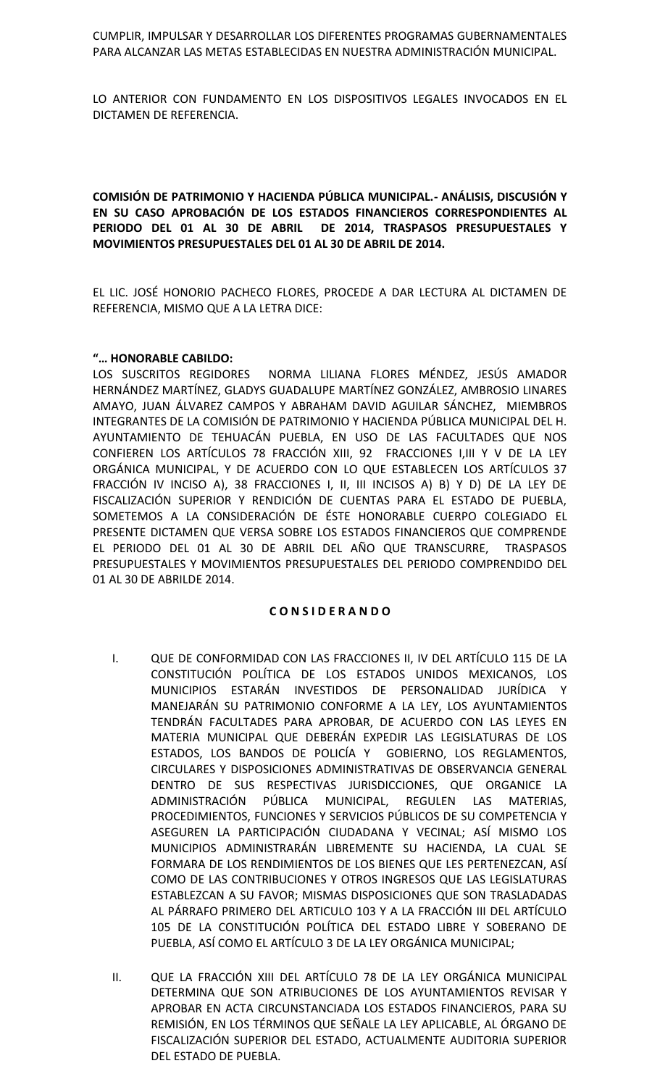CUMPLIR, IMPULSAR Y DESARROLLAR LOS DIFERENTES PROGRAMAS GUBERNAMENTALES PARA ALCANZAR LAS METAS ESTABLECIDAS EN NUESTRA ADMINISTRACIÓN MUNICIPAL.

LO ANTERIOR CON FUNDAMENTO EN LOS DISPOSITIVOS LEGALES INVOCADOS EN EL DICTAMEN DE REFERENCIA.

**COMISIÓN DE PATRIMONIO Y HACIENDA PÚBLICA MUNICIPAL.- ANÁLISIS, DISCUSIÓN Y EN SU CASO APROBACIÓN DE LOS ESTADOS FINANCIEROS CORRESPONDIENTES AL PERIODO DEL 01 AL 30 DE ABRIL DE 2014, TRASPASOS PRESUPUESTALES Y MOVIMIENTOS PRESUPUESTALES DEL 01 AL 30 DE ABRIL DE 2014.**

EL LIC. JOSÉ HONORIO PACHECO FLORES, PROCEDE A DAR LECTURA AL DICTAMEN DE REFERENCIA, MISMO QUE A LA LETRA DICE:

## **"… HONORABLE CABILDO:**

LOS SUSCRITOS REGIDORES NORMA LILIANA FLORES MÉNDEZ, JESÚS AMADOR HERNÁNDEZ MARTÍNEZ, GLADYS GUADALUPE MARTÍNEZ GONZÁLEZ, AMBROSIO LINARES AMAYO, JUAN ÁLVAREZ CAMPOS Y ABRAHAM DAVID AGUILAR SÁNCHEZ, MIEMBROS INTEGRANTES DE LA COMISIÓN DE PATRIMONIO Y HACIENDA PÚBLICA MUNICIPAL DEL H. AYUNTAMIENTO DE TEHUACÁN PUEBLA, EN USO DE LAS FACULTADES QUE NOS CONFIEREN LOS ARTÍCULOS 78 FRACCIÓN XIII, 92 FRACCIONES I,III Y V DE LA LEY ORGÁNICA MUNICIPAL, Y DE ACUERDO CON LO QUE ESTABLECEN LOS ARTÍCULOS 37 FRACCIÓN IV INCISO A), 38 FRACCIONES I, II, III INCISOS A) B) Y D) DE LA LEY DE FISCALIZACIÓN SUPERIOR Y RENDICIÓN DE CUENTAS PARA EL ESTADO DE PUEBLA, SOMETEMOS A LA CONSIDERACIÓN DE ÉSTE HONORABLE CUERPO COLEGIADO EL PRESENTE DICTAMEN QUE VERSA SOBRE LOS ESTADOS FINANCIEROS QUE COMPRENDE EL PERIODO DEL 01 AL 30 DE ABRIL DEL AÑO QUE TRANSCURRE, TRASPASOS PRESUPUESTALES Y MOVIMIENTOS PRESUPUESTALES DEL PERIODO COMPRENDIDO DEL 01 AL 30 DE ABRILDE 2014.

# **C O N S I D E R A N D O**

- I. QUE DE CONFORMIDAD CON LAS FRACCIONES II, IV DEL ARTÍCULO 115 DE LA CONSTITUCIÓN POLÍTICA DE LOS ESTADOS UNIDOS MEXICANOS, LOS MUNICIPIOS ESTARÁN INVESTIDOS DE PERSONALIDAD JURÍDICA Y MANEJARÁN SU PATRIMONIO CONFORME A LA LEY, LOS AYUNTAMIENTOS TENDRÁN FACULTADES PARA APROBAR, DE ACUERDO CON LAS LEYES EN MATERIA MUNICIPAL QUE DEBERÁN EXPEDIR LAS LEGISLATURAS DE LOS ESTADOS, LOS BANDOS DE POLICÍA Y GOBIERNO, LOS REGLAMENTOS, CIRCULARES Y DISPOSICIONES ADMINISTRATIVAS DE OBSERVANCIA GENERAL DENTRO DE SUS RESPECTIVAS JURISDICCIONES, QUE ORGANICE LA ADMINISTRACIÓN PÚBLICA MUNICIPAL, REGULEN LAS MATERIAS, PROCEDIMIENTOS, FUNCIONES Y SERVICIOS PÚBLICOS DE SU COMPETENCIA Y ASEGUREN LA PARTICIPACIÓN CIUDADANA Y VECINAL; ASÍ MISMO LOS MUNICIPIOS ADMINISTRARÁN LIBREMENTE SU HACIENDA, LA CUAL SE FORMARA DE LOS RENDIMIENTOS DE LOS BIENES QUE LES PERTENEZCAN, ASÍ COMO DE LAS CONTRIBUCIONES Y OTROS INGRESOS QUE LAS LEGISLATURAS ESTABLEZCAN A SU FAVOR; MISMAS DISPOSICIONES QUE SON TRASLADADAS AL PÁRRAFO PRIMERO DEL ARTICULO 103 Y A LA FRACCIÓN III DEL ARTÍCULO 105 DE LA CONSTITUCIÓN POLÍTICA DEL ESTADO LIBRE Y SOBERANO DE PUEBLA, ASÍ COMO EL ARTÍCULO 3 DE LA LEY ORGÁNICA MUNICIPAL;
- II. QUE LA FRACCIÓN XIII DEL ARTÍCULO 78 DE LA LEY ORGÁNICA MUNICIPAL DETERMINA QUE SON ATRIBUCIONES DE LOS AYUNTAMIENTOS REVISAR Y APROBAR EN ACTA CIRCUNSTANCIADA LOS ESTADOS FINANCIEROS, PARA SU REMISIÓN, EN LOS TÉRMINOS QUE SEÑALE LA LEY APLICABLE, AL ÓRGANO DE FISCALIZACIÓN SUPERIOR DEL ESTADO, ACTUALMENTE AUDITORIA SUPERIOR DEL ESTADO DE PUEBLA.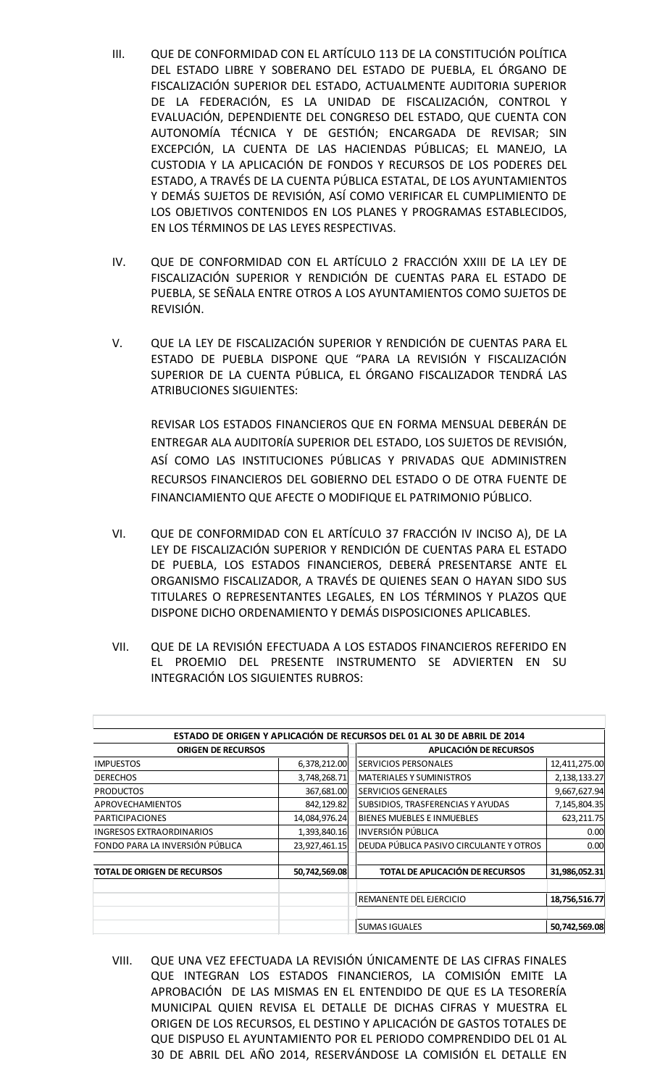- III. QUE DE CONFORMIDAD CON EL ARTÍCULO 113 DE LA CONSTITUCIÓN POLÍTICA DEL ESTADO LIBRE Y SOBERANO DEL ESTADO DE PUEBLA, EL ÓRGANO DE FISCALIZACIÓN SUPERIOR DEL ESTADO, ACTUALMENTE AUDITORIA SUPERIOR DE LA FEDERACIÓN, ES LA UNIDAD DE FISCALIZACIÓN, CONTROL Y EVALUACIÓN, DEPENDIENTE DEL CONGRESO DEL ESTADO, QUE CUENTA CON AUTONOMÍA TÉCNICA Y DE GESTIÓN; ENCARGADA DE REVISAR; SIN EXCEPCIÓN, LA CUENTA DE LAS HACIENDAS PÚBLICAS; EL MANEJO, LA CUSTODIA Y LA APLICACIÓN DE FONDOS Y RECURSOS DE LOS PODERES DEL ESTADO, A TRAVÉS DE LA CUENTA PÚBLICA ESTATAL, DE LOS AYUNTAMIENTOS Y DEMÁS SUJETOS DE REVISIÓN, ASÍ COMO VERIFICAR EL CUMPLIMIENTO DE LOS OBJETIVOS CONTENIDOS EN LOS PLANES Y PROGRAMAS ESTABLECIDOS, EN LOS TÉRMINOS DE LAS LEYES RESPECTIVAS.
- IV. QUE DE CONFORMIDAD CON EL ARTÍCULO 2 FRACCIÓN XXIII DE LA LEY DE FISCALIZACIÓN SUPERIOR Y RENDICIÓN DE CUENTAS PARA EL ESTADO DE PUEBLA, SE SEÑALA ENTRE OTROS A LOS AYUNTAMIENTOS COMO SUJETOS DE REVISIÓN.
- V. QUE LA LEY DE FISCALIZACIÓN SUPERIOR Y RENDICIÓN DE CUENTAS PARA EL ESTADO DE PUEBLA DISPONE QUE "PARA LA REVISIÓN Y FISCALIZACIÓN SUPERIOR DE LA CUENTA PÚBLICA, EL ÓRGANO FISCALIZADOR TENDRÁ LAS ATRIBUCIONES SIGUIENTES:

REVISAR LOS ESTADOS FINANCIEROS QUE EN FORMA MENSUAL DEBERÁN DE ENTREGAR ALA AUDITORÍA SUPERIOR DEL ESTADO, LOS SUJETOS DE REVISIÓN, ASÍ COMO LAS INSTITUCIONES PÚBLICAS Y PRIVADAS QUE ADMINISTREN RECURSOS FINANCIEROS DEL GOBIERNO DEL ESTADO O DE OTRA FUENTE DE FINANCIAMIENTO QUE AFECTE O MODIFIQUE EL PATRIMONIO PÚBLICO.

- VI. QUE DE CONFORMIDAD CON EL ARTÍCULO 37 FRACCIÓN IV INCISO A), DE LA LEY DE FISCALIZACIÓN SUPERIOR Y RENDICIÓN DE CUENTAS PARA EL ESTADO DE PUEBLA, LOS ESTADOS FINANCIEROS, DEBERÁ PRESENTARSE ANTE EL ORGANISMO FISCALIZADOR, A TRAVÉS DE QUIENES SEAN O HAYAN SIDO SUS TITULARES O REPRESENTANTES LEGALES, EN LOS TÉRMINOS Y PLAZOS QUE DISPONE DICHO ORDENAMIENTO Y DEMÁS DISPOSICIONES APLICABLES.
- VII. QUE DE LA REVISIÓN EFECTUADA A LOS ESTADOS FINANCIEROS REFERIDO EN EL PROEMIO DEL PRESENTE INSTRUMENTO SE ADVIERTEN EN SU INTEGRACIÓN LOS SIGUIENTES RUBROS:

|                                    |               | ESTADO DE ORIGEN Y APLICACIÓN DE RECURSOS DEL 01 AL 30 DE ABRIL DE 2014 |               |
|------------------------------------|---------------|-------------------------------------------------------------------------|---------------|
| <b>ORIGEN DE RECURSOS</b>          |               | APLICACIÓN DE RECURSOS                                                  |               |
| <b>IMPUESTOS</b>                   | 6,378,212.00  | <b>SERVICIOS PERSONALES</b>                                             | 12,411,275.00 |
| <b>DERECHOS</b>                    | 3,748,268.71  | <b>MATERIALES Y SUMINISTROS</b>                                         | 2,138,133.27  |
| <b>PRODUCTOS</b>                   | 367,681.00    | <b>SERVICIOS GENERALES</b>                                              | 9,667,627.94  |
| <b>APROVECHAMIENTOS</b>            | 842,129.82    | SUBSIDIOS, TRASFERENCIAS Y AYUDAS                                       | 7,145,804.35  |
| <b>PARTICIPACIONES</b>             | 14,084,976.24 | <b>BIENES MUEBLES E INMUEBLES</b>                                       | 623,211.75    |
| <b>INGRESOS EXTRAORDINARIOS</b>    | 1,393,840.16  | <b>INVERSIÓN PÚBLICA</b>                                                | 0.00          |
| FONDO PARA LA INVERSIÓN PÚBLICA    | 23,927,461.15 | DEUDA PÚBLICA PASIVO CIRCULANTE Y OTROS                                 | 0.00          |
| <b>TOTAL DE ORIGEN DE RECURSOS</b> | 50,742,569.08 | TOTAL DE APLICACIÓN DE RECURSOS                                         | 31,986,052.31 |
|                                    |               | REMANENTE DEL EJERCICIO                                                 | 18,756,516.77 |
|                                    |               | <b>SUMAS IGUALES</b>                                                    | 50,742,569.08 |

VIII. QUE UNA VEZ EFECTUADA LA REVISIÓN ÚNICAMENTE DE LAS CIFRAS FINALES QUE INTEGRAN LOS ESTADOS FINANCIEROS, LA COMISIÓN EMITE LA APROBACIÓN DE LAS MISMAS EN EL ENTENDIDO DE QUE ES LA TESORERÍA MUNICIPAL QUIEN REVISA EL DETALLE DE DICHAS CIFRAS Y MUESTRA EL ORIGEN DE LOS RECURSOS, EL DESTINO Y APLICACIÓN DE GASTOS TOTALES DE QUE DISPUSO EL AYUNTAMIENTO POR EL PERIODO COMPRENDIDO DEL 01 AL 30 DE ABRIL DEL AÑO 2014, RESERVÁNDOSE LA COMISIÓN EL DETALLE EN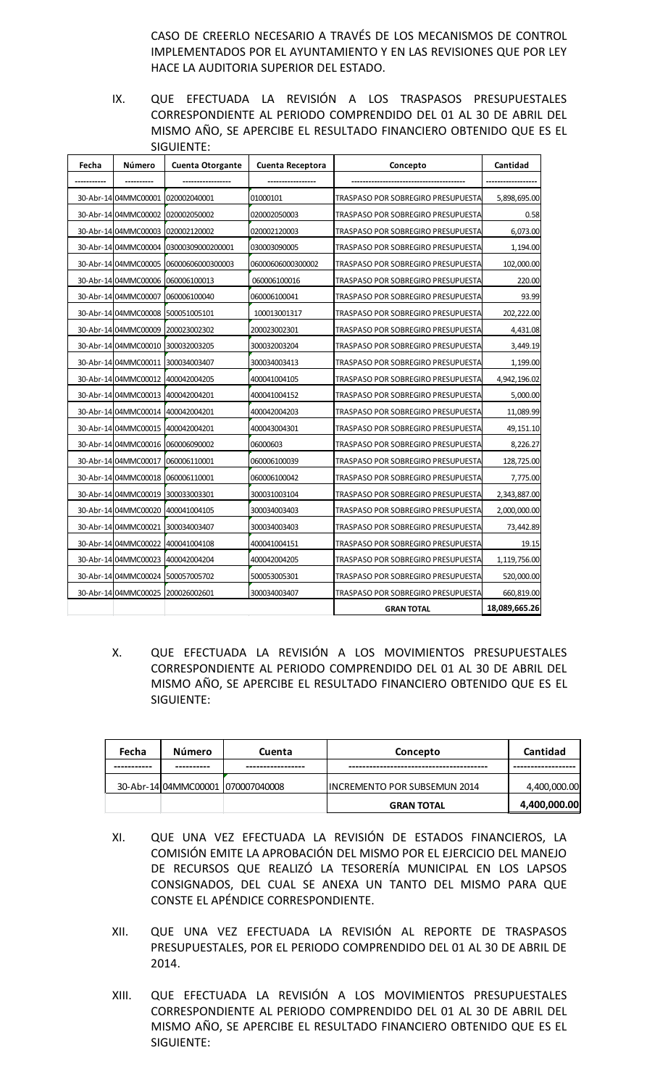CASO DE CREERLO NECESARIO A TRAVÉS DE LOS MECANISMOS DE CONTROL IMPLEMENTADOS POR EL AYUNTAMIENTO Y EN LAS REVISIONES QUE POR LEY HACE LA AUDITORIA SUPERIOR DEL ESTADO.

IX. QUE EFECTUADA LA REVISIÓN A LOS TRASPASOS PRESUPUESTALES CORRESPONDIENTE AL PERIODO COMPRENDIDO DEL 01 AL 30 DE ABRIL DEL MISMO AÑO, SE APERCIBE EL RESULTADO FINANCIERO OBTENIDO QUE ES EL SIGUIENTE:

| Fecha | Número                            | <b>Cuenta Otorgante</b>           | Cuenta Receptora  | Concepto                           | Cantidad      |
|-------|-----------------------------------|-----------------------------------|-------------------|------------------------------------|---------------|
|       |                                   |                                   |                   |                                    |               |
|       | 30-Abr-14 04MMC00001              | 020002040001                      | 01000101          | TRASPASO POR SOBREGIRO PRESUPUESTA | 5,898,695.00  |
|       | 30-Abr-14 04MMC00002              | 020002050002                      | 020002050003      | TRASPASO POR SOBREGIRO PRESUPUESTA | 0.58          |
|       |                                   | 30-Abr-14 04MMC00003 020002120002 | 020002120003      | TRASPASO POR SOBREGIRO PRESUPUESTA | 6,073.00      |
|       | 30-Abr-14 04MMC00004              | 03000309000200001                 | 030003090005      | TRASPASO POR SOBREGIRO PRESUPUESTA | 1,194.00      |
|       | 30-Abr-14 04MMC00005              | 06000606000300003                 | 06000606000300002 | TRASPASO POR SOBREGIRO PRESUPUESTA | 102,000.00    |
|       |                                   | 30-Abr-14 04MMC00006 060006100013 | 060006100016      | TRASPASO POR SOBREGIRO PRESUPUESTA | 220.00        |
|       | 30-Abr-14 04MMC00007              | 060006100040                      | 060006100041      | TRASPASO POR SOBREGIRO PRESUPUESTA | 93.99         |
|       | 30-Abr-14 04MMC00008              | 500051005101                      | 100013001317      | TRASPASO POR SOBREGIRO PRESUPUESTA | 202,222.00    |
|       |                                   | 30-Abr-14 04MMC00009 200023002302 | 200023002301      | TRASPASO POR SOBREGIRO PRESUPUESTA | 4,431.08      |
|       |                                   | 30-Abr-14 04MMC00010 300032003205 | 300032003204      | TRASPASO POR SOBREGIRO PRESUPUESTA | 3,449.19      |
|       | 30-Abr-14 04MMC00011              | 300034003407                      | 300034003413      | TRASPASO POR SOBREGIRO PRESUPUESTA | 1,199.00      |
|       |                                   | 30-Abr-14 04MMC00012 400042004205 | 400041004105      | TRASPASO POR SOBREGIRO PRESUPUESTA | 4,942,196.02  |
|       | 30-Abr-14 04MMC00013              | 400042004201                      | 400041004152      | TRASPASO POR SOBREGIRO PRESUPUESTA | 5,000.00      |
|       | 30-Abr-14 04MMC00014              | 400042004201                      | 400042004203      | TRASPASO POR SOBREGIRO PRESUPUESTA | 11,089.99     |
|       |                                   | 30-Abr-14 04MMC00015 400042004201 | 400043004301      | TRASPASO POR SOBREGIRO PRESUPUESTA | 49,151.10     |
|       | 30-Abr-14 04MMC00016              | 060006090002                      | 06000603          | TRASPASO POR SOBREGIRO PRESUPUESTA | 8,226.27      |
|       | 30-Abr-14 04MMC00017              | 060006110001                      | 060006100039      | TRASPASO POR SOBREGIRO PRESUPUESTA | 128,725.00    |
|       |                                   | 30-Abr-14 04MMC00018 060006110001 | 060006100042      | TRASPASO POR SOBREGIRO PRESUPUESTA | 7,775.00      |
|       |                                   | 30-Abr-14 04MMC00019 300033003301 | 300031003104      | TRASPASO POR SOBREGIRO PRESUPUESTA | 2,343,887.00  |
|       | 30-Abr-14 04MMC00020              | 400041004105                      | 300034003403      | TRASPASO POR SOBREGIRO PRESUPUESTA | 2,000,000.00  |
|       |                                   | 30-Abr-14 04MMC00021 300034003407 | 300034003403      | TRASPASO POR SOBREGIRO PRESUPUESTA | 73,442.89     |
|       |                                   | 30-Abr-14 04MMC00022 400041004108 | 400041004151      | TRASPASO POR SOBREGIRO PRESUPUESTA | 19.15         |
|       | 30-Abr-14 04MMC00023              | 400042004204                      | 400042004205      | TRASPASO POR SOBREGIRO PRESUPUESTA | 1,119,756.00  |
|       |                                   | 30-Abr-14 04MMC00024 500057005702 | 500053005301      | TRASPASO POR SOBREGIRO PRESUPUESTA | 520,000.00    |
|       | 30-Abr-14 04MMC00025 200026002601 |                                   | 300034003407      | TRASPASO POR SOBREGIRO PRESUPUESTA | 660,819.00    |
|       |                                   |                                   |                   | <b>GRAN TOTAL</b>                  | 18,089,665.26 |

X. QUE EFECTUADA LA REVISIÓN A LOS MOVIMIENTOS PRESUPUESTALES CORRESPONDIENTE AL PERIODO COMPRENDIDO DEL 01 AL 30 DE ABRIL DEL MISMO AÑO, SE APERCIBE EL RESULTADO FINANCIERO OBTENIDO QUE ES EL SIGUIENTE:

| Fecha | Número | <b>Cuenta</b>                     | Concepto                             | Cantidad     |
|-------|--------|-----------------------------------|--------------------------------------|--------------|
|       |        |                                   |                                      |              |
|       |        | 30-Abr-14 04MMC00001 070007040008 | <b>IINCREMENTO POR SUBSEMUN 2014</b> | 4,400,000.00 |
|       |        |                                   | <b>GRAN TOTAL</b>                    | 4,400,000.00 |

- XI. QUE UNA VEZ EFECTUADA LA REVISIÓN DE ESTADOS FINANCIEROS, LA COMISIÓN EMITE LA APROBACIÓN DEL MISMO POR EL EJERCICIO DEL MANEJO DE RECURSOS QUE REALIZÓ LA TESORERÍA MUNICIPAL EN LOS LAPSOS CONSIGNADOS, DEL CUAL SE ANEXA UN TANTO DEL MISMO PARA QUE CONSTE EL APÉNDICE CORRESPONDIENTE.
- XII. QUE UNA VEZ EFECTUADA LA REVISIÓN AL REPORTE DE TRASPASOS PRESUPUESTALES, POR EL PERIODO COMPRENDIDO DEL 01 AL 30 DE ABRIL DE 2014.
- XIII. QUE EFECTUADA LA REVISIÓN A LOS MOVIMIENTOS PRESUPUESTALES CORRESPONDIENTE AL PERIODO COMPRENDIDO DEL 01 AL 30 DE ABRIL DEL MISMO AÑO, SE APERCIBE EL RESULTADO FINANCIERO OBTENIDO QUE ES EL SIGUIENTE: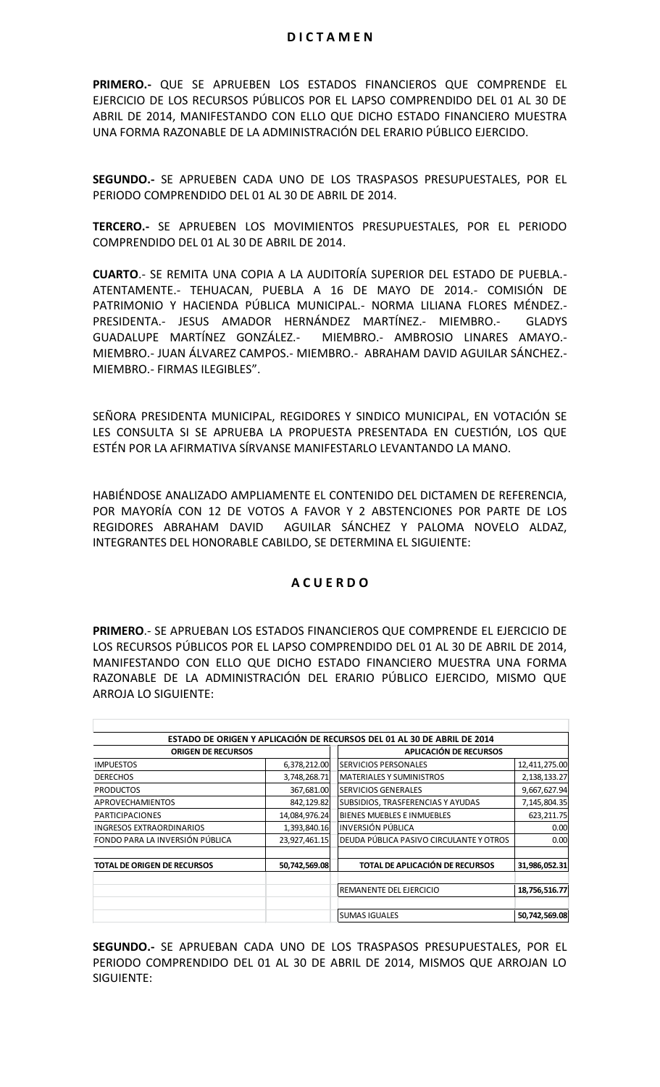**PRIMERO.-** QUE SE APRUEBEN LOS ESTADOS FINANCIEROS QUE COMPRENDE EL EJERCICIO DE LOS RECURSOS PÚBLICOS POR EL LAPSO COMPRENDIDO DEL 01 AL 30 DE ABRIL DE 2014, MANIFESTANDO CON ELLO QUE DICHO ESTADO FINANCIERO MUESTRA UNA FORMA RAZONABLE DE LA ADMINISTRACIÓN DEL ERARIO PÚBLICO EJERCIDO.

**SEGUNDO.-** SE APRUEBEN CADA UNO DE LOS TRASPASOS PRESUPUESTALES, POR EL PERIODO COMPRENDIDO DEL 01 AL 30 DE ABRIL DE 2014.

**TERCERO.-** SE APRUEBEN LOS MOVIMIENTOS PRESUPUESTALES, POR EL PERIODO COMPRENDIDO DEL 01 AL 30 DE ABRIL DE 2014.

**CUARTO**.- SE REMITA UNA COPIA A LA AUDITORÍA SUPERIOR DEL ESTADO DE PUEBLA.- ATENTAMENTE.- TEHUACAN, PUEBLA A 16 DE MAYO DE 2014.- COMISIÓN DE PATRIMONIO Y HACIENDA PÚBLICA MUNICIPAL.- NORMA LILIANA FLORES MÉNDEZ.- PRESIDENTA.- JESUS AMADOR HERNÁNDEZ MARTÍNEZ.- MIEMBRO.- GLADYS GUADALUPE MARTÍNEZ GONZÁLEZ.- MIEMBRO.- AMBROSIO LINARES AMAYO.- MIEMBRO.- JUAN ÁLVAREZ CAMPOS.- MIEMBRO.- ABRAHAM DAVID AGUILAR SÁNCHEZ.- MIEMBRO.- FIRMAS ILEGIBLES".

SEÑORA PRESIDENTA MUNICIPAL, REGIDORES Y SINDICO MUNICIPAL, EN VOTACIÓN SE LES CONSULTA SI SE APRUEBA LA PROPUESTA PRESENTADA EN CUESTIÓN, LOS QUE ESTÉN POR LA AFIRMATIVA SÍRVANSE MANIFESTARLO LEVANTANDO LA MANO.

HABIÉNDOSE ANALIZADO AMPLIAMENTE EL CONTENIDO DEL DICTAMEN DE REFERENCIA, POR MAYORÍA CON 12 DE VOTOS A FAVOR Y 2 ABSTENCIONES POR PARTE DE LOS REGIDORES ABRAHAM DAVID AGUILAR SÁNCHEZ Y PALOMA NOVELO ALDAZ, INTEGRANTES DEL HONORABLE CABILDO, SE DETERMINA EL SIGUIENTE:

# **A C U E R D O**

**PRIMERO**.- SE APRUEBAN LOS ESTADOS FINANCIEROS QUE COMPRENDE EL EJERCICIO DE LOS RECURSOS PÚBLICOS POR EL LAPSO COMPRENDIDO DEL 01 AL 30 DE ABRIL DE 2014, MANIFESTANDO CON ELLO QUE DICHO ESTADO FINANCIERO MUESTRA UNA FORMA RAZONABLE DE LA ADMINISTRACIÓN DEL ERARIO PÚBLICO EJERCIDO, MISMO QUE ARROJA LO SIGUIENTE:

|                                    |               | ESTADO DE ORIGEN Y APLICACIÓN DE RECURSOS DEL 01 AL 30 DE ABRIL DE 2014 |               |
|------------------------------------|---------------|-------------------------------------------------------------------------|---------------|
| <b>ORIGEN DE RECURSOS</b>          |               | APLICACIÓN DE RECURSOS                                                  |               |
| <b>IMPUESTOS</b>                   | 6,378,212.00  | <b>SERVICIOS PERSONALES</b>                                             | 12,411,275.00 |
| <b>DERECHOS</b>                    | 3,748,268.71  | <b>MATERIALES Y SUMINISTROS</b>                                         | 2,138,133.27  |
| <b>PRODUCTOS</b>                   | 367,681.00    | <b>SERVICIOS GENERALES</b>                                              | 9,667,627.94  |
| <b>APROVECHAMIENTOS</b>            | 842,129.82    | SUBSIDIOS, TRASFERENCIAS Y AYUDAS                                       | 7,145,804.35  |
| <b>PARTICIPACIONES</b>             | 14,084,976.24 | <b>BIENES MUEBLES E INMUEBLES</b>                                       | 623,211.75    |
| INGRESOS EXTRAORDINARIOS           | 1,393,840.16  | INVERSIÓN PÚBLICA                                                       | 0.00          |
| FONDO PARA LA INVERSIÓN PÚBLICA    | 23,927,461.15 | DEUDA PÚBLICA PASIVO CIRCULANTE Y OTROS                                 | 0.00          |
| <b>TOTAL DE ORIGEN DE RECURSOS</b> | 50,742,569.08 | TOTAL DE APLICACIÓN DE RECURSOS                                         | 31,986,052.31 |
|                                    |               | REMANENTE DEL EJERCICIO                                                 | 18,756,516.77 |
|                                    |               | <b>SUMAS IGUALES</b>                                                    | 50,742,569.08 |

**SEGUNDO.-** SE APRUEBAN CADA UNO DE LOS TRASPASOS PRESUPUESTALES, POR EL PERIODO COMPRENDIDO DEL 01 AL 30 DE ABRIL DE 2014, MISMOS QUE ARROJAN LO SIGUIENTE: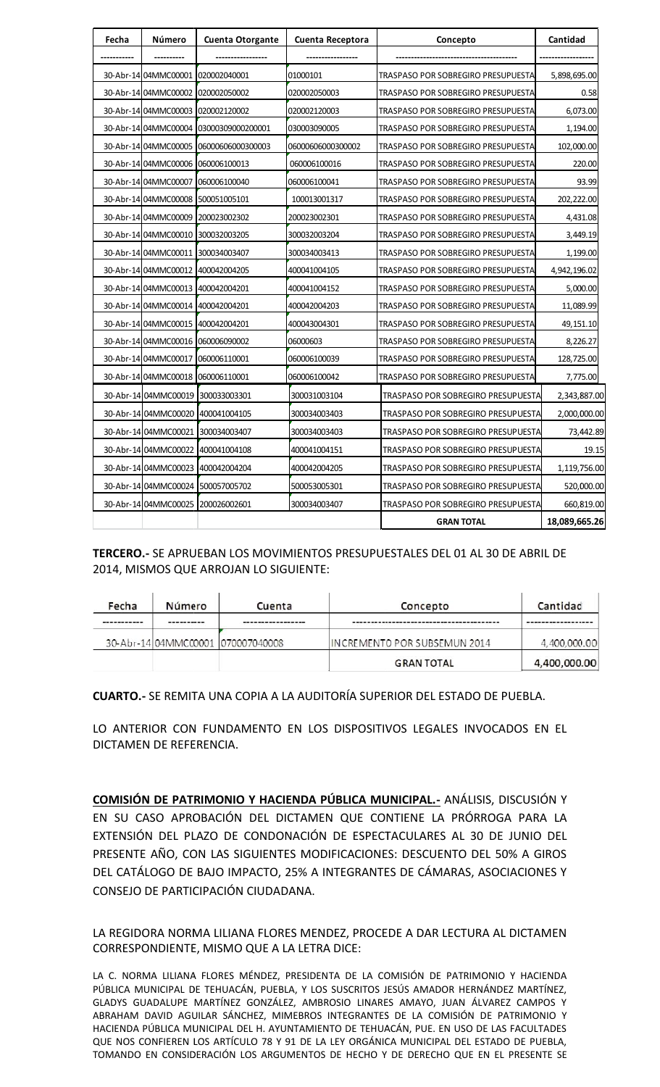| Fecha | Número                            | <b>Cuenta Otorgante</b>                | Cuenta Receptora  | Concepto                           | Cantidad      |
|-------|-----------------------------------|----------------------------------------|-------------------|------------------------------------|---------------|
|       |                                   |                                        |                   |                                    |               |
|       | 30-Abr-14 04MMC00001              | 1020002040001                          | 01000101          | TRASPASO POR SOBREGIRO PRESUPUESTA | 5,898,695.00  |
|       | 30-Abr-14 04MMC00002              | 020002050002                           | 020002050003      | TRASPASO POR SOBREGIRO PRESUPUESTA | 0.58          |
|       | 30-Abr-14 04MMC00003              | 020002120002                           | 020002120003      | TRASPASO POR SOBREGIRO PRESUPUESTA | 6,073.00      |
|       |                                   | 30-Abr-14 04MMC00004 03000309000200001 | 030003090005      | TRASPASO POR SOBREGIRO PRESUPUESTA | 1,194.00      |
|       | 30-Abr-14 04MMC00005              | 06000606000300003                      | 06000606000300002 | TRASPASO POR SOBREGIRO PRESUPUESTA | 102,000.00    |
|       | 30-Abr-14 04MMC00006              | 060006100013                           | 060006100016      | TRASPASO POR SOBREGIRO PRESUPUESTA | 220.00        |
|       | 30-Abr-14 04MMC00007              | 060006100040                           | 060006100041      | TRASPASO POR SOBREGIRO PRESUPUESTA | 93.99         |
|       | 30-Abr-14 04MMC00008 500051005101 |                                        | 100013001317      | TRASPASO POR SOBREGIRO PRESUPUESTA | 202,222.00    |
|       | 30-Abr-14 04MMC00009              | 200023002302                           | 200023002301      | TRASPASO POR SOBREGIRO PRESUPUESTA | 4,431.08      |
|       | 30-Abr-14 04MMC00010 300032003205 |                                        | 300032003204      | TRASPASO POR SOBREGIRO PRESUPUESTA | 3,449.19      |
|       | 30-Abr-14 04MMC00011 300034003407 |                                        | 300034003413      | TRASPASO POR SOBREGIRO PRESUPUESTA | 1,199.00      |
|       | 30-Abr-14 04MMC00012 400042004205 |                                        | 400041004105      | TRASPASO POR SOBREGIRO PRESUPUESTA | 4,942,196.02  |
|       | 30-Abr-14 04MMC00013 400042004201 |                                        | 400041004152      | TRASPASO POR SOBREGIRO PRESUPUESTA | 5,000.00      |
|       | 30-Abr-14 04MMC00014 400042004201 |                                        | 400042004203      | TRASPASO POR SOBREGIRO PRESUPUESTA | 11,089.99     |
|       | 30-Abr-14 04MMC00015              | 1400042004201                          | 400043004301      | TRASPASO POR SOBREGIRO PRESUPUESTA | 49,151.10     |
|       | 30-Abr-14 04MMC00016 060006090002 |                                        | 06000603          | TRASPASO POR SOBREGIRO PRESUPUESTA | 8,226.27      |
|       | 30-Abr-14 04MMC00017 060006110001 |                                        | 060006100039      | TRASPASO POR SOBREGIRO PRESUPUESTA | 128,725.00    |
|       | 30-Abr-14 04MMC00018 060006110001 |                                        | 060006100042      | TRASPASO POR SOBREGIRO PRESUPUESTA | 7,775.00      |
|       |                                   | 30-Abr-14 04MMC00019 300033003301      | 300031003104      | TRASPASO POR SOBREGIRO PRESUPUESTA | 2,343,887.00  |
|       |                                   | 30-Abr-14 04MMC00020 400041004105      | 300034003403      | TRASPASO POR SOBREGIRO PRESUPUESTA | 2,000,000.00  |
|       | 30-Abr-14 04MMC00021              | 300034003407                           | 300034003403      | TRASPASO POR SOBREGIRO PRESUPUESTA | 73,442.89     |
|       |                                   | 30-Abr-14 04MMC00022 400041004108      | 400041004151      | TRASPASO POR SOBREGIRO PRESUPUESTA | 19.15         |
|       | 30-Abr-14 04MMC00023              | 400042004204                           | 400042004205      | TRASPASO POR SOBREGIRO PRESUPUESTA | 1,119,756.00  |
|       | 30-Abr-14 04MMC00024              | 500057005702                           | 500053005301      | TRASPASO POR SOBREGIRO PRESUPUESTA | 520,000.00    |
|       |                                   | 30-Abr-14 04MMC00025 200026002601      | 300034003407      | TRASPASO POR SOBREGIRO PRESUPUESTA | 660,819.00    |
|       |                                   |                                        |                   | <b>GRAN TOTAL</b>                  | 18,089,665.26 |

# **TERCERO.-** SE APRUEBAN LOS MOVIMIENTOS PRESUPUESTALES DEL 01 AL 30 DE ABRIL DE 2014, MISMOS QUE ARROJAN LO SIGUIENTE:

| Fecha | Número | Cuenta                            | Concepto                      | Cantidad     |
|-------|--------|-----------------------------------|-------------------------------|--------------|
|       |        |                                   |                               |              |
|       |        | 30-Abr-14 04MMC00001 070007040008 | IINCREMENTO POR SUBSEMUN 2014 | 4,400,000.00 |
|       |        |                                   | <b>GRAN TOTAL</b>             | 4,400,000.00 |

**CUARTO.-** SE REMITA UNA COPIA A LA AUDITORÍA SUPERIOR DEL ESTADO DE PUEBLA.

LO ANTERIOR CON FUNDAMENTO EN LOS DISPOSITIVOS LEGALES INVOCADOS EN EL DICTAMEN DE REFERENCIA.

**COMISIÓN DE PATRIMONIO Y HACIENDA PÚBLICA MUNICIPAL.-** ANÁLISIS, DISCUSIÓN Y EN SU CASO APROBACIÓN DEL DICTAMEN QUE CONTIENE LA PRÓRROGA PARA LA EXTENSIÓN DEL PLAZO DE CONDONACIÓN DE ESPECTACULARES AL 30 DE JUNIO DEL PRESENTE AÑO, CON LAS SIGUIENTES MODIFICACIONES: DESCUENTO DEL 50% A GIROS DEL CATÁLOGO DE BAJO IMPACTO, 25% A INTEGRANTES DE CÁMARAS, ASOCIACIONES Y CONSEJO DE PARTICIPACIÓN CIUDADANA. EMITA UNA COPIA A LA AUDITORÍA SUPERIOR<br>CON FUNDAMENTO EN LOS DISPOSITIVOS I<br>REFERENCIA.<br>**PATRIMONIO Y HACIENDA PÚBLICA MUNICIF**<br>APROBACIÓN DEL DICTAMEN QUE CONTIEN<br>IL PLAZO DE CONDONACIÓN DE ESPECTACUI<br>D, CON LAS SIGUIENT **ERO.** - SE APRUEBAN LOS MOVIMIENTOS PRESUPUESTALES DEL 01 AL 30 DI<br>
MOMOS QUE ARROJAN LO SIGUIENTE:<br>
NORTE CONTENTE CONTENTE CONTENTE CONTENTE CONTINUATION AND CONTENT<br>
METAL AND ANOTHER CONTENT CONTENT CONTENT CONTENT CO CONTIENE LA PRÓF<br>ECTACULARES AL 3<br>)NES: DESCUENTO D<br>NTES DE CÁMARAS,

LA REGIDORA NORMA LILIANA FLORES MENDEZ, PROCEDE A DAR LECTURA AL DICTAMEN CORRESPONDIENTE, MISMO QUE A LA LETRA DICE:

LA C. NORMA LILIANA FLORES MÉNDEZ, PRESIDENTA DE LA COMISIÓN DE PATRIMONIO Y HACIENDA PÚBLICA MUNICIPAL DE TEHUACÁN, PUEBLA, Y LOS SUSCRITOS JESÚS AMADOR HERNÁNDEZ MARTÍNEZ, GLADYS GUADALUPE MARTÍNEZ GONZÁLEZ, AMBROSIO LINARES AMAYO, JUAN ÁLVAREZ CAMPOS Y ABRAHAM DAVID AGUILAR SÁNCHEZ, MIMEBROS INTEGRANTES DE LA COMISIÓN DE PATRIMONIO Y HACIENDA PÚBLICA MUNICIPAL DEL H. AYUNTAMIENTO DE TEHUACÁN, PUE. EN USO DE LAS FACULTADES QUE NOS CONFIEREN LOS ARTÍCULO 78 Y 91 DE LA LEY ORGÁNICA MUNICIPAL DEL ESTADO DE PUEBLA, TOMANDO EN CONSIDERACIÓN LOS ARGUMENTOS DE HECHO Y DE DERECHO QUE EN EL PRESENTE SE DNZÁLEZ, AMBROSIO LINARES AMAYO, JUAN ÁLVAREZ CAMPOS Y<br>EZ, MIMEBROS INTEGRANTES DE LA COMISIÓN DE PATRIMONIO Y<br>H. AYUNTAMIENTO DE TEHUACÁN, PUE. EN USO DE LAS FACULTADES<br>) 78 Y 91 DE LA LEY ORGÁNICA MUNICIPAL DEL ESTADO DE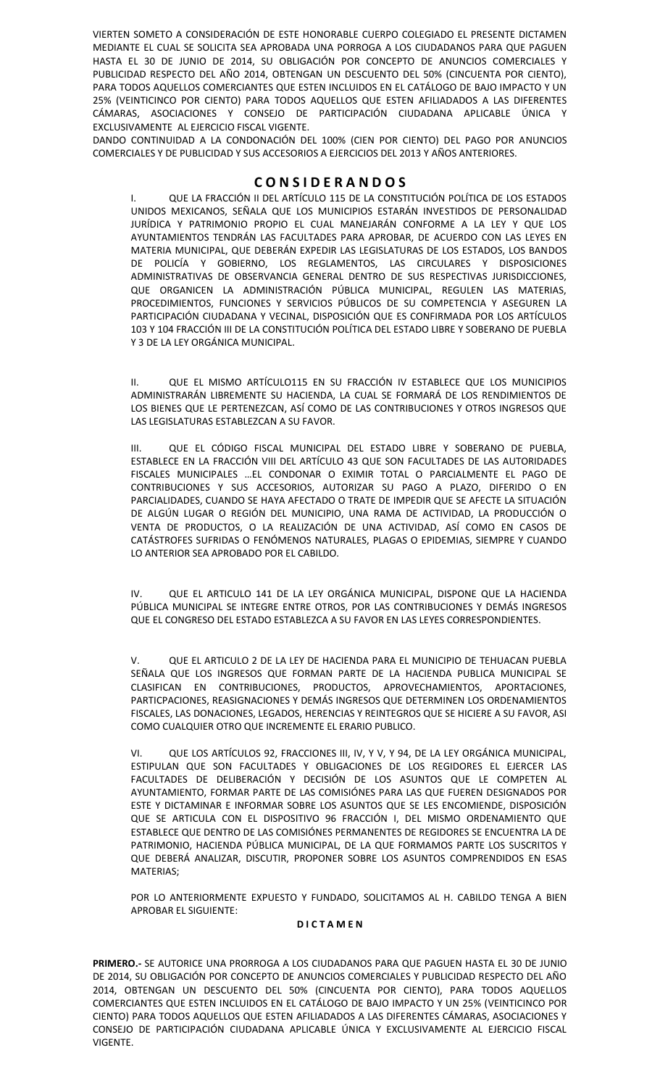VIERTEN SOMETO A CONSIDERACIÓN DE ESTE HONORABLE CUERPO COLEGIADO EL PRESENTE DICTAMEN MEDIANTE EL CUAL SE SOLICITA SEA APROBADA UNA PORROGA A LOS CIUDADANOS PARA QUE PAGUEN HASTA EL 30 DE JUNIO DE 2014, SU OBLIGACIÓN POR CONCEPTO DE ANUNCIOS COMERCIALES Y PUBLICIDAD RESPECTO DEL AÑO 2014, OBTENGAN UN DESCUENTO DEL 50% (CINCUENTA POR CIENTO), PARA TODOS AQUELLOS COMERCIANTES QUE ESTEN INCLUIDOS EN EL CATÁLOGO DE BAJO IMPACTO Y UN 25% (VEINTICINCO POR CIENTO) PARA TODOS AQUELLOS QUE ESTEN AFILIADADOS A LAS DIFERENTES CÁMARAS, ASOCIACIONES Y CONSEJO DE PARTICIPACIÓN CIUDADANA APLICABLE ÚNICA Y EXCLUSIVAMENTE AL EJERCICIO FISCAL VIGENTE.

DANDO CONTINUIDAD A LA CONDONACIÓN DEL 100% (CIEN POR CIENTO) DEL PAGO POR ANUNCIOS COMERCIALES Y DE PUBLICIDAD Y SUS ACCESORIOS A EJERCICIOS DEL 2013 Y AÑOS ANTERIORES.

# **C O N S I D E R A N D O S**

I. QUE LA FRACCIÓN II DEL ARTÍCULO 115 DE LA CONSTITUCIÓN POLÍTICA DE LOS ESTADOS UNIDOS MEXICANOS, SEÑALA QUE LOS MUNICIPIOS ESTARÁN INVESTIDOS DE PERSONALIDAD JURÍDICA Y PATRIMONIO PROPIO EL CUAL MANEJARÁN CONFORME A LA LEY Y QUE LOS AYUNTAMIENTOS TENDRÁN LAS FACULTADES PARA APROBAR, DE ACUERDO CON LAS LEYES EN MATERIA MUNICIPAL, QUE DEBERÁN EXPEDIR LAS LEGISLATURAS DE LOS ESTADOS, LOS BANDOS DE POLICÍA Y GOBIERNO, LOS REGLAMENTOS, LAS CIRCULARES Y DISPOSICIONES ADMINISTRATIVAS DE OBSERVANCIA GENERAL DENTRO DE SUS RESPECTIVAS JURISDICCIONES, QUE ORGANICEN LA ADMINISTRACIÓN PÚBLICA MUNICIPAL, REGULEN LAS MATERIAS, PROCEDIMIENTOS, FUNCIONES Y SERVICIOS PÚBLICOS DE SU COMPETENCIA Y ASEGUREN LA PARTICIPACIÓN CIUDADANA Y VECINAL, DISPOSICIÓN QUE ES CONFIRMADA POR LOS ARTÍCULOS 103 Y 104 FRACCIÓN III DE LA CONSTITUCIÓN POLÍTICA DEL ESTADO LIBRE Y SOBERANO DE PUEBLA Y 3 DE LA LEY ORGÁNICA MUNICIPAL.

II. QUE EL MISMO ARTÍCULO115 EN SU FRACCIÓN IV ESTABLECE QUE LOS MUNICIPIOS ADMINISTRARÁN LIBREMENTE SU HACIENDA, LA CUAL SE FORMARÁ DE LOS RENDIMIENTOS DE LOS BIENES QUE LE PERTENEZCAN, ASÍ COMO DE LAS CONTRIBUCIONES Y OTROS INGRESOS QUE LAS LEGISLATURAS ESTABLEZCAN A SU FAVOR.

III. QUE EL CÓDIGO FISCAL MUNICIPAL DEL ESTADO LIBRE Y SOBERANO DE PUEBLA, ESTABLECE EN LA FRACCIÓN VIII DEL ARTÍCULO 43 QUE SON FACULTADES DE LAS AUTORIDADES FISCALES MUNICIPALES …EL CONDONAR O EXIMIR TOTAL O PARCIALMENTE EL PAGO DE CONTRIBUCIONES Y SUS ACCESORIOS, AUTORIZAR SU PAGO A PLAZO, DIFERIDO O EN PARCIALIDADES, CUANDO SE HAYA AFECTADO O TRATE DE IMPEDIR QUE SE AFECTE LA SITUACIÓN DE ALGÚN LUGAR O REGIÓN DEL MUNICIPIO, UNA RAMA DE ACTIVIDAD, LA PRODUCCIÓN O VENTA DE PRODUCTOS, O LA REALIZACIÓN DE UNA ACTIVIDAD, ASÍ COMO EN CASOS DE CATÁSTROFES SUFRIDAS O FENÓMENOS NATURALES, PLAGAS O EPIDEMIAS, SIEMPRE Y CUANDO LO ANTERIOR SEA APROBADO POR EL CABILDO.

IV. QUE EL ARTICULO 141 DE LA LEY ORGÁNICA MUNICIPAL, DISPONE QUE LA HACIENDA PÚBLICA MUNICIPAL SE INTEGRE ENTRE OTROS, POR LAS CONTRIBUCIONES Y DEMÁS INGRESOS QUE EL CONGRESO DEL ESTADO ESTABLEZCA A SU FAVOR EN LAS LEYES CORRESPONDIENTES.

V. QUE EL ARTICULO 2 DE LA LEY DE HACIENDA PARA EL MUNICIPIO DE TEHUACAN PUEBLA SEÑALA QUE LOS INGRESOS QUE FORMAN PARTE DE LA HACIENDA PUBLICA MUNICIPAL SE CLASIFICAN EN CONTRIBUCIONES, PRODUCTOS, APROVECHAMIENTOS, APORTACIONES, PARTICPACIONES, REASIGNACIONES Y DEMÁS INGRESOS QUE DETERMINEN LOS ORDENAMIENTOS FISCALES, LAS DONACIONES, LEGADOS, HERENCIAS Y REINTEGROS QUE SE HICIERE A SU FAVOR, ASI COMO CUALQUIER OTRO QUE INCREMENTE EL ERARIO PUBLICO.

VI. QUE LOS ARTÍCULOS 92, FRACCIONES III, IV, Y V, Y 94, DE LA LEY ORGÁNICA MUNICIPAL, ESTIPULAN QUE SON FACULTADES Y OBLIGACIONES DE LOS REGIDORES EL EJERCER LAS FACULTADES DE DELIBERACIÓN Y DECISIÓN DE LOS ASUNTOS QUE LE COMPETEN AL AYUNTAMIENTO, FORMAR PARTE DE LAS COMISIÓNES PARA LAS QUE FUEREN DESIGNADOS POR ESTE Y DICTAMINAR E INFORMAR SOBRE LOS ASUNTOS QUE SE LES ENCOMIENDE, DISPOSICIÓN QUE SE ARTICULA CON EL DISPOSITIVO 96 FRACCIÓN I, DEL MISMO ORDENAMIENTO QUE ESTABLECE QUE DENTRO DE LAS COMISIÓNES PERMANENTES DE REGIDORES SE ENCUENTRA LA DE PATRIMONIO, HACIENDA PÚBLICA MUNICIPAL, DE LA QUE FORMAMOS PARTE LOS SUSCRITOS Y QUE DEBERÁ ANALIZAR, DISCUTIR, PROPONER SOBRE LOS ASUNTOS COMPRENDIDOS EN ESAS MATERIAS;

POR LO ANTERIORMENTE EXPUESTO Y FUNDADO, SOLICITAMOS AL H. CABILDO TENGA A BIEN APROBAR EL SIGUIENTE:

#### **D I C T A M E N**

**PRIMERO.-** SE AUTORICE UNA PRORROGA A LOS CIUDADANOS PARA QUE PAGUEN HASTA EL 30 DE JUNIO DE 2014, SU OBLIGACIÓN POR CONCEPTO DE ANUNCIOS COMERCIALES Y PUBLICIDAD RESPECTO DEL AÑO 2014, OBTENGAN UN DESCUENTO DEL 50% (CINCUENTA POR CIENTO), PARA TODOS AQUELLOS COMERCIANTES QUE ESTEN INCLUIDOS EN EL CATÁLOGO DE BAJO IMPACTO Y UN 25% (VEINTICINCO POR CIENTO) PARA TODOS AQUELLOS QUE ESTEN AFILIADADOS A LAS DIFERENTES CÁMARAS, ASOCIACIONES Y CONSEJO DE PARTICIPACIÓN CIUDADANA APLICABLE ÚNICA Y EXCLUSIVAMENTE AL EJERCICIO FISCAL VIGENTE.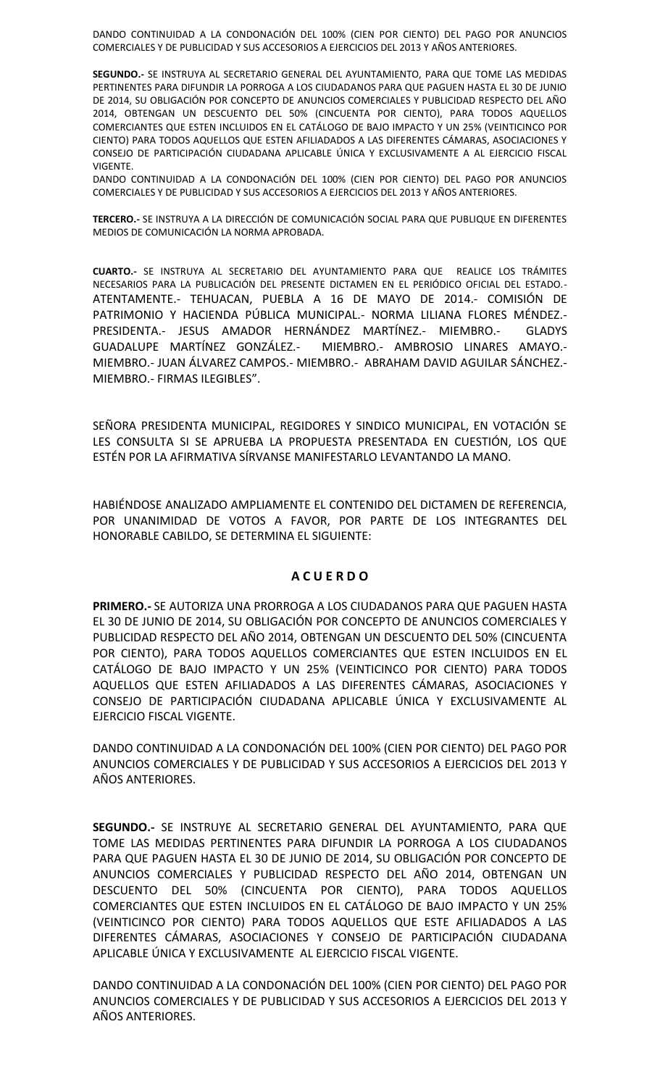DANDO CONTINUIDAD A LA CONDONACIÓN DEL 100% (CIEN POR CIENTO) DEL PAGO POR ANUNCIOS COMERCIALES Y DE PUBLICIDAD Y SUS ACCESORIOS A EJERCICIOS DEL 2013 Y AÑOS ANTERIORES.

**SEGUNDO.-** SE INSTRUYA AL SECRETARIO GENERAL DEL AYUNTAMIENTO, PARA QUE TOME LAS MEDIDAS PERTINENTES PARA DIFUNDIR LA PORROGA A LOS CIUDADANOS PARA QUE PAGUEN HASTA EL 30 DE JUNIO DE 2014, SU OBLIGACIÓN POR CONCEPTO DE ANUNCIOS COMERCIALES Y PUBLICIDAD RESPECTO DEL AÑO 2014, OBTENGAN UN DESCUENTO DEL 50% (CINCUENTA POR CIENTO), PARA TODOS AQUELLOS COMERCIANTES QUE ESTEN INCLUIDOS EN EL CATÁLOGO DE BAJO IMPACTO Y UN 25% (VEINTICINCO POR CIENTO) PARA TODOS AQUELLOS QUE ESTEN AFILIADADOS A LAS DIFERENTES CÁMARAS, ASOCIACIONES Y CONSEJO DE PARTICIPACIÓN CIUDADANA APLICABLE ÚNICA Y EXCLUSIVAMENTE A AL EJERCICIO FISCAL VIGENTE.

DANDO CONTINUIDAD A LA CONDONACIÓN DEL 100% (CIEN POR CIENTO) DEL PAGO POR ANUNCIOS COMERCIALES Y DE PUBLICIDAD Y SUS ACCESORIOS A EJERCICIOS DEL 2013 Y AÑOS ANTERIORES.

**TERCERO.-** SE INSTRUYA A LA DIRECCIÓN DE COMUNICACIÓN SOCIAL PARA QUE PUBLIQUE EN DIFERENTES MEDIOS DE COMUNICACIÓN LA NORMA APROBADA.

**CUARTO.-** SE INSTRUYA AL SECRETARIO DEL AYUNTAMIENTO PARA QUE REALICE LOS TRÁMITES NECESARIOS PARA LA PUBLICACIÓN DEL PRESENTE DICTAMEN EN EL PERIÓDICO OFICIAL DEL ESTADO.- ATENTAMENTE.- TEHUACAN, PUEBLA A 16 DE MAYO DE 2014.- COMISIÓN DE PATRIMONIO Y HACIENDA PÚBLICA MUNICIPAL.- NORMA LILIANA FLORES MÉNDEZ.- PRESIDENTA.- JESUS AMADOR HERNÁNDEZ MARTÍNEZ.- MIEMBRO.- GLADYS GUADALUPE MARTÍNEZ GONZÁLEZ.- MIEMBRO.- AMBROSIO LINARES AMAYO.- MIEMBRO.- JUAN ÁLVAREZ CAMPOS.- MIEMBRO.- ABRAHAM DAVID AGUILAR SÁNCHEZ.- MIEMBRO.- FIRMAS ILEGIBLES".

SEÑORA PRESIDENTA MUNICIPAL, REGIDORES Y SINDICO MUNICIPAL, EN VOTACIÓN SE LES CONSULTA SI SE APRUEBA LA PROPUESTA PRESENTADA EN CUESTIÓN, LOS QUE ESTÉN POR LA AFIRMATIVA SÍRVANSE MANIFESTARLO LEVANTANDO LA MANO.

HABIÉNDOSE ANALIZADO AMPLIAMENTE EL CONTENIDO DEL DICTAMEN DE REFERENCIA, POR UNANIMIDAD DE VOTOS A FAVOR, POR PARTE DE LOS INTEGRANTES DEL HONORABLE CABILDO, SE DETERMINA EL SIGUIENTE:

# **A C U E R D O**

**PRIMERO.-** SE AUTORIZA UNA PRORROGA A LOS CIUDADANOS PARA QUE PAGUEN HASTA EL 30 DE JUNIO DE 2014, SU OBLIGACIÓN POR CONCEPTO DE ANUNCIOS COMERCIALES Y PUBLICIDAD RESPECTO DEL AÑO 2014, OBTENGAN UN DESCUENTO DEL 50% (CINCUENTA POR CIENTO), PARA TODOS AQUELLOS COMERCIANTES QUE ESTEN INCLUIDOS EN EL CATÁLOGO DE BAJO IMPACTO Y UN 25% (VEINTICINCO POR CIENTO) PARA TODOS AQUELLOS QUE ESTEN AFILIADADOS A LAS DIFERENTES CÁMARAS, ASOCIACIONES Y CONSEJO DE PARTICIPACIÓN CIUDADANA APLICABLE ÚNICA Y EXCLUSIVAMENTE AL EJERCICIO FISCAL VIGENTE.

DANDO CONTINUIDAD A LA CONDONACIÓN DEL 100% (CIEN POR CIENTO) DEL PAGO POR ANUNCIOS COMERCIALES Y DE PUBLICIDAD Y SUS ACCESORIOS A EJERCICIOS DEL 2013 Y AÑOS ANTERIORES.

**SEGUNDO.-** SE INSTRUYE AL SECRETARIO GENERAL DEL AYUNTAMIENTO, PARA QUE TOME LAS MEDIDAS PERTINENTES PARA DIFUNDIR LA PORROGA A LOS CIUDADANOS PARA QUE PAGUEN HASTA EL 30 DE JUNIO DE 2014, SU OBLIGACIÓN POR CONCEPTO DE ANUNCIOS COMERCIALES Y PUBLICIDAD RESPECTO DEL AÑO 2014, OBTENGAN UN DESCUENTO DEL 50% (CINCUENTA POR CIENTO), PARA TODOS AQUELLOS COMERCIANTES QUE ESTEN INCLUIDOS EN EL CATÁLOGO DE BAJO IMPACTO Y UN 25% (VEINTICINCO POR CIENTO) PARA TODOS AQUELLOS QUE ESTE AFILIADADOS A LAS DIFERENTES CÁMARAS, ASOCIACIONES Y CONSEJO DE PARTICIPACIÓN CIUDADANA APLICABLE ÚNICA Y EXCLUSIVAMENTE AL EJERCICIO FISCAL VIGENTE.

DANDO CONTINUIDAD A LA CONDONACIÓN DEL 100% (CIEN POR CIENTO) DEL PAGO POR ANUNCIOS COMERCIALES Y DE PUBLICIDAD Y SUS ACCESORIOS A EJERCICIOS DEL 2013 Y AÑOS ANTERIORES.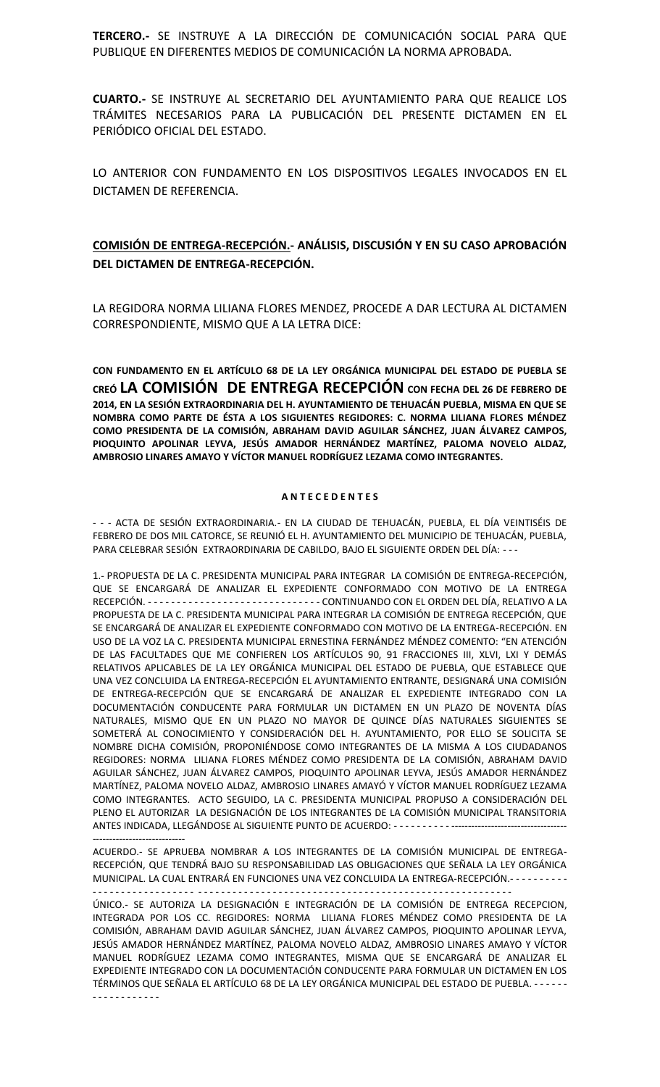**TERCERO.-** SE INSTRUYE A LA DIRECCIÓN DE COMUNICACIÓN SOCIAL PARA QUE PUBLIQUE EN DIFERENTES MEDIOS DE COMUNICACIÓN LA NORMA APROBADA.

**CUARTO.-** SE INSTRUYE AL SECRETARIO DEL AYUNTAMIENTO PARA QUE REALICE LOS TRÁMITES NECESARIOS PARA LA PUBLICACIÓN DEL PRESENTE DICTAMEN EN EL PERIÓDICO OFICIAL DEL ESTADO.

LO ANTERIOR CON FUNDAMENTO EN LOS DISPOSITIVOS LEGALES INVOCADOS EN EL DICTAMEN DE REFERENCIA.

# **COMISIÓN DE ENTREGA-RECEPCIÓN.- ANÁLISIS, DISCUSIÓN Y EN SU CASO APROBACIÓN DEL DICTAMEN DE ENTREGA-RECEPCIÓN.**

LA REGIDORA NORMA LILIANA FLORES MENDEZ, PROCEDE A DAR LECTURA AL DICTAMEN CORRESPONDIENTE, MISMO QUE A LA LETRA DICE:

**CON FUNDAMENTO EN EL ARTÍCULO 68 DE LA LEY ORGÁNICA MUNICIPAL DEL ESTADO DE PUEBLA SE CREÓ LA COMISIÓN DE ENTREGA RECEPCIÓN CON FECHA DEL 26 DE FEBRERO DE 2014, EN LA SESIÓN EXTRAORDINARIA DEL H. AYUNTAMIENTO DE TEHUACÁN PUEBLA, MISMA EN QUE SE NOMBRA COMO PARTE DE ÉSTA A LOS SIGUIENTES REGIDORES: C. NORMA LILIANA FLORES MÉNDEZ COMO PRESIDENTA DE LA COMISIÓN, ABRAHAM DAVID AGUILAR SÁNCHEZ, JUAN ÁLVAREZ CAMPOS, PIOQUINTO APOLINAR LEYVA, JESÚS AMADOR HERNÁNDEZ MARTÍNEZ, PALOMA NOVELO ALDAZ, AMBROSIO LINARES AMAYO Y VÍCTOR MANUEL RODRÍGUEZ LEZAMA COMO INTEGRANTES.**

#### **A N T E C E D E N T E S**

- - - ACTA DE SESIÓN EXTRAORDINARIA.- EN LA CIUDAD DE TEHUACÁN, PUEBLA, EL DÍA VEINTISÉIS DE FEBRERO DE DOS MIL CATORCE, SE REUNIÓ EL H. AYUNTAMIENTO DEL MUNICIPIO DE TEHUACÁN, PUEBLA, PARA CELEBRAR SESIÓN EXTRAORDINARIA DE CABILDO, BAJO EL SIGUIENTE ORDEN DEL DÍA: - - -

1.- PROPUESTA DE LA C. PRESIDENTA MUNICIPAL PARA INTEGRAR LA COMISIÓN DE ENTREGA-RECEPCIÓN, QUE SE ENCARGARÁ DE ANALIZAR EL EXPEDIENTE CONFORMADO CON MOTIVO DE LA ENTREGA RECEPCIÓN. - - - - - - - - - - - - - - - - - - - - - - - - - - - - - - CONTINUANDO CON EL ORDEN DEL DÍA, RELATIVO A LA PROPUESTA DE LA C. PRESIDENTA MUNICIPAL PARA INTEGRAR LA COMISIÓN DE ENTREGA RECEPCIÓN, QUE SE ENCARGARÁ DE ANALIZAR EL EXPEDIENTE CONFORMADO CON MOTIVO DE LA ENTREGA-RECEPCIÓN. EN USO DE LA VOZ LA C. PRESIDENTA MUNICIPAL ERNESTINA FERNÁNDEZ MÉNDEZ COMENTO: "EN ATENCIÓN DE LAS FACULTADES QUE ME CONFIEREN LOS ARTÍCULOS 90, 91 FRACCIONES III, XLVI, LXI Y DEMÁS RELATIVOS APLICABLES DE LA LEY ORGÁNICA MUNICIPAL DEL ESTADO DE PUEBLA, QUE ESTABLECE QUE UNA VEZ CONCLUIDA LA ENTREGA-RECEPCIÓN EL AYUNTAMIENTO ENTRANTE, DESIGNARÁ UNA COMISIÓN DE ENTREGA-RECEPCIÓN QUE SE ENCARGARÁ DE ANALIZAR EL EXPEDIENTE INTEGRADO CON LA DOCUMENTACIÓN CONDUCENTE PARA FORMULAR UN DICTAMEN EN UN PLAZO DE NOVENTA DÍAS NATURALES, MISMO QUE EN UN PLAZO NO MAYOR DE QUINCE DÍAS NATURALES SIGUIENTES SE SOMETERÁ AL CONOCIMIENTO Y CONSIDERACIÓN DEL H. AYUNTAMIENTO, POR ELLO SE SOLICITA SE NOMBRE DICHA COMISIÓN, PROPONIÉNDOSE COMO INTEGRANTES DE LA MISMA A LOS CIUDADANOS REGIDORES: NORMA LILIANA FLORES MÉNDEZ COMO PRESIDENTA DE LA COMISIÓN, ABRAHAM DAVID AGUILAR SÁNCHEZ, JUAN ÁLVAREZ CAMPOS, PIOQUINTO APOLINAR LEYVA, JESÚS AMADOR HERNÁNDEZ MARTÍNEZ, PALOMA NOVELO ALDAZ, AMBROSIO LINARES AMAYÓ Y VÍCTOR MANUEL RODRÍGUEZ LEZAMA COMO INTEGRANTES. ACTO SEGUIDO, LA C. PRESIDENTA MUNICIPAL PROPUSO A CONSIDERACIÓN DEL PLENO EL AUTORIZAR LA DESIGNACIÓN DE LOS INTEGRANTES DE LA COMISIÓN MUNICIPAL TRANSITORIA ANTES INDICADA, LLEGÁNDOSE AL SIGUIENTE PUNTO DE ACUERDO: - - - - - - - - - -

ACUERDO.- SE APRUEBA NOMBRAR A LOS INTEGRANTES DE LA COMISIÓN MUNICIPAL DE ENTREGA- RECEPCIÓN, QUE TENDRÁ BAJO SU RESPONSABILIDAD LAS OBLIGACIONES QUE SEÑALA LA LEY ORGÁNICA MUNICIPAL. LA CUAL ENTRARÁ EN FUNCIONES UNA VEZ CONCLUIDA LA ENTREGA-RECEPCIÓN.- - - - - - - - - - - - - - - - - - - - - - - - - - - - - - - - - - - - - - - - - - - - - - - - - - - - - - - - - - - - - - - - - - - - - - - - - - - - - - - - - - -

----------------------------

ÚNICO.- SE AUTORIZA LA DESIGNACIÓN E INTEGRACIÓN DE LA COMISIÓN DE ENTREGA RECEPCION, INTEGRADA POR LOS CC. REGIDORES: NORMA LILIANA FLORES MÉNDEZ COMO PRESIDENTA DE LA COMISIÓN, ABRAHAM DAVID AGUILAR SÁNCHEZ, JUAN ÁLVAREZ CAMPOS, PIOQUINTO APOLINAR LEYVA, JESÚS AMADOR HERNÁNDEZ MARTÍNEZ, PALOMA NOVELO ALDAZ, AMBROSIO LINARES AMAYO Y VÍCTOR MANUEL RODRÍGUEZ LEZAMA COMO INTEGRANTES, MISMA QUE SE ENCARGARÁ DE ANALIZAR EL EXPEDIENTE INTEGRADO CON LA DOCUMENTACIÓN CONDUCENTE PARA FORMULAR UN DICTAMEN EN LOS TÉRMINOS QUE SEÑALA EL ARTÍCULO 68 DE LA LEY ORGÁNICA MUNICIPAL DEL ESTADO DE PUEBLA. - - - - - - - - - - - - - - - - - - <sub>-</sub> - -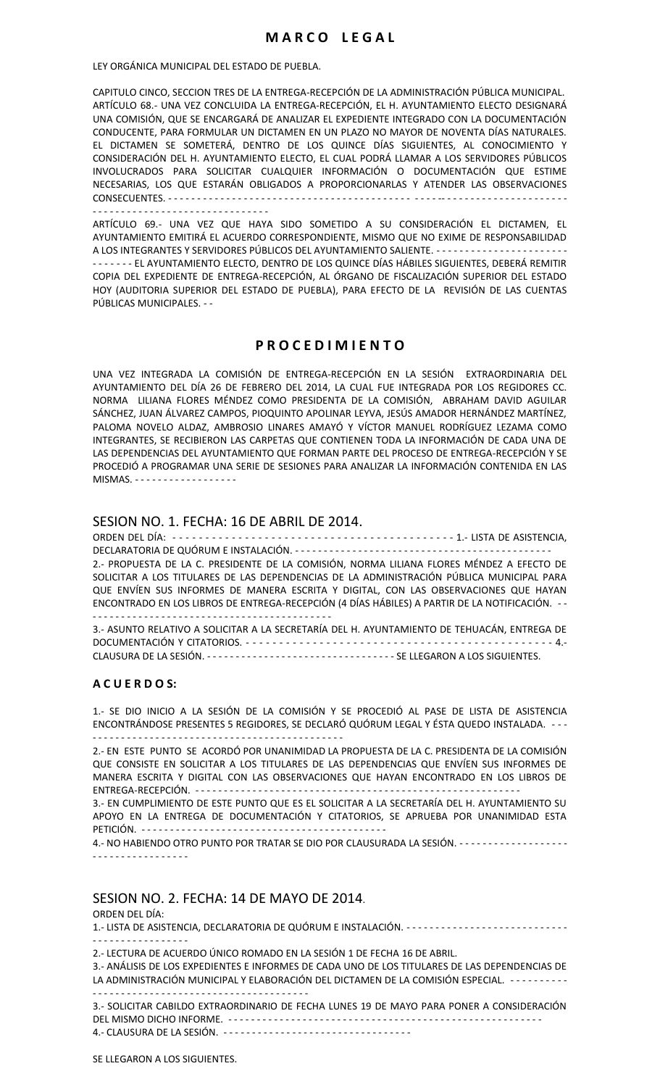LEY ORGÁNICA MUNICIPAL DEL ESTADO DE PUEBLA.

CAPITULO CINCO, SECCION TRES DE LA ENTREGA-RECEPCIÓN DE LA ADMINISTRACIÓN PÚBLICA MUNICIPAL. ARTÍCULO 68.- UNA VEZ CONCLUIDA LA ENTREGA-RECEPCIÓN, EL H. AYUNTAMIENTO ELECTO DESIGNARÁ UNA COMISIÓN, QUE SE ENCARGARÁ DE ANALIZAR EL EXPEDIENTE INTEGRADO CON LA DOCUMENTACIÓN CONDUCENTE, PARA FORMULAR UN DICTAMEN EN UN PLAZO NO MAYOR DE NOVENTA DÍAS NATURALES. EL DICTAMEN SE SOMETERÁ, DENTRO DE LOS QUINCE DÍAS SIGUIENTES, AL CONOCIMIENTO Y CONSIDERACIÓN DEL H. AYUNTAMIENTO ELECTO, EL CUAL PODRÁ LLAMAR A LOS SERVIDORES PÚBLICOS INVOLUCRADOS PARA SOLICITAR CUALQUIER INFORMACIÓN O DOCUMENTACIÓN QUE ESTIME NECESARIAS, LOS QUE ESTARÁN OBLIGADOS A PROPORCIONARLAS Y ATENDER LAS OBSERVACIONES CONSECUENTES. - - - - - - - - - - - - - - - - - - - - - - - - - - - - - - - - - - - - - - - - - - - - - - -- - - - - - - - - - - - - - - - - - - - - - - - - - - - - - - - - - - - - - - - - - - - - - - - - - - - -

ARTÍCULO 69.- UNA VEZ QUE HAYA SIDO SOMETIDO A SU CONSIDERACIÓN EL DICTAMEN, EL AYUNTAMIENTO EMITIRÁ EL ACUERDO CORRESPONDIENTE, MISMO QUE NO EXIME DE RESPONSABILIDAD A LOS INTEGRANTES Y SERVIDORES PÚBLICOS DEL AYUNTAMIENTO SALIENTE. - - - - - - - - - - - - - - - - - - - - - - - - - - - - - - EL AYUNTAMIENTO ELECTO, DENTRO DE LOS QUINCE DÍAS HÁBILES SIGUIENTES, DEBERÁ REMITIR COPIA DEL EXPEDIENTE DE ENTREGA-RECEPCIÓN, AL ÓRGANO DE FISCALIZACIÓN SUPERIOR DEL ESTADO HOY (AUDITORIA SUPERIOR DEL ESTADO DE PUEBLA), PARA EFECTO DE LA REVISIÓN DE LAS CUENTAS PÚBLICAS MUNICIPALES. - -

#### **P R O C E D I M I E N T O**

UNA VEZ INTEGRADA LA COMISIÓN DE ENTREGA-RECEPCIÓN EN LA SESIÓN EXTRAORDINARIA DEL AYUNTAMIENTO DEL DÍA 26 DE FEBRERO DEL 2014, LA CUAL FUE INTEGRADA POR LOS REGIDORES CC. NORMA LILIANA FLORES MÉNDEZ COMO PRESIDENTA DE LA COMISIÓN, ABRAHAM DAVID AGUILAR SÁNCHEZ, JUAN ÁLVAREZ CAMPOS, PIOQUINTO APOLINAR LEYVA, JESÚS AMADOR HERNÁNDEZ MARTÍNEZ, PALOMA NOVELO ALDAZ, AMBROSIO LINARES AMAYÓ Y VÍCTOR MANUEL RODRÍGUEZ LEZAMA COMO INTEGRANTES, SE RECIBIERON LAS CARPETAS QUE CONTIENEN TODA LA INFORMACIÓN DE CADA UNA DE LAS DEPENDENCIAS DEL AYUNTAMIENTO QUE FORMAN PARTE DEL PROCESO DE ENTREGA-RECEPCIÓN Y SE PROCEDIÓ A PROGRAMAR UNA SERIE DE SESIONES PARA ANALIZAR LA INFORMACIÓN CONTENIDA EN LAS MISMAS - - - - - - - - - - - - - - - - -

#### SESION NO. 1. FECHA: 16 DE ABRIL DE 2014.

ORDEN DEL DÍA: - - - - - - - - - - - - - - - - - - - - - - - - - - - - - - - - - - - - - - - - - - - 1.- LISTA DE ASISTENCIA, DECLARATORIA DE QUÓRUM E INSTALACIÓN. - - - - - - - - - - - - - - - - - - - - - - - - - - - - - - - - - - - - - - - - - - - - - 2.- PROPUESTA DE LA C. PRESIDENTE DE LA COMISIÓN, NORMA LILIANA FLORES MÉNDEZ A EFECTO DE SOLICITAR A LOS TITULARES DE LAS DEPENDENCIAS DE LA ADMINISTRACIÓN PÚBLICA MUNICIPAL PARA QUE ENVÍEN SUS INFORMES DE MANERA ESCRITA Y DIGITAL, CON LAS OBSERVACIONES QUE HAYAN ENCONTRADO EN LOS LIBROS DE ENTREGA-RECEPCIÓN (4 DÍAS HÁBILES) A PARTIR DE LA NOTIFICACIÓN. - - - - - - - - - - - - - - - - - - - - - - - - - - - - - - - - - - - - - - - - - - - - 3.- ASUNTO RELATIVO A SOLICITAR A LA SECRETARÍA DEL H. AYUNTAMIENTO DE TEHUACÁN, ENTREGA DE DOCUMENTACIÓN Y CITATORIOS. - - - - - - - - - - - - - - - - - - - - - - - - - - - - - - - - - - - - - - - - - - - - - - 4.- CLAUSURA DE LA SESIÓN. - - - - - - - - - - - - - - - - - - - - - - - - - - - - - - - - - SE LLEGARON A LOS SIGUIENTES.

#### **A C U E R D O S:**

1.- SE DIO INICIO A LA SESIÓN DE LA COMISIÓN Y SE PROCEDIÓ AL PASE DE LISTA DE ASISTENCIA ENCONTRÁNDOSE PRESENTES 5 REGIDORES, SE DECLARÓ QUÓRUM LEGAL Y ÉSTA QUEDO INSTALADA. - - - - - - - - - - - - - - - - - - - - - - - - - - - - - - - - - - - - - - - - - - - - - - -

2.- EN ESTE PUNTO SE ACORDÓ POR UNANIMIDAD LA PROPUESTA DE LA C. PRESIDENTA DE LA COMISIÓN QUE CONSISTE EN SOLICITAR A LOS TITULARES DE LAS DEPENDENCIAS QUE ENVÍEN SUS INFORMES DE MANERA ESCRITA Y DIGITAL CON LAS OBSERVACIONES QUE HAYAN ENCONTRADO EN LOS LIBROS DE ENTREGA-RECEPCIÓN. - - - - - - - - - - - - - - - - - - - - - - - - - - - - - - - - - - - - - - - - - - - - - - - - - - - - - - - - -

3.- EN CUMPLIMIENTO DE ESTE PUNTO QUE ES EL SOLICITAR A LA SECRETARÍA DEL H. AYUNTAMIENTO SU APOYO EN LA ENTREGA DE DOCUMENTACIÓN Y CITATORIOS, SE APRUEBA POR UNANIMIDAD ESTA PETICIÓN. - - - - - - - - - - - - - - - - - - - - - - - - - - - - - - - - - - - - - - - - - - -

4.- NO HABIENDO OTRO PUNTO POR TRATAR SE DIO POR CLAUSURADA LA SESIÓN. - - - - - - - - - - - - - - - - - - - - - - - - - - - - - - - - - - - -

#### SESION NO. 2. FECHA: 14 DE MAYO DE 2014.

ORDEN DEL DÍA:

| ------------------ |  |
|--------------------|--|

2.- LECTURA DE ACUERDO ÚNICO ROMADO EN LA SESIÓN 1 DE FECHA 16 DE ABRIL.

3.- ANÁLISIS DE LOS EXPEDIENTES E INFORMES DE CADA UNO DE LOS TITULARES DE LAS DEPENDENCIAS DE LA ADMINISTRACIÓN MUNICIPAL Y ELABORACIÓN DEL DICTAMEN DE LA COMISIÓN ESPECIAL. - - - - - - - - - - -- - - - - - - - - - - - - - - - - - - - - - - - - - - - - - - - - - - - - -

3.- SOLICITAR CABILDO EXTRAORDINARIO DE FECHA LUNES 19 DE MAYO PARA PONER A CONSIDERACIÓN DEL MISMO DICHO INFORME. - - - - - - - - - - - - - - - - - - - - - - - - - - - - - - - - - - - - - - - - - - - - - - - - - - - - - - - 4.- CLAUSURA DE LA SESIÓN. - - - - - - - - - - - - - - - - - - - - - - - - - - - - - - - - -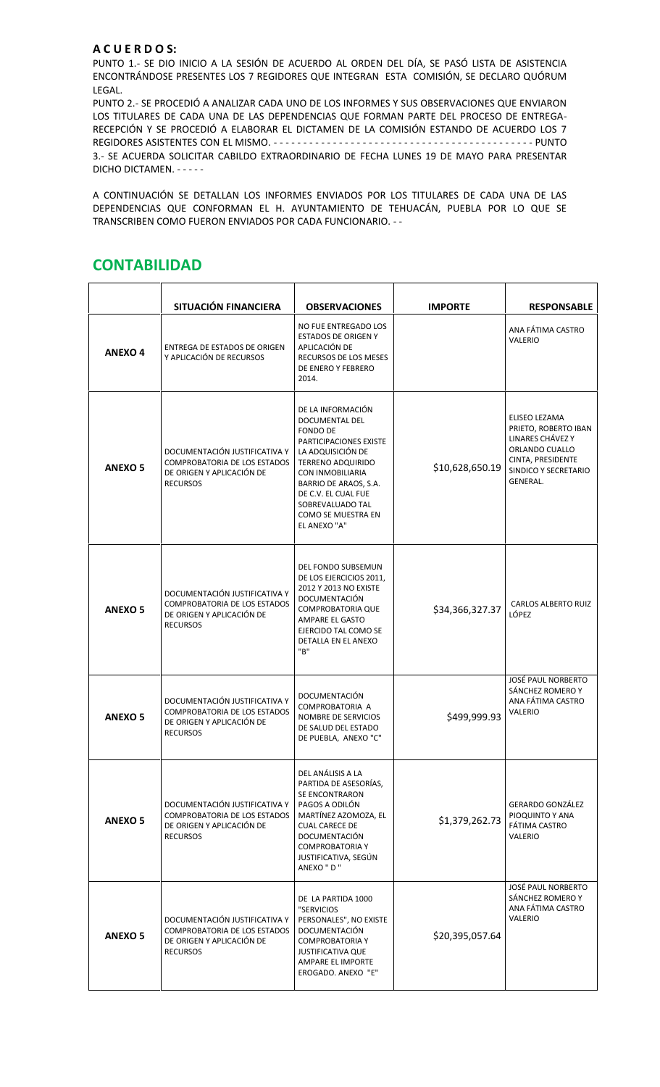## **A C U E R D O S:**

PUNTO 1.- SE DIO INICIO A LA SESIÓN DE ACUERDO AL ORDEN DEL DÍA, SE PASÓ LISTA DE ASISTENCIA ENCONTRÁNDOSE PRESENTES LOS 7 REGIDORES QUE INTEGRAN ESTA COMISIÓN, SE DECLARO QUÓRUM LEGAL.

PUNTO 2.- SE PROCEDIÓ A ANALIZAR CADA UNO DE LOS INFORMES Y SUS OBSERVACIONES QUE ENVIARON LOS TITULARES DE CADA UNA DE LAS DEPENDENCIAS QUE FORMAN PARTE DEL PROCESO DE ENTREGA- RECEPCIÓN Y SE PROCEDIÓ A ELABORAR EL DICTAMEN DE LA COMISIÓN ESTANDO DE ACUERDO LOS 7 REGIDORES ASISTENTES CON EL MISMO. - - - - - - - - - - - - - - - - - - - - - - - - - - - - - - - - - - - - - - - - - - - - PUNTO 3.- SE ACUERDA SOLICITAR CABILDO EXTRAORDINARIO DE FECHA LUNES 19 DE MAYO PARA PRESENTAR DICHO DICTAMEN. - - - - -

A CONTINUACIÓN SE DETALLAN LOS INFORMES ENVIADOS POR LOS TITULARES DE CADA UNA DE LAS DEPENDENCIAS QUE CONFORMAN EL H. AYUNTAMIENTO DE TEHUACÁN, PUEBLA POR LO QUE SE TRANSCRIBEN COMO FUERON ENVIADOS POR CADA FUNCIONARIO. - -

|                | SITUACIÓN FINANCIERA                                                                                                 | <b>OBSERVACIONES</b>                                                                                                                                                                                                                                                   | <b>IMPORTE</b>  | <b>RESPONSABLE</b>                                                                                                                   |
|----------------|----------------------------------------------------------------------------------------------------------------------|------------------------------------------------------------------------------------------------------------------------------------------------------------------------------------------------------------------------------------------------------------------------|-----------------|--------------------------------------------------------------------------------------------------------------------------------------|
| <b>ANEXO 4</b> | ENTREGA DE ESTADOS DE ORIGEN<br>Y APLICACIÓN DE RECURSOS                                                             | NO FUE ENTREGADO LOS<br><b>ESTADOS DE ORIGEN Y</b><br>APLICACIÓN DE<br>RECURSOS DE LOS MESES<br>DE ENERO Y FEBRERO<br>2014.                                                                                                                                            |                 | ANA FÁTIMA CASTRO<br>VALERIO                                                                                                         |
| <b>ANEXO 5</b> | DOCUMENTACIÓN JUSTIFICATIVA Y<br>COMPROBATORIA DE LOS ESTADOS<br>DE ORIGEN Y APLICACIÓN DE<br><b>RECURSOS</b>        | DE LA INFORMACIÓN<br>DOCUMENTAL DEL<br><b>FONDO DE</b><br><b>PARTICIPACIONES EXISTE</b><br>LA ADQUISICIÓN DE<br><b>TERRENO ADQUIRIDO</b><br>CON INMOBILIARIA<br>BARRIO DE ARAOS, S.A.<br>DE C.V. EL CUAL FUE<br>SOBREVALUADO TAL<br>COMO SE MUESTRA EN<br>EL ANEXO "A" | \$10,628,650.19 | ELISEO LEZAMA<br>PRIETO, ROBERTO IBAN<br>LINARES CHÁVEZ Y<br>ORLANDO CUALLO<br>CINTA, PRESIDENTE<br>SINDICO Y SECRETARIO<br>GENERAL. |
| <b>ANEXO 5</b> | DOCUMENTACIÓN JUSTIFICATIVA Y<br><b>COMPROBATORIA DE LOS ESTADOS</b><br>DE ORIGEN Y APLICACIÓN DE<br><b>RECURSOS</b> | DEL FONDO SUBSEMUN<br>DE LOS EJERCICIOS 2011,<br>2012 Y 2013 NO EXISTE<br>DOCUMENTACIÓN<br><b>COMPROBATORIA QUE</b><br>AMPARE EL GASTO<br>EJERCIDO TAL COMO SE<br>DETALLA EN EL ANEXO<br>"B"                                                                           | \$34,366,327.37 | <b>CARLOS ALBERTO RUIZ</b><br>LÓPEZ                                                                                                  |
| <b>ANEXO 5</b> | DOCUMENTACIÓN JUSTIFICATIVA Y<br>COMPROBATORIA DE LOS ESTADOS<br>DE ORIGEN Y APLICACIÓN DE<br><b>RECURSOS</b>        | DOCUMENTACIÓN<br>COMPROBATORIA A<br>NOMBRE DE SERVICIOS<br>DE SALUD DEL ESTADO<br>DE PUEBLA, ANEXO "C"                                                                                                                                                                 | \$499,999.93    | <b>JOSÉ PAUL NORBERTO</b><br>SÁNCHEZ ROMERO Y<br>ANA FÁTIMA CASTRO<br>VALERIO                                                        |
| <b>ANEXO 5</b> | DOCUMENTACIÓN JUSTIFICATIVA Y<br>COMPROBATORIA DE LOS ESTADOS<br>DE ORIGEN Y APLICACIÓN DE<br><b>RECURSOS</b>        | DEL ANÁLISIS A LA<br>PARTIDA DE ASESORÍAS,<br>SE ENCONTRARON<br>PAGOS A ODILÓN<br>MARTÍNEZ AZOMOZA, EL<br><b>CUAL CARECE DE</b><br>DOCUMENTACIÓN<br><b>COMPROBATORIA Y</b><br>JUSTIFICATIVA, SEGÚN<br>ANEXO " D "                                                      | \$1,379,262.73  | <b>GERARDO GONZÁLEZ</b><br>PIOQUINTO Y ANA<br>FÁTIMA CASTRO<br>VALERIO                                                               |
| <b>ANEXO 5</b> | DOCUMENTACIÓN JUSTIFICATIVA Y<br>COMPROBATORIA DE LOS ESTADOS<br>DE ORIGEN Y APLICACIÓN DE<br><b>RECURSOS</b>        | DE LA PARTIDA 1000<br>"SERVICIOS<br>PERSONALES", NO EXISTE<br>DOCUMENTACIÓN<br><b>COMPROBATORIA Y</b><br><b>JUSTIFICATIVA QUE</b><br>AMPARE EL IMPORTE<br>EROGADO. ANEXO "E"                                                                                           | \$20,395,057.64 | <b>JOSÉ PAUL NORBERTO</b><br>SÁNCHEZ ROMERO Y<br>ANA FÁTIMA CASTRO<br>VALERIO                                                        |

# **CONTABILIDAD**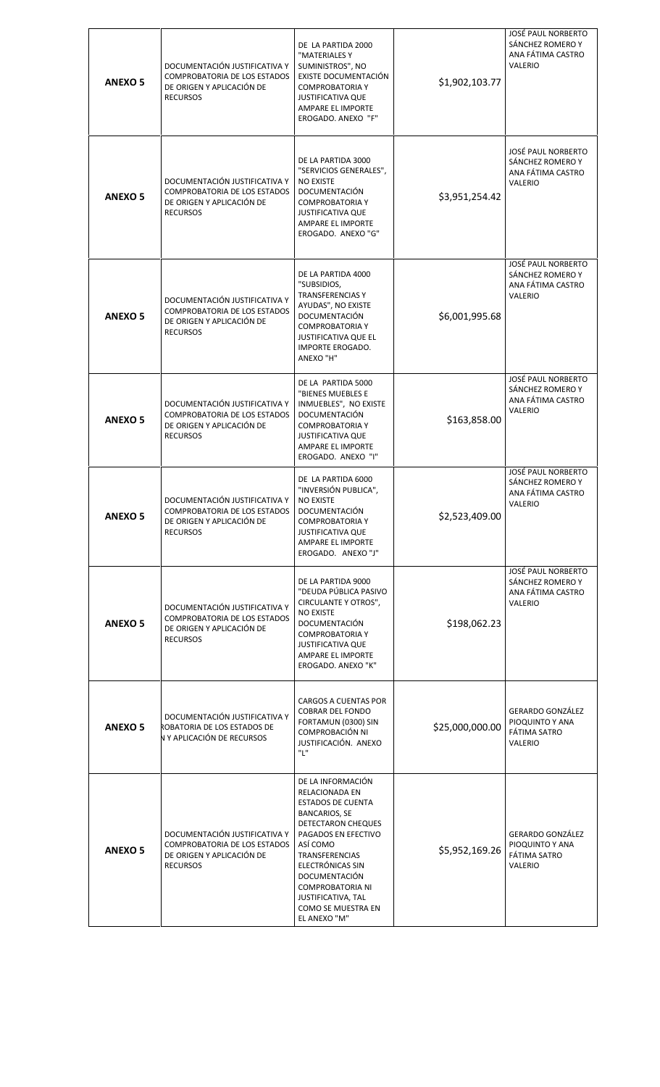| <b>ANEXO 5</b> | DOCUMENTACIÓN JUSTIFICATIVA Y<br>COMPROBATORIA DE LOS ESTADOS<br>DE ORIGEN Y APLICACIÓN DE<br><b>RECURSOS</b> | DE LA PARTIDA 2000<br>"MATERIALES Y<br>SUMINISTROS", NO<br>EXISTE DOCUMENTACIÓN<br><b>COMPROBATORIA Y</b><br><b>JUSTIFICATIVA QUE</b><br>AMPARE EL IMPORTE<br>EROGADO. ANEXO "F"                                                                                                                                    | \$1,902,103.77  | JOSÉ PAUL NORBERTO<br>SÁNCHEZ ROMERO Y<br>ANA FÁTIMA CASTRO<br>VALERIO               |
|----------------|---------------------------------------------------------------------------------------------------------------|---------------------------------------------------------------------------------------------------------------------------------------------------------------------------------------------------------------------------------------------------------------------------------------------------------------------|-----------------|--------------------------------------------------------------------------------------|
| <b>ANEXO 5</b> | DOCUMENTACIÓN JUSTIFICATIVA Y<br>COMPROBATORIA DE LOS ESTADOS<br>DE ORIGEN Y APLICACIÓN DE<br><b>RECURSOS</b> | DE LA PARTIDA 3000<br>"SERVICIOS GENERALES",<br><b>NO EXISTE</b><br>DOCUMENTACIÓN<br><b>COMPROBATORIA Y</b><br><b>JUSTIFICATIVA QUE</b><br>AMPARE EL IMPORTE<br>EROGADO. ANEXO "G"                                                                                                                                  | \$3,951,254.42  | JOSÉ PAUL NORBERTO<br>SÁNCHEZ ROMERO Y<br>ANA FÁTIMA CASTRO<br>VALERIO               |
| <b>ANEXO 5</b> | DOCUMENTACIÓN JUSTIFICATIVA Y<br>COMPROBATORIA DE LOS ESTADOS<br>DE ORIGEN Y APLICACIÓN DE<br><b>RECURSOS</b> | DE LA PARTIDA 4000<br>"SUBSIDIOS,<br><b>TRANSFERENCIAS Y</b><br>AYUDAS", NO EXISTE<br>DOCUMENTACIÓN<br><b>COMPROBATORIA Y</b><br><b>JUSTIFICATIVA QUE EL</b><br><b>IMPORTE EROGADO.</b><br>ANEXO "H"                                                                                                                | \$6,001,995.68  | <b>JOSÉ PAUL NORBERTO</b><br>SÁNCHEZ ROMERO Y<br>ANA FÁTIMA CASTRO<br><b>VALERIO</b> |
| <b>ANEXO 5</b> | DOCUMENTACIÓN JUSTIFICATIVA Y<br>COMPROBATORIA DE LOS ESTADOS<br>DE ORIGEN Y APLICACIÓN DE<br><b>RECURSOS</b> | DE LA PARTIDA 5000<br>"BIENES MUEBLES E<br>INMUEBLES", NO EXISTE<br>DOCUMENTACIÓN<br><b>COMPROBATORIA Y</b><br><b>JUSTIFICATIVA QUE</b><br>AMPARE EL IMPORTE<br>EROGADO. ANEXO "I"                                                                                                                                  | \$163,858.00    | <b>JOSÉ PAUL NORBERTO</b><br>SÁNCHEZ ROMERO Y<br>ANA FÁTIMA CASTRO<br>VALERIO        |
| <b>ANEXO 5</b> | DOCUMENTACIÓN JUSTIFICATIVA Y<br>COMPROBATORIA DE LOS ESTADOS<br>DE ORIGEN Y APLICACIÓN DE<br><b>RECURSOS</b> | DE LA PARTIDA 6000<br>"INVERSIÓN PUBLICA",<br><b>NO EXISTE</b><br>DOCUMENTACIÓN<br><b>COMPROBATORIA Y</b><br><b>JUSTIFICATIVA QUE</b><br>AMPARE EL IMPORTE<br>EROGADO. ANEXO "J"                                                                                                                                    | \$2,523,409.00  | <b>JOSÉ PAUL NORBERTO</b><br>SÁNCHEZ ROMERO Y<br>ANA FÁTIMA CASTRO<br>VALERIO        |
| <b>ANEXO 5</b> | DOCUMENTACIÓN JUSTIFICATIVA Y<br>COMPROBATORIA DE LOS ESTADOS<br>DE ORIGEN Y APLICACIÓN DE<br><b>RECURSOS</b> | DE LA PARTIDA 9000<br>"DEUDA PÚBLICA PASIVO<br><b>CIRCULANTE Y OTROS",</b><br><b>NO EXISTE</b><br>DOCUMENTACIÓN<br><b>COMPROBATORIA Y</b><br><b>JUSTIFICATIVA QUE</b><br>AMPARE EL IMPORTE<br>EROGADO. ANEXO "K"                                                                                                    | \$198,062.23    | <b>JOSÉ PAUL NORBERTO</b><br>SÁNCHEZ ROMERO Y<br>ANA FÁTIMA CASTRO<br>VALERIO        |
| <b>ANEXO 5</b> | DOCUMENTACIÓN JUSTIFICATIVA Y<br>ROBATORIA DE LOS ESTADOS DE<br>N Y APLICACIÓN DE RECURSOS                    | CARGOS A CUENTAS POR<br><b>COBRAR DEL FONDO</b><br>FORTAMUN (0300) SIN<br>COMPROBACIÓN NI<br>JUSTIFICACIÓN. ANEXO<br>"L"                                                                                                                                                                                            | \$25,000,000.00 | <b>GERARDO GONZÁLEZ</b><br>PIOQUINTO Y ANA<br>FÁTIMA SATRO<br>VALERIO                |
| <b>ANEXO 5</b> | DOCUMENTACIÓN JUSTIFICATIVA Y<br>COMPROBATORIA DE LOS ESTADOS<br>DE ORIGEN Y APLICACIÓN DE<br><b>RECURSOS</b> | DE LA INFORMACIÓN<br>RELACIONADA EN<br><b>ESTADOS DE CUENTA</b><br><b>BANCARIOS, SE</b><br>DETECTARON CHEQUES<br>PAGADOS EN EFECTIVO<br>ASÍ COMO<br>TRANSFERENCIAS<br>ELECTRÓNICAS SIN<br><b>DOCUMENTACIÓN</b><br><b>COMPROBATORIA NI</b><br><b>JUSTIFICATIVA, TAL</b><br><b>COMO SE MUESTRA EN</b><br>EL ANEXO "M" | \$5,952,169.26  | <b>GERARDO GONZÁLEZ</b><br>PIOQUINTO Y ANA<br>FÁTIMA SATRO<br>VALERIO                |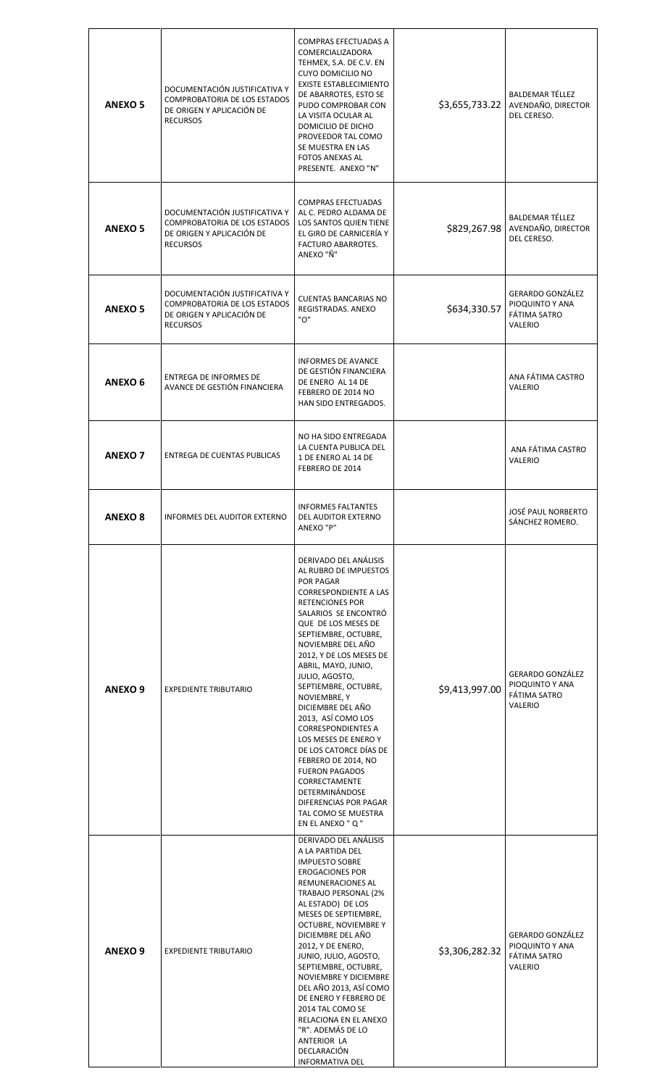| <b>ANEXO 5</b>     | DOCUMENTACIÓN JUSTIFICATIVA Y<br>COMPROBATORIA DE LOS ESTADOS<br>DE ORIGEN Y APLICACIÓN DE<br><b>RECURSOS</b> | <b>COMPRAS EFECTUADAS A</b><br>COMERCIALIZADORA<br>TEHMEX, S.A. DE C.V. EN<br><b>CUYO DOMICILIO NO</b><br><b>EXISTE ESTABLECIMIENTO</b><br>DE ABARROTES, ESTO SE<br>PUDO COMPROBAR CON<br>LA VISITA OCULAR AL<br>DOMICILIO DE DICHO<br>PROVEEDOR TAL COMO<br>SE MUESTRA EN LAS<br><b>FOTOS ANEXAS AL</b><br>PRESENTE. ANEXO "N"                                                                                                                                                                                                                                                                                 | \$3,655,733.22 | <b>BALDEMAR TÉLLEZ</b><br>AVENDAÑO, DIRECTOR<br>DEL CERESO.           |
|--------------------|---------------------------------------------------------------------------------------------------------------|-----------------------------------------------------------------------------------------------------------------------------------------------------------------------------------------------------------------------------------------------------------------------------------------------------------------------------------------------------------------------------------------------------------------------------------------------------------------------------------------------------------------------------------------------------------------------------------------------------------------|----------------|-----------------------------------------------------------------------|
| <b>ANEXO 5</b>     | DOCUMENTACIÓN JUSTIFICATIVA Y<br>COMPROBATORIA DE LOS ESTADOS<br>DE ORIGEN Y APLICACIÓN DE<br><b>RECURSOS</b> | <b>COMPRAS EFECTUADAS</b><br>AL C. PEDRO ALDAMA DE<br>LOS SANTOS QUIEN TIENE<br>EL GIRO DE CARNICERÍA Y<br>FACTURO ABARROTES.<br>ANEXO "Ñ"                                                                                                                                                                                                                                                                                                                                                                                                                                                                      | \$829,267.98   | <b>BALDEMAR TÉLLEZ</b><br>AVENDAÑO, DIRECTOR<br>DEL CERESO.           |
| <b>ANEXO 5</b>     | DOCUMENTACIÓN JUSTIFICATIVA Y<br>COMPROBATORIA DE LOS ESTADOS<br>DE ORIGEN Y APLICACIÓN DE<br><b>RECURSOS</b> | <b>CUENTAS BANCARIAS NO</b><br>REGISTRADAS, ANEXO<br>"ט"                                                                                                                                                                                                                                                                                                                                                                                                                                                                                                                                                        | \$634,330.57   | <b>GERARDO GONZÁLEZ</b><br>PIOQUINTO Y ANA<br>FÁTIMA SATRO<br>VALERIO |
| ANEXO <sub>6</sub> | ENTREGA DE INFORMES DE<br>AVANCE DE GESTIÓN FINANCIERA                                                        | <b>INFORMES DE AVANCE</b><br>DE GESTIÓN FINANCIERA<br>DE ENERO AL 14 DE<br>FEBRERO DE 2014 NO<br>HAN SIDO ENTREGADOS.                                                                                                                                                                                                                                                                                                                                                                                                                                                                                           |                | ANA FÁTIMA CASTRO<br>VALERIO                                          |
| <b>ANEXO 7</b>     | <b>ENTREGA DE CUENTAS PUBLICAS</b>                                                                            | NO HA SIDO ENTREGADA<br>LA CUENTA PUBLICA DEL<br>1 DE ENERO AL 14 DE<br>FEBRERO DE 2014                                                                                                                                                                                                                                                                                                                                                                                                                                                                                                                         |                | ANA FÁTIMA CASTRO<br>VALERIO                                          |
| <b>ANEXO 8</b>     | <b>INFORMES DEL AUDITOR EXTERNO</b>                                                                           | <b>INFORMES FALTANTES</b><br>DEL AUDITOR EXTERNO<br>ANEXO "P"                                                                                                                                                                                                                                                                                                                                                                                                                                                                                                                                                   |                | JOSE PAUL NORBERTO<br>SÁNCHEZ ROMERO.                                 |
| ANEXO <sub>9</sub> | <b>EXPEDIENTE TRIBUTARIO</b>                                                                                  | DERIVADO DEL ANÁLISIS<br>AL RUBRO DE IMPUESTOS<br>POR PAGAR<br><b>CORRESPONDIENTE A LAS</b><br><b>RETENCIONES POR</b><br>SALARIOS SE ENCONTRÓ<br>QUE DE LOS MESES DE<br>SEPTIEMBRE, OCTUBRE,<br>NOVIEMBRE DEL AÑO<br>2012, Y DE LOS MESES DE<br>ABRIL, MAYO, JUNIO,<br>JULIO, AGOSTO,<br>SEPTIEMBRE, OCTUBRE,<br>NOVIEMBRE, Y<br>DICIEMBRE DEL AÑO<br>2013, ASÍ COMO LOS<br><b>CORRESPONDIENTES A</b><br>LOS MESES DE ENERO Y<br>DE LOS CATORCE DÍAS DE<br>FEBRERO DE 2014, NO<br><b>FUERON PAGADOS</b><br>CORRECTAMENTE<br>DETERMINÁNDOSE<br>DIFERENCIAS POR PAGAR<br>TAL COMO SE MUESTRA<br>EN EL ANEXO " Q " | \$9,413,997.00 | <b>GERARDO GONZÁLEZ</b><br>PIOQUINTO Y ANA<br>FÁTIMA SATRO<br>VALERIO |
| ANEXO <sub>9</sub> | <b>EXPEDIENTE TRIBUTARIO</b>                                                                                  | DERIVADO DEL ANÁLISIS<br>A LA PARTIDA DEL<br><b>IMPUESTO SOBRE</b><br><b>EROGACIONES POR</b><br>REMUNERACIONES AL<br>TRABAJO PERSONAL (2%<br>AL ESTADO) DE LOS<br>MESES DE SEPTIEMBRE,<br>OCTUBRE, NOVIEMBRE Y<br>DICIEMBRE DEL AÑO<br>2012, Y DE ENERO,<br>JUNIO, JULIO, AGOSTO,<br>SEPTIEMBRE, OCTUBRE,<br>NOVIEMBRE Y DICIEMBRE<br>DEL AÑO 2013, ASÍ COMO<br>DE ENERO Y FEBRERO DE<br>2014 TAL COMO SE<br>RELACIONA EN EL ANEXO<br>"R". ADEMÁS DE LO<br>ANTERIOR LA<br>DECLARACIÓN<br><b>INFORMATIVA DEL</b>                                                                                                 | \$3,306,282.32 | <b>GERARDO GONZÁLEZ</b><br>PIOQUINTO Y ANA<br>FÁTIMA SATRO<br>VALERIO |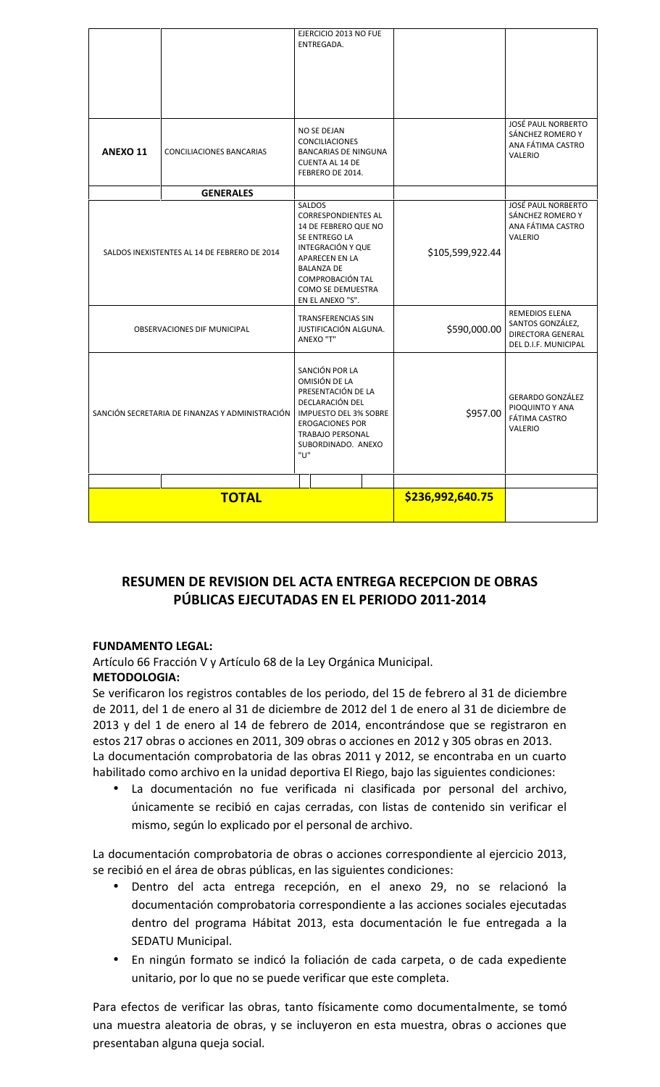|                                                 |                                              | EJERCICIO 2013 NO FUE<br>ENTREGADA.                                                                                                                                                                                         |                  |                                                                                      |
|-------------------------------------------------|----------------------------------------------|-----------------------------------------------------------------------------------------------------------------------------------------------------------------------------------------------------------------------------|------------------|--------------------------------------------------------------------------------------|
| ANEXO 11                                        | CONCILIACIONES BANCARIAS                     | NO SE DEJAN<br><b>CONCILIACIONES</b><br><b>BANCARIAS DE NINGUNA</b><br><b>CUENTA AL 14 DE</b><br>FEBRERO DE 2014.                                                                                                           |                  | <b>JOSÉ PAUL NORBERTO</b><br>SÁNCHEZ ROMERO Y<br>ANA FÁTIMA CASTRO<br><b>VALERIO</b> |
|                                                 | <b>GENERALES</b>                             |                                                                                                                                                                                                                             |                  |                                                                                      |
|                                                 | SALDOS INEXISTENTES AL 14 DE FEBRERO DE 2014 | <b>SALDOS</b><br><b>CORRESPONDIENTES AL</b><br>14 DE FEBRERO QUE NO<br>SE ENTREGO LA<br>INTEGRACIÓN Y QUE<br><b>APARECEN EN LA</b><br><b>BALANZA DE</b><br><b>COMPROBACIÓN TAL</b><br>COMO SE DEMUESTRA<br>EN EL ANEXO "S". | \$105,599,922.44 | <b>JOSÉ PAUL NORBERTO</b><br>SÁNCHEZ ROMERO Y<br>ANA FÁTIMA CASTRO<br>VALERIO        |
| <b>OBSERVACIONES DIF MUNICIPAL</b>              |                                              | TRANSFERENCIAS SIN<br>JUSTIFICACIÓN ALGUNA.<br>ANEXO "T"                                                                                                                                                                    | \$590,000.00     | REMEDIOS ELENA<br>SANTOS GONZÁLEZ,<br>DIRECTORA GENERAL<br>DEL D.I.F. MUNICIPAL      |
| SANCIÓN SECRETARIA DE FINANZAS Y ADMINISTRACIÓN |                                              | SANCIÓN POR LA<br>OMISIÓN DE LA<br>PRESENTACIÓN DE LA<br>DECLARACIÓN DEL<br><b>IMPUESTO DEL 3% SOBRE</b><br><b>EROGACIONES POR</b><br><b>TRABAJO PERSONAL</b><br>SUBORDINADO. ANEXO<br>"U"                                  | \$957.00         | <b>GERARDO GONZÁLEZ</b><br>PIOQUINTO Y ANA<br>FÁTIMA CASTRO<br><b>VALERIO</b>        |
|                                                 | <b>TOTAL</b>                                 |                                                                                                                                                                                                                             | \$236,992,640.75 |                                                                                      |

# **RESUMEN DE REVISION DEL ACTA ENTREGA RECEPCION DE OBRAS PÚBLICAS EJECUTADAS EN EL PERIODO 2011-2014**

# **FUNDAMENTO LEGAL:**

Artículo 66 Fracción V y Artículo 68 de la Ley Orgánica Municipal.

# **METODOLOGIA:**

Se verificaron los registros contables de los periodo, del 15 de febrero al 31 de diciembre de 2011, del 1 de enero al 31 de diciembre de 2012 del 1 de enero al 31 de diciembre de 2013 y del 1 de enero al 14 de febrero de 2014, encontrándose que se registraron en estos 217 obras o acciones en 2011, 309 obras o acciones en 2012 y 305 obras en 2013. La documentación comprobatoria de las obras 2011 y 2012, se encontraba en un cuarto habilitado como archivo en la unidad deportiva El Riego, bajo las siguientes condiciones:

 La documentación no fue verificada ni clasificada por personal del archivo, únicamente se recibió en cajas cerradas, con listas de contenido sin verificar el mismo, según lo explicado por el personal de archivo.

La documentación comprobatoria de obras o acciones correspondiente al ejercicio 2013, se recibió en el área de obras públicas, en las siguientes condiciones:

- Dentro del acta entrega recepción, en el anexo 29, no se relacionó la documentación comprobatoria correspondiente a las acciones sociales ejecutadas dentro del programa Hábitat 2013, esta documentación le fue entregada a la SEDATU Municipal.
- En ningún formato se indicó la foliación de cada carpeta, o de cada expediente unitario, por lo que no se puede verificar que este completa.

Para efectos de verificar las obras, tanto físicamente como documentalmente, se tomó una muestra aleatoria de obras, y se incluyeron en esta muestra, obras o acciones que presentaban alguna queja social.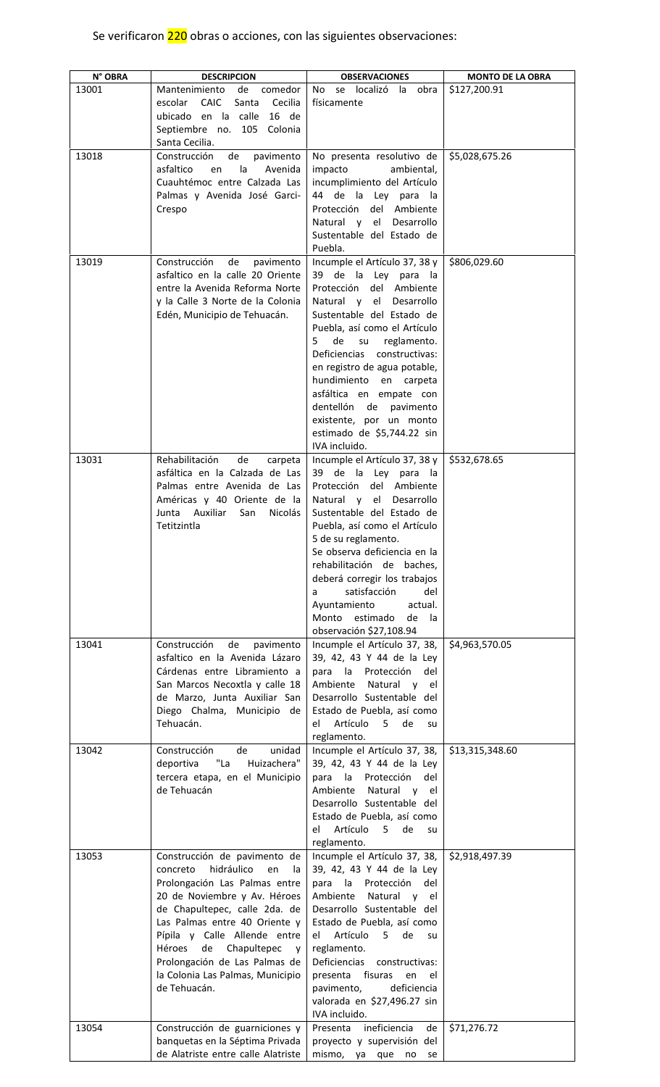# Se verificaron 220 obras o acciones, con las siguientes observaciones:

| N° OBRA | <b>DESCRIPCION</b>                                                    | <b>OBSERVACIONES</b>                                      | <b>MONTO DE LA OBRA</b> |
|---------|-----------------------------------------------------------------------|-----------------------------------------------------------|-------------------------|
| 13001   | de<br>Mantenimiento<br>comedor                                        | No se localizó la obra                                    | \$127,200.91            |
|         | <b>CAIC</b><br>escolar<br>Santa<br>Cecilia                            | físicamente                                               |                         |
|         | ubicado en la calle<br>16 de<br>Septiembre no. 105 Colonia            |                                                           |                         |
|         | Santa Cecilia.                                                        |                                                           |                         |
| 13018   | Construcción<br>de<br>pavimento                                       | No presenta resolutivo de                                 | \$5,028,675.26          |
|         | asfaltico<br>la<br>Avenida<br>en                                      | impacto<br>ambiental,                                     |                         |
|         | Cuauhtémoc entre Calzada Las                                          | incumplimiento del Artículo                               |                         |
|         | Palmas y Avenida José Garci-                                          | 44 de la Ley para la                                      |                         |
|         | Crespo                                                                | Protección del Ambiente<br>Natural y el Desarrollo        |                         |
|         |                                                                       | Sustentable del Estado de                                 |                         |
|         |                                                                       | Puebla.                                                   |                         |
| 13019   | Construcción<br>de<br>pavimento                                       | Incumple el Artículo 37, 38 y                             | \$806,029.60            |
|         | asfaltico en la calle 20 Oriente                                      | 39 de la Ley para la                                      |                         |
|         | entre la Avenida Reforma Norte                                        | Protección<br>del Ambiente                                |                         |
|         | y la Calle 3 Norte de la Colonia<br>Edén, Municipio de Tehuacán.      | Natural y el Desarrollo<br>Sustentable del Estado de      |                         |
|         |                                                                       | Puebla, así como el Artículo                              |                         |
|         |                                                                       | de su<br>reglamento.<br>5.                                |                         |
|         |                                                                       | Deficiencias constructivas:                               |                         |
|         |                                                                       | en registro de agua potable,                              |                         |
|         |                                                                       | hundimiento en carpeta                                    |                         |
|         |                                                                       | asfáltica en empate con<br>dentellón de pavimento         |                         |
|         |                                                                       | existente, por un monto                                   |                         |
|         |                                                                       | estimado de \$5,744.22 sin                                |                         |
|         |                                                                       | IVA incluido.                                             |                         |
| 13031   | Rehabilitación<br>de<br>carpeta                                       | Incumple el Artículo 37, 38 y                             | \$532,678.65            |
|         | asfáltica en la Calzada de Las                                        | 39 de la Ley para la                                      |                         |
|         | Palmas entre Avenida de Las<br>Américas y 40 Oriente de la            | Protección del Ambiente<br>Natural y el Desarrollo        |                         |
|         | Junta Auxiliar<br>Nicolás<br>San                                      | Sustentable del Estado de                                 |                         |
|         | Tetitzintla                                                           | Puebla, así como el Artículo                              |                         |
|         |                                                                       | 5 de su reglamento.                                       |                         |
|         |                                                                       | Se observa deficiencia en la                              |                         |
|         |                                                                       | rehabilitación de baches,                                 |                         |
|         |                                                                       | deberá corregir los trabajos<br>satisfacción<br>del<br>a  |                         |
|         |                                                                       | Ayuntamiento<br>actual.                                   |                         |
|         |                                                                       | estimado<br>Monto<br>de<br>la                             |                         |
|         |                                                                       | observación \$27,108.94                                   |                         |
| 13041   | Construcción<br>de<br>pavimento                                       | Incumple el Artículo 37, 38,                              | \$4,963,570.05          |
|         | asfaltico en la Avenida Lázaro<br>Cárdenas entre Libramiento a        | 39, 42, 43 Y 44 de la Ley<br>para la Protección<br>del    |                         |
|         | San Marcos Necoxtla y calle 18                                        | Natural y el<br>Ambiente                                  |                         |
|         | de Marzo, Junta Auxiliar San                                          | Desarrollo Sustentable del                                |                         |
|         | Diego Chalma, Municipio de                                            | Estado de Puebla, así como                                |                         |
|         | Tehuacán.                                                             | Artículo<br>el<br>$5 -$<br>de<br>su                       |                         |
|         |                                                                       | reglamento.                                               |                         |
| 13042   | de<br>unidad<br>Construcción<br>"La<br>Huizachera"<br>deportiva       | Incumple el Artículo 37, 38,<br>39, 42, 43 Y 44 de la Ley | \$13,315,348.60         |
|         | tercera etapa, en el Municipio                                        | para la Protección<br>del                                 |                         |
|         | de Tehuacán                                                           | Ambiente<br>Natural y el                                  |                         |
|         |                                                                       | Desarrollo Sustentable del                                |                         |
|         |                                                                       | Estado de Puebla, así como                                |                         |
|         |                                                                       | Artículo<br>el<br>5 <sup>5</sup><br>de<br>su              |                         |
| 13053   |                                                                       | reglamento.                                               |                         |
|         | Construcción de pavimento de<br>hidráulico<br>concreto<br>en<br>la    | Incumple el Artículo 37, 38,<br>39, 42, 43 Y 44 de la Ley | \$2,918,497.39          |
|         | Prolongación Las Palmas entre                                         | para la Protección<br>del                                 |                         |
|         | 20 de Noviembre y Av. Héroes                                          | Ambiente<br>Natural y el                                  |                         |
|         | de Chapultepec, calle 2da. de                                         | Desarrollo Sustentable del                                |                         |
|         | Las Palmas entre 40 Oriente y                                         | Estado de Puebla, así como                                |                         |
|         | Pípila y Calle Allende entre                                          | Artículo<br>5 de<br>el<br>su su                           |                         |
|         | de Chapultepec<br>Héroes<br>V<br>Prolongación de Las Palmas de        | reglamento.<br>Deficiencias constructivas:                |                         |
|         | la Colonia Las Palmas, Municipio                                      | presenta fisuras<br>en<br>el                              |                         |
|         | de Tehuacán.                                                          | pavimento,<br>deficiencia                                 |                         |
|         |                                                                       | valorada en \$27,496.27 sin                               |                         |
|         |                                                                       | IVA incluido.                                             |                         |
| 13054   | Construcción de guarniciones y                                        | Presenta ineficiencia<br>de                               | \$71,276.72             |
|         | banquetas en la Séptima Privada<br>de Alatriste entre calle Alatriste | proyecto y supervisión del<br>mismo, ya que no se         |                         |
|         |                                                                       |                                                           |                         |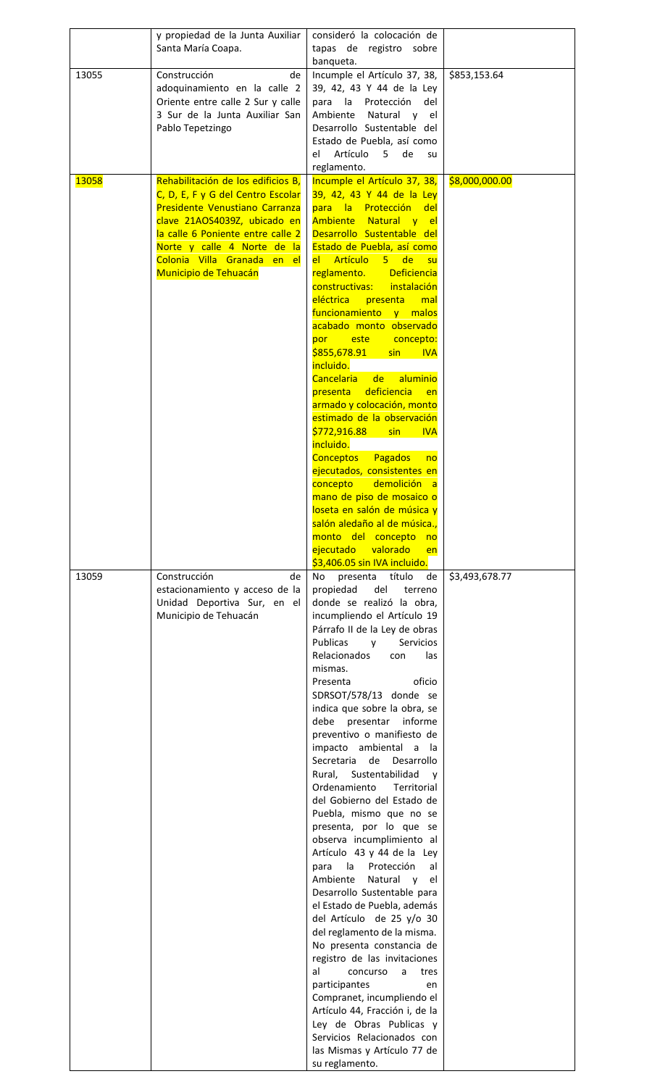|       | y propiedad de la Junta Auxiliar<br>Santa María Coapa.                                                                                                                                                                                                                | consideró la colocación de<br>tapas de registro sobre<br>banqueta.                                                                                                                                                                                                                                                                                                                                                                                                                                                                                                                                                                                                                                                                                                                                                                                                                                                                                                                                                                                                                                                           |                |
|-------|-----------------------------------------------------------------------------------------------------------------------------------------------------------------------------------------------------------------------------------------------------------------------|------------------------------------------------------------------------------------------------------------------------------------------------------------------------------------------------------------------------------------------------------------------------------------------------------------------------------------------------------------------------------------------------------------------------------------------------------------------------------------------------------------------------------------------------------------------------------------------------------------------------------------------------------------------------------------------------------------------------------------------------------------------------------------------------------------------------------------------------------------------------------------------------------------------------------------------------------------------------------------------------------------------------------------------------------------------------------------------------------------------------------|----------------|
| 13055 | Construcción<br>de<br>adoquinamiento en la calle 2<br>Oriente entre calle 2 Sur y calle<br>3 Sur de la Junta Auxiliar San<br>Pablo Tepetzingo                                                                                                                         | Incumple el Artículo 37, 38,<br>39, 42, 43 Y 44 de la Ley<br>para la Protección<br>del<br>Ambiente<br>Natural y el<br>Desarrollo Sustentable del<br>Estado de Puebla, así como<br>Artículo<br>5<br>de<br>el<br>su<br>reglamento.                                                                                                                                                                                                                                                                                                                                                                                                                                                                                                                                                                                                                                                                                                                                                                                                                                                                                             | \$853,153.64   |
| 13058 | Rehabilitación de los edificios B.<br>C, D, E, F y G del Centro Escolar<br>Presidente Venustiano Carranza<br>clave 21AOS4039Z, ubicado en<br>la calle 6 Poniente entre calle 2<br>Norte y calle 4 Norte de la<br>Colonia Villa Granada en el<br>Municipio de Tehuacán | Incumple el Artículo 37, 38,<br>39, 42, 43 Y 44 de la Ley<br>para la Protección del<br>Ambiente Natural y el<br>Desarrollo Sustentable del<br>Estado de Puebla, así como<br>el Artículo 5 de su<br>reglamento. Deficiencia<br>constructivas: instalación<br>eléctrica<br>presenta<br>mal<br>funcionamiento y malos<br>acabado monto observado<br>por este<br>concepto:<br>\$855,678.91<br>sin a<br><b>IVA</b><br>incluido.<br>Cancelaria<br>aluminio<br>de<br>deficiencia<br><b>presenta</b><br>en<br>armado y colocación, monto<br>estimado de la observación<br>\$772,916.88<br>sin<br><b>IVA</b><br>incluido.<br>Conceptos Pagados<br>no<br>ejecutados, consistentes en<br>concepto<br>demolición a<br>mano de piso de mosaico o<br>loseta en salón de música y<br>salón aledaño al de música.,<br>monto del concepto no<br>ejecutado valorado<br>en<br>\$3,406.05 sin IVA incluido.                                                                                                                                                                                                                                      | \$8,000,000.00 |
| 13059 | Construcción<br>de<br>estacionamiento y acceso de la<br>Unidad Deportiva Sur, en el<br>Municipio de Tehuacán                                                                                                                                                          | No<br>presenta título<br>de<br>propiedad<br>del<br>terreno<br>donde se realizó la obra,<br>incumpliendo el Artículo 19<br>Párrafo II de la Ley de obras<br>Publicas<br>Servicios<br>V<br>Relacionados<br>las<br>con<br>mismas.<br>Presenta<br>oficio<br>SDRSOT/578/13 donde se<br>indica que sobre la obra, se<br>debe<br>presentar informe<br>preventivo o manifiesto de<br>impacto ambiental a<br>- la<br>de Desarrollo<br>Secretaria<br>Rural, Sustentabilidad<br>V<br>Ordenamiento<br>Territorial<br>del Gobierno del Estado de<br>Puebla, mismo que no se<br>presenta, por lo que se<br>observa incumplimiento al<br>Artículo 43 y 44 de la Ley<br>la l<br>Protección<br>al<br>para<br>Natural y<br>Ambiente<br>el<br>Desarrollo Sustentable para<br>el Estado de Puebla, además<br>del Artículo de 25 y/o 30<br>del reglamento de la misma.<br>No presenta constancia de<br>registro de las invitaciones<br>al<br>concurso<br>tres<br>a<br>participantes<br>en<br>Compranet, incumpliendo el<br>Artículo 44, Fracción i, de la<br>Ley de Obras Publicas y<br>Servicios Relacionados con<br>las Mismas y Artículo 77 de | \$3,493,678.77 |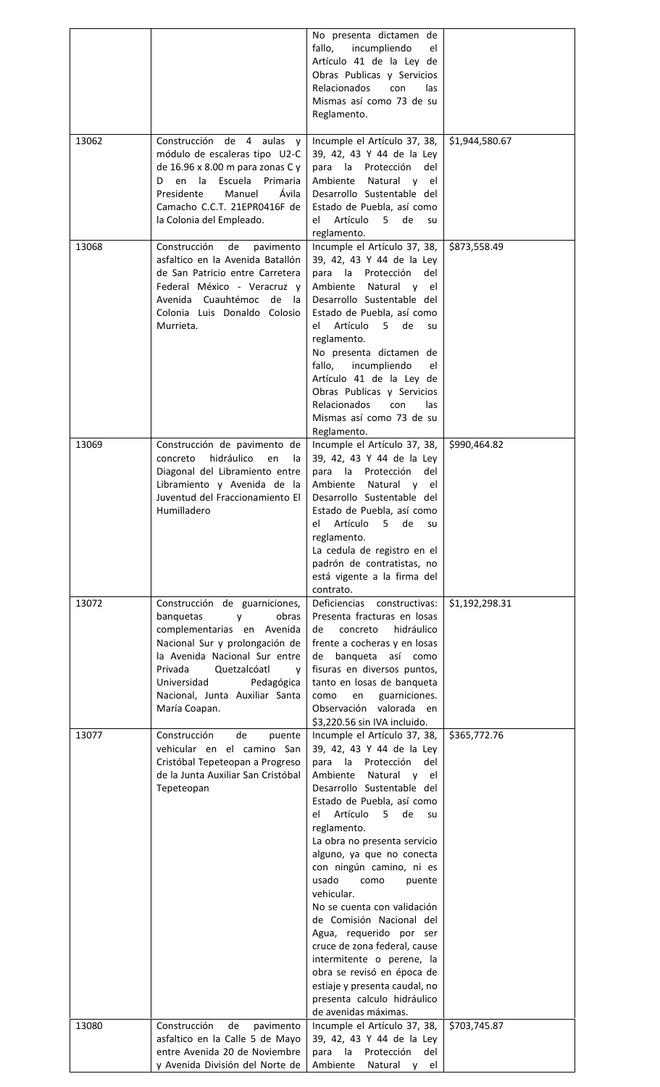|       |                                                                    | No presenta dictamen de                                      |                |
|-------|--------------------------------------------------------------------|--------------------------------------------------------------|----------------|
|       |                                                                    | incumpliendo<br>fallo,<br>el                                 |                |
|       |                                                                    | Artículo 41 de la Ley de                                     |                |
|       |                                                                    | Obras Publicas y Servicios                                   |                |
|       |                                                                    | <b>Relacionados</b><br>con<br>las                            |                |
|       |                                                                    | Mismas así como 73 de su                                     |                |
|       |                                                                    | Reglamento.                                                  |                |
|       |                                                                    |                                                              |                |
| 13062 | Construcción de 4 aulas y                                          | Incumple el Artículo 37, 38,                                 | \$1,944,580.67 |
|       | módulo de escaleras tipo U2-C                                      | 39, 42, 43 Y 44 de la Ley                                    |                |
|       | de 16.96 x 8.00 m para zonas C y<br>Escuela<br>Den la<br>Primaria  | para la Protección<br>del<br>Ambiente                        |                |
|       | Presidente<br>Manuel<br>Ávila                                      | Natural y el<br>Desarrollo Sustentable del                   |                |
|       | Camacho C.C.T. 21EPR0416F de                                       | Estado de Puebla, así como                                   |                |
|       | la Colonia del Empleado.                                           | Artículo 5<br>el<br>de<br>su                                 |                |
|       |                                                                    | reglamento.                                                  |                |
| 13068 | Construcción<br>de<br>pavimento                                    | Incumple el Artículo 37, 38,                                 | \$873,558.49   |
|       | asfaltico en la Avenida Batallón                                   | 39, 42, 43 Y 44 de la Ley                                    |                |
|       | de San Patricio entre Carretera                                    | para la Protección<br>del                                    |                |
|       | Federal México - Veracruz y                                        | Ambiente Natural y el                                        |                |
|       | Avenida Cuauhtémoc de la                                           | Desarrollo Sustentable del                                   |                |
|       | Colonia Luis Donaldo Colosio                                       | Estado de Puebla, así como                                   |                |
|       | Murrieta.                                                          | el Artículo 5 de<br>su                                       |                |
|       |                                                                    | reglamento.                                                  |                |
|       |                                                                    | No presenta dictamen de                                      |                |
|       |                                                                    | fallo,<br>incumpliendo<br>el                                 |                |
|       |                                                                    | Artículo 41 de la Ley de                                     |                |
|       |                                                                    | Obras Publicas y Servicios                                   |                |
|       |                                                                    | <b>Relacionados</b><br>con<br>las                            |                |
|       |                                                                    | Mismas así como 73 de su<br>Reglamento.                      |                |
| 13069 | Construcción de pavimento de                                       | Incumple el Artículo 37, 38,                                 | \$990,464.82   |
|       | hidráulico<br>concreto<br>en<br>la.                                | 39, 42, 43 Y 44 de la Ley                                    |                |
|       | Diagonal del Libramiento entre                                     | para la Protección<br>del                                    |                |
|       | Libramiento y Avenida de la                                        | Ambiente<br>Natural y el                                     |                |
|       | Juventud del Fraccionamiento El                                    | Desarrollo Sustentable del                                   |                |
|       | Humilladero                                                        | Estado de Puebla, así como                                   |                |
|       |                                                                    | Artículo<br>5<br>de<br>el<br>su                              |                |
|       |                                                                    | reglamento.                                                  |                |
|       |                                                                    | La cedula de registro en el                                  |                |
|       |                                                                    | padrón de contratistas, no                                   |                |
|       |                                                                    | está vigente a la firma del                                  |                |
|       |                                                                    | contrato.                                                    |                |
| 13072 | Construcción de guarniciones,                                      | Deficiencias constructivas:                                  | \$1,192,298.31 |
|       | banquetas<br>obras<br>y                                            | Presenta fracturas en losas                                  |                |
|       | complementarias en<br>Avenida                                      | hidráulico<br>de<br>concreto<br>frente a cocheras y en losas |                |
|       | Nacional Sur y prolongación de<br>la Avenida Nacional Sur entre    | de banqueta así como                                         |                |
|       | Privada<br>Quetzalcóatl<br>y                                       | fisuras en diversos puntos,                                  |                |
|       | Universidad<br>Pedagógica                                          | tanto en losas de banqueta                                   |                |
|       | Nacional, Junta Auxiliar Santa                                     | como<br>en<br>guarniciones.                                  |                |
|       | María Coapan.                                                      | Observación valorada en                                      |                |
|       |                                                                    | \$3,220.56 sin IVA incluido.                                 |                |
| 13077 | Construcción<br>de<br>puente                                       | Incumple el Artículo 37, 38,                                 | \$365,772.76   |
|       | vehicular en el camino San                                         | 39, 42, 43 Y 44 de la Ley                                    |                |
|       | Cristóbal Tepeteopan a Progreso                                    | para la<br>Protección<br>del                                 |                |
|       | de la Junta Auxiliar San Cristóbal                                 | Ambiente<br>Natural y el                                     |                |
|       | Tepeteopan                                                         | Desarrollo Sustentable del                                   |                |
|       |                                                                    | Estado de Puebla, así como                                   |                |
|       |                                                                    | Artículo<br>5 <sub>1</sub><br>de<br>el<br>su                 |                |
|       |                                                                    | reglamento.                                                  |                |
|       |                                                                    | La obra no presenta servicio<br>alguno, ya que no conecta    |                |
|       |                                                                    | con ningún camino, ni es                                     |                |
|       |                                                                    | usado<br>como<br>puente                                      |                |
|       |                                                                    | vehicular.                                                   |                |
|       |                                                                    | No se cuenta con validación                                  |                |
|       |                                                                    | de Comisión Nacional del                                     |                |
|       |                                                                    | Agua, requerido por ser                                      |                |
|       |                                                                    | cruce de zona federal, cause                                 |                |
|       |                                                                    | intermitente o perene, la                                    |                |
|       |                                                                    | obra se revisó en época de                                   |                |
|       |                                                                    | estiaje y presenta caudal, no                                |                |
|       |                                                                    | presenta calculo hidráulico                                  |                |
|       |                                                                    | de avenidas máximas.                                         |                |
| 13080 | Construcción<br>de<br>pavimento<br>asfaltico en la Calle 5 de Mayo | Incumple el Artículo 37, 38,<br>39, 42, 43 Y 44 de la Ley    | \$703,745.87   |
|       | entre Avenida 20 de Noviembre                                      | la<br>Protección<br>para<br>del                              |                |
|       | y Avenida División del Norte de                                    | Ambiente<br>Natural y<br>el                                  |                |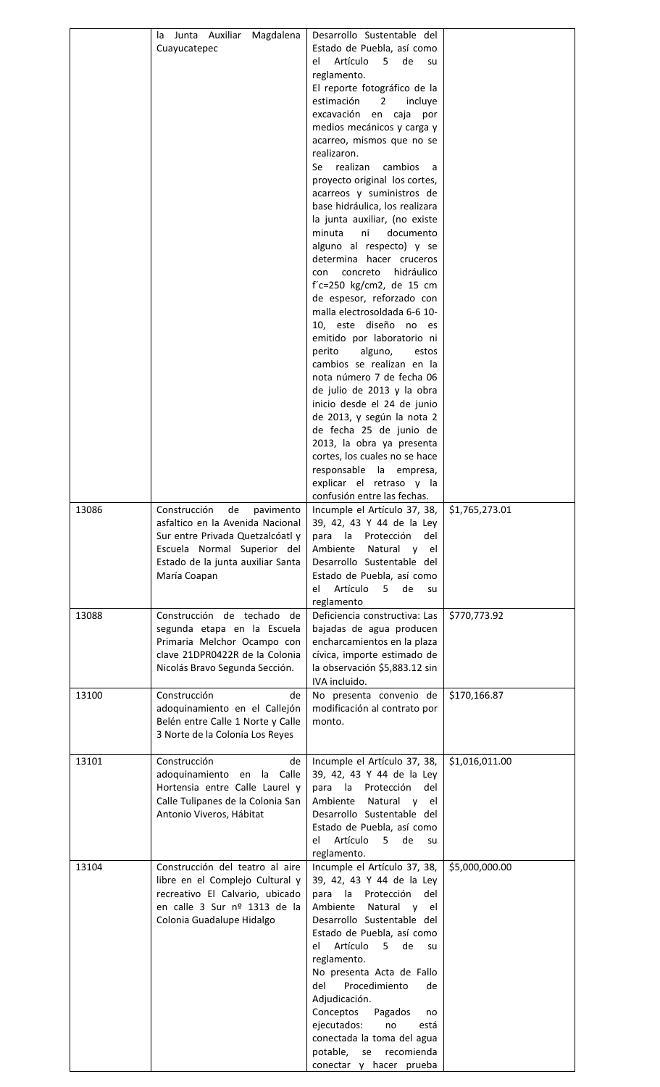|       | Junta<br>Auxiliar<br>Magdalena<br>la<br>Cuayucatepec                                                                                                                                        | Desarrollo Sustentable del<br>Estado de Puebla, así como<br>Artículo<br>de<br>el<br>5<br>su<br>reglamento.<br>El reporte fotográfico de la<br>estimación<br>2<br>incluye<br>excavación en caja<br>por<br>medios mecánicos y carga y<br>acarreo, mismos que no se<br>realizaron.<br>realizan<br>cambios<br>Se<br>a<br>proyecto original los cortes,<br>acarreos y suministros de<br>base hidráulica, los realizara<br>la junta auxiliar, (no existe<br>minuta<br>ni<br>documento<br>alguno al respecto) y se<br>determina hacer cruceros<br>hidráulico<br>concreto<br>con<br>$f'c=250$ kg/cm2, de 15 cm<br>de espesor, reforzado con<br>malla electrosoldada 6-6 10-<br>10, este diseño no es<br>emitido por laboratorio ni<br>perito<br>alguno,<br>estos<br>cambios se realizan en la<br>nota número 7 de fecha 06<br>de julio de 2013 y la obra<br>inicio desde el 24 de junio<br>de 2013, y según la nota 2<br>de fecha 25 de junio de<br>2013, la obra ya presenta<br>cortes, los cuales no se hace<br>responsable la empresa,<br>explicar el retraso y la |                |
|-------|---------------------------------------------------------------------------------------------------------------------------------------------------------------------------------------------|---------------------------------------------------------------------------------------------------------------------------------------------------------------------------------------------------------------------------------------------------------------------------------------------------------------------------------------------------------------------------------------------------------------------------------------------------------------------------------------------------------------------------------------------------------------------------------------------------------------------------------------------------------------------------------------------------------------------------------------------------------------------------------------------------------------------------------------------------------------------------------------------------------------------------------------------------------------------------------------------------------------------------------------------------------------|----------------|
| 13086 | Construcción<br>pavimento<br>de<br>asfaltico en la Avenida Nacional<br>Sur entre Privada Quetzalcóatl y<br>Escuela Normal Superior del<br>Estado de la junta auxiliar Santa<br>María Coapan | confusión entre las fechas.<br>Incumple el Artículo 37, 38,<br>39, 42, 43 Y 44 de la Ley<br>para la Protección<br>del<br>Ambiente<br>Natural y<br>el<br>Desarrollo Sustentable del<br>Estado de Puebla, así como<br>Artículo<br>5<br>de<br>el<br>su<br>reglamento                                                                                                                                                                                                                                                                                                                                                                                                                                                                                                                                                                                                                                                                                                                                                                                             | \$1,765,273.01 |
| 13088 | Construcción de techado<br>de<br>segunda etapa en la Escuela<br>Primaria Melchor Ocampo con<br>clave 21DPR0422R de la Colonia<br>Nicolás Bravo Segunda Sección.                             | Deficiencia constructiva: Las<br>bajadas de agua producen<br>encharcamientos en la plaza<br>cívica, importe estimado de<br>la observación \$5,883.12 sin<br>IVA incluido.                                                                                                                                                                                                                                                                                                                                                                                                                                                                                                                                                                                                                                                                                                                                                                                                                                                                                     | \$770,773.92   |
| 13100 | Construcción<br>de<br>adoquinamiento en el Callejón<br>Belén entre Calle 1 Norte y Calle<br>3 Norte de la Colonia Los Reyes                                                                 | No presenta convenio de<br>modificación al contrato por<br>monto.                                                                                                                                                                                                                                                                                                                                                                                                                                                                                                                                                                                                                                                                                                                                                                                                                                                                                                                                                                                             | \$170,166.87   |
| 13101 | Construcción<br>de<br>adoquinamiento en<br>la Calle<br>Hortensia entre Calle Laurel y<br>Calle Tulipanes de la Colonia San<br>Antonio Viveros, Hábitat                                      | Incumple el Artículo 37, 38,<br>39, 42, 43 Y 44 de la Ley<br>para la Protección<br>del<br>Natural y el<br>Ambiente<br>Desarrollo Sustentable del<br>Estado de Puebla, así como<br>Artículo<br>5 <sup>1</sup><br>de<br>el<br>su<br>reglamento.                                                                                                                                                                                                                                                                                                                                                                                                                                                                                                                                                                                                                                                                                                                                                                                                                 | \$1,016,011.00 |
| 13104 | Construcción del teatro al aire<br>libre en el Complejo Cultural y<br>recreativo El Calvario, ubicado<br>en calle 3 Sur nº 1313 de la<br>Colonia Guadalupe Hidalgo                          | Incumple el Artículo 37, 38,<br>39, 42, 43 Y 44 de la Ley<br>la<br>Protección<br>para<br>del<br>Natural y el<br>Ambiente<br>Desarrollo Sustentable del<br>Estado de Puebla, así como<br>Artículo<br>5<br>de<br>el<br>su<br>reglamento.<br>No presenta Acta de Fallo<br>del<br>Procedimiento<br>de<br>Adjudicación.<br>Conceptos<br>Pagados<br>no<br>ejecutados:<br>no<br>está<br>conectada la toma del agua<br>potable,<br>se<br>recomienda<br>conectar y hacer prueba                                                                                                                                                                                                                                                                                                                                                                                                                                                                                                                                                                                        | \$5,000,000.00 |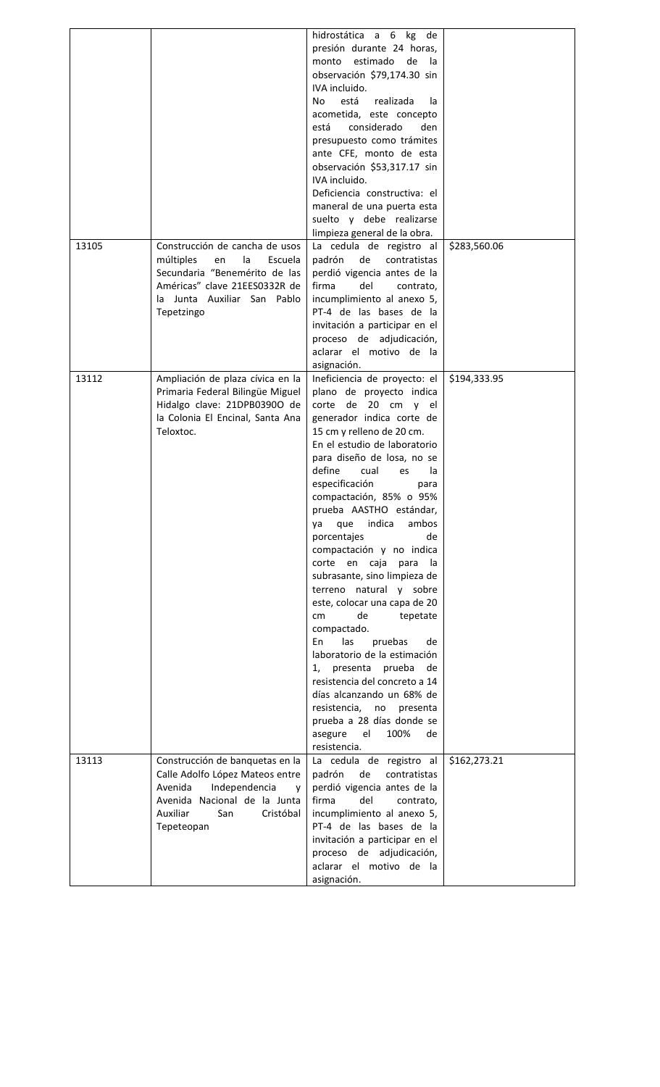|       |                                                                                                                                                                                   | hidrostática a 6 kg de<br>presión durante 24 horas,<br>monto estimado de la<br>observación \$79,174.30 sin<br>IVA incluido.<br>está<br>No<br>realizada<br>la<br>acometida, este concepto<br>está<br>considerado<br>den<br>presupuesto como trámites<br>ante CFE, monto de esta<br>observación \$53,317.17 sin<br>IVA incluido.<br>Deficiencia constructiva: el<br>maneral de una puerta esta<br>suelto y debe realizarse<br>limpieza general de la obra.                                                                                                                                                                                                                                                                                                                                                                                 |              |
|-------|-----------------------------------------------------------------------------------------------------------------------------------------------------------------------------------|------------------------------------------------------------------------------------------------------------------------------------------------------------------------------------------------------------------------------------------------------------------------------------------------------------------------------------------------------------------------------------------------------------------------------------------------------------------------------------------------------------------------------------------------------------------------------------------------------------------------------------------------------------------------------------------------------------------------------------------------------------------------------------------------------------------------------------------|--------------|
| 13105 | Construcción de cancha de usos<br>múltiples<br>Escuela<br>en<br>la<br>Secundaria "Benemérito de las<br>Américas" clave 21EES0332R de<br>la Junta Auxiliar San Pablo<br>Tepetzingo | La cedula de registro al<br>padrón<br>de<br>contratistas<br>perdió vigencia antes de la<br>firma<br>del<br>contrato,<br>incumplimiento al anexo 5,<br>PT-4 de las bases de la<br>invitación a participar en el<br>proceso de adjudicación,<br>aclarar el motivo de la<br>asignación.                                                                                                                                                                                                                                                                                                                                                                                                                                                                                                                                                     | \$283,560.06 |
| 13112 | Ampliación de plaza cívica en la<br>Primaria Federal Bilingüe Miguel<br>Hidalgo clave: 21DPB0390O de<br>la Colonia El Encinal, Santa Ana<br>Teloxtoc.                             | Ineficiencia de proyecto: el<br>plano de proyecto indica<br>corte de 20 cm y el<br>generador indica corte de<br>15 cm y relleno de 20 cm.<br>En el estudio de laboratorio<br>para diseño de losa, no se<br>define<br>cual<br>la<br>es<br>especificación<br>para<br>compactación, 85% o 95%<br>prueba AASTHO estándar,<br>indica<br>ambos<br>que<br>ya<br>porcentajes<br>de<br>compactación y no indica<br>corte en caja<br>para<br>la.<br>subrasante, sino limpieza de<br>terreno natural y sobre<br>este, colocar una capa de 20<br>de<br>tepetate<br>cm<br>compactado.<br>pruebas<br>las<br>En<br>de<br>laboratorio de la estimación<br>presenta prueba<br>1,<br>de<br>resistencia del concreto a 14<br>días alcanzando un 68% de<br>resistencia, no presenta<br>prueba a 28 días donde se<br>100%<br>asegure el<br>de<br>resistencia. | \$194,333.95 |
| 13113 | Construcción de banquetas en la<br>Calle Adolfo López Mateos entre<br>Avenida<br>Independencia<br>V<br>Avenida Nacional de la Junta<br>Auxiliar<br>Cristóbal<br>San<br>Tepeteopan | La cedula de registro al<br>padrón<br>de<br>contratistas<br>perdió vigencia antes de la<br>firma<br>del<br>contrato,<br>incumplimiento al anexo 5,<br>PT-4 de las bases de la<br>invitación a participar en el<br>proceso de adjudicación,<br>aclarar el motivo de la<br>asignación.                                                                                                                                                                                                                                                                                                                                                                                                                                                                                                                                                     | \$162,273.21 |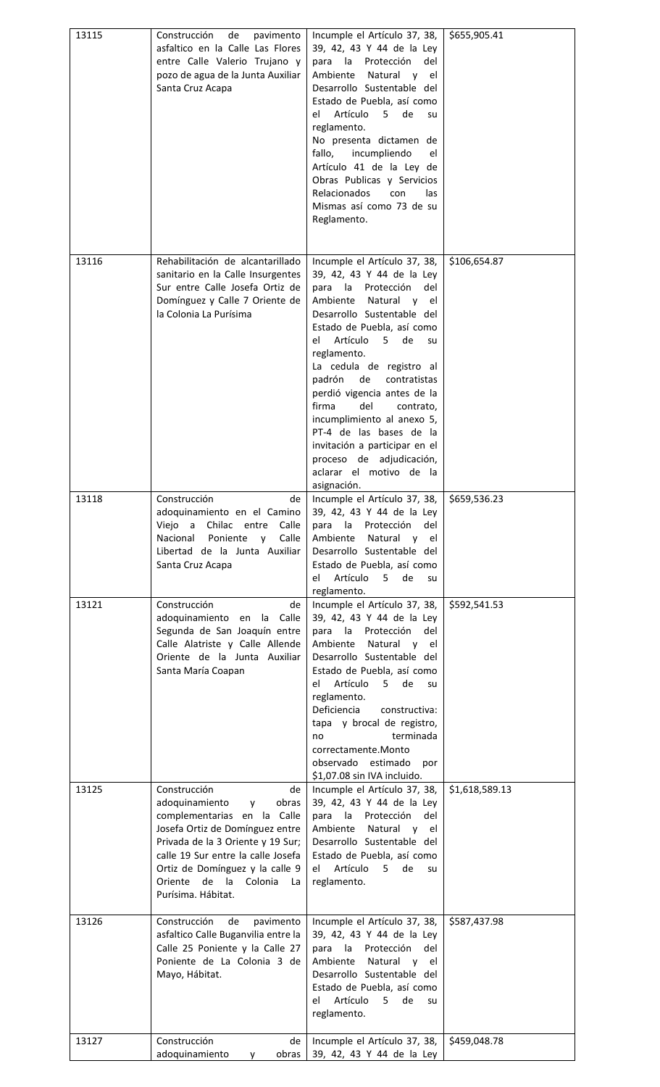| 13115 | Construcción<br>de<br>pavimento<br>asfaltico en la Calle Las Flores<br>entre Calle Valerio Trujano y<br>pozo de agua de la Junta Auxiliar<br>Santa Cruz Acapa                                                                                                                              | Incumple el Artículo 37, 38,<br>39, 42, 43 Y 44 de la Ley<br>para la Protección<br>del<br>Ambiente<br>Natural y el<br>Desarrollo Sustentable del<br>Estado de Puebla, así como<br>Artículo<br>el<br>5<br>de<br>su<br>reglamento.<br>No presenta dictamen de<br>incumpliendo<br>fallo,<br>el<br>Artículo 41 de la Ley de<br>Obras Publicas y Servicios<br><b>Relacionados</b><br>con<br>las<br>Mismas así como 73 de su<br>Reglamento.                                                                              | \$655,905.41   |
|-------|--------------------------------------------------------------------------------------------------------------------------------------------------------------------------------------------------------------------------------------------------------------------------------------------|--------------------------------------------------------------------------------------------------------------------------------------------------------------------------------------------------------------------------------------------------------------------------------------------------------------------------------------------------------------------------------------------------------------------------------------------------------------------------------------------------------------------|----------------|
| 13116 | Rehabilitación de alcantarillado<br>sanitario en la Calle Insurgentes<br>Sur entre Calle Josefa Ortiz de<br>Domínguez y Calle 7 Oriente de<br>la Colonia La Purísima                                                                                                                       | Incumple el Artículo 37, 38,<br>39, 42, 43 Y 44 de la Ley<br>para la Protección<br>del<br>Ambiente Natural y el<br>Desarrollo Sustentable del<br>Estado de Puebla, así como<br>Artículo 5<br>de<br>el<br>su<br>reglamento.<br>La cedula de registro al<br>padrón<br>de<br>contratistas<br>perdió vigencia antes de la<br>firma<br>del<br>contrato,<br>incumplimiento al anexo 5,<br>PT-4 de las bases de la<br>invitación a participar en el<br>proceso de adjudicación,<br>aclarar el motivo de la<br>asignación. | \$106,654.87   |
| 13118 | Construcción<br>de<br>adoquinamiento en el Camino<br>Viejo a Chilac entre<br>Calle<br>Nacional<br>Poniente<br>Calle<br>$\mathsf{V}$<br>Libertad de la Junta Auxiliar<br>Santa Cruz Acapa                                                                                                   | Incumple el Artículo 37, 38,<br>39, 42, 43 Y 44 de la Ley<br>la<br>Protección<br>para<br>del<br>Ambiente<br>Natural y el<br>Desarrollo Sustentable del<br>Estado de Puebla, así como<br>Artículo 5<br>el<br>de<br>su<br>reglamento.                                                                                                                                                                                                                                                                                | \$659,536.23   |
| 13121 | Construcción<br>de<br>adoquinamiento en<br>la Calle<br>Segunda de San Joaquín entre<br>Calle Alatriste y Calle Allende<br>Oriente de la Junta Auxiliar<br>Santa María Coapan                                                                                                               | Incumple el Artículo 37, 38,<br>39, 42, 43 Y 44 de la Ley<br>para la Protección<br>del<br>Ambiente Natural y el<br>Desarrollo Sustentable del<br>Estado de Puebla, así como<br>Artículo 5<br>el -<br>de<br>su<br>reglamento.<br>Deficiencia<br>constructiva:<br>tapa y brocal de registro,<br>terminada<br>no<br>correctamente.Monto<br>observado estimado<br>por<br>\$1,07.08 sin IVA incluido.                                                                                                                   | \$592,541.53   |
| 13125 | Construcción<br>de<br>adoquinamiento<br>obras<br>v<br>complementarias en la Calle<br>Josefa Ortiz de Domínguez entre<br>Privada de la 3 Oriente y 19 Sur;<br>calle 19 Sur entre la calle Josefa<br>Ortiz de Domínguez y la calle 9<br>Oriente de la<br>Colonia<br>La<br>Purísima. Hábitat. | Incumple el Artículo 37, 38,<br>39, 42, 43 Y 44 de la Ley<br>para la Protección<br>del<br>Natural y el<br>Ambiente<br>Desarrollo Sustentable del<br>Estado de Puebla, así como<br>Artículo<br>el a<br>5<br>de<br>su<br>reglamento.                                                                                                                                                                                                                                                                                 | \$1,618,589.13 |
| 13126 | Construcción<br>de<br>pavimento<br>asfaltico Calle Buganvilia entre la<br>Calle 25 Poniente y la Calle 27<br>Poniente de La Colonia 3 de<br>Mayo, Hábitat.                                                                                                                                 | Incumple el Artículo 37, 38,<br>39, 42, 43 Y 44 de la Ley<br>la Protección<br>para<br>del<br>Ambiente<br>Natural y<br>el<br>Desarrollo Sustentable del<br>Estado de Puebla, así como<br>Artículo<br>de<br>5<br>el<br>su<br>reglamento.                                                                                                                                                                                                                                                                             | \$587,437.98   |
| 13127 | Construcción<br>de<br>adoquinamiento<br>obras<br>۷                                                                                                                                                                                                                                         | Incumple el Artículo 37, 38,<br>39, 42, 43 Y 44 de la Ley                                                                                                                                                                                                                                                                                                                                                                                                                                                          | \$459,048.78   |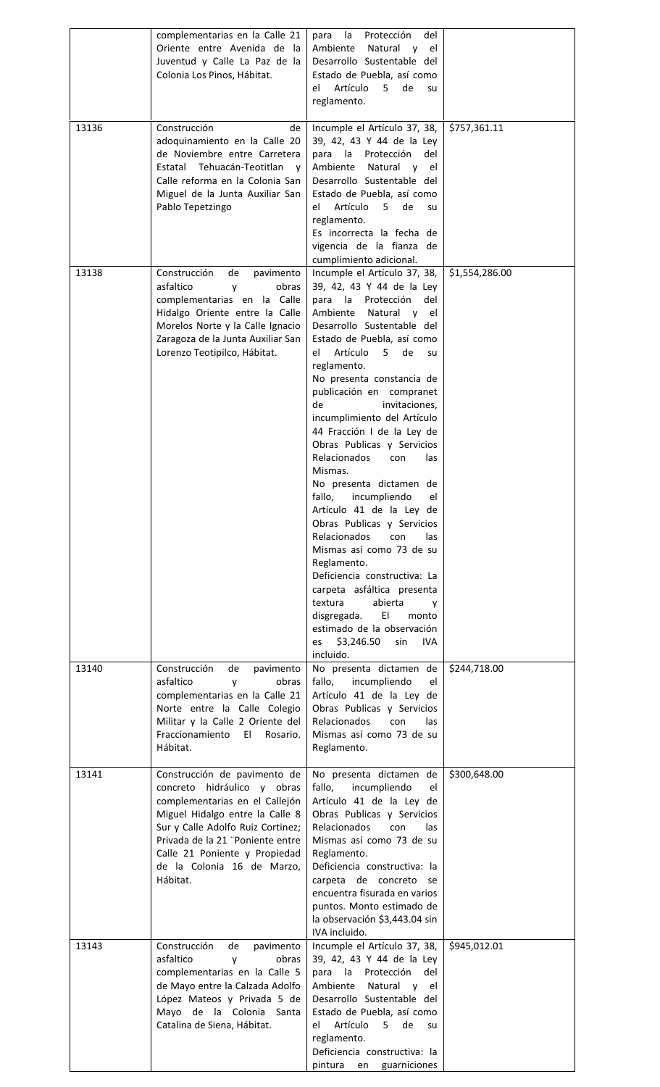|       | complementarias en la Calle 21<br>Oriente entre Avenida de<br>-la<br>Juventud y Calle La Paz de la<br>Colonia Los Pinos, Hábitat.                                                                                                                                                    | la<br>del<br>Protección<br>para<br>Ambiente<br>Natural y el<br>Desarrollo Sustentable del<br>Estado de Puebla, así como<br>Artículo<br>de<br>el<br>5.<br>su<br>reglamento.                                                                                                                                                                                                                                                                                                                                                                                                                                                                                                                                                                                                                                                                                      |                |
|-------|--------------------------------------------------------------------------------------------------------------------------------------------------------------------------------------------------------------------------------------------------------------------------------------|-----------------------------------------------------------------------------------------------------------------------------------------------------------------------------------------------------------------------------------------------------------------------------------------------------------------------------------------------------------------------------------------------------------------------------------------------------------------------------------------------------------------------------------------------------------------------------------------------------------------------------------------------------------------------------------------------------------------------------------------------------------------------------------------------------------------------------------------------------------------|----------------|
| 13136 | Construcción<br>de<br>adoquinamiento en la Calle 20<br>de Noviembre entre Carretera<br>Estatal Tehuacán-Teotitlan<br>$\mathsf{v}$<br>Calle reforma en la Colonia San<br>Miguel de la Junta Auxiliar San<br>Pablo Tepetzingo                                                          | Incumple el Artículo 37, 38,<br>39, 42, 43 Y 44 de la Ley<br>para la<br>Protección<br>del<br>Ambiente<br>Natural y el<br>Desarrollo Sustentable del<br>Estado de Puebla, así como<br>Artículo<br>5 <sub>1</sub><br>de<br>el<br>su<br>reglamento.<br>Es incorrecta la fecha de<br>vigencia de la fianza de<br>cumplimiento adicional.                                                                                                                                                                                                                                                                                                                                                                                                                                                                                                                            | \$757,361.11   |
| 13138 | Construcción<br>de<br>pavimento<br>asfaltico<br>obras<br>y<br>complementarias en la Calle<br>Hidalgo Oriente entre la Calle<br>Morelos Norte y la Calle Ignacio<br>Zaragoza de la Junta Auxiliar San<br>Lorenzo Teotipilco, Hábitat.                                                 | Incumple el Artículo 37, 38,<br>39, 42, 43 Y 44 de la Ley<br>para la Protección<br>del<br>Ambiente<br>Natural y el<br>Desarrollo Sustentable del<br>Estado de Puebla, así como<br>Artículo<br>de<br>el<br>5<br>su<br>reglamento.<br>No presenta constancia de<br>publicación en compranet<br>de<br>invitaciones,<br>incumplimiento del Artículo<br>44 Fracción I de la Ley de<br>Obras Publicas y Servicios<br>Relacionados<br>con<br>las<br>Mismas.<br>No presenta dictamen de<br>fallo,<br>incumpliendo<br>el<br>Artículo 41 de la Ley de<br>Obras Publicas y Servicios<br><b>Relacionados</b><br>con<br>las<br>Mismas así como 73 de su<br>Reglamento.<br>Deficiencia constructiva: La<br>carpeta asfáltica presenta<br>textura<br>abierta<br>۷<br>EI.<br>disgregada.<br>monto<br>estimado de la observación<br>\$3,246.50<br>sin<br>IVA.<br>es<br>incluido. | \$1,554,286.00 |
| 13140 | Construcción<br>de<br>pavimento<br>asfaltico<br>obras<br>y<br>complementarias en la Calle 21<br>Norte entre la Calle Colegio<br>Militar y la Calle 2 Oriente del<br>Fraccionamiento<br>- El<br>Rosario.<br>Hábitat.                                                                  | No presenta dictamen de<br>fallo,<br>incumpliendo<br>el<br>Artículo 41 de la Ley de<br>Obras Publicas y Servicios<br>Relacionados<br>con<br>las<br>Mismas así como 73 de su<br>Reglamento.                                                                                                                                                                                                                                                                                                                                                                                                                                                                                                                                                                                                                                                                      | \$244,718.00   |
| 13141 | Construcción de pavimento de<br>concreto hidráulico y obras<br>complementarias en el Callejón<br>Miguel Hidalgo entre la Calle 8<br>Sur y Calle Adolfo Ruiz Cortinez;<br>Privada de la 21 "Poniente entre<br>Calle 21 Poniente y Propiedad<br>de la Colonia 16 de Marzo,<br>Hábitat. | No presenta dictamen de<br>fallo,<br>incumpliendo<br>el<br>Artículo 41 de la Ley de<br>Obras Publicas y Servicios<br>Relacionados<br>con<br>las<br>Mismas así como 73 de su<br>Reglamento.<br>Deficiencia constructiva: la<br>carpeta de concreto se<br>encuentra fisurada en varios<br>puntos. Monto estimado de<br>la observación \$3,443.04 sin<br>IVA incluido.                                                                                                                                                                                                                                                                                                                                                                                                                                                                                             | \$300,648.00   |
| 13143 | Construcción<br>de<br>pavimento<br>asfaltico<br>y<br>obras<br>complementarias en la Calle 5<br>de Mayo entre la Calzada Adolfo<br>López Mateos y Privada 5 de<br>Mayo de la Colonia Santa<br>Catalina de Siena, Hábitat.                                                             | Incumple el Artículo 37, 38,<br>39, 42, 43 Y 44 de la Ley<br>la<br>Protección<br>para<br>del<br>Ambiente<br>Natural<br>el<br>V<br>Desarrollo Sustentable del<br>Estado de Puebla, así como<br>Artículo<br>de<br>el<br>5<br>su<br>reglamento.<br>Deficiencia constructiva: la<br>pintura<br>en<br>guarniciones                                                                                                                                                                                                                                                                                                                                                                                                                                                                                                                                                   | \$945,012.01   |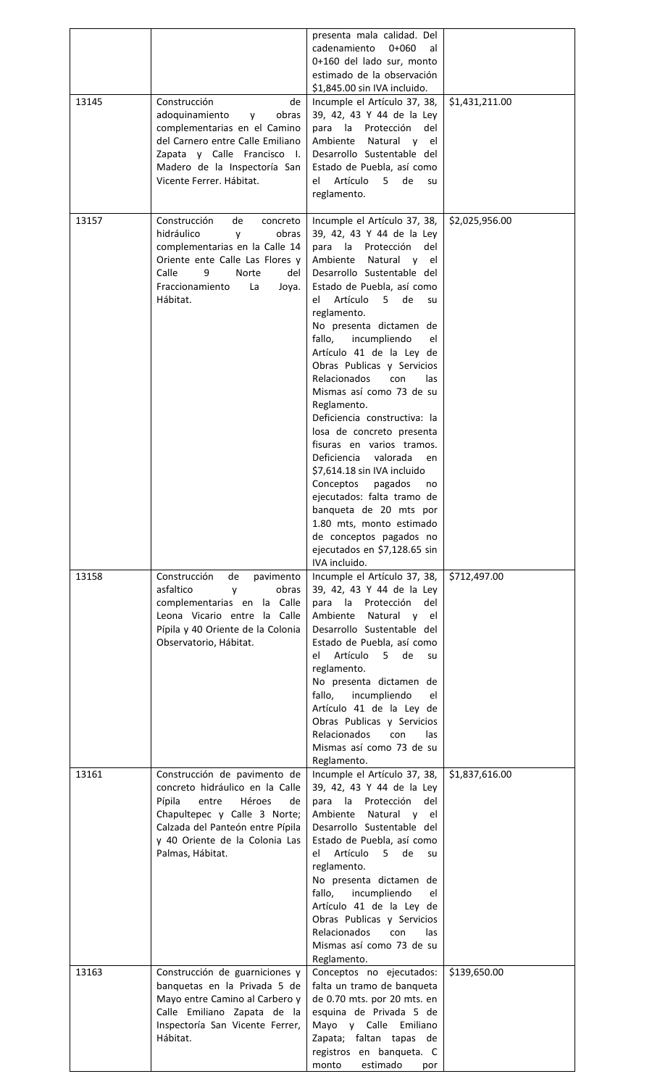|       |                                                                                                                                                                                                                              | presenta mala calidad. Del<br>cadenamiento<br>$0+060$<br>al<br>0+160 del lado sur, monto<br>estimado de la observación                                                                                                                                                                                                                                                                                                                                                                                                                                                                                                                                                                                                                                                                        |                |
|-------|------------------------------------------------------------------------------------------------------------------------------------------------------------------------------------------------------------------------------|-----------------------------------------------------------------------------------------------------------------------------------------------------------------------------------------------------------------------------------------------------------------------------------------------------------------------------------------------------------------------------------------------------------------------------------------------------------------------------------------------------------------------------------------------------------------------------------------------------------------------------------------------------------------------------------------------------------------------------------------------------------------------------------------------|----------------|
| 13145 | Construcción<br>de<br>adoquinamiento<br>obras<br><b>V</b><br>complementarias en el Camino<br>del Carnero entre Calle Emiliano<br>Zapata y Calle Francisco I.<br>Madero de la Inspectoría San<br>Vicente Ferrer. Hábitat.     | \$1,845.00 sin IVA incluido.<br>Incumple el Artículo 37, 38,<br>39, 42, 43 Y 44 de la Ley<br>para<br>la<br>Protección<br>del<br>Ambiente<br>Natural y<br>el<br>Desarrollo Sustentable del<br>Estado de Puebla, así como<br>Artículo<br>el<br>5.<br>de<br>su<br>reglamento.                                                                                                                                                                                                                                                                                                                                                                                                                                                                                                                    | \$1,431,211.00 |
| 13157 | Construcción<br>de<br>concreto<br>hidráulico<br>y<br>obras<br>complementarias en la Calle 14<br>Oriente ente Calle Las Flores y<br>Calle<br>9<br>Norte<br>del<br>Fraccionamiento<br>La<br>Joya.<br>Hábitat.                  | Incumple el Artículo 37, 38,<br>39, 42, 43 Y 44 de la Ley<br>la<br>Protección<br>para<br>del<br>Natural y<br>Ambiente<br>el<br>Desarrollo Sustentable del<br>Estado de Puebla, así como<br>el Artículo 5 de<br>su<br>reglamento.<br>No presenta dictamen de<br>fallo,<br>incumpliendo<br>el<br>Artículo 41 de la Ley de<br>Obras Publicas y Servicios<br><b>Relacionados</b><br>con<br>las<br>Mismas así como 73 de su<br>Reglamento.<br>Deficiencia constructiva: la<br>losa de concreto presenta<br>fisuras en varios tramos.<br>Deficiencia<br>valorada<br>en<br>\$7,614.18 sin IVA incluido<br>Conceptos<br>pagados<br>no<br>ejecutados: falta tramo de<br>banqueta de 20 mts por<br>1.80 mts, monto estimado<br>de conceptos pagados no<br>ejecutados en \$7,128.65 sin<br>IVA incluido. | \$2,025,956.00 |
| 13158 | Construcción<br>de<br>pavimento<br>asfaltico<br>obras<br>y<br>complementarias en la Calle<br>Leona Vicario entre la Calle<br>Pípila y 40 Oriente de la Colonia<br>Observatorio, Hábitat.                                     | Incumple el Artículo 37, 38,<br>39, 42, 43 Y 44 de la Ley<br>la<br>Protección<br>para<br>del<br>Natural y<br>Ambiente<br>el<br>Desarrollo Sustentable del<br>Estado de Puebla, así como<br>Artículo<br>5 de<br>el -<br>su<br>reglamento.<br>No presenta dictamen de<br>fallo,<br>incumpliendo<br>el<br>Artículo 41 de la Ley de<br>Obras Publicas y Servicios<br><b>Relacionados</b><br>con<br>las<br>Mismas así como 73 de su<br>Reglamento.                                                                                                                                                                                                                                                                                                                                                 | \$712,497.00   |
| 13161 | Construcción de pavimento de<br>concreto hidráulico en la Calle<br>Pípila<br>entre<br>Héroes<br>de<br>Chapultepec y Calle 3 Norte;<br>Calzada del Panteón entre Pípila<br>y 40 Oriente de la Colonia Las<br>Palmas, Hábitat. | Incumple el Artículo 37, 38,<br>39, 42, 43 Y 44 de la Ley<br>para<br>la<br>Protección<br>del<br>Ambiente<br>Natural y el<br>Desarrollo Sustentable del<br>Estado de Puebla, así como<br>Artículo<br>de<br>$5 -$<br>el<br>su<br>reglamento.<br>No presenta dictamen de<br>incumpliendo<br>fallo,<br>el<br>Artículo 41 de la Ley de<br>Obras Publicas y Servicios<br><b>Relacionados</b><br>con<br>las<br>Mismas así como 73 de su<br>Reglamento.                                                                                                                                                                                                                                                                                                                                               | \$1,837,616.00 |
| 13163 | Construcción de guarniciones y<br>banquetas en la Privada 5 de<br>Mayo entre Camino al Carbero y<br>Calle Emiliano Zapata de la<br>Inspectoría San Vicente Ferrer,<br>Hábitat.                                               | Conceptos no ejecutados:<br>falta un tramo de banqueta<br>de 0.70 mts. por 20 mts. en<br>esquina de Privada 5 de<br>Mayo y Calle Emiliano<br>Zapata; faltan tapas de<br>registros en banqueta. C<br>estimado<br>monto<br>por                                                                                                                                                                                                                                                                                                                                                                                                                                                                                                                                                                  | \$139,650.00   |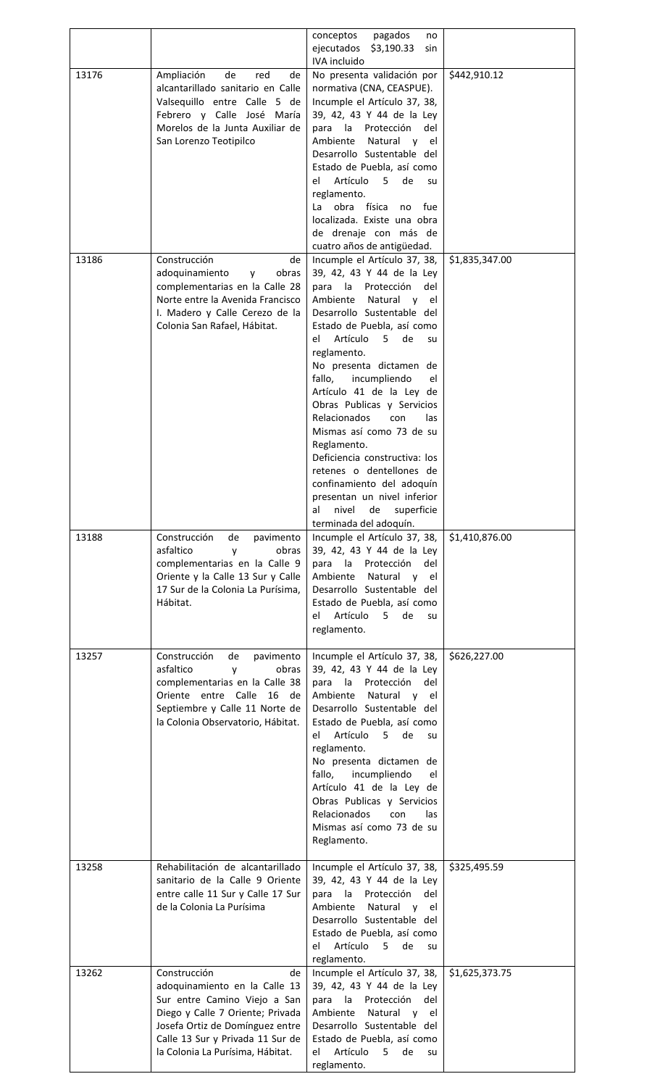|       |                                                                                                                                                                                                                                    | conceptos<br>pagados<br>no<br>ejecutados $$3,190.33$<br>sin                                                                                                                                                                                                                                                                                                                                                                     |                |
|-------|------------------------------------------------------------------------------------------------------------------------------------------------------------------------------------------------------------------------------------|---------------------------------------------------------------------------------------------------------------------------------------------------------------------------------------------------------------------------------------------------------------------------------------------------------------------------------------------------------------------------------------------------------------------------------|----------------|
| 13176 | Ampliación<br>de<br>red<br>de<br>alcantarillado sanitario en Calle<br>Valsequillo entre Calle 5 de<br>Febrero y Calle José María<br>Morelos de la Junta Auxiliar de                                                                | IVA incluido<br>No presenta validación por<br>normativa (CNA, CEASPUE).<br>Incumple el Artículo 37, 38,<br>39, 42, 43 Y 44 de la Ley<br>para<br>la Protección<br>del                                                                                                                                                                                                                                                            | \$442,910.12   |
|       | San Lorenzo Teotipilco                                                                                                                                                                                                             | Ambiente<br>Natural y<br>el<br>Desarrollo Sustentable del<br>Estado de Puebla, así como<br>Artículo<br>de<br>5.<br>el<br>su                                                                                                                                                                                                                                                                                                     |                |
|       |                                                                                                                                                                                                                                    | reglamento.<br>obra<br>física<br>no<br>fue<br>La<br>localizada. Existe una obra<br>de drenaje con más de<br>cuatro años de antigüedad.                                                                                                                                                                                                                                                                                          |                |
| 13186 | Construcción<br>de<br>adoquinamiento<br>obras<br><b>V</b><br>complementarias en la Calle 28<br>Norte entre la Avenida Francisco<br>I. Madero y Calle Cerezo de la<br>Colonia San Rafael, Hábitat.                                  | Incumple el Artículo 37, 38,<br>39, 42, 43 Y 44 de la Ley<br>para la Protección<br>del<br>Ambiente Natural y el<br>Desarrollo Sustentable del<br>Estado de Puebla, así como<br>Artículo 5 de<br>el<br>su<br>reglamento.<br>No presenta dictamen de                                                                                                                                                                              | \$1,835,347.00 |
|       |                                                                                                                                                                                                                                    | fallo,<br>incumpliendo<br>el<br>Artículo 41 de la Ley de<br>Obras Publicas y Servicios<br><b>Relacionados</b><br>con<br>las<br>Mismas así como 73 de su<br>Reglamento.<br>Deficiencia constructiva: los<br>retenes o dentellones de<br>confinamiento del adoquín<br>presentan un nivel inferior<br>al<br>nivel<br>de<br>superficie<br>terminada del adoquín.                                                                    |                |
| 13188 | Construcción<br>de<br>pavimento<br>asfaltico<br>obras<br>y<br>complementarias en la Calle 9<br>Oriente y la Calle 13 Sur y Calle<br>17 Sur de la Colonia La Purísima,<br>Hábitat.                                                  | Incumple el Artículo 37, 38,<br>39, 42, 43 Y 44 de la Ley<br>para la<br>Protección<br>del<br>Ambiente<br>Natural y el<br>Desarrollo Sustentable del<br>Estado de Puebla, así como<br>Artículo<br>$5 -$<br>de<br>el<br>su<br>reglamento.                                                                                                                                                                                         | \$1,410,876.00 |
| 13257 | Construcción<br>de<br>pavimento<br>asfaltico<br>obras<br>y<br>complementarias en la Calle 38<br>Oriente entre Calle 16 de<br>Septiembre y Calle 11 Norte de<br>la Colonia Observatorio, Hábitat.                                   | Incumple el Artículo 37, 38,<br>39, 42, 43 Y 44 de la Ley<br>para la Protección<br>del<br>Ambiente Natural y el<br>Desarrollo Sustentable del<br>Estado de Puebla, así como<br>Artículo 5<br>de<br>el<br>su<br>reglamento.<br>No presenta dictamen de<br>fallo,<br>incumpliendo<br>el<br>Artículo 41 de la Ley de<br>Obras Publicas y Servicios<br><b>Relacionados</b><br>con<br>las<br>Mismas así como 73 de su<br>Reglamento. | \$626,227.00   |
| 13258 | Rehabilitación de alcantarillado<br>sanitario de la Calle 9 Oriente<br>entre calle 11 Sur y Calle 17 Sur<br>de la Colonia La Purísima                                                                                              | Incumple el Artículo 37, 38,<br>39, 42, 43 Y 44 de la Ley<br>para la Protección<br>del<br>Ambiente<br>Natural y el<br>Desarrollo Sustentable del<br>Estado de Puebla, así como<br>Artículo<br>$5 -$<br>de<br>el<br>su<br>reglamento.                                                                                                                                                                                            | \$325,495.59   |
| 13262 | Construcción<br>de<br>adoquinamiento en la Calle 13<br>Sur entre Camino Viejo a San<br>Diego y Calle 7 Oriente; Privada<br>Josefa Ortiz de Domínguez entre<br>Calle 13 Sur y Privada 11 Sur de<br>la Colonia La Purísima, Hábitat. | Incumple el Artículo 37, 38,<br>39, 42, 43 Y 44 de la Ley<br>Protección<br>del<br>para<br>la<br>Ambiente<br>Natural<br>el<br>$\mathsf{v}$<br>Desarrollo Sustentable del<br>Estado de Puebla, así como<br>Artículo<br>el<br>de<br>5<br>su<br>reglamento.                                                                                                                                                                         | \$1,625,373.75 |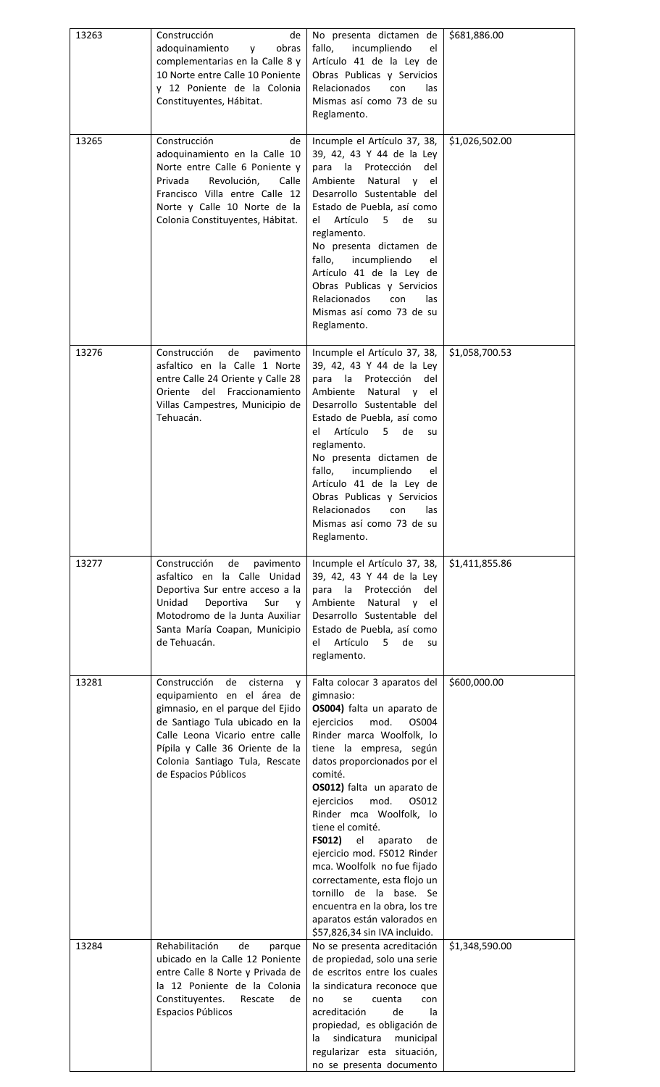| 13263 | Construcción<br>de<br>adoquinamiento<br>obras<br><b>y</b><br>complementarias en la Calle 8 y<br>10 Norte entre Calle 10 Poniente<br>y 12 Poniente de la Colonia<br>Constituyentes, Hábitat.                                                                             | No presenta dictamen de<br>fallo,<br>incumpliendo<br>el<br>Artículo 41 de la Ley de<br>Obras Publicas y Servicios<br><b>Relacionados</b><br>con<br>las<br>Mismas así como 73 de su<br>Reglamento.                                                                                                                                                                                                                                                                                                                                                                               | \$681,886.00   |
|-------|-------------------------------------------------------------------------------------------------------------------------------------------------------------------------------------------------------------------------------------------------------------------------|---------------------------------------------------------------------------------------------------------------------------------------------------------------------------------------------------------------------------------------------------------------------------------------------------------------------------------------------------------------------------------------------------------------------------------------------------------------------------------------------------------------------------------------------------------------------------------|----------------|
| 13265 | Construcción<br>de<br>adoquinamiento en la Calle 10<br>Norte entre Calle 6 Poniente y<br>Privada<br>Revolución,<br>Calle<br>Francisco Villa entre Calle 12<br>Norte y Calle 10 Norte de la<br>Colonia Constituyentes, Hábitat.                                          | Incumple el Artículo 37, 38,<br>39, 42, 43 Y 44 de la Ley<br>para la Protección<br>del<br>Natural y el<br>Ambiente<br>Desarrollo Sustentable del<br>Estado de Puebla, así como<br>Artículo<br>5<br>de<br>el<br>su<br>reglamento.<br>No presenta dictamen de<br>fallo,<br>incumpliendo<br>el<br>Artículo 41 de la Ley de<br>Obras Publicas y Servicios<br><b>Relacionados</b><br>con<br>las<br>Mismas así como 73 de su<br>Reglamento.                                                                                                                                           | \$1,026,502.00 |
| 13276 | Construcción<br>de<br>pavimento<br>asfaltico en la Calle 1 Norte<br>entre Calle 24 Oriente y Calle 28<br>Oriente del Fraccionamiento<br>Villas Campestres, Municipio de<br>Tehuacán.                                                                                    | Incumple el Artículo 37, 38,<br>39, 42, 43 Y 44 de la Ley<br>para la Protección<br>del<br>Ambiente<br>Natural y el<br>Desarrollo Sustentable del<br>Estado de Puebla, así como<br>Artículo<br>el<br>$5 -$<br>de<br>su<br>reglamento.<br>No presenta dictamen de<br>incumpliendo<br>fallo,<br>el<br>Artículo 41 de la Ley de<br>Obras Publicas y Servicios<br>Relacionados<br>con<br>las<br>Mismas así como 73 de su<br>Reglamento.                                                                                                                                              | \$1,058,700.53 |
| 13277 | Construcción<br>de<br>pavimento<br>asfaltico en la Calle Unidad<br>Deportiva Sur entre acceso a la<br>Unidad<br>Deportiva<br>Sur<br>y<br>Motodromo de la Junta Auxiliar<br>Santa María Coapan, Municipio<br>de Tehuacán.                                                | Incumple el Artículo 37, 38,<br>39, 42, 43 Y 44 de la Ley<br>para la<br>Protección<br>del<br>Ambiente<br>Natural<br>V<br>el<br>Desarrollo Sustentable del<br>Estado de Puebla, así como<br>Artículo<br>de<br>el<br>5<br>su<br>reglamento.                                                                                                                                                                                                                                                                                                                                       | \$1,411,855.86 |
| 13281 | Construcción<br>de<br>cisterna<br>V<br>equipamiento en el área de<br>gimnasio, en el parque del Ejido<br>de Santiago Tula ubicado en la<br>Calle Leona Vicario entre calle<br>Pípila y Calle 36 Oriente de la<br>Colonia Santiago Tula, Rescate<br>de Espacios Públicos | Falta colocar 3 aparatos del<br>gimnasio:<br>OS004) falta un aparato de<br>ejercicios<br>mod.<br>OS004<br>Rinder marca Woolfolk, lo<br>tiene la empresa, según<br>datos proporcionados por el<br>comité.<br>OS012) falta un aparato de<br>mod.<br>ejercicios<br>OS012<br>Rinder mca Woolfolk, lo<br>tiene el comité.<br>FS012)<br>el<br>aparato<br>de<br>ejercicio mod. FS012 Rinder<br>mca. Woolfolk no fue fijado<br>correctamente, esta flojo un<br>tornillo de la base. Se<br>encuentra en la obra, los tre<br>aparatos están valorados en<br>\$57,826,34 sin IVA incluido. | \$600,000.00   |
| 13284 | Rehabilitación<br>de<br>parque<br>ubicado en la Calle 12 Poniente<br>entre Calle 8 Norte y Privada de<br>la 12 Poniente de la Colonia<br>Constituyentes.<br>Rescate<br>de<br>Espacios Públicos                                                                          | No se presenta acreditación<br>de propiedad, solo una serie<br>de escritos entre los cuales<br>la sindicatura reconoce que<br>no<br>se<br>cuenta<br>con<br>acreditación<br>de<br>la<br>propiedad, es obligación de<br>sindicatura<br>municipal<br>la<br>regularizar esta situación,<br>no se presenta documento                                                                                                                                                                                                                                                                 | \$1,348,590.00 |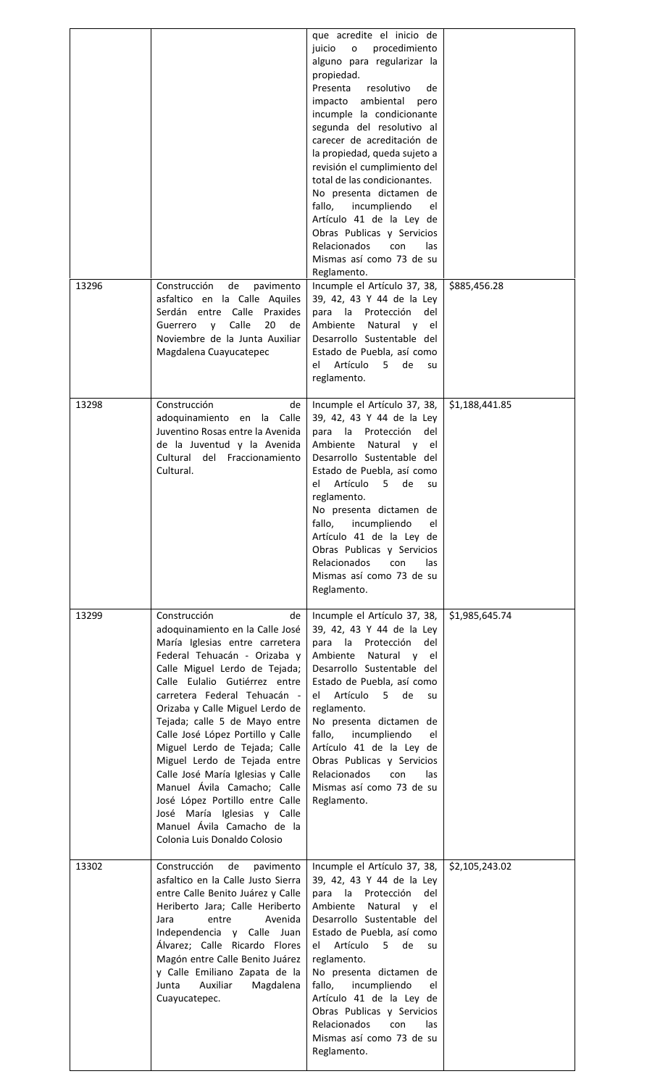| 13296 | Construcción<br>de<br>pavimento                                                                                                                                                                                                                                                                                                                                                                                                                                                                                                                                                                         | que acredite el inicio de<br>procedimiento<br>juicio<br>$\mathsf{o}$<br>alguno para regularizar la<br>propiedad.<br>Presenta<br>resolutivo<br>de<br>impacto ambiental<br>pero<br>incumple la condicionante<br>segunda del resolutivo al<br>carecer de acreditación de<br>la propiedad, queda sujeto a<br>revisión el cumplimiento del<br>total de las condicionantes.<br>No presenta dictamen de<br>incumpliendo<br>fallo,<br>el<br>Artículo 41 de la Ley de<br>Obras Publicas y Servicios<br><b>Relacionados</b><br>con<br>las<br>Mismas así como 73 de su<br>Reglamento.<br>Incumple el Artículo 37, 38, | \$885,456.28   |
|-------|---------------------------------------------------------------------------------------------------------------------------------------------------------------------------------------------------------------------------------------------------------------------------------------------------------------------------------------------------------------------------------------------------------------------------------------------------------------------------------------------------------------------------------------------------------------------------------------------------------|------------------------------------------------------------------------------------------------------------------------------------------------------------------------------------------------------------------------------------------------------------------------------------------------------------------------------------------------------------------------------------------------------------------------------------------------------------------------------------------------------------------------------------------------------------------------------------------------------------|----------------|
|       | asfaltico en la Calle Aquiles<br>Serdán entre Calle Praxides<br>Calle<br>20<br>Guerrero y<br>de<br>Noviembre de la Junta Auxiliar<br>Magdalena Cuayucatepec                                                                                                                                                                                                                                                                                                                                                                                                                                             | 39, 42, 43 Y 44 de la Ley<br>para la Protección<br>del<br>Ambiente Natural y el<br>Desarrollo Sustentable del<br>Estado de Puebla, así como<br>el Artículo 5 de<br>su<br>reglamento.                                                                                                                                                                                                                                                                                                                                                                                                                       |                |
| 13298 | Construcción<br>de<br>adoquinamiento en la Calle<br>Juventino Rosas entre la Avenida<br>de la Juventud y la Avenida<br>Cultural del Fraccionamiento<br>Cultural.                                                                                                                                                                                                                                                                                                                                                                                                                                        | Incumple el Artículo 37, 38,<br>39, 42, 43 Y 44 de la Ley<br>para la Protección<br>del<br>Ambiente<br>Natural y el<br>Desarrollo Sustentable del<br>Estado de Puebla, así como<br>Artículo<br>5.<br>de<br>el<br>su<br>reglamento.<br>No presenta dictamen de<br>fallo,<br>incumpliendo<br>el<br>Artículo 41 de la Ley de<br>Obras Publicas y Servicios<br>Relacionados<br>con<br>las<br>Mismas así como 73 de su<br>Reglamento.                                                                                                                                                                            | \$1,188,441.85 |
| 13299 | Construcción<br>de<br>adoquinamiento en la Calle José<br>María Iglesias entre carretera<br>Federal Tehuacán - Orizaba y<br>Calle Miguel Lerdo de Tejada;<br>Calle Eulalio Gutiérrez entre<br>carretera Federal Tehuacán -<br>Orizaba y Calle Miguel Lerdo de<br>Tejada; calle 5 de Mayo entre<br>Calle José López Portillo y Calle<br>Miguel Lerdo de Tejada; Calle<br>Miguel Lerdo de Tejada entre<br>Calle José María Iglesias y Calle<br>Manuel Ávila Camacho; Calle<br>José López Portillo entre Calle<br>José María Iglesias y Calle<br>Manuel Ávila Camacho de la<br>Colonia Luis Donaldo Colosio | Incumple el Artículo 37, 38,<br>39, 42, 43 Y 44 de la Ley<br>para la<br>Protección<br>del<br>Natural y<br>Ambiente<br>el<br>Desarrollo Sustentable del<br>Estado de Puebla, así como<br>el Artículo<br>5<br>de<br>su<br>reglamento.<br>No presenta dictamen de<br>fallo,<br>incumpliendo<br>el<br>Artículo 41 de la Ley de<br>Obras Publicas y Servicios<br>Relacionados<br>con<br>las<br>Mismas así como 73 de su<br>Reglamento.                                                                                                                                                                          | \$1,985,645.74 |
| 13302 | Construcción<br>de<br>pavimento<br>asfaltico en la Calle Justo Sierra<br>entre Calle Benito Juárez y Calle<br>Heriberto Jara; Calle Heriberto<br>entre<br>Avenida<br>Jara<br>Independencia y Calle Juan<br>Álvarez; Calle Ricardo Flores<br>Magón entre Calle Benito Juárez<br>y Calle Emiliano Zapata de la<br>Auxiliar<br>Magdalena<br>Junta<br>Cuayucatepec.                                                                                                                                                                                                                                         | Incumple el Artículo 37, 38,<br>39, 42, 43 Y 44 de la Ley<br>para la<br>Protección<br>del<br>Natural y el<br>Ambiente<br>Desarrollo Sustentable del<br>Estado de Puebla, así como<br>Artículo<br>el -<br>5.<br>de<br>su<br>reglamento.<br>No presenta dictamen de<br>fallo,<br>incumpliendo<br>el<br>Artículo 41 de la Ley de<br>Obras Publicas y Servicios<br>Relacionados<br>con<br>las<br>Mismas así como 73 de su<br>Reglamento.                                                                                                                                                                       | \$2,105,243.02 |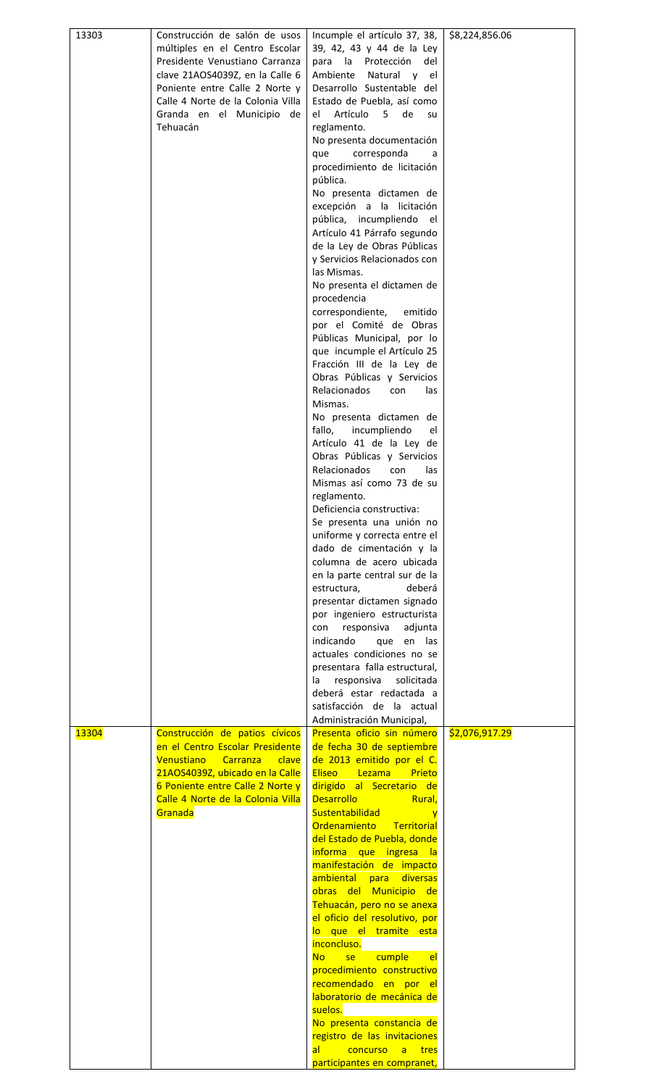| 13303        | Construcción de salón de usos     | Incumple el artículo 37, 38,                               | \$8,224,856.06 |
|--------------|-----------------------------------|------------------------------------------------------------|----------------|
|              | múltiples en el Centro Escolar    | 39, 42, 43 y 44 de la Ley                                  |                |
|              | Presidente Venustiano Carranza    | para la Protección<br>del                                  |                |
|              | clave 21AOS4039Z, en la Calle 6   | Ambiente Natural y el                                      |                |
|              | Poniente entre Calle 2 Norte y    | Desarrollo Sustentable del                                 |                |
|              | Calle 4 Norte de la Colonia Villa | Estado de Puebla, así como                                 |                |
|              | Granda en el Municipio de         | el l<br>Artículo 5 de<br>su su                             |                |
|              | Tehuacán                          | reglamento.                                                |                |
|              |                                   | No presenta documentación                                  |                |
|              |                                   | corresponda<br>que<br>a                                    |                |
|              |                                   | procedimiento de licitación                                |                |
|              |                                   | pública.                                                   |                |
|              |                                   | No presenta dictamen de                                    |                |
|              |                                   | excepción a la licitación                                  |                |
|              |                                   | pública, incumpliendo<br>el                                |                |
|              |                                   | Artículo 41 Párrafo segundo                                |                |
|              |                                   | de la Ley de Obras Públicas                                |                |
|              |                                   | y Servicios Relacionados con                               |                |
|              |                                   | las Mismas.                                                |                |
|              |                                   | No presenta el dictamen de                                 |                |
|              |                                   | procedencia                                                |                |
|              |                                   | correspondiente,<br>emitido                                |                |
|              |                                   | por el Comité de Obras                                     |                |
|              |                                   | Públicas Municipal, por lo                                 |                |
|              |                                   | que incumple el Artículo 25                                |                |
|              |                                   | Fracción III de la Ley de                                  |                |
|              |                                   | Obras Públicas y Servicios<br>Relacionados                 |                |
|              |                                   | con<br>las<br>Mismas.                                      |                |
|              |                                   | No presenta dictamen de                                    |                |
|              |                                   | fallo,<br>incumpliendo<br>el                               |                |
|              |                                   | Artículo 41 de la Ley de                                   |                |
|              |                                   | Obras Públicas y Servicios                                 |                |
|              |                                   | <b>Relacionados</b><br>las<br>con                          |                |
|              |                                   | Mismas así como 73 de su                                   |                |
|              |                                   | reglamento.                                                |                |
|              |                                   | Deficiencia constructiva:                                  |                |
|              |                                   | Se presenta una unión no                                   |                |
|              |                                   | uniforme y correcta entre el                               |                |
|              |                                   | dado de cimentación y la                                   |                |
|              |                                   | columna de acero ubicada                                   |                |
|              |                                   | en la parte central sur de la                              |                |
|              |                                   | estructura,<br>deberá                                      |                |
|              |                                   | presentar dictamen signado                                 |                |
|              |                                   | por ingeniero estructurista                                |                |
|              |                                   | con responsiva<br>adjunta<br>indicando                     |                |
|              |                                   | que en las<br>actuales condiciones no se                   |                |
|              |                                   | presentara falla estructural,                              |                |
|              |                                   | responsiva<br>solicitada<br>la                             |                |
|              |                                   | deberá estar redactada a                                   |                |
|              |                                   | satisfacción de la actual                                  |                |
|              |                                   | Administración Municipal,                                  |                |
| <b>13304</b> | Construcción de patios cívicos    | Presenta oficio sin número                                 | \$2,076,917.29 |
|              | en el Centro Escolar Presidente   | de fecha 30 de septiembre                                  |                |
|              | Venustiano Carranza<br>clave      | de 2013 emitido por el C.                                  |                |
|              | 21AOS4039Z, ubicado en la Calle   | <b>Eliseo</b><br>Lezama<br>Prieto                          |                |
|              | 6 Poniente entre Calle 2 Norte y  | dirigido al Secretario de                                  |                |
|              | Calle 4 Norte de la Colonia Villa | <b>Desarrollo</b><br>Rural,                                |                |
|              | Granada                           | <b>Sustentabilidad</b><br>y                                |                |
|              |                                   | Ordenamiento<br>Territorial<br>del Estado de Puebla, donde |                |
|              |                                   | informa que ingresa la                                     |                |
|              |                                   | manifestación de impacto                                   |                |
|              |                                   | ambiental para<br>diversas                                 |                |
|              |                                   | obras del Municipio de                                     |                |
|              |                                   | Tehuacán, pero no se anexa                                 |                |
|              |                                   | el oficio del resolutivo, por                              |                |
|              |                                   | lo que el tramite esta                                     |                |
|              |                                   | inconcluso.                                                |                |
|              |                                   | cumple<br><b>No</b><br>se<br><b>el</b>                     |                |
|              |                                   | procedimiento constructivo                                 |                |
|              |                                   | recomendado en por<br><u>el</u>                            |                |
|              |                                   | laboratorio de mecánica de<br>suelos.                      |                |
|              |                                   | No presenta constancia de                                  |                |
|              |                                   | registro de las invitaciones                               |                |
|              |                                   | concurso<br>a<br>$\overline{a}$<br>tres                    |                |
|              |                                   | participantes en compranet,                                |                |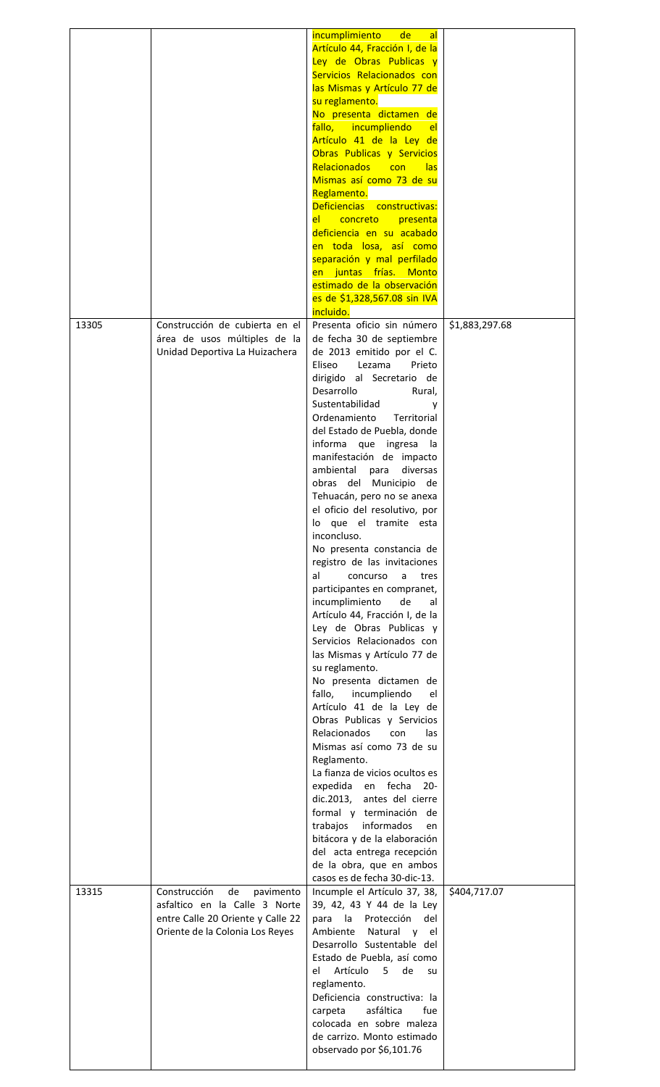|       |                                                                    | incumplimiento<br>de<br>al                                |                |
|-------|--------------------------------------------------------------------|-----------------------------------------------------------|----------------|
|       |                                                                    | Artículo 44, Fracción I, de la                            |                |
|       |                                                                    | Ley de Obras Publicas y                                   |                |
|       |                                                                    | Servicios Relacionados con                                |                |
|       |                                                                    | las Mismas y Artículo 77 de                               |                |
|       |                                                                    | su reglamento.                                            |                |
|       |                                                                    | No presenta dictamen de                                   |                |
|       |                                                                    | fallo, incumpliendo<br>el                                 |                |
|       |                                                                    | Artículo 41 de la Ley de                                  |                |
|       |                                                                    | Obras Publicas y Servicios                                |                |
|       |                                                                    | <b>Relacionados</b><br>con<br>las                         |                |
|       |                                                                    | Mismas así como 73 de su                                  |                |
|       |                                                                    | Reglamento.                                               |                |
|       |                                                                    | Deficiencias constructivas:                               |                |
|       |                                                                    | concreto<br>presenta<br>el -                              |                |
|       |                                                                    | deficiencia en su acabado                                 |                |
|       |                                                                    | en toda losa, así como                                    |                |
|       |                                                                    | separación y mal perfilado                                |                |
|       |                                                                    | en juntas frías. Monto                                    |                |
|       |                                                                    | estimado de la observación                                |                |
|       |                                                                    | es de \$1,328,567.08 sin IVA                              |                |
|       |                                                                    | incluido.                                                 |                |
| 13305 | Construcción de cubierta en el                                     | Presenta oficio sin número                                | \$1,883,297.68 |
|       | área de usos múltiples de la                                       | de fecha 30 de septiembre                                 |                |
|       | Unidad Deportiva La Huizachera                                     | de 2013 emitido por el C.                                 |                |
|       |                                                                    | Eliseo<br>Lezama<br>Prieto                                |                |
|       |                                                                    | dirigido al Secretario de                                 |                |
|       |                                                                    | Desarrollo<br>Rural,                                      |                |
|       |                                                                    | Sustentabilidad<br>v                                      |                |
|       |                                                                    | Ordenamiento<br>Territorial                               |                |
|       |                                                                    | del Estado de Puebla, donde                               |                |
|       |                                                                    | informa que ingresa<br>la                                 |                |
|       |                                                                    | manifestación de impacto                                  |                |
|       |                                                                    | ambiental<br>diversas                                     |                |
|       |                                                                    | para<br>obras del Municipio                               |                |
|       |                                                                    | de                                                        |                |
|       |                                                                    | Tehuacán, pero no se anexa                                |                |
|       |                                                                    | el oficio del resolutivo, por<br>lo que el tramite esta   |                |
|       |                                                                    | inconcluso.                                               |                |
|       |                                                                    | No presenta constancia de                                 |                |
|       |                                                                    | registro de las invitaciones                              |                |
|       |                                                                    | al<br>concurso<br>a<br>tres                               |                |
|       |                                                                    | participantes en compranet,                               |                |
|       |                                                                    | incumplimiento<br>de                                      |                |
|       |                                                                    | al                                                        |                |
|       |                                                                    | Artículo 44, Fracción I, de la<br>Ley de Obras Publicas y |                |
|       |                                                                    | Servicios Relacionados con                                |                |
|       |                                                                    |                                                           |                |
|       |                                                                    | las Mismas y Artículo 77 de                               |                |
|       |                                                                    | su reglamento.                                            |                |
|       |                                                                    | No presenta dictamen de                                   |                |
|       |                                                                    | fallo, incumpliendo<br>el                                 |                |
|       |                                                                    | Artículo 41 de la Ley de                                  |                |
|       |                                                                    | Obras Publicas y Servicios                                |                |
|       |                                                                    | <b>Relacionados</b><br>con<br>las                         |                |
|       |                                                                    | Mismas así como 73 de su                                  |                |
|       |                                                                    | Reglamento.                                               |                |
|       |                                                                    | La fianza de vicios ocultos es                            |                |
|       |                                                                    | expedida en fecha<br>$20 -$                               |                |
|       |                                                                    | dic.2013, antes del cierre                                |                |
|       |                                                                    | formal y terminación de                                   |                |
|       |                                                                    | trabajos informados<br>en                                 |                |
|       |                                                                    | bitácora y de la elaboración                              |                |
|       |                                                                    | del acta entrega recepción                                |                |
|       |                                                                    | de la obra, que en ambos                                  |                |
|       |                                                                    | casos es de fecha 30-dic-13.                              |                |
| 13315 | Construcción<br>de<br>pavimento                                    | Incumple el Artículo 37, 38,                              | \$404,717.07   |
|       | asfaltico en la Calle 3 Norte<br>entre Calle 20 Oriente y Calle 22 | 39, 42, 43 Y 44 de la Ley<br>para<br>la<br>Protección     |                |
|       | Oriente de la Colonia Los Reyes                                    | del<br>Ambiente<br>Natural y el                           |                |
|       |                                                                    |                                                           |                |
|       |                                                                    | Desarrollo Sustentable del                                |                |
|       |                                                                    | Estado de Puebla, así como                                |                |
|       |                                                                    | Artículo<br>el<br>5<br>de<br>su                           |                |
|       |                                                                    | reglamento.                                               |                |
|       |                                                                    | Deficiencia constructiva: la<br>asfáltica                 |                |
|       |                                                                    | carpeta<br>fue<br>colocada en sobre maleza                |                |
|       |                                                                    | de carrizo. Monto estimado                                |                |
|       |                                                                    |                                                           |                |
|       |                                                                    | observado por \$6,101.76                                  |                |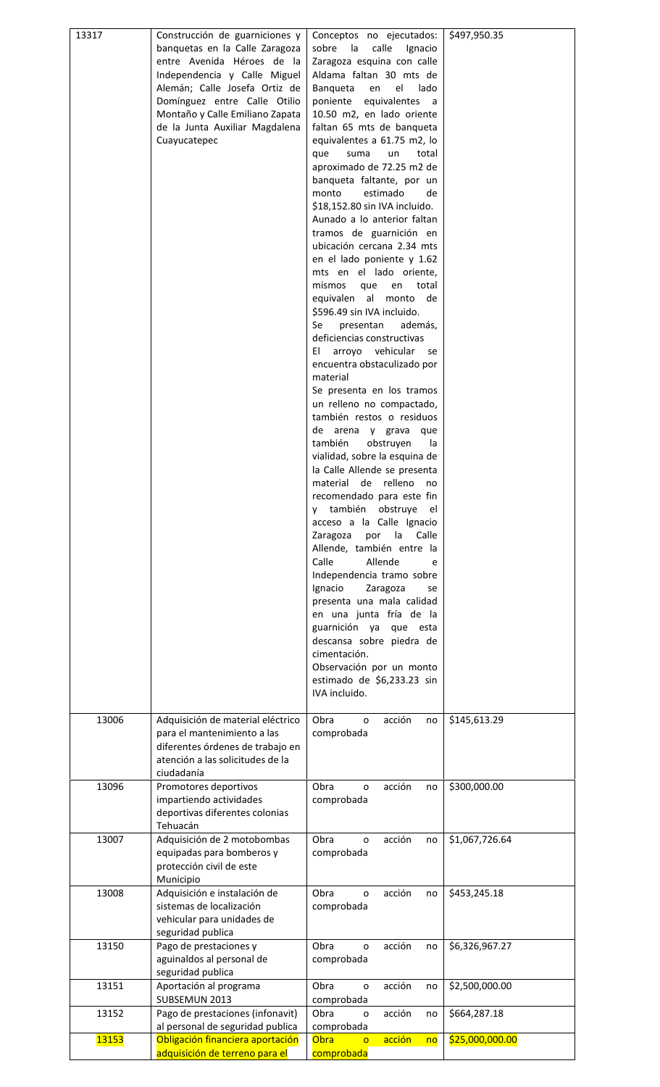| 13317        | Construcción de guarniciones y<br>banquetas en la Calle Zaragoza<br>entre Avenida Héroes de la<br>Independencia y Calle Miguel<br>Alemán; Calle Josefa Ortiz de<br>Domínguez entre Calle Otilio<br>Montaño y Calle Emiliano Zapata<br>de la Junta Auxiliar Magdalena<br>Cuayucatepec | Conceptos no ejecutados:<br>calle<br>sobre<br>la<br>Ignacio<br>Zaragoza esquina con calle<br>Aldama faltan 30 mts de<br>Banqueta<br>el<br>lado<br>en<br>poniente<br>equivalentes<br>a<br>10.50 m2, en lado oriente<br>faltan 65 mts de banqueta<br>equivalentes a 61.75 m2, lo<br>que<br>suma<br>total<br>un<br>aproximado de 72.25 m2 de<br>banqueta faltante, por un<br>estimado<br>monto<br>de<br>\$18,152.80 sin IVA incluido.<br>Aunado a lo anterior faltan<br>tramos de guarnición en<br>ubicación cercana 2.34 mts<br>en el lado poniente y 1.62<br>mts en el lado oriente,<br>mismos<br>total<br>que<br>en<br>equivalen al<br>monto de<br>\$596.49 sin IVA incluido.<br>Se<br>además,<br>presentan<br>deficiencias constructivas<br>EL<br>arroyo vehicular<br>se<br>encuentra obstaculizado por<br>material<br>Se presenta en los tramos<br>un relleno no compactado,<br>también restos o residuos<br>de arena y grava<br>que<br>también<br>obstruyen<br>la<br>vialidad, sobre la esquina de<br>la Calle Allende se presenta<br>material<br>de relleno<br>no<br>recomendado para este fin<br>también obstruye<br>el<br>۷<br>acceso a la Calle Ignacio<br>Zaragoza<br>por<br>la<br>Calle<br>Allende, también entre la<br>Calle<br>Allende<br>e<br>Independencia tramo sobre<br>Ignacio<br>Zaragoza<br>se<br>presenta una mala calidad<br>en una junta fría de la<br>guarnición ya<br>que esta<br>descansa sobre piedra de<br>cimentación.<br>Observación por un monto<br>estimado de \$6,233.23 sin<br>IVA incluido. | \$497,950.35    |
|--------------|--------------------------------------------------------------------------------------------------------------------------------------------------------------------------------------------------------------------------------------------------------------------------------------|------------------------------------------------------------------------------------------------------------------------------------------------------------------------------------------------------------------------------------------------------------------------------------------------------------------------------------------------------------------------------------------------------------------------------------------------------------------------------------------------------------------------------------------------------------------------------------------------------------------------------------------------------------------------------------------------------------------------------------------------------------------------------------------------------------------------------------------------------------------------------------------------------------------------------------------------------------------------------------------------------------------------------------------------------------------------------------------------------------------------------------------------------------------------------------------------------------------------------------------------------------------------------------------------------------------------------------------------------------------------------------------------------------------------------------------------------------------------------------------------------------------------------|-----------------|
| 13006        | Adquisición de material eléctrico<br>para el mantenimiento a las<br>diferentes órdenes de trabajo en<br>atención a las solicitudes de la<br>ciudadanía                                                                                                                               | Obra<br>acción<br>no<br>o<br>comprobada                                                                                                                                                                                                                                                                                                                                                                                                                                                                                                                                                                                                                                                                                                                                                                                                                                                                                                                                                                                                                                                                                                                                                                                                                                                                                                                                                                                                                                                                                      | \$145,613.29    |
| 13096        | Promotores deportivos<br>impartiendo actividades<br>deportivas diferentes colonias<br>Tehuacán                                                                                                                                                                                       | acción<br>Obra<br>o<br>no<br>comprobada                                                                                                                                                                                                                                                                                                                                                                                                                                                                                                                                                                                                                                                                                                                                                                                                                                                                                                                                                                                                                                                                                                                                                                                                                                                                                                                                                                                                                                                                                      | \$300,000.00    |
| 13007        | Adquisición de 2 motobombas<br>equipadas para bomberos y<br>protección civil de este<br>Municipio                                                                                                                                                                                    | Obra<br>acción<br>o<br>no<br>comprobada                                                                                                                                                                                                                                                                                                                                                                                                                                                                                                                                                                                                                                                                                                                                                                                                                                                                                                                                                                                                                                                                                                                                                                                                                                                                                                                                                                                                                                                                                      | \$1,067,726.64  |
| 13008        | Adquisición e instalación de<br>sistemas de localización<br>vehicular para unidades de<br>seguridad publica                                                                                                                                                                          | Obra<br>acción<br>o<br>no<br>comprobada                                                                                                                                                                                                                                                                                                                                                                                                                                                                                                                                                                                                                                                                                                                                                                                                                                                                                                                                                                                                                                                                                                                                                                                                                                                                                                                                                                                                                                                                                      | \$453,245.18    |
| 13150        | Pago de prestaciones y<br>aguinaldos al personal de<br>seguridad publica                                                                                                                                                                                                             | Obra<br>acción<br>$\mathbf{o}$<br>no<br>comprobada                                                                                                                                                                                                                                                                                                                                                                                                                                                                                                                                                                                                                                                                                                                                                                                                                                                                                                                                                                                                                                                                                                                                                                                                                                                                                                                                                                                                                                                                           | \$6,326,967.27  |
| 13151        | Aportación al programa<br>SUBSEMUN 2013                                                                                                                                                                                                                                              | Obra<br>acción<br>o<br>no<br>comprobada                                                                                                                                                                                                                                                                                                                                                                                                                                                                                                                                                                                                                                                                                                                                                                                                                                                                                                                                                                                                                                                                                                                                                                                                                                                                                                                                                                                                                                                                                      | \$2,500,000.00  |
| 13152        | Pago de prestaciones (infonavit)<br>al personal de seguridad publica                                                                                                                                                                                                                 | Obra<br>acción<br>no<br>0<br>comprobada                                                                                                                                                                                                                                                                                                                                                                                                                                                                                                                                                                                                                                                                                                                                                                                                                                                                                                                                                                                                                                                                                                                                                                                                                                                                                                                                                                                                                                                                                      | \$664,287.18    |
| <b>13153</b> | Obligación financiera aportación<br>adquisición de terreno para el                                                                                                                                                                                                                   | Obra<br>acción<br>no<br>$\overline{O}$<br>comprobada                                                                                                                                                                                                                                                                                                                                                                                                                                                                                                                                                                                                                                                                                                                                                                                                                                                                                                                                                                                                                                                                                                                                                                                                                                                                                                                                                                                                                                                                         | \$25,000,000.00 |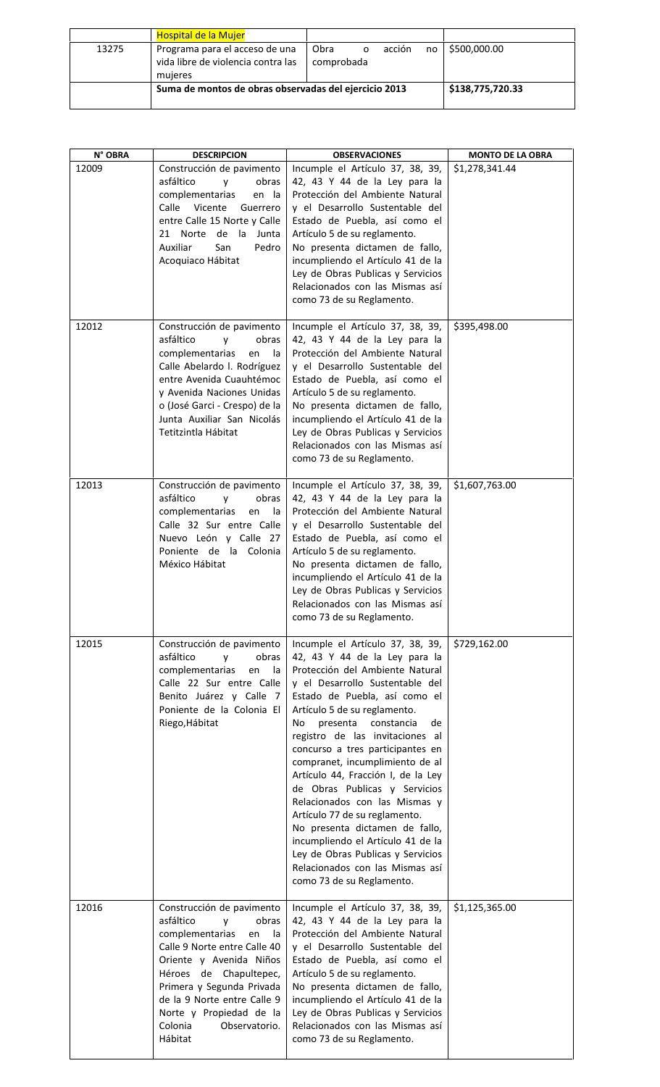|       | <b>Hospital de la Mujer</b>                                                     |                         |              |                  |
|-------|---------------------------------------------------------------------------------|-------------------------|--------------|------------------|
| 13275 | Programa para el acceso de una<br>vida libre de violencia contra las<br>mujeres | Obra<br>O<br>comprobada | acción<br>no | \$500,000.00     |
|       | Suma de montos de obras observadas del ejercicio 2013                           |                         |              | \$138,775,720.33 |

| N° OBRA        | <b>DESCRIPCION</b>                                                                                                                                                                                                                                                                                     | <b>OBSERVACIONES</b>                                                                                                                                                                                                                                                                                                                                                                                                                                                                                                                                                                                                                                                          | <b>MONTO DE LA OBRA</b> |
|----------------|--------------------------------------------------------------------------------------------------------------------------------------------------------------------------------------------------------------------------------------------------------------------------------------------------------|-------------------------------------------------------------------------------------------------------------------------------------------------------------------------------------------------------------------------------------------------------------------------------------------------------------------------------------------------------------------------------------------------------------------------------------------------------------------------------------------------------------------------------------------------------------------------------------------------------------------------------------------------------------------------------|-------------------------|
| 12009<br>12012 | Construcción de pavimento<br>asfáltico<br>y<br>obras<br>complementarias<br>en la<br>Calle Vicente<br>Guerrero<br>entre Calle 15 Norte y Calle<br>21 Norte de la Junta<br>Auxiliar<br>San<br>Pedro<br>Acoquiaco Hábitat                                                                                 | Incumple el Artículo 37, 38, 39,<br>42, 43 Y 44 de la Ley para la<br>Protección del Ambiente Natural<br>y el Desarrollo Sustentable del<br>Estado de Puebla, así como el<br>Artículo 5 de su reglamento.<br>No presenta dictamen de fallo,<br>incumpliendo el Artículo 41 de la<br>Ley de Obras Publicas y Servicios<br>Relacionados con las Mismas así<br>como 73 de su Reglamento.                                                                                                                                                                                                                                                                                          | \$1,278,341.44          |
|                | Construcción de pavimento<br>asfáltico<br>obras<br>y<br>complementarias<br>en<br>la<br>Calle Abelardo I. Rodríguez<br>entre Avenida Cuauhtémoc<br>y Avenida Naciones Unidas<br>o (José Garci - Crespo) de la<br>Junta Auxiliar San Nicolás<br>Tetitzintla Hábitat                                      | Incumple el Artículo 37, 38, 39,<br>42, 43 Y 44 de la Ley para la<br>Protección del Ambiente Natural<br>y el Desarrollo Sustentable del<br>Estado de Puebla, así como el<br>Artículo 5 de su reglamento.<br>No presenta dictamen de fallo,<br>incumpliendo el Artículo 41 de la<br>Ley de Obras Publicas y Servicios<br>Relacionados con las Mismas así<br>como 73 de su Reglamento.                                                                                                                                                                                                                                                                                          | \$395,498.00            |
| 12013          | Construcción de pavimento<br>asfáltico<br>obras<br>y<br>complementarias<br>en<br>la<br>Calle 32 Sur entre Calle<br>Nuevo León y Calle 27<br>Poniente de la Colonia<br>México Hábitat                                                                                                                   | Incumple el Artículo 37, 38, 39,<br>42, 43 Y 44 de la Ley para la<br>Protección del Ambiente Natural<br>y el Desarrollo Sustentable del<br>Estado de Puebla, así como el<br>Artículo 5 de su reglamento.<br>No presenta dictamen de fallo,<br>incumpliendo el Artículo 41 de la<br>Ley de Obras Publicas y Servicios<br>Relacionados con las Mismas así<br>como 73 de su Reglamento.                                                                                                                                                                                                                                                                                          | \$1,607,763.00          |
| 12015          | Construcción de pavimento<br>asfáltico<br>obras<br>y<br>complementarias<br>en<br>la<br>Calle 22 Sur entre Calle<br>Benito Juárez y Calle 7<br>Poniente de la Colonia El<br>Riego, Hábitat                                                                                                              | Incumple el Artículo 37, 38, 39,<br>42, 43 Y 44 de la Ley para la<br>Protección del Ambiente Natural<br>y el Desarrollo Sustentable del<br>Estado de Puebla, así como el<br>Artículo 5 de su reglamento.<br>constancia<br>de<br>No<br>presenta<br>registro de las invitaciones al<br>concurso a tres participantes en<br>compranet, incumplimiento de al<br>Artículo 44, Fracción I, de la Ley<br>de Obras Publicas y Servicios<br>Relacionados con las Mismas y<br>Artículo 77 de su reglamento.<br>No presenta dictamen de fallo,<br>incumpliendo el Artículo 41 de la<br>Ley de Obras Publicas y Servicios<br>Relacionados con las Mismas así<br>como 73 de su Reglamento. | \$729,162.00            |
| 12016          | Construcción de pavimento<br>asfáltico<br>obras<br>y<br>complementarias<br>en<br>la<br>Calle 9 Norte entre Calle 40<br>Oriente y Avenida Niños<br>Héroes de Chapultepec,<br>Primera y Segunda Privada<br>de la 9 Norte entre Calle 9<br>Norte y Propiedad de la<br>Colonia<br>Observatorio.<br>Hábitat | Incumple el Artículo 37, 38, 39,<br>42, 43 Y 44 de la Ley para la<br>Protección del Ambiente Natural<br>y el Desarrollo Sustentable del<br>Estado de Puebla, así como el<br>Artículo 5 de su reglamento.<br>No presenta dictamen de fallo,<br>incumpliendo el Artículo 41 de la<br>Ley de Obras Publicas y Servicios<br>Relacionados con las Mismas así<br>como 73 de su Reglamento.                                                                                                                                                                                                                                                                                          | \$1,125,365.00          |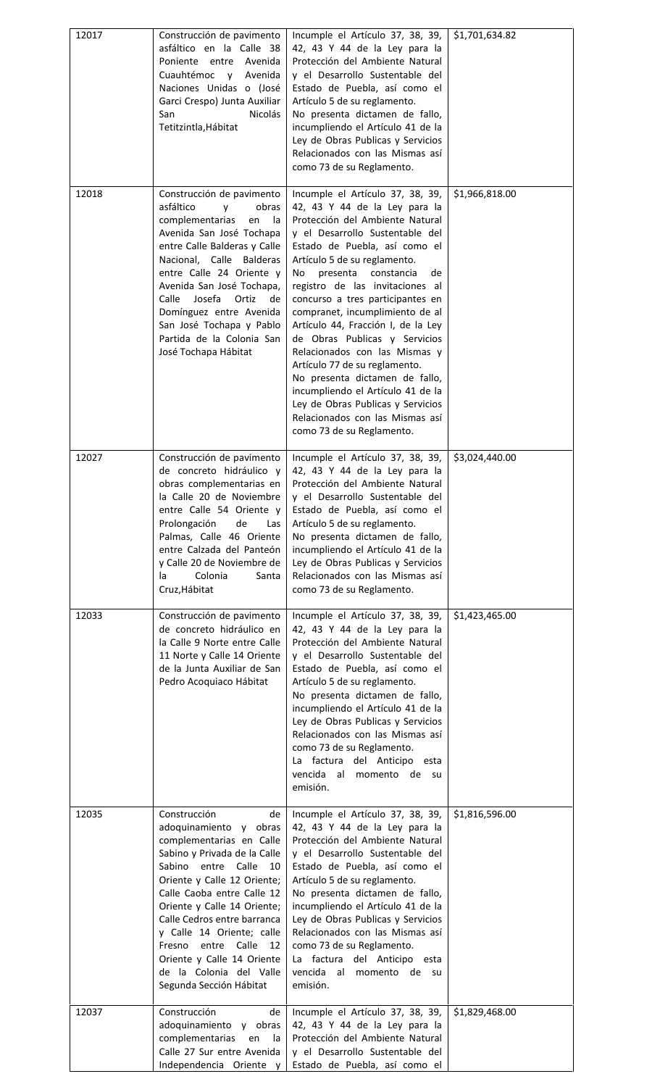| 12017 | Construcción de pavimento<br>asfáltico en la Calle 38<br>Poniente entre<br>Avenida<br>Cuauhtémoc<br>Avenida<br>V<br>Naciones Unidas o (José<br>Garci Crespo) Junta Auxiliar<br><b>Nicolás</b><br>San<br>Tetitzintla, Hábitat                                                                                                                                                                                          | Incumple el Artículo 37, 38, 39,<br>42, 43 Y 44 de la Ley para la<br>Protección del Ambiente Natural<br>y el Desarrollo Sustentable del<br>Estado de Puebla, así como el<br>Artículo 5 de su reglamento.<br>No presenta dictamen de fallo,<br>incumpliendo el Artículo 41 de la<br>Ley de Obras Publicas y Servicios<br>Relacionados con las Mismas así<br>como 73 de su Reglamento.                                                                                                                                                                                                                                                                                          | \$1,701,634.82 |
|-------|-----------------------------------------------------------------------------------------------------------------------------------------------------------------------------------------------------------------------------------------------------------------------------------------------------------------------------------------------------------------------------------------------------------------------|-------------------------------------------------------------------------------------------------------------------------------------------------------------------------------------------------------------------------------------------------------------------------------------------------------------------------------------------------------------------------------------------------------------------------------------------------------------------------------------------------------------------------------------------------------------------------------------------------------------------------------------------------------------------------------|----------------|
| 12018 | Construcción de pavimento<br>asfáltico<br>obras<br>v<br>complementarias<br>en<br>la<br>Avenida San José Tochapa<br>entre Calle Balderas y Calle<br>Nacional, Calle Balderas<br>entre Calle 24 Oriente y<br>Avenida San José Tochapa,<br>Calle<br>Josefa<br>Ortiz<br>de<br>Domínguez entre Avenida<br>San José Tochapa y Pablo<br>Partida de la Colonia San<br>José Tochapa Hábitat                                    | Incumple el Artículo 37, 38, 39,<br>42, 43 Y 44 de la Ley para la<br>Protección del Ambiente Natural<br>y el Desarrollo Sustentable del<br>Estado de Puebla, así como el<br>Artículo 5 de su reglamento.<br>constancia<br>presenta<br>de<br>No<br>registro de las invitaciones al<br>concurso a tres participantes en<br>compranet, incumplimiento de al<br>Artículo 44, Fracción I, de la Ley<br>de Obras Publicas y Servicios<br>Relacionados con las Mismas y<br>Artículo 77 de su reglamento.<br>No presenta dictamen de fallo,<br>incumpliendo el Artículo 41 de la<br>Ley de Obras Publicas y Servicios<br>Relacionados con las Mismas así<br>como 73 de su Reglamento. | \$1,966,818.00 |
| 12027 | Construcción de pavimento<br>de concreto hidráulico v<br>obras complementarias en<br>la Calle 20 de Noviembre<br>entre Calle 54 Oriente y<br>Prolongación<br>de<br>Las<br>Palmas, Calle 46 Oriente<br>entre Calzada del Panteón<br>y Calle 20 de Noviembre de<br>Colonia<br>la<br>Santa<br>Cruz, Hábitat                                                                                                              | Incumple el Artículo 37, 38, 39,<br>42, 43 Y 44 de la Ley para la<br>Protección del Ambiente Natural<br>y el Desarrollo Sustentable del<br>Estado de Puebla, así como el<br>Artículo 5 de su reglamento.<br>No presenta dictamen de fallo,<br>incumpliendo el Artículo 41 de la<br>Ley de Obras Publicas y Servicios<br>Relacionados con las Mismas así<br>como 73 de su Reglamento.                                                                                                                                                                                                                                                                                          | \$3,024,440.00 |
| 12033 | Construcción de pavimento<br>de concreto hidráulico en<br>la Calle 9 Norte entre Calle<br>11 Norte y Calle 14 Oriente<br>de la Junta Auxiliar de San<br>Pedro Acoquiaco Hábitat                                                                                                                                                                                                                                       | Incumple el Artículo 37, 38, 39,<br>42, 43 Y 44 de la Ley para la<br>Protección del Ambiente Natural<br>y el Desarrollo Sustentable del<br>Estado de Puebla, así como el<br>Artículo 5 de su reglamento.<br>No presenta dictamen de fallo,<br>incumpliendo el Artículo 41 de la<br>Ley de Obras Publicas y Servicios<br>Relacionados con las Mismas así<br>como 73 de su Reglamento.<br>La factura del Anticipo<br>esta<br>vencida al<br>momento de su<br>emisión.                                                                                                                                                                                                            | \$1,423,465.00 |
| 12035 | Construcción<br>de<br>adoquinamiento y obras<br>complementarias en Calle<br>Sabino y Privada de la Calle<br>Sabino entre<br>Calle<br>10<br>Oriente y Calle 12 Oriente;<br>Calle Caoba entre Calle 12<br>Oriente y Calle 14 Oriente;<br>Calle Cedros entre barranca<br>y Calle 14 Oriente; calle<br>Calle<br>Fresno<br>entre<br>12<br>Oriente y Calle 14 Oriente<br>de la Colonia del Valle<br>Segunda Sección Hábitat | Incumple el Artículo 37, 38, 39,<br>42, 43 Y 44 de la Ley para la<br>Protección del Ambiente Natural<br>y el Desarrollo Sustentable del<br>Estado de Puebla, así como el<br>Artículo 5 de su reglamento.<br>No presenta dictamen de fallo,<br>incumpliendo el Artículo 41 de la<br>Ley de Obras Publicas y Servicios<br>Relacionados con las Mismas así<br>como 73 de su Reglamento.<br>La factura del Anticipo esta<br>vencida al<br>momento de su<br>emisión.                                                                                                                                                                                                               | \$1,816,596.00 |
| 12037 | Construcción<br>de<br>adoquinamiento y obras<br>complementarias<br>la<br>en<br>Calle 27 Sur entre Avenida<br>Independencia Oriente y                                                                                                                                                                                                                                                                                  | Incumple el Artículo 37, 38, 39,<br>42, 43 Y 44 de la Ley para la<br>Protección del Ambiente Natural<br>y el Desarrollo Sustentable del<br>Estado de Puebla, así como el                                                                                                                                                                                                                                                                                                                                                                                                                                                                                                      | \$1,829,468.00 |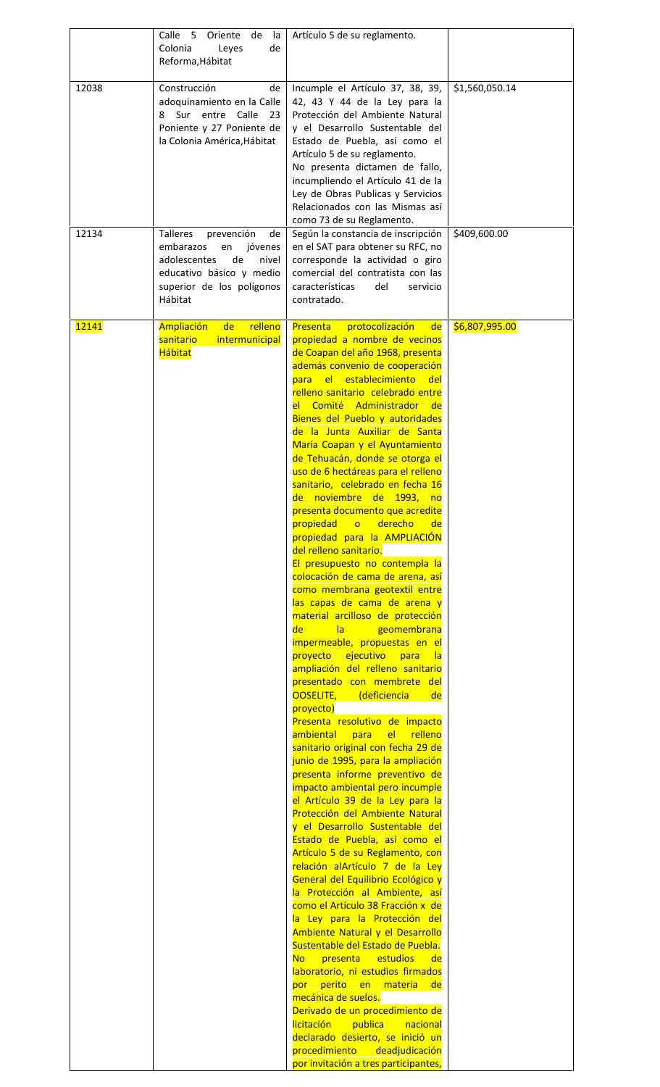|       | Calle 5<br>Oriente<br>- Ia<br>de                                                                                                                                     | Artículo 5 de su reglamento.                                                                                                                                                                                                                                                                                                                                                                                                                                                                                                                                                                                                                                                                                                                                                                                                                                                                                                                                                                                                                                                                                                                                                                                                                                                                                                                                                                                                                                                                                                                                                                                                                                                                                                                                                                                                                                                                                                                                                                                                                     |                |
|-------|----------------------------------------------------------------------------------------------------------------------------------------------------------------------|--------------------------------------------------------------------------------------------------------------------------------------------------------------------------------------------------------------------------------------------------------------------------------------------------------------------------------------------------------------------------------------------------------------------------------------------------------------------------------------------------------------------------------------------------------------------------------------------------------------------------------------------------------------------------------------------------------------------------------------------------------------------------------------------------------------------------------------------------------------------------------------------------------------------------------------------------------------------------------------------------------------------------------------------------------------------------------------------------------------------------------------------------------------------------------------------------------------------------------------------------------------------------------------------------------------------------------------------------------------------------------------------------------------------------------------------------------------------------------------------------------------------------------------------------------------------------------------------------------------------------------------------------------------------------------------------------------------------------------------------------------------------------------------------------------------------------------------------------------------------------------------------------------------------------------------------------------------------------------------------------------------------------------------------------|----------------|
|       | Colonia<br>Leyes<br>de<br>Reforma, Hábitat                                                                                                                           |                                                                                                                                                                                                                                                                                                                                                                                                                                                                                                                                                                                                                                                                                                                                                                                                                                                                                                                                                                                                                                                                                                                                                                                                                                                                                                                                                                                                                                                                                                                                                                                                                                                                                                                                                                                                                                                                                                                                                                                                                                                  |                |
| 12038 | Construcción<br>de<br>adoquinamiento en la Calle<br>Sur entre Calle<br>-23<br>8<br>Poniente y 27 Poniente de<br>la Colonia América, Hábitat                          | Incumple el Artículo 37, 38, 39,<br>42, 43 Y 44 de la Ley para la<br>Protección del Ambiente Natural<br>y el Desarrollo Sustentable del<br>Estado de Puebla, así como el<br>Artículo 5 de su reglamento.<br>No presenta dictamen de fallo,<br>incumpliendo el Artículo 41 de la<br>Ley de Obras Publicas y Servicios<br>Relacionados con las Mismas así<br>como 73 de su Reglamento.                                                                                                                                                                                                                                                                                                                                                                                                                                                                                                                                                                                                                                                                                                                                                                                                                                                                                                                                                                                                                                                                                                                                                                                                                                                                                                                                                                                                                                                                                                                                                                                                                                                             | \$1,560,050.14 |
| 12134 | <b>Talleres</b><br>prevención<br>de<br>embarazos<br>jóvenes<br>en<br>de<br>adolescentes<br>nivel<br>educativo básico y medio<br>superior de los polígonos<br>Hábitat | Según la constancia de inscripción<br>en el SAT para obtener su RFC, no<br>corresponde la actividad o giro<br>comercial del contratista con las<br>características<br>del<br>servicio<br>contratado.                                                                                                                                                                                                                                                                                                                                                                                                                                                                                                                                                                                                                                                                                                                                                                                                                                                                                                                                                                                                                                                                                                                                                                                                                                                                                                                                                                                                                                                                                                                                                                                                                                                                                                                                                                                                                                             | \$409,600.00   |
| 12141 | de<br>relleno<br><b>Ampliación</b><br>sanitario<br>intermunicipal<br><b>Hábitat</b>                                                                                  | protocolización<br>Presenta<br>de<br>propiedad a nombre de vecinos<br>de Coapan del año 1968, presenta<br>además convenio de cooperación<br>para el establecimiento<br><u>a del</u><br>relleno sanitario celebrado entre<br>el Comité Administrador de<br>Bienes del Pueblo y autoridades<br>de la Junta Auxiliar de Santa<br>María Coapan y el Ayuntamiento<br>de Tehuacán, donde se otorga el<br>uso de 6 hectáreas para el relleno<br>sanitario, celebrado en fecha 16<br>de noviembre de 1993, no<br>presenta documento que acredite<br>propiedad<br>derecho<br>$\overline{O}$<br>de<br>propiedad para la AMPLIACIÓN<br>del relleno sanitario.<br>El presupuesto no contempla la<br>colocación de cama de arena, así<br>como membrana geotextil entre<br>las capas de cama de arena y<br>material arcilloso de protección<br> a <br>de l<br>geomembrana<br>impermeable, propuestas en el<br>proyecto ejecutivo para<br><u>la</u><br>ampliación del relleno sanitario<br>presentado con membrete del<br>OOSELITE, (deficiencia de<br>proyecto)<br>Presenta resolutivo de impacto<br>ambiental<br>el relleno<br>para<br>sanitario original con fecha 29 de<br>junio de 1995, para la ampliación<br>presenta informe preventivo de<br>impacto ambiental pero incumple<br>el Artículo 39 de la Ley para la<br>Protección del Ambiente Natural<br>y el Desarrollo Sustentable del<br>Estado de Puebla, así como el<br>Artículo 5 de su Reglamento, con<br>relación alArtículo 7 de la Ley<br>General del Equilibrio Ecológico y<br>la Protección al Ambiente, así<br>como el Artículo 38 Fracción x de<br>la Ley para la Protección del<br>Ambiente Natural y el Desarrollo<br>Sustentable del Estado de Puebla.<br>presenta<br>estudios<br>No.<br>de<br>laboratorio, ni estudios firmados<br>perito en materia<br>por<br>de<br>mecánica de suelos.<br>Derivado de un procedimiento de<br><b>licitación</b><br>publica<br>nacional<br>declarado desierto, se inició un<br>procedimiento<br>deadjudicación<br>por invitación a tres participantes, | \$6,807,995.00 |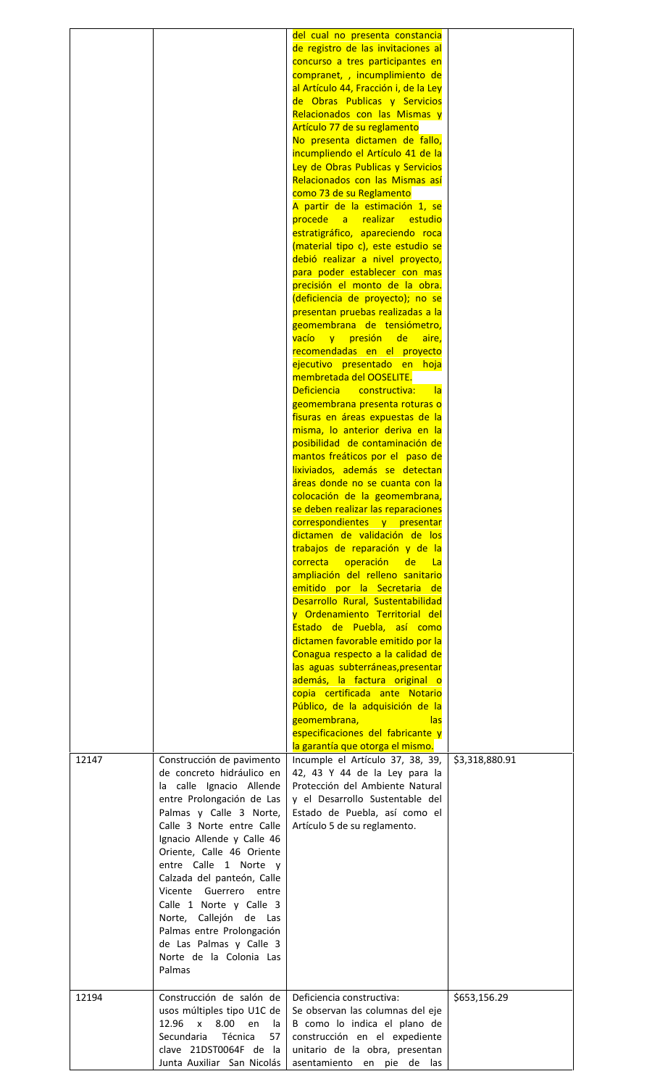| 12147 | Construcción de pavimento<br>de concreto hidráulico en<br>la calle Ignacio Allende<br>entre Prolongación de Las<br>Palmas y Calle 3 Norte,<br>Calle 3 Norte entre Calle<br>Ignacio Allende y Calle 46<br>Oriente, Calle 46 Oriente<br>entre Calle 1 Norte y<br>Calzada del panteón, Calle<br>Vicente Guerrero entre<br>Calle 1 Norte y Calle 3<br>Norte, Callejón de Las<br>Palmas entre Prolongación<br>de Las Palmas y Calle 3<br>Norte de la Colonia Las<br>Palmas | del cual no presenta constancia<br>de registro de las invitaciones al<br>concurso a tres participantes en<br>compranet, , incumplimiento de<br>al Artículo 44, Fracción i, de la Ley<br>de Obras Publicas y Servicios<br>Relacionados con las Mismas y<br>Artículo 77 de su reglamento<br>No presenta dictamen de fallo,<br>incumpliendo el Artículo 41 de la<br>Ley de Obras Publicas y Servicios<br>Relacionados con las Mismas así<br>como 73 de su Reglamento<br>A partir de la estimación 1, se<br>procede a realizar estudio<br>estratigráfico, apareciendo roca<br>(material tipo c), este estudio se<br>debió realizar a nivel proyecto,<br>para poder establecer con mas<br>precisión el monto de la obra.<br>(deficiencia de proyecto); no se<br>presentan pruebas realizadas a la<br>geomembrana de tensiómetro,<br>vacío y presión de<br>aire,<br>recomendadas en el proyecto<br>ejecutivo presentado en hoja<br>membretada del OOSELITE.<br>Deficiencia constructiva:<br>- la<br>geomembrana presenta roturas o<br>fisuras en áreas expuestas de la<br>misma, lo anterior deriva en la<br>posibilidad de contaminación de<br>mantos freáticos por el paso de<br>lixiviados, además se detectan<br>áreas donde no se cuanta con la<br>colocación de la geomembrana,<br>se deben realizar las reparaciones<br>correspondientes y presentar<br>dictamen de validación de los<br>trabajos de reparación y de la<br>correcta operación<br>de<br>l La<br>ampliación del relleno sanitario<br>emitido por la Secretaria de<br>Desarrollo Rural, Sustentabilidad<br>y Ordenamiento Territorial del<br>Estado de Puebla, así como<br>dictamen favorable emitido por la<br>Conagua respecto a la calidad de<br>las aguas subterráneas, presentar<br>además, la factura original o<br>copia certificada ante Notario<br>Público, de la adquisición de la<br>geomembrana,<br>las<br>especificaciones del fabricante y<br>la garantía que otorga el mismo.<br>Incumple el Artículo 37, 38, 39,<br>42, 43 Y 44 de la Ley para la<br>Protección del Ambiente Natural<br>y el Desarrollo Sustentable del<br>Estado de Puebla, así como el<br>Artículo 5 de su reglamento. | \$3,318,880.91 |
|-------|-----------------------------------------------------------------------------------------------------------------------------------------------------------------------------------------------------------------------------------------------------------------------------------------------------------------------------------------------------------------------------------------------------------------------------------------------------------------------|------------------------------------------------------------------------------------------------------------------------------------------------------------------------------------------------------------------------------------------------------------------------------------------------------------------------------------------------------------------------------------------------------------------------------------------------------------------------------------------------------------------------------------------------------------------------------------------------------------------------------------------------------------------------------------------------------------------------------------------------------------------------------------------------------------------------------------------------------------------------------------------------------------------------------------------------------------------------------------------------------------------------------------------------------------------------------------------------------------------------------------------------------------------------------------------------------------------------------------------------------------------------------------------------------------------------------------------------------------------------------------------------------------------------------------------------------------------------------------------------------------------------------------------------------------------------------------------------------------------------------------------------------------------------------------------------------------------------------------------------------------------------------------------------------------------------------------------------------------------------------------------------------------------------------------------------------------------------------------------------------------------------------------------------------------------------------------------------------------------------------------------------------------------------|----------------|
| 12194 | Construcción de salón de<br>usos múltiples tipo U1C de<br>12.96<br>$\mathsf{x}$<br>8.00<br>en<br>la<br>Secundaria<br>Técnica<br>57<br>clave 21DST0064F de la<br>Junta Auxiliar San Nicolás                                                                                                                                                                                                                                                                            | Deficiencia constructiva:<br>Se observan las columnas del eje<br>B como lo indica el plano de<br>construcción en el expediente<br>unitario de la obra, presentan<br>asentamiento en pie de las                                                                                                                                                                                                                                                                                                                                                                                                                                                                                                                                                                                                                                                                                                                                                                                                                                                                                                                                                                                                                                                                                                                                                                                                                                                                                                                                                                                                                                                                                                                                                                                                                                                                                                                                                                                                                                                                                                                                                                         | \$653,156.29   |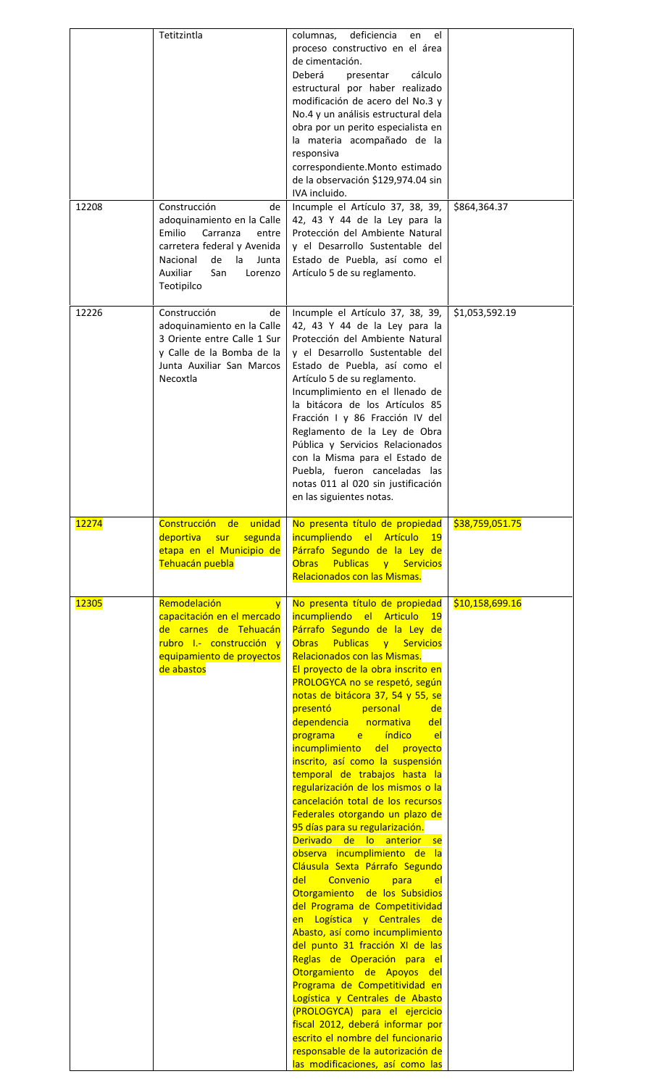| 12208        | Tetitzintla<br>Construcción<br>de<br>adoquinamiento en la Calle<br>Emilio<br>Carranza<br>entre<br>carretera federal y Avenida<br>Nacional<br>de<br>la<br>Junta<br>Auxiliar<br>San<br>Lorenzo<br>Teotipilco | deficiencia<br>columnas,<br>el<br>en<br>proceso constructivo en el área<br>de cimentación.<br>cálculo<br>Deberá<br>presentar<br>estructural por haber realizado<br>modificación de acero del No.3 y<br>No.4 y un análisis estructural dela<br>obra por un perito especialista en<br>la materia acompañado de la<br>responsiva<br>correspondiente.Monto estimado<br>de la observación \$129,974.04 sin<br>IVA incluido.<br>Incumple el Artículo 37, 38, 39,<br>42, 43 Y 44 de la Ley para la<br>Protección del Ambiente Natural<br>y el Desarrollo Sustentable del<br>Estado de Puebla, así como el<br>Artículo 5 de su reglamento.                                                                                                                                                                                                                                                                                                                                                                                                                                                                                                                                         | \$864,364.37    |
|--------------|------------------------------------------------------------------------------------------------------------------------------------------------------------------------------------------------------------|----------------------------------------------------------------------------------------------------------------------------------------------------------------------------------------------------------------------------------------------------------------------------------------------------------------------------------------------------------------------------------------------------------------------------------------------------------------------------------------------------------------------------------------------------------------------------------------------------------------------------------------------------------------------------------------------------------------------------------------------------------------------------------------------------------------------------------------------------------------------------------------------------------------------------------------------------------------------------------------------------------------------------------------------------------------------------------------------------------------------------------------------------------------------------|-----------------|
| 12226        | Construcción<br>de<br>adoquinamiento en la Calle<br>3 Oriente entre Calle 1 Sur<br>y Calle de la Bomba de la<br>Junta Auxiliar San Marcos<br>Necoxtla                                                      | Incumple el Artículo 37, 38, 39,<br>42, 43 Y 44 de la Ley para la<br>Protección del Ambiente Natural<br>y el Desarrollo Sustentable del<br>Estado de Puebla, así como el<br>Artículo 5 de su reglamento.<br>Incumplimiento en el llenado de<br>la bitácora de los Artículos 85<br>Fracción I y 86 Fracción IV del<br>Reglamento de la Ley de Obra<br>Pública y Servicios Relacionados<br>con la Misma para el Estado de<br>Puebla, fueron canceladas las<br>notas 011 al 020 sin justificación<br>en las siguientes notas.                                                                                                                                                                                                                                                                                                                                                                                                                                                                                                                                                                                                                                                 | \$1,053,592.19  |
| <b>12274</b> | Construcción de unidad<br>segunda<br>deportiva sur<br>etapa en el Municipio de<br>Tehuacán puebla                                                                                                          | No presenta título de propiedad<br>incumpliendo el Artículo<br>$-19$<br>Párrafo Segundo de la Ley de<br><b>Publicas y Servicios</b><br><b>Obras</b><br>Relacionados con las Mismas.                                                                                                                                                                                                                                                                                                                                                                                                                                                                                                                                                                                                                                                                                                                                                                                                                                                                                                                                                                                        | \$38,759,051.75 |
| <b>12305</b> | Remodelación<br>$\mathbf{v}$<br>capacitación en el mercado<br>de carnes de Tehuacán<br>rubro I.- construcción y<br>equipamiento de proyectos<br>de abastos                                                 | No presenta título de propiedad<br>incumpliendo el Articulo 19<br>Párrafo Segundo de la Ley de<br>Obras Publicas y Servicios<br>Relacionados con las Mismas.<br>El proyecto de la obra inscrito en<br>PROLOGYCA no se respetó, según<br>notas de bitácora 37, 54 y 55, se<br>presentó personal de<br>dependencia normativa<br>del<br>programa e índico<br>el.<br>incumplimiento del proyecto<br>inscrito, así como la suspensión<br>temporal de trabajos hasta la<br>regularización de los mismos o la<br>cancelación total de los recursos<br>Federales otorgando un plazo de<br>95 días para su regularización.<br>Derivado de lo anterior<br>se.<br>observa incumplimiento de la<br>Cláusula Sexta Párrafo Segundo<br>Convenio<br>del<br>para<br>el.<br>Otorgamiento de los Subsidios<br>del Programa de Competitividad<br>en Logística y Centrales de<br>Abasto, así como incumplimiento<br>del punto 31 fracción XI de las<br>Reglas de Operación para el<br>Otorgamiento de Apoyos del<br>Programa de Competitividad en<br>Logística y Centrales de Abasto<br>(PROLOGYCA) para el ejercicio<br>fiscal 2012, deberá informar por<br>escrito el nombre del funcionario | \$10,158,699.16 |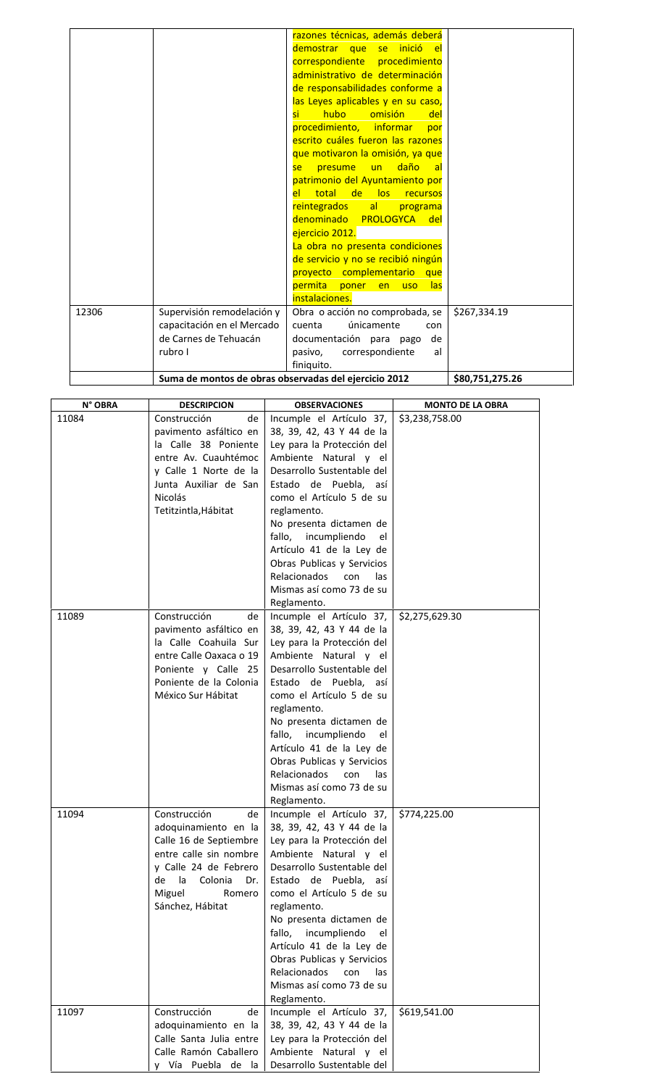|       |                                                       | razones técnicas, además deberá                  |                 |
|-------|-------------------------------------------------------|--------------------------------------------------|-----------------|
|       |                                                       | demostrar que se inició el                       |                 |
|       |                                                       | correspondiente procedimiento                    |                 |
|       |                                                       | administrativo de determinación                  |                 |
|       |                                                       | de responsabilidades conforme a                  |                 |
|       |                                                       | las Leyes aplicables y en su caso,               |                 |
|       |                                                       | hubo<br>omisión<br>del<br>si -                   |                 |
|       |                                                       | procedimiento, informar<br>por                   |                 |
|       |                                                       | escrito cuáles fueron las razones                |                 |
|       |                                                       | que motivaron la omisión, ya que                 |                 |
|       |                                                       | daño<br>un<br><b>presume</b><br><b>al</b><br>se: |                 |
|       |                                                       | patrimonio del Ayuntamiento por                  |                 |
|       |                                                       | el total de los recursos                         |                 |
|       |                                                       | reintegrados<br> a <br>programa                  |                 |
|       |                                                       | denominado PROLOGYCA del                         |                 |
|       |                                                       | ejercicio 2012.                                  |                 |
|       |                                                       | La obra no presenta condiciones                  |                 |
|       |                                                       | de servicio y no se recibió ningún               |                 |
|       |                                                       | proyecto complementario que                      |                 |
|       |                                                       | permita<br>poner en<br><u>las</u><br><b>uso</b>  |                 |
|       |                                                       | instalaciones.                                   |                 |
| 12306 | Supervisión remodelación y                            | Obra o acción no comprobada, se                  | \$267,334.19    |
|       | capacitación en el Mercado                            | únicamente<br>cuenta<br>con                      |                 |
|       | de Carnes de Tehuacán                                 | documentación para pago<br>de                    |                 |
|       | rubro I                                               | pasivo,<br>correspondiente<br>al                 |                 |
|       |                                                       | finiquito.                                       |                 |
|       | Suma de montos de obras observadas del ejercicio 2012 |                                                  | \$80,751,275.26 |
|       |                                                       |                                                  |                 |

| N° OBRA | <b>DESCRIPCION</b>                                                                                                                                                                   | <b>OBSERVACIONES</b>                                                                                                                                                                                                                                                                                                                                                                                                | <b>MONTO DE LA OBRA</b> |
|---------|--------------------------------------------------------------------------------------------------------------------------------------------------------------------------------------|---------------------------------------------------------------------------------------------------------------------------------------------------------------------------------------------------------------------------------------------------------------------------------------------------------------------------------------------------------------------------------------------------------------------|-------------------------|
| 11084   | Construcción<br>de<br>pavimento asfáltico en<br>la Calle 38 Poniente<br>entre Av. Cuauhtémoc<br>y Calle 1 Norte de la<br>Junta Auxiliar de San<br>Nicolás<br>Tetitzintla, Hábitat    | Incumple el Artículo 37,<br>38, 39, 42, 43 Y 44 de la<br>Ley para la Protección del<br>Ambiente Natural y el<br>Desarrollo Sustentable del<br>Estado de Puebla, así<br>como el Artículo 5 de su<br>reglamento.<br>No presenta dictamen de<br>fallo, incumpliendo<br>el<br>Artículo 41 de la Ley de<br>Obras Publicas y Servicios<br>Relacionados<br>con<br>las<br>Mismas así como 73 de su<br>Reglamento.           | \$3,238,758.00          |
| 11089   | Construcción<br>de<br>pavimento asfáltico en<br>la Calle Coahuila Sur<br>entre Calle Oaxaca o 19<br>Poniente y Calle 25<br>Poniente de la Colonia<br>México Sur Hábitat              | Incumple el Artículo 37,<br>38, 39, 42, 43 Y 44 de la<br>Ley para la Protección del<br>Ambiente Natural y el<br>Desarrollo Sustentable del<br>Estado de Puebla, así<br>como el Artículo 5 de su<br>reglamento.<br>No presenta dictamen de<br>incumpliendo<br>fallo,<br>el<br>Artículo 41 de la Ley de<br>Obras Publicas y Servicios<br><b>Relacionados</b><br>con<br>las<br>Mismas así como 73 de su<br>Reglamento. | \$2,275,629.30          |
| 11094   | Construcción<br>de<br>adoquinamiento en la<br>Calle 16 de Septiembre<br>entre calle sin nombre<br>y Calle 24 de Febrero<br>de la Colonia Dr.<br>Miguel<br>Romero<br>Sánchez, Hábitat | Incumple el Artículo 37,<br>38, 39, 42, 43 Y 44 de la<br>Ley para la Protección del<br>Ambiente Natural y el<br>Desarrollo Sustentable del<br>Estado de Puebla, así<br>como el Artículo 5 de su<br>reglamento.<br>No presenta dictamen de<br>fallo, incumpliendo<br>el<br>Artículo 41 de la Ley de<br>Obras Publicas y Servicios<br>Relacionados<br>con<br>las<br>Mismas así como 73 de su<br>Reglamento.           | \$774,225.00            |
| 11097   | Construcción<br>de<br>adoquinamiento en la<br>Calle Santa Julia entre<br>Calle Ramón Caballero<br>y Vía Puebla de la                                                                 | Incumple el Artículo 37,<br>38, 39, 42, 43 Y 44 de la<br>Ley para la Protección del<br>Ambiente Natural y el<br>Desarrollo Sustentable del                                                                                                                                                                                                                                                                          | \$619,541.00            |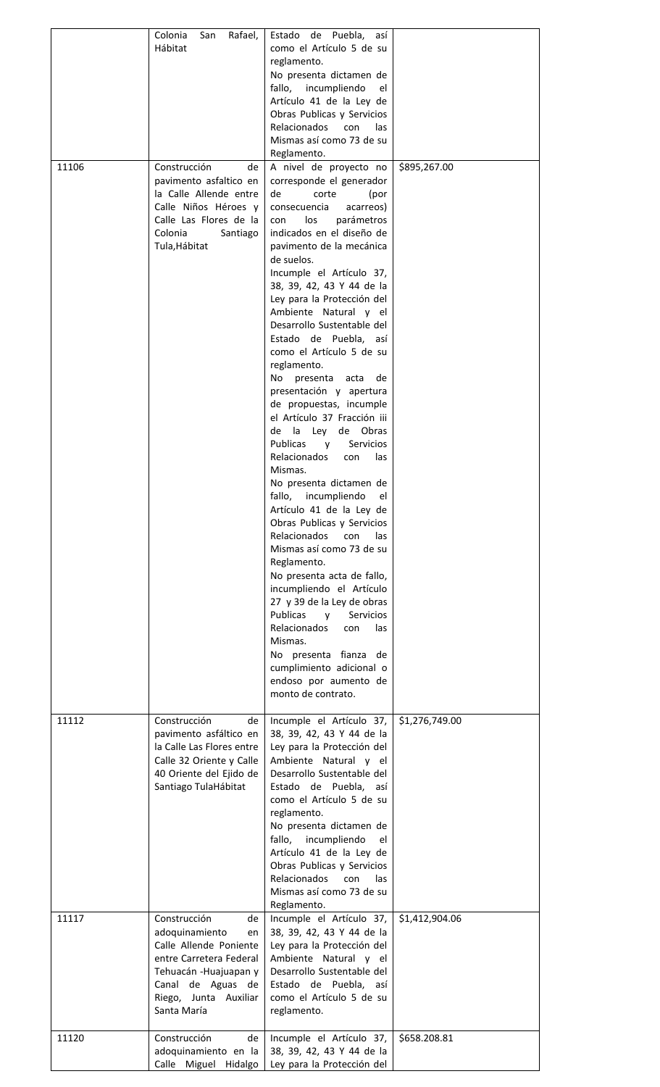|       | Colonia<br>San<br>Rafael,<br>Hábitat                                                                                                                                                      | Estado de Puebla, así<br>como el Artículo 5 de su<br>reglamento.<br>No presenta dictamen de<br>fallo,<br>incumpliendo<br>el<br>Artículo 41 de la Ley de<br>Obras Publicas y Servicios<br><b>Relacionados</b><br>las<br>con                                                                                                                                                                                                                                                                                                                                                                                                                                                                                                                                                                                                                                                                                                                                                                                                                                                                       |                |
|-------|-------------------------------------------------------------------------------------------------------------------------------------------------------------------------------------------|--------------------------------------------------------------------------------------------------------------------------------------------------------------------------------------------------------------------------------------------------------------------------------------------------------------------------------------------------------------------------------------------------------------------------------------------------------------------------------------------------------------------------------------------------------------------------------------------------------------------------------------------------------------------------------------------------------------------------------------------------------------------------------------------------------------------------------------------------------------------------------------------------------------------------------------------------------------------------------------------------------------------------------------------------------------------------------------------------|----------------|
| 11106 | Construcción<br>de<br>pavimento asfaltico en<br>la Calle Allende entre<br>Calle Niños Héroes y<br>Calle Las Flores de la<br>Colonia<br>Santiago<br>Tula, Hábitat                          | Mismas así como 73 de su<br>Reglamento.<br>A nivel de proyecto no<br>corresponde el generador<br>de<br>corte<br>(por<br>consecuencia<br>acarreos)<br>parámetros<br>con<br>los<br>indicados en el diseño de<br>pavimento de la mecánica<br>de suelos.<br>Incumple el Artículo 37,<br>38, 39, 42, 43 Y 44 de la<br>Ley para la Protección del<br>Ambiente Natural y el<br>Desarrollo Sustentable del<br>Estado de Puebla, así<br>como el Artículo 5 de su<br>reglamento.<br>presenta<br>No l<br>acta<br>de<br>presentación y apertura<br>de propuestas, incumple<br>el Artículo 37 Fracción iii<br>de la<br>Ley<br>de Obras<br><b>Publicas</b><br>Servicios<br><b>V</b><br><b>Relacionados</b><br>las<br>con<br>Mismas.<br>No presenta dictamen de<br>fallo,<br>incumpliendo<br>el<br>Artículo 41 de la Ley de<br>Obras Publicas y Servicios<br>Relacionados<br>con<br>las<br>Mismas así como 73 de su<br>Reglamento.<br>No presenta acta de fallo,<br>incumpliendo el Artículo<br>27 y 39 de la Ley de obras<br><b>Publicas</b><br>Servicios<br>V<br><b>Relacionados</b><br>las<br>con<br>Mismas. | \$895,267.00   |
|       |                                                                                                                                                                                           | No presenta fianza de<br>cumplimiento adicional o<br>endoso por aumento de<br>monto de contrato.                                                                                                                                                                                                                                                                                                                                                                                                                                                                                                                                                                                                                                                                                                                                                                                                                                                                                                                                                                                                 |                |
| 11112 | Construcción<br>de<br>pavimento asfáltico en<br>la Calle Las Flores entre<br>Calle 32 Oriente y Calle<br>40 Oriente del Ejido de<br>Santiago TulaHábitat                                  | Incumple el Artículo 37,<br>38, 39, 42, 43 Y 44 de la<br>Ley para la Protección del<br>Ambiente Natural y el<br>Desarrollo Sustentable del<br>Estado de Puebla, así<br>como el Artículo 5 de su<br>reglamento.<br>No presenta dictamen de<br>fallo, incumpliendo<br>el<br>Artículo 41 de la Ley de<br>Obras Publicas y Servicios<br><b>Relacionados</b><br>con<br>las<br>Mismas así como 73 de su                                                                                                                                                                                                                                                                                                                                                                                                                                                                                                                                                                                                                                                                                                | \$1,276,749.00 |
| 11117 | Construcción<br>de<br>adoquinamiento<br>en<br>Calle Allende Poniente<br>entre Carretera Federal<br>Tehuacán - Huajuapan y<br>Canal de Aguas de<br>Riego, Junta<br>Auxiliar<br>Santa María | Reglamento.<br>Incumple el Artículo 37,<br>38, 39, 42, 43 Y 44 de la<br>Ley para la Protección del<br>Ambiente Natural y el<br>Desarrollo Sustentable del<br>Estado de Puebla,<br>así<br>como el Artículo 5 de su<br>reglamento.                                                                                                                                                                                                                                                                                                                                                                                                                                                                                                                                                                                                                                                                                                                                                                                                                                                                 | \$1,412,904.06 |
| 11120 | Construcción<br>de<br>adoquinamiento en la<br>Calle Miguel Hidalgo                                                                                                                        | Incumple el Artículo 37,<br>38, 39, 42, 43 Y 44 de la<br>Ley para la Protección del                                                                                                                                                                                                                                                                                                                                                                                                                                                                                                                                                                                                                                                                                                                                                                                                                                                                                                                                                                                                              | \$658.208.81   |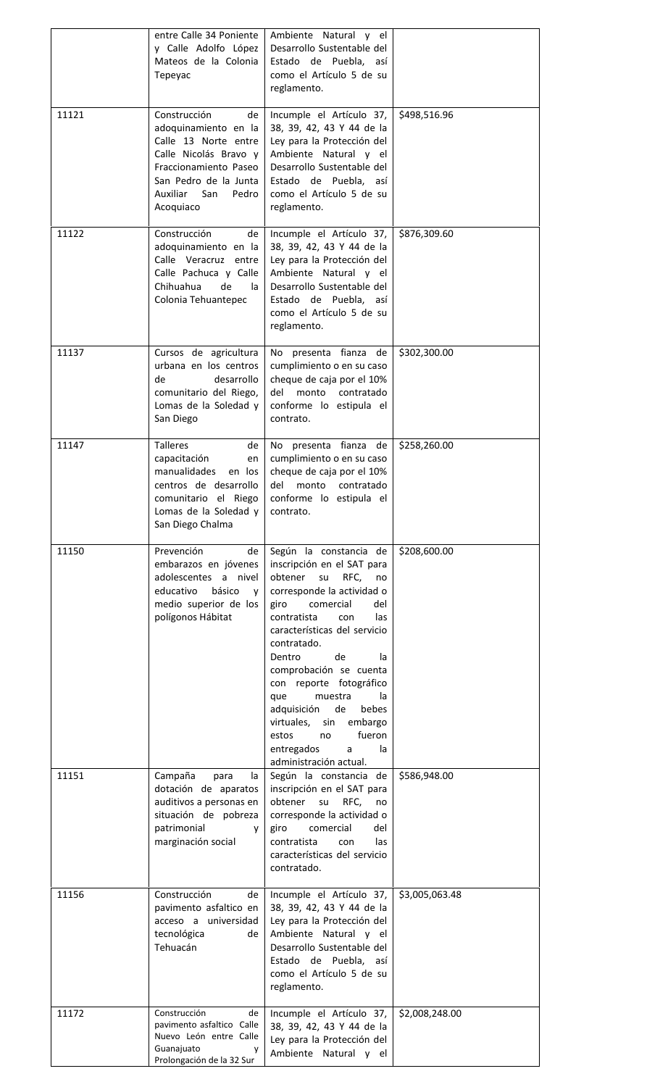|       | entre Calle 34 Poniente<br>y Calle Adolfo López<br>Mateos de la Colonia<br>Tepeyac                                                                                                     | Ambiente Natural y el<br>Desarrollo Sustentable del<br>Estado de Puebla, así<br>como el Artículo 5 de su<br>reglamento.                                                                                                                                                                                                                                                                                                                                              |                |
|-------|----------------------------------------------------------------------------------------------------------------------------------------------------------------------------------------|----------------------------------------------------------------------------------------------------------------------------------------------------------------------------------------------------------------------------------------------------------------------------------------------------------------------------------------------------------------------------------------------------------------------------------------------------------------------|----------------|
| 11121 | Construcción<br>de<br>adoquinamiento en la<br>Calle 13 Norte entre<br>Calle Nicolás Bravo y<br>Fraccionamiento Paseo<br>San Pedro de la Junta<br>Auxiliar<br>San<br>Pedro<br>Acoquiaco | Incumple el Artículo 37,<br>38, 39, 42, 43 Y 44 de la<br>Ley para la Protección del<br>Ambiente Natural y el<br>Desarrollo Sustentable del<br>Estado de Puebla, así<br>como el Artículo 5 de su<br>reglamento.                                                                                                                                                                                                                                                       | \$498,516.96   |
| 11122 | Construcción<br>de<br>adoquinamiento en la<br>Calle Veracruz entre<br>Calle Pachuca y Calle<br>Chihuahua<br>de<br>la.<br>Colonia Tehuantepec                                           | Incumple el Artículo 37,<br>38, 39, 42, 43 Y 44 de la<br>Ley para la Protección del<br>Ambiente Natural y el<br>Desarrollo Sustentable del<br>Estado de Puebla, así<br>como el Artículo 5 de su<br>reglamento.                                                                                                                                                                                                                                                       | \$876,309.60   |
| 11137 | Cursos de agricultura<br>urbana en los centros<br>de<br>desarrollo<br>comunitario del Riego,<br>Lomas de la Soledad y<br>San Diego                                                     | No presenta fianza de<br>cumplimiento o en su caso<br>cheque de caja por el 10%<br>monto<br>del<br>contratado<br>conforme lo estipula el<br>contrato.                                                                                                                                                                                                                                                                                                                | \$302,300.00   |
| 11147 | <b>Talleres</b><br>de<br>capacitación<br>en<br>manualidades<br>en los<br>centros de desarrollo<br>comunitario el Riego<br>Lomas de la Soledad y<br>San Diego Chalma                    | No presenta fianza de<br>cumplimiento o en su caso<br>cheque de caja por el 10%<br>del<br>monto<br>contratado<br>conforme lo estipula el<br>contrato.                                                                                                                                                                                                                                                                                                                | \$258,260.00   |
| 11150 | Prevención<br>de<br>embarazos en jóvenes<br>adolescentes a nivel<br>educativo<br>básico<br>V<br>medio superior de los<br>polígonos Hábitat                                             | Según la constancia de<br>inscripción en el SAT para<br>obtener su<br>RFC,<br>no<br>corresponde la actividad o<br>comercial<br>del<br>giro<br>contratista<br>las<br>con<br>características del servicio<br>contratado.<br>de<br>Dentro<br>la<br>comprobación se cuenta<br>con reporte fotográfico<br>muestra<br>que<br>la.<br>de<br>adquisición<br>bebes<br>virtuales,<br>embargo<br>sin<br>fueron<br>estos<br>no<br>entregados<br>la<br>a<br>administración actual. | \$208,600.00   |
| 11151 | Campaña<br>para<br>la<br>dotación de aparatos<br>auditivos a personas en<br>situación de pobreza<br>patrimonial<br><b>V</b><br>marginación social                                      | Según la constancia de<br>inscripción en el SAT para<br>obtener<br>RFC,<br>su<br>no<br>corresponde la actividad o<br>giro<br>comercial<br>del<br>contratista<br>con<br>las<br>características del servicio<br>contratado.                                                                                                                                                                                                                                            | \$586,948.00   |
| 11156 | Construcción<br>de<br>pavimento asfaltico en<br>acceso a universidad<br>tecnológica<br>de<br>Tehuacán                                                                                  | Incumple el Artículo 37,<br>38, 39, 42, 43 Y 44 de la<br>Ley para la Protección del<br>Ambiente Natural y el<br>Desarrollo Sustentable del<br>Estado de Puebla, así<br>como el Artículo 5 de su<br>reglamento.                                                                                                                                                                                                                                                       | \$3,005,063.48 |
| 11172 | Construcción<br>de<br>pavimento asfaltico Calle<br>Nuevo León entre Calle                                                                                                              | Incumple el Artículo 37,<br>38, 39, 42, 43 Y 44 de la<br>Ley para la Protección del                                                                                                                                                                                                                                                                                                                                                                                  | \$2,008,248.00 |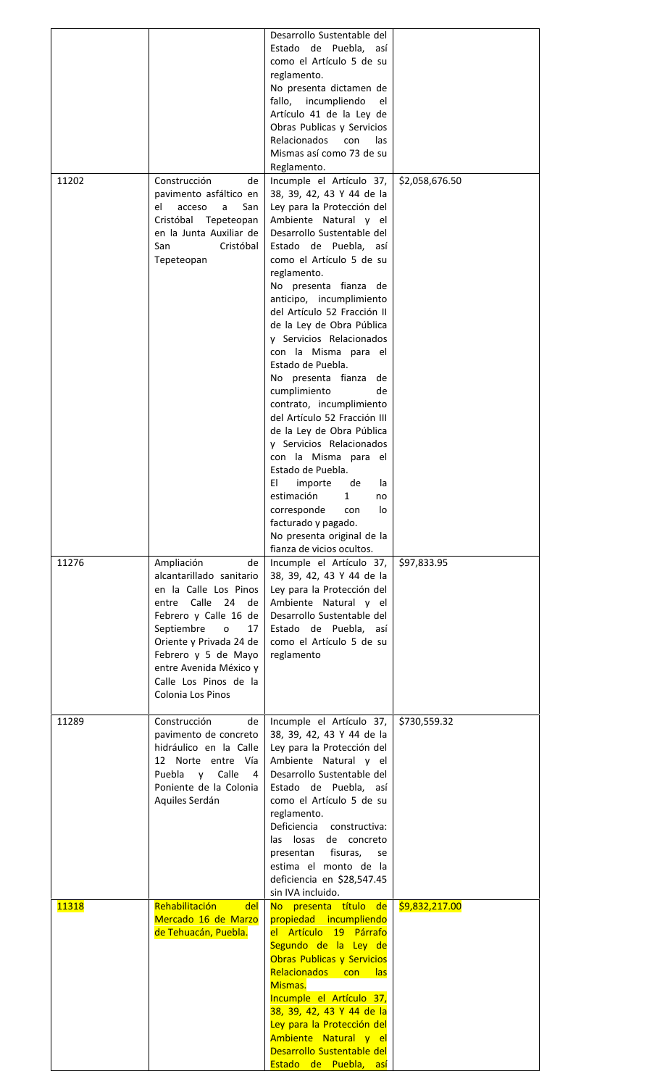|              |                                                                                                                                                                                                                                                                                         | Desarrollo Sustentable del<br>Estado de Puebla, así<br>como el Artículo 5 de su<br>reglamento.<br>No presenta dictamen de<br>fallo,<br>incumpliendo<br>el<br>Artículo 41 de la Ley de<br>Obras Publicas y Servicios<br>Relacionados<br>con<br>las<br>Mismas así como 73 de su<br>Reglamento.                                                                                                                                                                                                                                                                                                                                                                                                                                                                                                     |                |
|--------------|-----------------------------------------------------------------------------------------------------------------------------------------------------------------------------------------------------------------------------------------------------------------------------------------|--------------------------------------------------------------------------------------------------------------------------------------------------------------------------------------------------------------------------------------------------------------------------------------------------------------------------------------------------------------------------------------------------------------------------------------------------------------------------------------------------------------------------------------------------------------------------------------------------------------------------------------------------------------------------------------------------------------------------------------------------------------------------------------------------|----------------|
| 11202        | Construcción<br>de<br>pavimento asfáltico en<br>el<br>acceso<br>a<br>San<br>Cristóbal<br>Tepeteopan<br>en la Junta Auxiliar de<br>San<br>Cristóbal<br>Tepeteopan                                                                                                                        | Incumple el Artículo 37,<br>38, 39, 42, 43 Y 44 de la<br>Ley para la Protección del<br>Ambiente Natural y el<br>Desarrollo Sustentable del<br>Estado de Puebla, así<br>como el Artículo 5 de su<br>reglamento.<br>No presenta fianza de<br>anticipo, incumplimiento<br>del Artículo 52 Fracción II<br>de la Ley de Obra Pública<br>y Servicios Relacionados<br>con la Misma para el<br>Estado de Puebla.<br>No presenta fianza<br>de<br>cumplimiento<br>de<br>contrato, incumplimiento<br>del Artículo 52 Fracción III<br>de la Ley de Obra Pública<br>y Servicios Relacionados<br>con la Misma para el<br>Estado de Puebla.<br>EI<br>importe<br>de<br>la<br>estimación<br>1<br>no<br>corresponde<br>con<br>lo<br>facturado y pagado.<br>No presenta original de la<br>fianza de vicios ocultos. | \$2,058,676.50 |
| 11276        | Ampliación<br>de<br>alcantarillado sanitario<br>en la Calle Los Pinos<br>entre Calle<br>24<br>de<br>Febrero y Calle 16 de<br>Septiembre<br>$\mathsf{o}$<br>17<br>Oriente y Privada 24 de<br>Febrero y 5 de Mayo<br>entre Avenida México y<br>Calle Los Pinos de la<br>Colonia Los Pinos | Incumple el Artículo 37,<br>38, 39, 42, 43 Y 44 de la<br>Ley para la Protección del<br>Ambiente Natural y el<br>Desarrollo Sustentable del<br>Estado de Puebla, así<br>como el Artículo 5 de su<br>reglamento                                                                                                                                                                                                                                                                                                                                                                                                                                                                                                                                                                                    | \$97,833.95    |
| 11289        | Construcción<br>de<br>pavimento de concreto<br>hidráulico en la Calle<br>12 Norte entre Vía<br>Calle<br>Puebla<br>V<br>4<br>Poniente de la Colonia<br>Aquiles Serdán                                                                                                                    | Incumple el Artículo 37,<br>38, 39, 42, 43 Y 44 de la<br>Ley para la Protección del<br>Ambiente Natural y el<br>Desarrollo Sustentable del<br>Estado de Puebla, así<br>como el Artículo 5 de su<br>reglamento.<br>Deficiencia constructiva:<br>losas<br>las<br>de concreto<br>presentan<br>fisuras,<br>se<br>estima el monto de la<br>deficiencia en \$28,547.45<br>sin IVA incluido.                                                                                                                                                                                                                                                                                                                                                                                                            | \$730,559.32   |
| <b>11318</b> | Rehabilitación<br>del<br>Mercado 16 de Marzo<br>de Tehuacán, Puebla.                                                                                                                                                                                                                    | No presenta título de<br>propiedad incumpliendo<br>el Artículo 19 Párrafo<br>Segundo de la Ley de<br>Obras Publicas y Servicios<br><b>Relacionados</b><br><b>con</b><br>las<br>Mismas.<br>Incumple el Artículo 37,<br>38, 39, 42, 43 Y 44 de la<br>Ley para la Protección del<br>Ambiente Natural y el<br>Desarrollo Sustentable del<br>Estado de Puebla, así                                                                                                                                                                                                                                                                                                                                                                                                                                    | \$9,832,217.00 |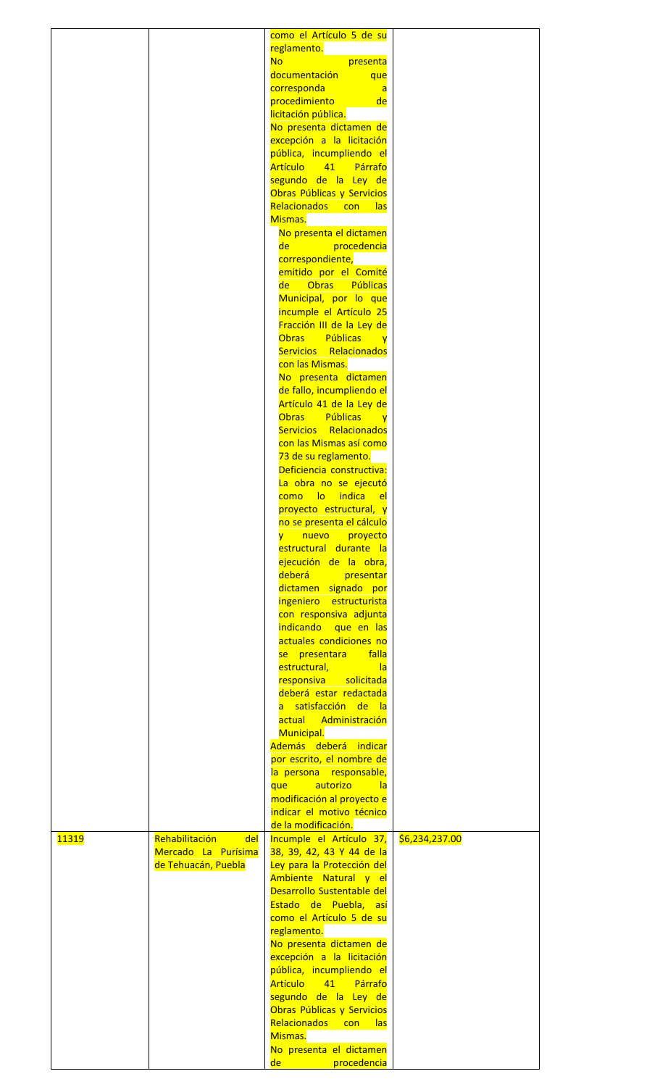|              |                       | como el Artículo 5 de su                                                 |                |
|--------------|-----------------------|--------------------------------------------------------------------------|----------------|
|              |                       | reglamento.<br><b>No</b><br>presenta                                     |                |
|              |                       | documentación<br>que                                                     |                |
|              |                       | corresponda<br>$\overline{a}$                                            |                |
|              |                       | procedimiento<br>de                                                      |                |
|              |                       | licitación pública.                                                      |                |
|              |                       | No presenta dictamen de<br>excepción a la licitación                     |                |
|              |                       | pública, incumpliendo el                                                 |                |
|              |                       | Artículo 41 Párrafo                                                      |                |
|              |                       | segundo de la Ley de                                                     |                |
|              |                       | Obras Públicas y Servicios                                               |                |
|              |                       | Relacionados con las<br>Mismas.                                          |                |
|              |                       | No presenta el dictamen                                                  |                |
|              |                       | de<br>procedencia                                                        |                |
|              |                       | correspondiente,                                                         |                |
|              |                       | emitido por el Comité                                                    |                |
|              |                       | <b>Obras</b><br>Públicas<br>del<br>Municipal, por lo que                 |                |
|              |                       | incumple el Artículo 25                                                  |                |
|              |                       | Fracción III de la Ley de                                                |                |
|              |                       | <b>Obras</b><br><b>Públicas</b><br><b>y</b>                              |                |
|              |                       | Servicios Relacionados                                                   |                |
|              |                       | con las Mismas.                                                          |                |
|              |                       | No presenta dictamen<br>de fallo, incumpliendo el                        |                |
|              |                       | Artículo 41 de la Ley de                                                 |                |
|              |                       | <b>Públicas</b><br>Obras<br><b>i</b> v                                   |                |
|              |                       | Servicios Relacionados                                                   |                |
|              |                       | con las Mismas así como                                                  |                |
|              |                       | 73 de su reglamento.<br>Deficiencia constructiva:                        |                |
|              |                       | La obra no se ejecutó                                                    |                |
|              |                       | lo indica<br><mark>como l</mark><br>el                                   |                |
|              |                       | proyecto estructural, y                                                  |                |
|              |                       | no se presenta el cálculo                                                |                |
|              |                       | nuevo<br>proyecto<br>$\overline{\mathsf{y}}$ .<br>estructural durante la |                |
|              |                       | ejecución de la obra,                                                    |                |
|              |                       | deberá presentar                                                         |                |
|              |                       | dictamen signado por                                                     |                |
|              |                       | ingeniero estructurista                                                  |                |
|              |                       | con responsiva adjunta                                                   |                |
|              |                       | indicando que en las<br>actuales condiciones no                          |                |
|              |                       | falla<br>se presentara l                                                 |                |
|              |                       | estructural,<br> a                                                       |                |
|              |                       | responsiva solicitada                                                    |                |
|              |                       | deberá estar redactada                                                   |                |
|              |                       | a satisfacción de la<br>actual<br>Administración                         |                |
|              |                       | Municipal.                                                               |                |
|              |                       | Además deberá indicar                                                    |                |
|              |                       | por escrito, el nombre de                                                |                |
|              |                       | la persona responsable,                                                  |                |
|              |                       | autorizo<br>que<br><u>la</u><br>modificación al proyecto e               |                |
|              |                       | indicar el motivo técnico                                                |                |
|              |                       | de la modificación.                                                      |                |
| <b>11319</b> | Rehabilitación<br>del | Incumple el Artículo 37,                                                 | \$6,234,237.00 |
|              | Mercado La Purísima   | 38, 39, 42, 43 Y 44 de la                                                |                |
|              | de Tehuacán, Puebla   | Ley para la Protección del<br>Ambiente Natural y el                      |                |
|              |                       | Desarrollo Sustentable del                                               |                |
|              |                       | Estado de Puebla, así                                                    |                |
|              |                       | como el Artículo 5 de su                                                 |                |
|              |                       | reglamento.                                                              |                |
|              |                       | No presenta dictamen de<br>excepción a la licitación                     |                |
|              |                       | pública, incumpliendo el                                                 |                |
|              |                       | <b>Artículo</b><br>41<br>Párrafo                                         |                |
|              |                       | segundo de la Ley de                                                     |                |
|              |                       | Obras Públicas y Servicios                                               |                |
|              |                       | Relacionados<br><b>con</b><br>las<br>Mismas.                             |                |
|              |                       | No presenta el dictamen                                                  |                |
|              |                       | <mark>de l</mark><br>procedencia                                         |                |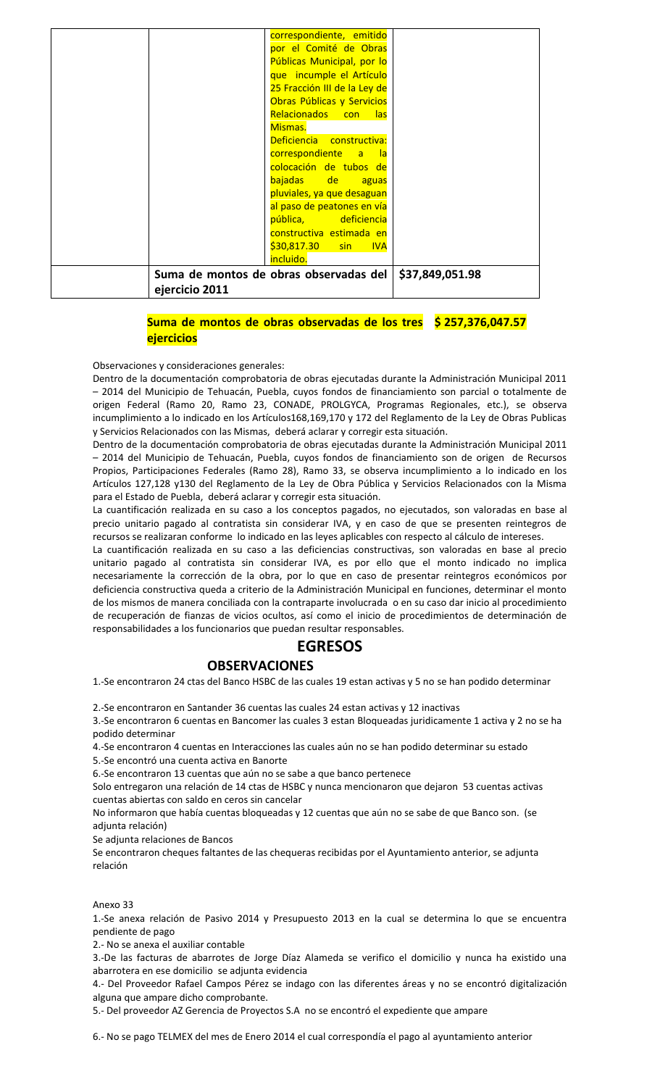| Suma de montos de obras observadas del<br>ejercicio 2011 |                                                    | \$37,849,051.98 |
|----------------------------------------------------------|----------------------------------------------------|-----------------|
|                                                          | incluido.                                          |                 |
|                                                          | \$30,817.30 sin IVA                                |                 |
|                                                          | constructiva estimada en                           |                 |
|                                                          | pública, deficiencia                               |                 |
|                                                          | al paso de peatones en vía                         |                 |
|                                                          | pluviales, ya que desaguan                         |                 |
|                                                          | bajadas de aguas                                   |                 |
|                                                          | colocación de tubos de                             |                 |
|                                                          | correspondiente a la                               |                 |
|                                                          | Deficiencia constructiva:                          |                 |
|                                                          | Mismas.                                            |                 |
|                                                          | Obras Públicas y Servicios<br>Relacionados con las |                 |
|                                                          | 25 Fracción III de la Ley de                       |                 |
|                                                          | que incumple el Artículo                           |                 |
|                                                          | Públicas Municipal, por lo                         |                 |
|                                                          | por el Comité de Obras                             |                 |
|                                                          | correspondiente, emitido                           |                 |

# **Suma de montos de obras observadas de los tres \$ 257,376,047.57 ejercicios**

Observaciones y consideraciones generales:

Dentro de la documentación comprobatoria de obras ejecutadas durante la Administración Municipal 2011 – 2014 del Municipio de Tehuacán, Puebla, cuyos fondos de financiamiento son parcial o totalmente de origen Federal (Ramo 20, Ramo 23, CONADE, PROLGYCA, Programas Regionales, etc.), se observa incumplimiento a lo indicado en los Artículos168,169,170 y 172 del Reglamento de la Ley de Obras Publicas y Servicios Relacionados con las Mismas, deberá aclarar y corregir esta situación.

Dentro de la documentación comprobatoria de obras ejecutadas durante la Administración Municipal 2011 – 2014 del Municipio de Tehuacán, Puebla, cuyos fondos de financiamiento son de origen de Recursos Propios, Participaciones Federales (Ramo 28), Ramo 33, se observa incumplimiento a lo indicado en los Artículos 127,128 y130 del Reglamento de la Ley de Obra Pública y Servicios Relacionados con la Misma para el Estado de Puebla, deberá aclarar y corregir esta situación.

La cuantificación realizada en su caso a los conceptos pagados, no ejecutados, son valoradas en base al precio unitario pagado al contratista sin considerar IVA, y en caso de que se presenten reintegros de recursos se realizaran conforme lo indicado en las leyes aplicables con respecto al cálculo de intereses.

La cuantificación realizada en su caso a las deficiencias constructivas, son valoradas en base al precio unitario pagado al contratista sin considerar IVA, es por ello que el monto indicado no implica necesariamente la corrección de la obra, por lo que en caso de presentar reintegros económicos por deficiencia constructiva queda a criterio de la Administración Municipal en funciones, determinar el monto de los mismos de manera conciliada con la contraparte involucrada o en su caso dar inicio al procedimiento de recuperación de fianzas de vicios ocultos, así como el inicio de procedimientos de determinación de responsabilidades a los funcionarios que puedan resultar responsables.

# **EGRESOS**

# **OBSERVACIONES**

1.-Se encontraron 24 ctas del Banco HSBC de las cuales 19 estan activas y 5 no se han podido determinar

2.-Se encontraron en Santander 36 cuentas las cuales 24 estan activas y 12 inactivas

3.-Se encontraron 6 cuentas en Bancomer las cuales 3 estan Bloqueadas juridicamente 1 activa y 2 no se ha podido determinar

4.-Se encontraron 4 cuentas en Interacciones las cuales aún no se han podido determinar su estado

5.-Se encontró una cuenta activa en Banorte

6.-Se encontraron 13 cuentas que aún no se sabe a que banco pertenece

Solo entregaron una relación de 14 ctas de HSBC y nunca mencionaron que dejaron 53 cuentas activas cuentas abiertas con saldo en ceros sin cancelar

No informaron que había cuentas bloqueadas y 12 cuentas que aún no se sabe de que Banco son. (se adjunta relación)

Se adjunta relaciones de Bancos

Se encontraron cheques faltantes de las chequeras recibidas por el Ayuntamiento anterior, se adjunta relación

#### Anexo 33

1.-Se anexa relación de Pasivo 2014 y Presupuesto 2013 en la cual se determina lo que se encuentra pendiente de pago

2.- No se anexa el auxiliar contable

3.-De las facturas de abarrotes de Jorge Díaz Alameda se verifico el domicilio y nunca ha existido una abarrotera en ese domicilio se adjunta evidencia

4.- Del Proveedor Rafael Campos Pérez se indago con las diferentes áreas y no se encontró digitalización alguna que ampare dicho comprobante.

5.- Del proveedor AZ Gerencia de Proyectos S.A no se encontró el expediente que ampare

6.- No se pago TELMEX del mes de Enero 2014 el cual correspondía el pago al ayuntamiento anterior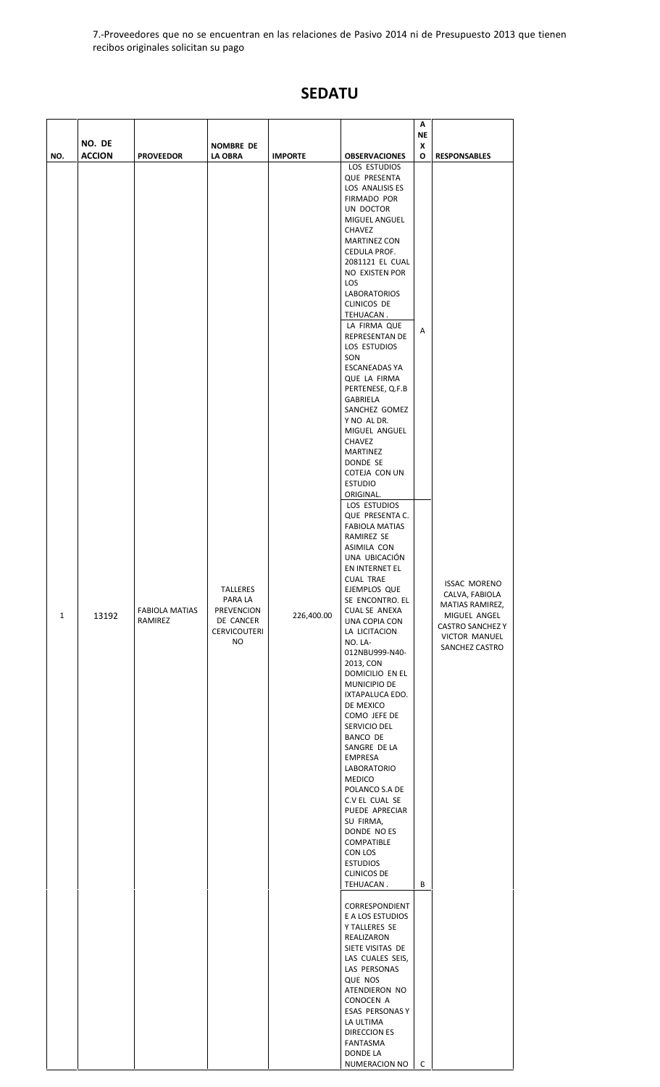7.-Proveedores que no se encuentran en las relaciones de Pasivo 2014 ni de Presupuesto 2013 que tienen recibos originales solicitan su pago

# **SEDATU**

|                     | NO. DE                 |                                                      | <b>NOMBRE DE</b>                                                                                     |                              |                                                                                                                                                                                                                                                                                                                                                                                                                                                                                                                                                                                                                                                                                                                                                                                                                                                                                                                                                                                                                                                                                                                                                                                                                                                                                                                                                                                                                                                                              | Α<br><b>NE</b><br>X |                                                                                                                                                               |
|---------------------|------------------------|------------------------------------------------------|------------------------------------------------------------------------------------------------------|------------------------------|------------------------------------------------------------------------------------------------------------------------------------------------------------------------------------------------------------------------------------------------------------------------------------------------------------------------------------------------------------------------------------------------------------------------------------------------------------------------------------------------------------------------------------------------------------------------------------------------------------------------------------------------------------------------------------------------------------------------------------------------------------------------------------------------------------------------------------------------------------------------------------------------------------------------------------------------------------------------------------------------------------------------------------------------------------------------------------------------------------------------------------------------------------------------------------------------------------------------------------------------------------------------------------------------------------------------------------------------------------------------------------------------------------------------------------------------------------------------------|---------------------|---------------------------------------------------------------------------------------------------------------------------------------------------------------|
| NO.<br>$\mathbf{1}$ | <b>ACCION</b><br>13192 | <b>PROVEEDOR</b><br><b>FABIOLA MATIAS</b><br>RAMIREZ | <b>LA OBRA</b><br><b>TALLERES</b><br>PARA LA<br>PREVENCION<br>DE CANCER<br><b>CERVICOUTERI</b><br>NO | <b>IMPORTE</b><br>226,400.00 | <b>OBSERVACIONES</b><br>LOS ESTUDIOS<br><b>QUE PRESENTA</b><br>LOS ANALISIS ES<br><b>FIRMADO POR</b><br>UN DOCTOR<br>MIGUEL ANGUEL<br><b>CHAVEZ</b><br><b>MARTINEZ CON</b><br>CEDULA PROF.<br>2081121 EL CUAL<br>NO EXISTEN POR<br><b>LOS</b><br><b>LABORATORIOS</b><br>CLINICOS DE<br>TEHUACAN.<br>LA FIRMA QUE<br>REPRESENTAN DE<br>LOS ESTUDIOS<br>SON<br><b>ESCANEADAS YA</b><br>QUE LA FIRMA<br>PERTENESE, Q.F.B<br>GABRIELA<br>SANCHEZ GOMEZ<br>Y NO AL DR.<br>MIGUEL ANGUEL<br><b>CHAVEZ</b><br>MARTINEZ<br>DONDE SE<br>COTEJA CON UN<br><b>ESTUDIO</b><br>ORIGINAL.<br>LOS ESTUDIOS<br>QUE PRESENTA C.<br><b>FABIOLA MATIAS</b><br>RAMIREZ SE<br>ASIMILA CON<br>UNA UBICACIÓN<br>EN INTERNET EL<br><b>CUAL TRAE</b><br>EJEMPLOS QUE<br>SE ENCONTRO. EL<br><b>CUAL SE ANEXA</b><br>UNA COPIA CON<br>LA LICITACION<br>NO. LA-<br>012NBU999-N40-<br>2013, CON<br>DOMICILIO EN EL<br>MUNICIPIO DE<br>IXTAPALUCA EDO.<br>DE MEXICO<br>COMO JEFE DE<br>SERVICIO DEL<br>BANCO DE<br>SANGRE DE LA<br><b>EMPRESA</b><br>LABORATORIO<br>MEDICO<br>POLANCO S.A DE<br>C.V EL CUAL SE<br>PUEDE APRECIAR<br>SU FIRMA,<br>DONDE NO ES<br>COMPATIBLE<br>CON LOS<br><b>ESTUDIOS</b><br><b>CLINICOS DE</b><br>TEHUACAN.<br>CORRESPONDIENT<br>E A LOS ESTUDIOS<br>Y TALLERES SE<br>REALIZARON<br>SIETE VISITAS DE<br>LAS CUALES SEIS,<br>LAS PERSONAS<br>QUE NOS<br>ATENDIERON NO<br>CONOCEN A<br>ESAS PERSONAS Y<br>LA ULTIMA<br>DIRECCION ES<br>FANTASMA<br>DONDE LA<br>NUMERACION NO | O<br>Α<br>В<br>c    | <b>RESPONSABLES</b><br><b>ISSAC MORENO</b><br>CALVA, FABIOLA<br>MATIAS RAMIREZ,<br>MIGUEL ANGEL<br><b>CASTRO SANCHEZ Y</b><br>VICTOR MANUEL<br>SANCHEZ CASTRO |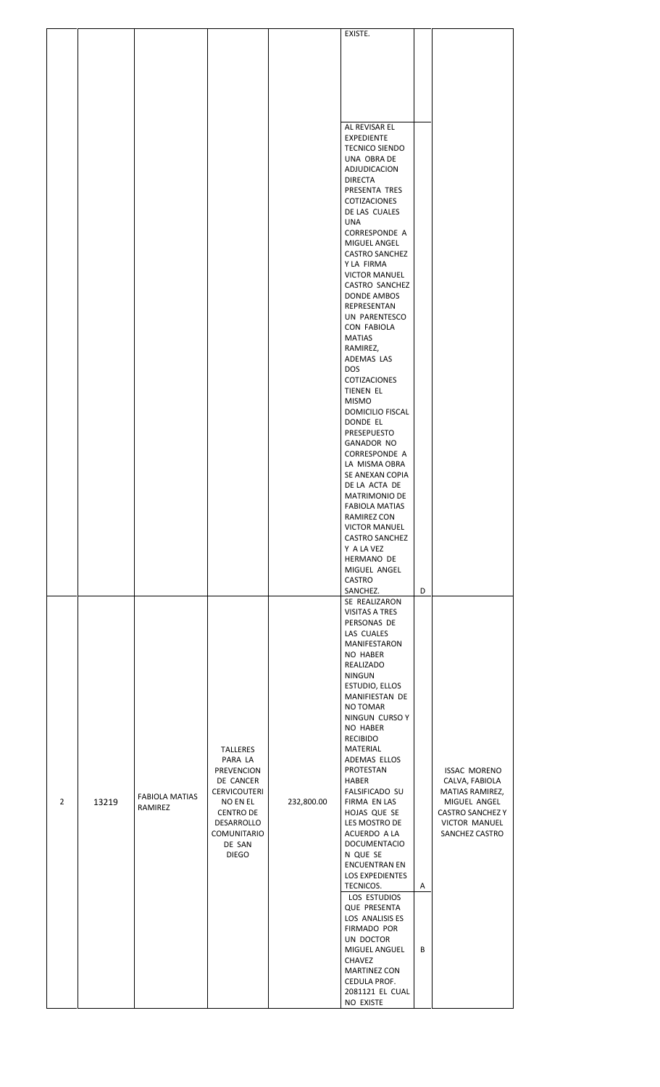|   |       |                                  |                                                                                                                                                                            |            | EXISTE.                                                                                                                                                                                                                                                                                                                                                                                                                                                                                                                                                                                                                                                        |        |                                                                                                                                        |  |
|---|-------|----------------------------------|----------------------------------------------------------------------------------------------------------------------------------------------------------------------------|------------|----------------------------------------------------------------------------------------------------------------------------------------------------------------------------------------------------------------------------------------------------------------------------------------------------------------------------------------------------------------------------------------------------------------------------------------------------------------------------------------------------------------------------------------------------------------------------------------------------------------------------------------------------------------|--------|----------------------------------------------------------------------------------------------------------------------------------------|--|
|   |       |                                  |                                                                                                                                                                            |            |                                                                                                                                                                                                                                                                                                                                                                                                                                                                                                                                                                                                                                                                |        |                                                                                                                                        |  |
|   |       |                                  |                                                                                                                                                                            |            |                                                                                                                                                                                                                                                                                                                                                                                                                                                                                                                                                                                                                                                                |        |                                                                                                                                        |  |
|   |       |                                  |                                                                                                                                                                            |            |                                                                                                                                                                                                                                                                                                                                                                                                                                                                                                                                                                                                                                                                |        |                                                                                                                                        |  |
|   |       |                                  |                                                                                                                                                                            |            | AL REVISAR EL<br><b>EXPEDIENTE</b><br><b>TECNICO SIENDO</b><br>UNA OBRA DE<br>ADJUDICACION<br><b>DIRECTA</b><br>PRESENTA TRES<br>COTIZACIONES<br>DE LAS CUALES<br><b>UNA</b><br><b>CORRESPONDE A</b><br>MIGUEL ANGEL<br><b>CASTRO SANCHEZ</b><br>Y LA FIRMA<br><b>VICTOR MANUEL</b><br>CASTRO SANCHEZ<br><b>DONDE AMBOS</b><br>REPRESENTAN<br>UN PARENTESCO<br><b>CON FABIOLA</b><br><b>MATIAS</b><br>RAMIREZ,<br>ADEMAS LAS<br><b>DOS</b><br>COTIZACIONES<br>TIENEN EL<br><b>MISMO</b>                                                                                                                                                                        |        |                                                                                                                                        |  |
|   |       |                                  |                                                                                                                                                                            |            | DOMICILIO FISCAL<br>DONDE EL<br>PRESEPUESTO<br><b>GANADOR NO</b><br><b>CORRESPONDE A</b><br>LA MISMA OBRA<br>SE ANEXAN COPIA<br>DE LA ACTA DE<br>MATRIMONIO DE<br><b>FABIOLA MATIAS</b><br>RAMIREZ CON<br><b>VICTOR MANUEL</b><br><b>CASTRO SANCHEZ</b><br>Y A LA VEZ<br>HERMANO DE<br>MIGUEL ANGEL<br>CASTRO<br>SANCHEZ.                                                                                                                                                                                                                                                                                                                                      | D      |                                                                                                                                        |  |
| 2 | 13219 | <b>FABIOLA MATIAS</b><br>RAMIREZ | <b>TALLERES</b><br>PARA LA<br><b>PREVENCION</b><br>DE CANCER<br><b>CERVICOUTERI</b><br>NO EN EL<br><b>CENTRO DE</b><br>DESARROLLO<br>COMUNITARIO<br>DE SAN<br><b>DIEGO</b> | 232,800.00 | SE REALIZARON<br><b>VISITAS A TRES</b><br>PERSONAS DE<br>LAS CUALES<br>MANIFESTARON<br>NO HABER<br>REALIZADO<br><b>NINGUN</b><br>ESTUDIO, ELLOS<br>MANIFIESTAN DE<br>NO TOMAR<br>NINGUN CURSO Y<br>NO HABER<br><b>RECIBIDO</b><br>MATERIAL<br>ADEMAS ELLOS<br>PROTESTAN<br><b>HABER</b><br><b>FALSIFICADO SU</b><br>FIRMA EN LAS<br>HOJAS QUE SE<br>LES MOSTRO DE<br>ACUERDO A LA<br><b>DOCUMENTACIO</b><br>N QUE SE<br><b>ENCUENTRAN EN</b><br><b>LOS EXPEDIENTES</b><br>TECNICOS.<br>LOS ESTUDIOS<br><b>QUE PRESENTA</b><br>LOS ANALISIS ES<br>FIRMADO POR<br>UN DOCTOR<br>MIGUEL ANGUEL<br>CHAVEZ<br><b>MARTINEZ CON</b><br>CEDULA PROF.<br>2081121 EL CUAL | Α<br>В | <b>ISSAC MORENO</b><br>CALVA, FABIOLA<br>MATIAS RAMIREZ,<br>MIGUEL ANGEL<br><b>CASTRO SANCHEZ Y</b><br>VICTOR MANUEL<br>SANCHEZ CASTRO |  |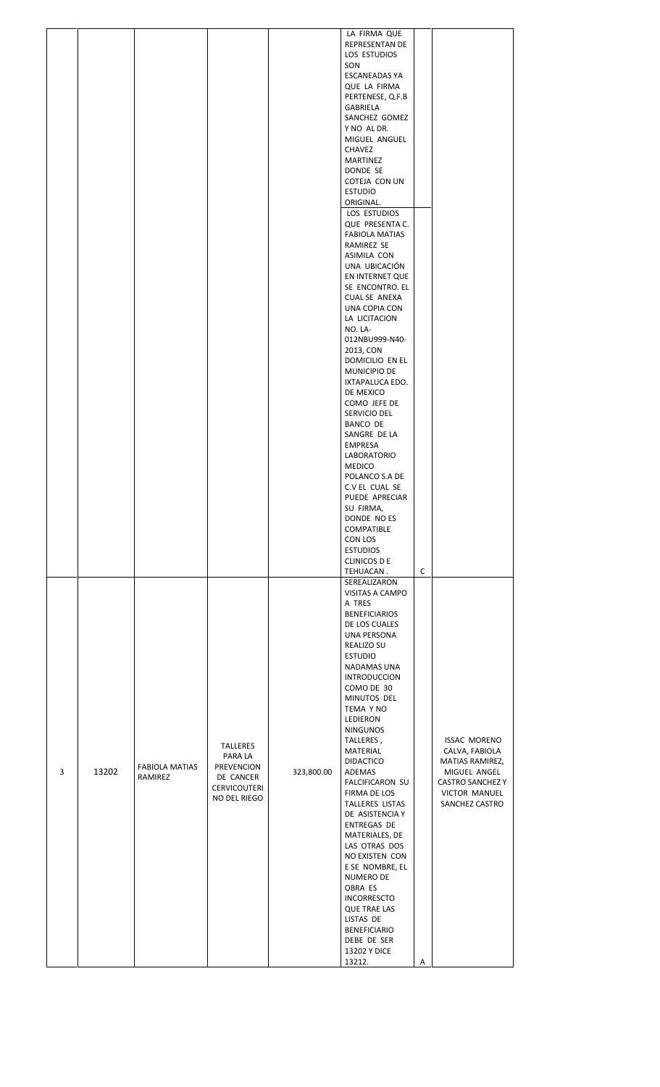| 3 | 13202 | <b>FABIOLA MATIAS</b><br>RAMIREZ | TALLERES<br>PARA LA<br>PREVENCION<br>DE CANCER<br><b>CERVICOUTERI</b><br>NO DEL RIEGO | 323,800.00 | LA FIRMA QUE<br>REPRESENTAN DE<br>LOS ESTUDIOS<br>SON<br>ESCANEADAS YA<br>QUE LA FIRMA<br>PERTENESE, Q.F.B<br>GABRIELA<br>SANCHEZ GOMEZ<br>Y NO AL DR.<br>MIGUEL ANGUEL<br><b>CHAVEZ</b><br>MARTINEZ<br>DONDE SE<br>COTEJA CON UN<br><b>ESTUDIO</b><br>ORIGINAL.<br>LOS ESTUDIOS<br>QUE PRESENTA C.<br><b>FABIOLA MATIAS</b><br>RAMIREZ SE<br>ASIMILA CON<br>UNA UBICACIÓN<br>EN INTERNET QUE<br>SE ENCONTRO. EL<br>CUAL SE ANEXA<br>UNA COPIA CON<br>LA LICITACION<br>NO. LA-<br>012NBU999-N40-<br>2013, CON<br>DOMICILIO EN EL<br>MUNICIPIO DE<br>IXTAPALUCA EDO.<br>DE MEXICO<br>COMO JEFE DE<br>SERVICIO DEL<br>BANCO DE<br>SANGRE DE LA<br><b>EMPRESA</b><br>LABORATORIO<br>MEDICO<br>POLANCO S.A DE<br>C.V EL CUAL SE<br>PUEDE APRECIAR<br>SU FIRMA.<br>DONDE NO ES<br><b>COMPATIBLE</b><br>CON LOS<br><b>ESTUDIOS</b><br><b>CLINICOS D E</b><br>TEHUACAN.<br>SEREALIZARON<br>VISITAS A CAMPO<br>A TRES<br><b>BENEFICIARIOS</b><br>DE LOS CUALES<br>UNA PERSONA<br><b>REALIZO SU</b><br><b>ESTUDIO</b><br>NADAMAS UNA<br><b>INTRODUCCION</b><br>COMO DE 30<br>MINUTOS DEL<br>TEMA Y NO<br>LEDIERON<br><b>NINGUNOS</b><br>TALLERES,<br>MATERIAL<br><b>DIDACTICO</b><br>ADEMAS<br><b>FALCIFICARON SU</b><br>FIRMA DE LOS<br>TALLERES LISTAS<br>DE ASISTENCIA Y<br><b>ENTREGAS DE</b><br>MATERIALES, DE<br>LAS OTRAS DOS<br>NO EXISTEN CON<br>E SE NOMBRE, EL<br>NUMERO DE | C | <b>ISSAC MORENO</b><br>CALVA, FABIOLA<br>MATIAS RAMIREZ,<br>MIGUEL ANGEL<br><b>CASTRO SANCHEZ Y</b><br>VICTOR MANUEL<br>SANCHEZ CASTRO |  |
|---|-------|----------------------------------|---------------------------------------------------------------------------------------|------------|-------------------------------------------------------------------------------------------------------------------------------------------------------------------------------------------------------------------------------------------------------------------------------------------------------------------------------------------------------------------------------------------------------------------------------------------------------------------------------------------------------------------------------------------------------------------------------------------------------------------------------------------------------------------------------------------------------------------------------------------------------------------------------------------------------------------------------------------------------------------------------------------------------------------------------------------------------------------------------------------------------------------------------------------------------------------------------------------------------------------------------------------------------------------------------------------------------------------------------------------------------------------------------------------------------------------------------------------------------------------------------|---|----------------------------------------------------------------------------------------------------------------------------------------|--|
|   |       |                                  |                                                                                       |            | OBRA ES<br><b>INCORRESCTO</b><br><b>QUE TRAE LAS</b><br>LISTAS DE<br><b>BENEFICIARIO</b><br>DEBE DE SER<br>13202 Y DICE<br>13212.                                                                                                                                                                                                                                                                                                                                                                                                                                                                                                                                                                                                                                                                                                                                                                                                                                                                                                                                                                                                                                                                                                                                                                                                                                             | Α |                                                                                                                                        |  |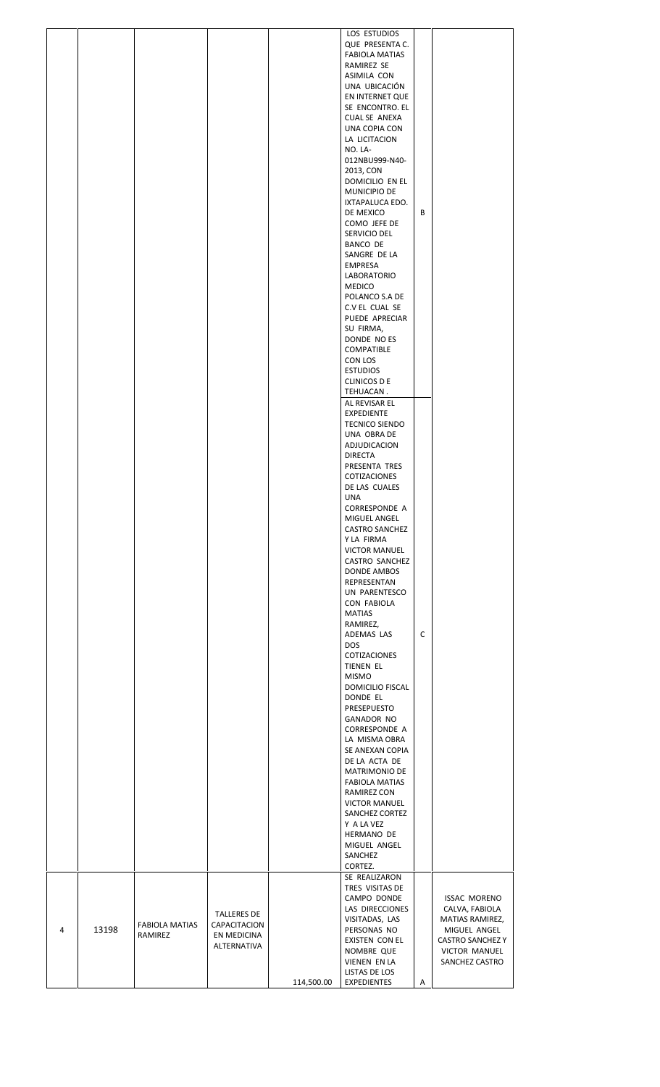| HERMANO DE<br>MIGUEL ANGEL<br>SANCHEZ<br>CORTEZ.<br>SE REALIZARON                                                                                                                                                                                                                                      |  |  | LOS ESTUDIOS<br>QUE PRESENTA C.<br><b>FABIOLA MATIAS</b><br>RAMIREZ SE<br>ASIMILA CON<br>UNA UBICACIÓN<br>EN INTERNET QUE<br>SE ENCONTRO. EL<br><b>CUAL SE ANEXA</b><br>UNA COPIA CON<br>LA LICITACION<br>NO. LA-<br>012NBU999-N40-<br>2013, CON<br>DOMICILIO EN EL<br>MUNICIPIO DE<br>IXTAPALUCA EDO.<br>DE MEXICO<br>COMO JEFE DE<br>SERVICIO DEL<br>BANCO DE<br>SANGRE DE LA<br><b>EMPRESA</b><br>LABORATORIO<br><b>MEDICO</b><br>POLANCO S.A DE<br>C.V EL CUAL SE<br>PUEDE APRECIAR<br>SU FIRMA,<br>DONDE NO ES<br>COMPATIBLE<br>CON LOS<br><b>ESTUDIOS</b><br>CLINICOS D E<br>TEHUACAN.<br>AL REVISAR EL<br><b>EXPEDIENTE</b><br>TECNICO SIENDO<br>UNA OBRA DE<br>ADJUDICACION<br><b>DIRECTA</b><br>PRESENTA TRES<br>COTIZACIONES<br>DE LAS CUALES<br><b>UNA</b><br><b>CORRESPONDE A</b><br>MIGUEL ANGEL<br><b>CASTRO SANCHEZ</b><br>Y LA FIRMA<br><b>VICTOR MANUEL</b><br>CASTRO SANCHEZ<br><b>DONDE AMBOS</b><br>REPRESENTAN<br>UN PARENTESCO<br>CON FABIOLA<br><b>MATIAS</b><br>RAMIREZ,<br>ADEMAS LAS<br><b>DOS</b><br>COTIZACIONES<br>TIENEN EL<br><b>MISMO</b><br>DOMICILIO FISCAL<br>DONDE EL<br>PRESEPUESTO<br><b>GANADOR NO</b><br>CORRESPONDE A<br>LA MISMA OBRA<br>SE ANEXAN COPIA<br>DE LA ACTA DE<br>MATRIMONIO DE<br><b>FABIOLA MATIAS</b><br>RAMIREZ CON<br><b>VICTOR MANUEL</b><br>SANCHEZ CORTEZ | В<br>C |                                                                                                                                        |  |
|--------------------------------------------------------------------------------------------------------------------------------------------------------------------------------------------------------------------------------------------------------------------------------------------------------|--|--|------------------------------------------------------------------------------------------------------------------------------------------------------------------------------------------------------------------------------------------------------------------------------------------------------------------------------------------------------------------------------------------------------------------------------------------------------------------------------------------------------------------------------------------------------------------------------------------------------------------------------------------------------------------------------------------------------------------------------------------------------------------------------------------------------------------------------------------------------------------------------------------------------------------------------------------------------------------------------------------------------------------------------------------------------------------------------------------------------------------------------------------------------------------------------------------------------------------------------------------------------------------------------------------------------------------------|--------|----------------------------------------------------------------------------------------------------------------------------------------|--|
|                                                                                                                                                                                                                                                                                                        |  |  | Y A LA VEZ<br>TRES VISITAS DE                                                                                                                                                                                                                                                                                                                                                                                                                                                                                                                                                                                                                                                                                                                                                                                                                                                                                                                                                                                                                                                                                                                                                                                                                                                                                          |        |                                                                                                                                        |  |
| CAMPO DONDE<br>LAS DIRECCIONES<br><b>TALLERES DE</b><br>VISITADAS, LAS<br><b>FABIOLA MATIAS</b><br>CAPACITACION<br>4<br>13198<br>PERSONAS NO<br>RAMIREZ<br>EN MEDICINA<br>EXISTEN CON EL<br>ALTERNATIVA<br>NOMBRE QUE<br><b>VIENEN EN LA</b><br>LISTAS DE LOS<br>114,500.00<br><b>EXPEDIENTES</b><br>Α |  |  |                                                                                                                                                                                                                                                                                                                                                                                                                                                                                                                                                                                                                                                                                                                                                                                                                                                                                                                                                                                                                                                                                                                                                                                                                                                                                                                        |        | <b>ISSAC MORENO</b><br>CALVA, FABIOLA<br>MATIAS RAMIREZ,<br>MIGUEL ANGEL<br><b>CASTRO SANCHEZ Y</b><br>VICTOR MANUEL<br>SANCHEZ CASTRO |  |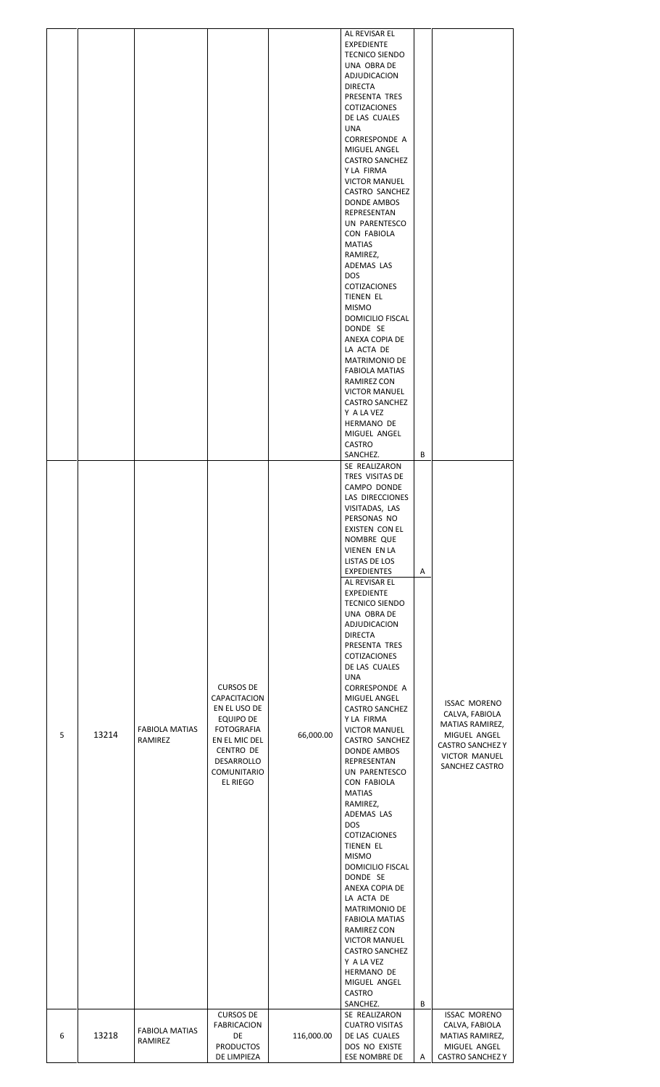| 5 | 13214 | <b>FABIOLA MATIAS</b><br>RAMIREZ | <b>CURSOS DE</b><br>CAPACITACION<br>EN EL USO DE<br>EQUIPO DE<br><b>FOTOGRAFIA</b><br>EN EL MIC DEL<br>CENTRO DE<br>DESARROLLO<br><b>COMUNITARIO</b><br>EL RIEGO | 66,000.00  | AL REVISAR EL<br><b>EXPEDIENTE</b><br><b>TECNICO SIENDO</b><br>UNA OBRA DE<br>ADJUDICACION<br><b>DIRECTA</b><br>PRESENTA TRES<br>COTIZACIONES<br>DE LAS CUALES<br><b>UNA</b><br><b>CORRESPONDE A</b><br>MIGUEL ANGEL<br><b>CASTRO SANCHEZ</b><br>Y LA FIRMA<br><b>VICTOR MANUEL</b><br>CASTRO SANCHEZ<br>DONDE AMBOS<br>REPRESENTAN<br>UN PARENTESCO<br>CON FABIOLA<br><b>MATIAS</b><br>RAMIREZ,<br>ADEMAS LAS<br><b>DOS</b><br>COTIZACIONES<br>TIENEN EL<br><b>MISMO</b><br>DOMICILIO FISCAL<br>DONDE SE<br>ANEXA COPIA DE<br>LA ACTA DE<br>MATRIMONIO DE<br><b>FABIOLA MATIAS</b><br>RAMIREZ CON<br><b>VICTOR MANUEL</b><br><b>CASTRO SANCHEZ</b><br>Y A LA VEZ<br>HERMANO DE<br>MIGUEL ANGEL<br><b>CASTRO</b><br>SANCHEZ.<br>SE REALIZARON<br>TRES VISITAS DE<br>CAMPO DONDE<br>LAS DIRECCIONES<br>VISITADAS, LAS<br>PERSONAS NO<br>EXISTEN CON EL<br>NOMBRE QUE<br>VIENEN EN LA<br>LISTAS DE LOS<br>EXPEDIENTES<br>AL REVISAR EL<br><b>EXPEDIENTE</b><br><b>TECNICO SIENDO</b><br>UNA OBRA DE<br>ADJUDICACION<br><b>DIRECTA</b><br>PRESENTA TRES<br>COTIZACIONES<br>DE LAS CUALES<br><b>UNA</b><br><b>CORRESPONDE A</b><br>MIGUEL ANGEL<br><b>CASTRO SANCHEZ</b><br>Y LA FIRMA<br><b>VICTOR MANUEL</b><br>CASTRO SANCHEZ<br>DONDE AMBOS<br>REPRESENTAN<br>UN PARENTESCO<br>CON FABIOLA<br><b>MATIAS</b><br>RAMIREZ,<br>ADEMAS LAS<br><b>DOS</b><br>COTIZACIONES<br>TIENEN EL<br><b>MISMO</b><br>DOMICILIO FISCAL<br>DONDE SE<br>ANEXA COPIA DE<br>LA ACTA DE<br>MATRIMONIO DE<br><b>FABIOLA MATIAS</b><br>RAMIREZ CON<br><b>VICTOR MANUEL</b><br><b>CASTRO SANCHEZ</b><br>Y A LA VEZ<br>HERMANO DE<br>MIGUEL ANGEL<br>CASTRO<br>SANCHEZ. | B<br>Α<br>$\sf{B}$ | <b>ISSAC MORENO</b><br>CALVA, FABIOLA<br>MATIAS RAMIREZ,<br>MIGUEL ANGEL<br><b>CASTRO SANCHEZ Y</b><br><b>VICTOR MANUEL</b><br>SANCHEZ CASTRO |
|---|-------|----------------------------------|------------------------------------------------------------------------------------------------------------------------------------------------------------------|------------|----------------------------------------------------------------------------------------------------------------------------------------------------------------------------------------------------------------------------------------------------------------------------------------------------------------------------------------------------------------------------------------------------------------------------------------------------------------------------------------------------------------------------------------------------------------------------------------------------------------------------------------------------------------------------------------------------------------------------------------------------------------------------------------------------------------------------------------------------------------------------------------------------------------------------------------------------------------------------------------------------------------------------------------------------------------------------------------------------------------------------------------------------------------------------------------------------------------------------------------------------------------------------------------------------------------------------------------------------------------------------------------------------------------------------------------------------------------------------------------------------------------------------------------------------------------------------------------------------------------------------------------------|--------------------|-----------------------------------------------------------------------------------------------------------------------------------------------|
| 6 | 13218 | <b>FABIOLA MATIAS</b><br>RAMIREZ | <b>CURSOS DE</b><br><b>FABRICACION</b><br>DE<br><b>PRODUCTOS</b><br>DE LIMPIEZA                                                                                  | 116,000.00 | SE REALIZARON<br><b>CUATRO VISITAS</b><br>DE LAS CUALES<br>DOS NO EXISTE<br>ESE NOMBRE DE                                                                                                                                                                                                                                                                                                                                                                                                                                                                                                                                                                                                                                                                                                                                                                                                                                                                                                                                                                                                                                                                                                                                                                                                                                                                                                                                                                                                                                                                                                                                                    | Α                  | <b>ISSAC MORENO</b><br>CALVA, FABIOLA<br>MATIAS RAMIREZ,<br>MIGUEL ANGEL<br><b>CASTRO SANCHEZ Y</b>                                           |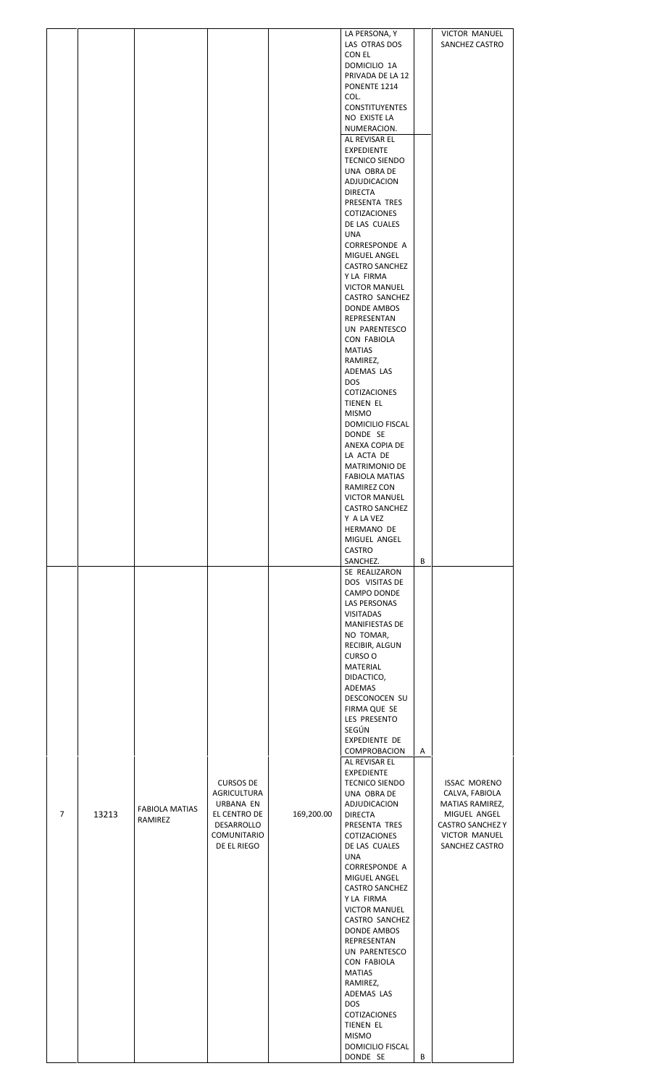|                |       |                       |                                 |            | LA PERSONA, Y                         |   | <b>VICTOR MANUEL</b>                    |  |
|----------------|-------|-----------------------|---------------------------------|------------|---------------------------------------|---|-----------------------------------------|--|
|                |       |                       |                                 |            | LAS OTRAS DOS<br>CON EL               |   | SANCHEZ CASTRO                          |  |
|                |       |                       |                                 |            | DOMICILIO 1A                          |   |                                         |  |
|                |       |                       |                                 |            | PRIVADA DE LA 12                      |   |                                         |  |
|                |       |                       |                                 |            | PONENTE 1214<br>COL.                  |   |                                         |  |
|                |       |                       |                                 |            | <b>CONSTITUYENTES</b>                 |   |                                         |  |
|                |       |                       |                                 |            | NO EXISTE LA                          |   |                                         |  |
|                |       |                       |                                 |            | NUMERACION.<br>AL REVISAR EL          |   |                                         |  |
|                |       |                       |                                 |            | <b>EXPEDIENTE</b>                     |   |                                         |  |
|                |       |                       |                                 |            | <b>TECNICO SIENDO</b>                 |   |                                         |  |
|                |       |                       |                                 |            | UNA OBRA DE<br>ADJUDICACION           |   |                                         |  |
|                |       |                       |                                 |            | <b>DIRECTA</b>                        |   |                                         |  |
|                |       |                       |                                 |            | PRESENTA TRES                         |   |                                         |  |
|                |       |                       |                                 |            | COTIZACIONES                          |   |                                         |  |
|                |       |                       |                                 |            | DE LAS CUALES<br>UNA                  |   |                                         |  |
|                |       |                       |                                 |            | CORRESPONDE A                         |   |                                         |  |
|                |       |                       |                                 |            | MIGUEL ANGEL<br><b>CASTRO SANCHEZ</b> |   |                                         |  |
|                |       |                       |                                 |            | Y LA FIRMA                            |   |                                         |  |
|                |       |                       |                                 |            | <b>VICTOR MANUEL</b>                  |   |                                         |  |
|                |       |                       |                                 |            | CASTRO SANCHEZ                        |   |                                         |  |
|                |       |                       |                                 |            | DONDE AMBOS<br>REPRESENTAN            |   |                                         |  |
|                |       |                       |                                 |            | UN PARENTESCO                         |   |                                         |  |
|                |       |                       |                                 |            | CON FABIOLA                           |   |                                         |  |
|                |       |                       |                                 |            | <b>MATIAS</b><br>RAMIREZ,             |   |                                         |  |
|                |       |                       |                                 |            | ADEMAS LAS                            |   |                                         |  |
|                |       |                       |                                 |            | <b>DOS</b>                            |   |                                         |  |
|                |       |                       |                                 |            | COTIZACIONES<br>TIENEN EL             |   |                                         |  |
|                |       |                       |                                 |            | <b>MISMO</b>                          |   |                                         |  |
|                |       |                       |                                 |            | DOMICILIO FISCAL                      |   |                                         |  |
|                |       |                       |                                 |            | DONDE SE<br>ANEXA COPIA DE            |   |                                         |  |
|                |       |                       |                                 |            | LA ACTA DE                            |   |                                         |  |
|                |       |                       |                                 |            | MATRIMONIO DE                         |   |                                         |  |
|                |       |                       |                                 |            | <b>FABIOLA MATIAS</b><br>RAMIREZ CON  |   |                                         |  |
|                |       |                       |                                 |            | <b>VICTOR MANUEL</b>                  |   |                                         |  |
|                |       |                       |                                 |            | <b>CASTRO SANCHEZ</b>                 |   |                                         |  |
|                |       |                       |                                 |            | Y A LA VEZ<br>HERMANO DE              |   |                                         |  |
|                |       |                       |                                 |            | MIGUEL ANGEL                          |   |                                         |  |
|                |       |                       |                                 |            | CASTRO                                |   |                                         |  |
|                |       |                       |                                 |            | SANCHEZ.                              | В |                                         |  |
|                |       |                       |                                 |            | SE REALIZARON<br>DOS VISITAS DE       |   |                                         |  |
|                |       |                       |                                 |            | CAMPO DONDE                           |   |                                         |  |
|                |       |                       |                                 |            | LAS PERSONAS                          |   |                                         |  |
|                |       |                       |                                 |            | <b>VISITADAS</b><br>MANIFIESTAS DE    |   |                                         |  |
|                |       |                       |                                 |            | NO TOMAR,                             |   |                                         |  |
|                |       |                       |                                 |            | RECIBIR, ALGUN                        |   |                                         |  |
|                |       |                       |                                 |            | CURSO O<br>MATERIAL                   |   |                                         |  |
|                |       |                       |                                 |            | DIDACTICO,                            |   |                                         |  |
|                |       |                       |                                 |            | ADEMAS                                |   |                                         |  |
|                |       |                       |                                 |            | DESCONOCEN SU<br>FIRMA QUE SE         |   |                                         |  |
|                |       |                       |                                 |            | LES PRESENTO                          |   |                                         |  |
|                |       |                       |                                 |            | SEGÚN                                 |   |                                         |  |
|                |       |                       |                                 |            | EXPEDIENTE DE<br>COMPROBACION         | Α |                                         |  |
|                |       |                       |                                 |            | AL REVISAR EL                         |   |                                         |  |
|                |       |                       |                                 |            | <b>EXPEDIENTE</b>                     |   |                                         |  |
|                |       |                       | <b>CURSOS DE</b><br>AGRICULTURA |            | <b>TECNICO SIENDO</b><br>UNA OBRA DE  |   | <b>ISSAC MORENO</b><br>CALVA, FABIOLA   |  |
|                |       | <b>FABIOLA MATIAS</b> | URBANA EN                       |            | ADJUDICACION                          |   | MATIAS RAMIREZ,                         |  |
| $\overline{7}$ | 13213 | RAMIREZ               | EL CENTRO DE<br>DESARROLLO      | 169,200.00 | <b>DIRECTA</b><br>PRESENTA TRES       |   | MIGUEL ANGEL<br><b>CASTRO SANCHEZ Y</b> |  |
|                |       |                       | COMUNITARIO                     |            | COTIZACIONES                          |   | VICTOR MANUEL                           |  |
|                |       |                       | DE EL RIEGO                     |            | DE LAS CUALES                         |   | SANCHEZ CASTRO                          |  |
|                |       |                       |                                 |            | <b>UNA</b><br>CORRESPONDE A           |   |                                         |  |
|                |       |                       |                                 |            | MIGUEL ANGEL                          |   |                                         |  |
|                |       |                       |                                 |            | <b>CASTRO SANCHEZ</b>                 |   |                                         |  |
|                |       |                       |                                 |            | Y LA FIRMA<br><b>VICTOR MANUEL</b>    |   |                                         |  |
|                |       |                       |                                 |            | CASTRO SANCHEZ                        |   |                                         |  |
|                |       |                       |                                 |            | DONDE AMBOS                           |   |                                         |  |
|                |       |                       |                                 |            | REPRESENTAN<br>UN PARENTESCO          |   |                                         |  |
|                |       |                       |                                 |            | CON FABIOLA                           |   |                                         |  |
|                |       |                       |                                 |            | MATIAS                                |   |                                         |  |
|                |       |                       |                                 |            | RAMIREZ,<br>ADEMAS LAS                |   |                                         |  |
|                |       |                       |                                 |            | <b>DOS</b>                            |   |                                         |  |
|                |       |                       |                                 |            | <b>COTIZACIONES</b>                   |   |                                         |  |
|                |       |                       |                                 |            | TIENEN EL<br><b>MISMO</b>             |   |                                         |  |
|                |       |                       |                                 |            | DOMICILIO FISCAL                      |   |                                         |  |
|                |       |                       |                                 |            | DONDE SE                              | B |                                         |  |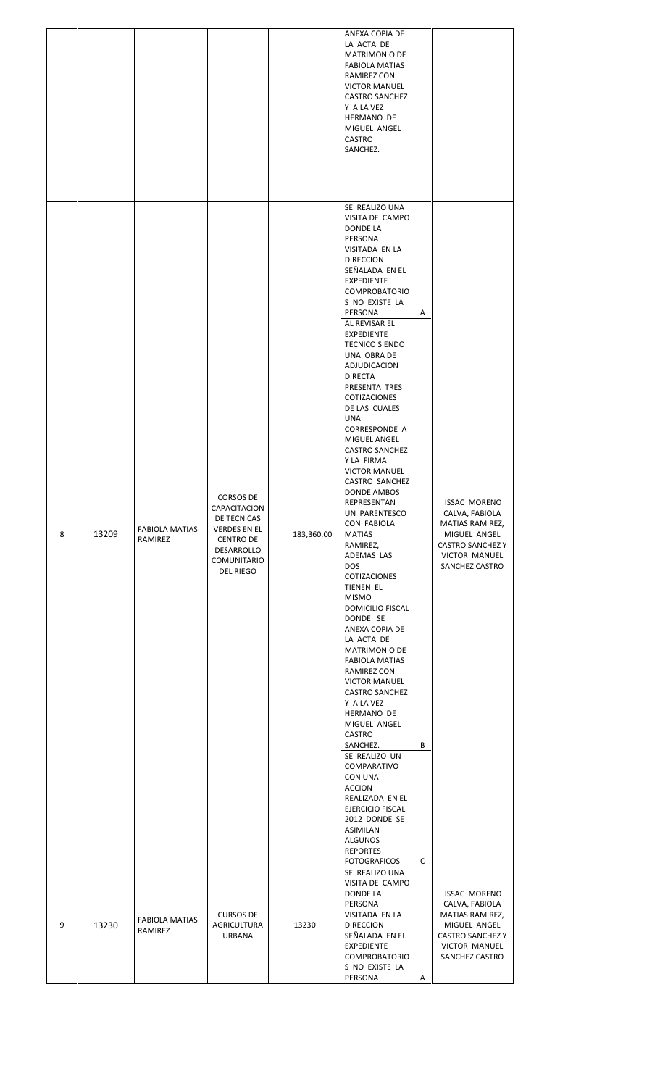|   |       |                                  |                                                                                                                        |            | ANEXA COPIA DE<br>LA ACTA DE<br><b>MATRIMONIO DE</b><br><b>FABIOLA MATIAS</b><br>RAMIREZ CON<br><b>VICTOR MANUEL</b><br><b>CASTRO SANCHEZ</b><br>Y A LA VEZ<br>HERMANO DE<br>MIGUEL ANGEL<br>CASTRO<br>SANCHEZ.                                                                                                                                                                                                                                                                                                                                                                                                                                                                                                                                                                                                                                                                                                                                                                                                                                                                                                               |             |                                                                                                                                               |
|---|-------|----------------------------------|------------------------------------------------------------------------------------------------------------------------|------------|-------------------------------------------------------------------------------------------------------------------------------------------------------------------------------------------------------------------------------------------------------------------------------------------------------------------------------------------------------------------------------------------------------------------------------------------------------------------------------------------------------------------------------------------------------------------------------------------------------------------------------------------------------------------------------------------------------------------------------------------------------------------------------------------------------------------------------------------------------------------------------------------------------------------------------------------------------------------------------------------------------------------------------------------------------------------------------------------------------------------------------|-------------|-----------------------------------------------------------------------------------------------------------------------------------------------|
| 8 | 13209 | <b>FABIOLA MATIAS</b><br>RAMIREZ | CORSOS DE<br>CAPACITACION<br>DE TECNICAS<br>VERDES EN EL<br><b>CENTRO DE</b><br>DESARROLLO<br>COMUNITARIO<br>DEL RIEGO | 183,360.00 | SE REALIZO UNA<br>VISITA DE CAMPO<br>DONDE LA<br>PERSONA<br><b>VISITADA EN LA</b><br><b>DIRECCION</b><br>SEÑALADA EN EL<br><b>EXPEDIENTE</b><br><b>COMPROBATORIO</b><br>S NO EXISTE LA<br>PERSONA<br>AL REVISAR EL<br><b>EXPEDIENTE</b><br><b>TECNICO SIENDO</b><br>UNA OBRA DE<br>ADJUDICACION<br><b>DIRECTA</b><br>PRESENTA TRES<br>COTIZACIONES<br>DE LAS CUALES<br><b>UNA</b><br><b>CORRESPONDE A</b><br>MIGUEL ANGEL<br><b>CASTRO SANCHEZ</b><br>Y LA FIRMA<br><b>VICTOR MANUEL</b><br>CASTRO SANCHEZ<br>DONDE AMBOS<br>REPRESENTAN<br>UN PARENTESCO<br><b>CON FABIOLA</b><br><b>MATIAS</b><br>RAMIREZ,<br>ADEMAS LAS<br><b>DOS</b><br>COTIZACIONES<br>TIENEN EL<br><b>MISMO</b><br>DOMICILIO FISCAL<br>DONDE SE<br>ANEXA COPIA DE<br>LA ACTA DE<br>MATRIMONIO DE<br><b>FABIOLA MATIAS</b><br>RAMIREZ CON<br><b>VICTOR MANUEL</b><br><b>CASTRO SANCHEZ</b><br>Y A LA VEZ<br>HERMANO DE<br>MIGUEL ANGEL<br><b>CASTRO</b><br>SANCHEZ.<br>SE REALIZO UN<br>COMPARATIVO<br>CON UNA<br><b>ACCION</b><br>REALIZADA EN EL<br>EJERCICIO FISCAL<br>2012 DONDE SE<br>ASIMILAN<br>ALGUNOS<br><b>REPORTES</b><br><b>FOTOGRAFICOS</b> | A<br>В<br>С | <b>ISSAC MORENO</b><br>CALVA, FABIOLA<br>MATIAS RAMIREZ,<br>MIGUEL ANGEL<br><b>CASTRO SANCHEZ Y</b><br><b>VICTOR MANUEL</b><br>SANCHEZ CASTRO |
| 9 | 13230 | <b>FABIOLA MATIAS</b><br>RAMIREZ | <b>CURSOS DE</b><br>AGRICULTURA<br>URBANA                                                                              | 13230      | SE REALIZO UNA<br>VISITA DE CAMPO<br><b>DONDE LA</b><br>PERSONA<br>VISITADA EN LA<br><b>DIRECCION</b><br>SEÑALADA EN EL<br><b>EXPEDIENTE</b><br><b>COMPROBATORIO</b><br>S NO EXISTE LA<br>PERSONA                                                                                                                                                                                                                                                                                                                                                                                                                                                                                                                                                                                                                                                                                                                                                                                                                                                                                                                             | Α           | <b>ISSAC MORENO</b><br>CALVA, FABIOLA<br>MATIAS RAMIREZ,<br>MIGUEL ANGEL<br><b>CASTRO SANCHEZ Y</b><br><b>VICTOR MANUEL</b><br>SANCHEZ CASTRO |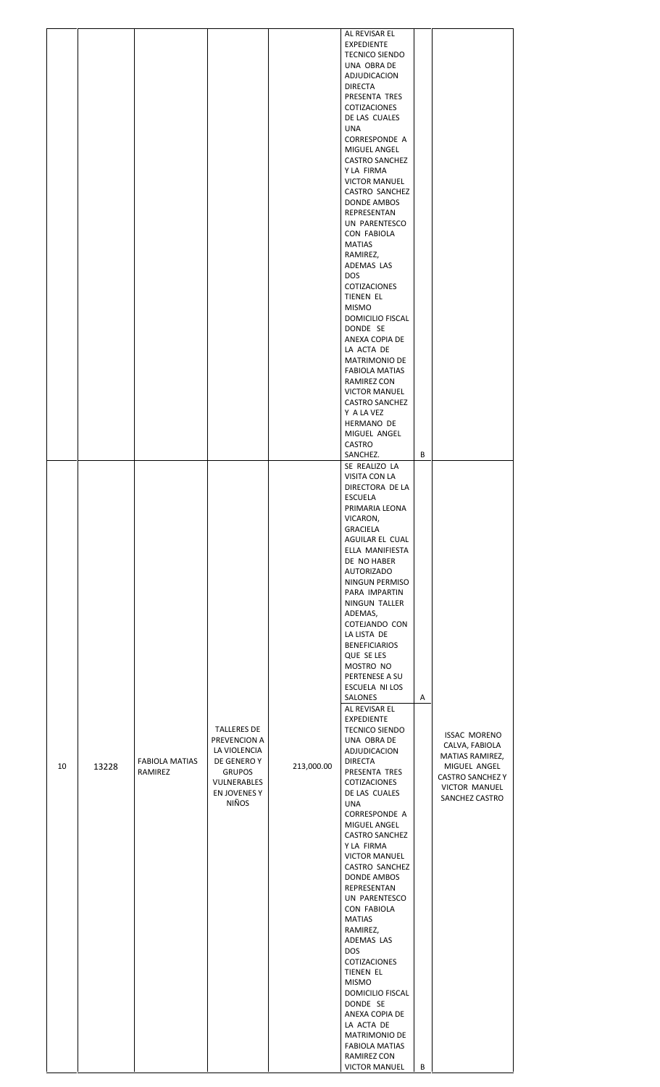|    |       |                                  |                                                                                                                                   |            | AL REVISAR EL<br><b>EXPEDIENTE</b><br><b>TECNICO SIENDO</b><br>UNA OBRA DE<br>ADJUDICACION<br><b>DIRECTA</b>                                                                    |   |                                                                                                                                               |
|----|-------|----------------------------------|-----------------------------------------------------------------------------------------------------------------------------------|------------|---------------------------------------------------------------------------------------------------------------------------------------------------------------------------------|---|-----------------------------------------------------------------------------------------------------------------------------------------------|
|    |       |                                  |                                                                                                                                   |            | PRESENTA TRES<br>COTIZACIONES<br>DE LAS CUALES<br><b>UNA</b><br><b>CORRESPONDE A</b><br>MIGUEL ANGEL<br><b>CASTRO SANCHEZ</b><br>Y LA FIRMA<br><b>VICTOR MANUEL</b>             |   |                                                                                                                                               |
|    |       |                                  |                                                                                                                                   |            | CASTRO SANCHEZ<br>DONDE AMBOS<br>REPRESENTAN<br>UN PARENTESCO<br>CON FABIOLA<br><b>MATIAS</b><br>RAMIREZ,<br>ADEMAS LAS                                                         |   |                                                                                                                                               |
|    |       |                                  |                                                                                                                                   |            | <b>DOS</b><br>COTIZACIONES<br>TIENEN EL<br><b>MISMO</b><br>DOMICILIO FISCAL<br>DONDE SE<br>ANEXA COPIA DE<br>LA ACTA DE<br><b>MATRIMONIO DE</b>                                 |   |                                                                                                                                               |
|    |       |                                  |                                                                                                                                   |            | FABIOLA MATIAS<br>RAMIREZ CON<br><b>VICTOR MANUEL</b><br><b>CASTRO SANCHEZ</b><br>Y A LA VEZ<br>HERMANO DE<br>MIGUEL ANGEL<br>CASTRO                                            | B |                                                                                                                                               |
|    |       |                                  |                                                                                                                                   |            | SANCHEZ.<br>SE REALIZO LA<br>VISITA CON LA<br>DIRECTORA DE LA<br><b>ESCUELA</b><br>PRIMARIA LEONA<br>VICARON,<br><b>GRACIELA</b><br>AGUILAR EL CUAL                             |   |                                                                                                                                               |
|    |       |                                  |                                                                                                                                   |            | ELLA MANIFIESTA<br>DE NO HABER<br><b>AUTORIZADO</b><br>NINGUN PERMISO<br>PARA IMPARTIN<br>NINGUN TALLER<br>ADEMAS,<br>COTEJANDO CON<br>LA LISTA DE                              |   |                                                                                                                                               |
|    |       |                                  |                                                                                                                                   |            | <b>BENEFICIARIOS</b><br>QUE SE LES<br>MOSTRO NO<br>PERTENESE A SU<br>ESCUELA NI LOS<br>SALONES<br>AL REVISAR EL<br><b>EXPEDIENTE</b>                                            | Α |                                                                                                                                               |
| 10 | 13228 | <b>FABIOLA MATIAS</b><br>RAMIREZ | <b>TALLERES DE</b><br>PREVENCION A<br>LA VIOLENCIA<br>DE GENERO Y<br><b>GRUPOS</b><br>VULNERABLES<br>EN JOVENES Y<br><b>NIÑOS</b> | 213,000.00 | <b>TECNICO SIENDO</b><br>UNA OBRA DE<br>ADJUDICACION<br><b>DIRECTA</b><br>PRESENTA TRES<br>COTIZACIONES<br>DE LAS CUALES<br><b>UNA</b><br>CORRESPONDE A<br>MIGUEL ANGEL         |   | <b>ISSAC MORENO</b><br>CALVA, FABIOLA<br>MATIAS RAMIREZ,<br>MIGUEL ANGEL<br><b>CASTRO SANCHEZ Y</b><br><b>VICTOR MANUEL</b><br>SANCHEZ CASTRO |
|    |       |                                  |                                                                                                                                   |            | <b>CASTRO SANCHEZ</b><br>Y LA FIRMA<br><b>VICTOR MANUEL</b><br>CASTRO SANCHEZ<br><b>DONDE AMBOS</b><br>REPRESENTAN<br>UN PARENTESCO<br>CON FABIOLA<br><b>MATIAS</b><br>RAMIREZ, |   |                                                                                                                                               |
|    |       |                                  |                                                                                                                                   |            | ADEMAS LAS<br><b>DOS</b><br>COTIZACIONES<br>TIENEN EL<br><b>MISMO</b><br>DOMICILIO FISCAL<br>DONDE SE<br>ANEXA COPIA DE                                                         |   |                                                                                                                                               |
|    |       |                                  |                                                                                                                                   |            | LA ACTA DE<br>MATRIMONIO DE<br><b>FABIOLA MATIAS</b><br>RAMIREZ CON<br><b>VICTOR MANUEL</b>                                                                                     | В |                                                                                                                                               |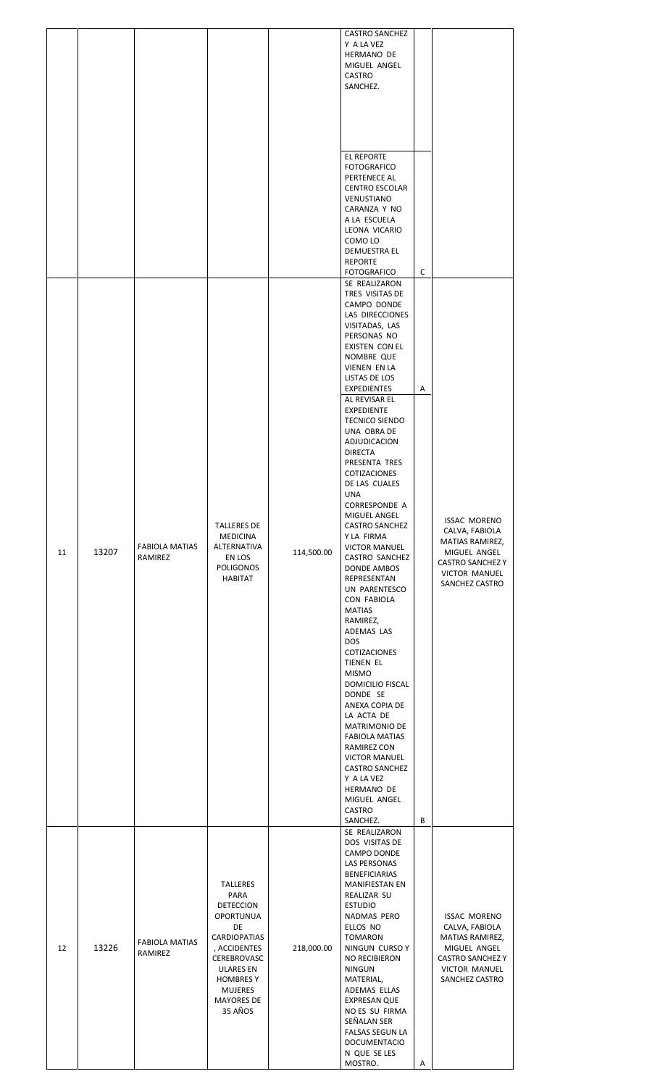|    |       |                                  |                                                                                                                                                                                                         |            | <b>CASTRO SANCHEZ</b><br>Y A LA VEZ<br>HERMANO DE<br>MIGUEL ANGEL<br>CASTRO<br>SANCHEZ.<br><b>EL REPORTE</b><br><b>FOTOGRAFICO</b><br>PERTENECE AL<br><b>CENTRO ESCOLAR</b><br>VENUSTIANO<br>CARANZA Y NO                                                                                                                                                                                                                                                                                                                                                                                                                                                                                                                                                                                                                                     |        |                                                                                                                                               |
|----|-------|----------------------------------|---------------------------------------------------------------------------------------------------------------------------------------------------------------------------------------------------------|------------|-----------------------------------------------------------------------------------------------------------------------------------------------------------------------------------------------------------------------------------------------------------------------------------------------------------------------------------------------------------------------------------------------------------------------------------------------------------------------------------------------------------------------------------------------------------------------------------------------------------------------------------------------------------------------------------------------------------------------------------------------------------------------------------------------------------------------------------------------|--------|-----------------------------------------------------------------------------------------------------------------------------------------------|
|    |       |                                  |                                                                                                                                                                                                         |            | A LA ESCUELA<br>LEONA VICARIO<br>COMO LO<br><b>DEMUESTRA EL</b><br><b>REPORTE</b><br><b>FOTOGRAFICO</b><br>SE REALIZARON<br>TRES VISITAS DE<br>CAMPO DONDE<br>LAS DIRECCIONES                                                                                                                                                                                                                                                                                                                                                                                                                                                                                                                                                                                                                                                                 | c      |                                                                                                                                               |
| 11 | 13207 | <b>FABIOLA MATIAS</b><br>RAMIREZ | <b>TALLERES DE</b><br><b>MEDICINA</b><br>ALTERNATIVA<br>EN LOS<br><b>POLIGONOS</b><br><b>HABITAT</b>                                                                                                    | 114,500.00 | VISITADAS, LAS<br>PERSONAS NO<br>EXISTEN CON EL<br>NOMBRE QUE<br>VIENEN EN LA<br>LISTAS DE LOS<br>EXPEDIENTES<br>AL REVISAR EL<br><b>EXPEDIENTE</b><br><b>TECNICO SIENDO</b><br>UNA OBRA DE<br>ADJUDICACION<br><b>DIRECTA</b><br>PRESENTA TRES<br>COTIZACIONES<br>DE LAS CUALES<br><b>UNA</b><br><b>CORRESPONDE A</b><br>MIGUEL ANGEL<br><b>CASTRO SANCHEZ</b><br>Y LA FIRMA<br><b>VICTOR MANUEL</b><br>CASTRO SANCHEZ<br>DONDE AMBOS<br>REPRESENTAN<br>UN PARENTESCO<br>CON FABIOLA<br><b>MATIAS</b><br>RAMIREZ,<br>ADEMAS LAS<br><b>DOS</b><br>COTIZACIONES<br>TIENEN EL<br><b>MISMO</b><br>DOMICILIO FISCAL<br>DONDE SE<br>ANEXA COPIA DE<br>LA ACTA DE<br><b>MATRIMONIO DE</b><br><b>FABIOLA MATIAS</b><br>RAMIREZ CON<br><b>VICTOR MANUEL</b><br><b>CASTRO SANCHEZ</b><br>Y A LA VEZ<br>HERMANO DE<br>MIGUEL ANGEL<br>CASTRO<br>SANCHEZ. | Α<br>В | <b>ISSAC MORENO</b><br>CALVA, FABIOLA<br>MATIAS RAMIREZ,<br>MIGUEL ANGEL<br><b>CASTRO SANCHEZ Y</b><br><b>VICTOR MANUEL</b><br>SANCHEZ CASTRO |
| 12 | 13226 | <b>FABIOLA MATIAS</b><br>RAMIREZ | <b>TALLERES</b><br>PARA<br><b>DETECCION</b><br><b>OPORTUNUA</b><br>DE<br>CARDIOPATIAS<br>, ACCIDENTES<br>CEREBROVASC<br><b>ULARES EN</b><br><b>HOMBRES Y</b><br><b>MUJERES</b><br>MAYORES DE<br>35 AÑOS | 218,000.00 | SE REALIZARON<br>DOS VISITAS DE<br>CAMPO DONDE<br>LAS PERSONAS<br><b>BENEFICIARIAS</b><br><b>MANIFIESTAN EN</b><br>REALIZAR SU<br><b>ESTUDIO</b><br>NADMAS PERO<br>ELLOS NO<br><b>TOMARON</b><br>NINGUN CURSO Y<br>NO RECIBIERON<br><b>NINGUN</b><br>MATERIAL,<br>ADEMAS ELLAS<br>EXPRESAN QUE<br>NO ES SU FIRMA<br>SEÑALAN SER<br><b>FALSAS SEGUN LA</b><br><b>DOCUMENTACIO</b><br>N QUE SE LES<br>MOSTRO.                                                                                                                                                                                                                                                                                                                                                                                                                                   | Α      | <b>ISSAC MORENO</b><br>CALVA, FABIOLA<br>MATIAS RAMIREZ,<br>MIGUEL ANGEL<br><b>CASTRO SANCHEZ Y</b><br><b>VICTOR MANUEL</b><br>SANCHEZ CASTRO |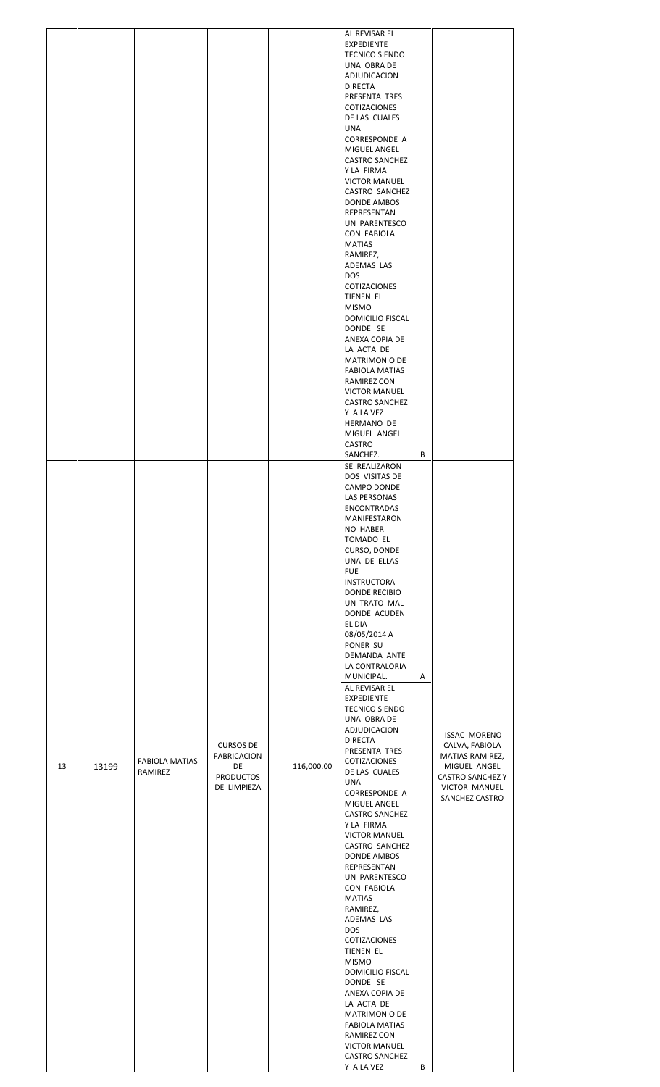|    |       |                                  |                                                                          |            | AL REVISAR EL<br><b>EXPEDIENTE</b><br><b>TECNICO SIENDO</b><br>UNA OBRA DE<br>ADJUDICACION<br><b>DIRECTA</b>                                                                                                   |   |                                                                                                                                        |
|----|-------|----------------------------------|--------------------------------------------------------------------------|------------|----------------------------------------------------------------------------------------------------------------------------------------------------------------------------------------------------------------|---|----------------------------------------------------------------------------------------------------------------------------------------|
|    |       |                                  |                                                                          |            | PRESENTA TRES<br>COTIZACIONES<br>DE LAS CUALES<br><b>UNA</b><br><b>CORRESPONDE A</b>                                                                                                                           |   |                                                                                                                                        |
|    |       |                                  |                                                                          |            | MIGUEL ANGEL<br><b>CASTRO SANCHEZ</b><br>Y LA FIRMA<br><b>VICTOR MANUEL</b><br>CASTRO SANCHEZ<br>DONDE AMBOS<br>REPRESENTAN<br>UN PARENTESCO<br>CON FABIOLA                                                    |   |                                                                                                                                        |
|    |       |                                  |                                                                          |            | <b>MATIAS</b><br>RAMIREZ,<br>ADEMAS LAS<br><b>DOS</b><br>COTIZACIONES<br>TIENEN EL<br><b>MISMO</b>                                                                                                             |   |                                                                                                                                        |
|    |       |                                  |                                                                          |            | DOMICILIO FISCAL<br>DONDE SE<br>ANEXA COPIA DE<br>LA ACTA DE<br>MATRIMONIO DE                                                                                                                                  |   |                                                                                                                                        |
|    |       |                                  |                                                                          |            | <b>FABIOLA MATIAS</b><br>RAMIREZ CON<br><b>VICTOR MANUEL</b><br><b>CASTRO SANCHEZ</b><br>Y A LA VEZ<br>HERMANO DE                                                                                              |   |                                                                                                                                        |
|    |       |                                  |                                                                          |            | MIGUEL ANGEL<br>CASTRO<br>SANCHEZ.                                                                                                                                                                             | B |                                                                                                                                        |
|    |       |                                  |                                                                          |            | SE REALIZARON<br>DOS VISITAS DE<br>CAMPO DONDE<br>LAS PERSONAS<br>ENCONTRADAS<br>MANIFESTARON<br>NO HABER<br>TOMADO EL<br>CURSO, DONDE<br>UNA DE ELLAS<br><b>FUE</b>                                           |   |                                                                                                                                        |
|    |       |                                  |                                                                          |            | <b>INSTRUCTORA</b><br><b>DONDE RECIBIO</b><br>UN TRATO MAL<br>DONDE ACUDEN<br>EL DIA<br>08/05/2014 A<br>PONER SU<br>DEMANDA ANTE<br>LA CONTRALORIA<br>MUNICIPAL.<br>AL REVISAR EL<br><b>EXPEDIENTE</b>         | Α |                                                                                                                                        |
| 13 | 13199 | <b>FABIOLA MATIAS</b><br>RAMIREZ | <b>CURSOS DE</b><br>FABRICACION<br>DE<br><b>PRODUCTOS</b><br>DE LIMPIEZA | 116,000.00 | <b>TECNICO SIENDO</b><br>UNA OBRA DE<br>ADJUDICACION<br><b>DIRECTA</b><br>PRESENTA TRES<br>COTIZACIONES<br>DE LAS CUALES<br><b>UNA</b><br>CORRESPONDE A<br>MIGUEL ANGEL<br><b>CASTRO SANCHEZ</b><br>Y LA FIRMA |   | <b>ISSAC MORENO</b><br>CALVA, FABIOLA<br>MATIAS RAMIREZ,<br>MIGUEL ANGEL<br><b>CASTRO SANCHEZ Y</b><br>VICTOR MANUEL<br>SANCHEZ CASTRO |
|    |       |                                  |                                                                          |            | <b>VICTOR MANUEL</b><br>CASTRO SANCHEZ<br>DONDE AMBOS<br>REPRESENTAN<br>UN PARENTESCO<br>CON FABIOLA<br><b>MATIAS</b><br>RAMIREZ,<br>ADEMAS LAS                                                                |   |                                                                                                                                        |
|    |       |                                  |                                                                          |            | <b>DOS</b><br>COTIZACIONES<br>TIENEN EL<br><b>MISMO</b><br><b>DOMICILIO FISCAL</b><br>DONDE SE<br>ANEXA COPIA DE                                                                                               |   |                                                                                                                                        |
|    |       |                                  |                                                                          |            | LA ACTA DE<br>MATRIMONIO DE<br><b>FABIOLA MATIAS</b><br>RAMIREZ CON<br><b>VICTOR MANUEL</b><br><b>CASTRO SANCHEZ</b><br>Y A LA VEZ                                                                             | B |                                                                                                                                        |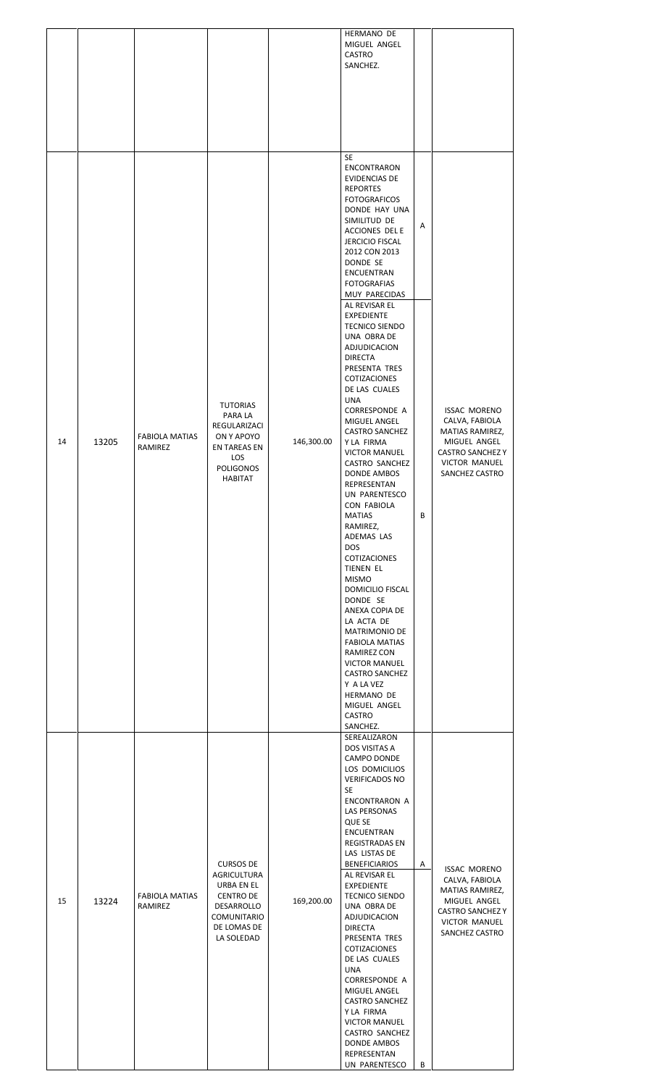|    |       |                                  |                                                                                                                                     |            | HERMANO DE<br>MIGUEL ANGEL<br>CASTRO<br>SANCHEZ.                                                                                                                                                                                                                                                                                                                                                                                                                                                                                                                                                                                                                                                                                                                                                                                                                                                                                                                                                                    |        |                                                                                                                                               |
|----|-------|----------------------------------|-------------------------------------------------------------------------------------------------------------------------------------|------------|---------------------------------------------------------------------------------------------------------------------------------------------------------------------------------------------------------------------------------------------------------------------------------------------------------------------------------------------------------------------------------------------------------------------------------------------------------------------------------------------------------------------------------------------------------------------------------------------------------------------------------------------------------------------------------------------------------------------------------------------------------------------------------------------------------------------------------------------------------------------------------------------------------------------------------------------------------------------------------------------------------------------|--------|-----------------------------------------------------------------------------------------------------------------------------------------------|
| 14 | 13205 | <b>FABIOLA MATIAS</b><br>RAMIREZ | <b>TUTORIAS</b><br>PARA LA<br>REGULARIZACI<br>ON Y APOYO<br><b>EN TAREAS EN</b><br><b>LOS</b><br><b>POLIGONOS</b><br><b>HABITAT</b> | 146,300.00 | SE<br><b>ENCONTRARON</b><br><b>EVIDENCIAS DE</b><br><b>REPORTES</b><br><b>FOTOGRAFICOS</b><br>DONDE HAY UNA<br>SIMILITUD DE<br>ACCIONES DEL E<br><b>JERCICIO FISCAL</b><br>2012 CON 2013<br>DONDE SE<br>ENCUENTRAN<br><b>FOTOGRAFIAS</b><br>MUY PARECIDAS<br>AL REVISAR EL<br><b>EXPEDIENTE</b><br><b>TECNICO SIENDO</b><br>UNA OBRA DE<br>ADJUDICACION<br><b>DIRECTA</b><br>PRESENTA TRES<br>COTIZACIONES<br>DE LAS CUALES<br>UNA<br><b>CORRESPONDE A</b><br>MIGUEL ANGEL<br><b>CASTRO SANCHEZ</b><br>Y LA FIRMA<br><b>VICTOR MANUEL</b><br>CASTRO SANCHEZ<br>DONDE AMBOS<br>REPRESENTAN<br>UN PARENTESCO<br>CON FABIOLA<br><b>MATIAS</b><br>RAMIREZ,<br>ADEMAS LAS<br><b>DOS</b><br>COTIZACIONES<br><b>TIENEN EL</b><br><b>MISMO</b><br>DOMICILIO FISCAL<br>DONDE SE<br>ANEXA COPIA DE<br>LA ACTA DE<br>MATRIMONIO DE<br><b>FABIOLA MATIAS</b><br>RAMIREZ CON<br><b>VICTOR MANUEL</b><br><b>CASTRO SANCHEZ</b><br>Y A LA VEZ<br>HERMANO DE<br>MIGUEL ANGEL<br>CASTRO<br>SANCHEZ.<br>SEREALIZARON<br>DOS VISITAS A | Α<br>B | <b>ISSAC MORENO</b><br>CALVA, FABIOLA<br>MATIAS RAMIREZ,<br>MIGUEL ANGEL<br><b>CASTRO SANCHEZ Y</b><br>VICTOR MANUEL<br>SANCHEZ CASTRO        |
| 15 | 13224 | <b>FABIOLA MATIAS</b><br>RAMIREZ | <b>CURSOS DE</b><br>AGRICULTURA<br>URBA EN EL<br><b>CENTRO DE</b><br>DESARROLLO<br><b>COMUNITARIO</b><br>DE LOMAS DE<br>LA SOLEDAD  | 169,200.00 | CAMPO DONDE<br>LOS DOMICILIOS<br><b>VERIFICADOS NO</b><br>SE<br>ENCONTRARON A<br>LAS PERSONAS<br>QUE SE<br>ENCUENTRAN<br>REGISTRADAS EN<br>LAS LISTAS DE<br><b>BENEFICIARIOS</b><br>AL REVISAR EL<br><b>EXPEDIENTE</b><br><b>TECNICO SIENDO</b><br>UNA OBRA DE<br>ADJUDICACION<br><b>DIRECTA</b><br>PRESENTA TRES<br>COTIZACIONES<br>DE LAS CUALES<br>UNA<br><b>CORRESPONDE A</b><br>MIGUEL ANGEL<br><b>CASTRO SANCHEZ</b><br>Y LA FIRMA<br><b>VICTOR MANUEL</b><br>CASTRO SANCHEZ<br>DONDE AMBOS<br>REPRESENTAN<br>UN PARENTESCO                                                                                                                                                                                                                                                                                                                                                                                                                                                                                   | Α<br>В | <b>ISSAC MORENO</b><br>CALVA, FABIOLA<br>MATIAS RAMIREZ,<br>MIGUEL ANGEL<br><b>CASTRO SANCHEZ Y</b><br><b>VICTOR MANUEL</b><br>SANCHEZ CASTRO |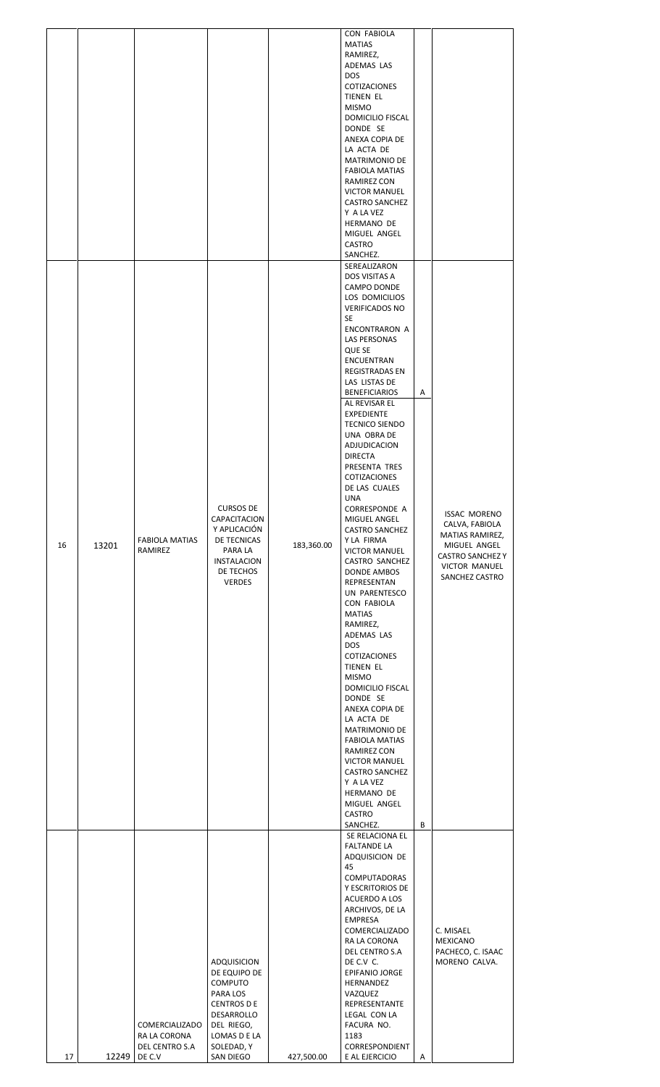| 16 | 13201 | <b>FABIOLA MATIAS</b><br>RAMIREZ                           | <b>CURSOS DE</b><br>CAPACITACION<br>Y APLICACIÓN<br>DE TECNICAS<br>PARA LA<br><b>INSTALACION</b><br>DE TECHOS<br><b>VERDES</b>                         | 183,360.00 | <b>CON FABIOLA</b><br><b>MATIAS</b><br>RAMIREZ,<br>ADEMAS LAS<br><b>DOS</b><br>COTIZACIONES<br>TIENEN EL<br><b>MISMO</b><br><b>DOMICILIO FISCAL</b><br>DONDE SE<br>ANEXA COPIA DE<br>LA ACTA DE<br>MATRIMONIO DE<br><b>FABIOLA MATIAS</b><br>RAMIREZ CON<br><b>VICTOR MANUEL</b><br><b>CASTRO SANCHEZ</b><br>Y A LA VEZ<br>HERMANO DE<br>MIGUEL ANGEL<br><b>CASTRO</b><br>SANCHEZ.<br>SEREALIZARON<br>DOS VISITAS A<br><b>CAMPO DONDE</b><br>LOS DOMICILIOS<br><b>VERIFICADOS NO</b><br>SE<br>ENCONTRARON A<br>LAS PERSONAS<br>QUE SE<br>ENCUENTRAN<br>REGISTRADAS EN<br>LAS LISTAS DE<br><b>BENEFICIARIOS</b><br>AL REVISAR EL<br><b>EXPEDIENTE</b><br><b>TECNICO SIENDO</b><br>UNA OBRA DE<br>ADJUDICACION<br><b>DIRECTA</b><br>PRESENTA TRES<br>COTIZACIONES<br>DE LAS CUALES<br>UNA<br>CORRESPONDE A<br>MIGUEL ANGEL<br><b>CASTRO SANCHEZ</b><br>Y LA FIRMA<br><b>VICTOR MANUEL</b><br>CASTRO SANCHEZ<br>DONDE AMBOS<br>REPRESENTAN<br>UN PARENTESCO<br>CON FABIOLA<br><b>MATIAS</b><br>RAMIREZ,<br>ADEMAS LAS<br><b>DOS</b><br>COTIZACIONES<br>TIENEN EL<br><b>MISMO</b><br>DOMICILIO FISCAL<br>DONDE SE<br>ANEXA COPIA DE<br>LA ACTA DE<br>MATRIMONIO DE<br>FABIOLA MATIAS<br>RAMIREZ CON<br><b>VICTOR MANUEL</b><br><b>CASTRO SANCHEZ</b><br>Y A LA VEZ<br>HERMANO DE<br>MIGUEL ANGEL<br>CASTRO<br>SANCHEZ. | Α<br>В | <b>ISSAC MORENO</b><br>CALVA, FABIOLA<br>MATIAS RAMIREZ,<br>MIGUEL ANGEL<br><b>CASTRO SANCHEZ Y</b><br><b>VICTOR MANUEL</b><br>SANCHEZ CASTRO |
|----|-------|------------------------------------------------------------|--------------------------------------------------------------------------------------------------------------------------------------------------------|------------|--------------------------------------------------------------------------------------------------------------------------------------------------------------------------------------------------------------------------------------------------------------------------------------------------------------------------------------------------------------------------------------------------------------------------------------------------------------------------------------------------------------------------------------------------------------------------------------------------------------------------------------------------------------------------------------------------------------------------------------------------------------------------------------------------------------------------------------------------------------------------------------------------------------------------------------------------------------------------------------------------------------------------------------------------------------------------------------------------------------------------------------------------------------------------------------------------------------------------------------------------------------------------------------------------------------------|--------|-----------------------------------------------------------------------------------------------------------------------------------------------|
| 17 | 12249 | COMERCIALIZADO<br>RA LA CORONA<br>DEL CENTRO S.A<br>DE C.V | ADQUISICION<br>DE EQUIPO DE<br><b>COMPUTO</b><br>PARA LOS<br><b>CENTROS D E</b><br>DESARROLLO<br>DEL RIEGO,<br>LOMAS D E LA<br>SOLEDAD, Y<br>SAN DIEGO | 427,500.00 | SE RELACIONA EL<br><b>FALTANDE LA</b><br>ADQUISICION DE<br>45<br><b>COMPUTADORAS</b><br>Y ESCRITORIOS DE<br>ACUERDO A LOS<br>ARCHIVOS, DE LA<br>EMPRESA<br><b>COMERCIALIZADO</b><br>RA LA CORONA<br>DEL CENTRO S.A<br>DE C.V C.<br>EPIFANIO JORGE<br>HERNANDEZ<br>VAZQUEZ<br>REPRESENTANTE<br>LEGAL CON LA<br>FACURA NO.<br>1183<br>CORRESPONDIENT<br>E AL EJERCICIO                                                                                                                                                                                                                                                                                                                                                                                                                                                                                                                                                                                                                                                                                                                                                                                                                                                                                                                                               | A      | C. MISAEL<br>MEXICANO<br>PACHECO, C. ISAAC<br>MORENO CALVA.                                                                                   |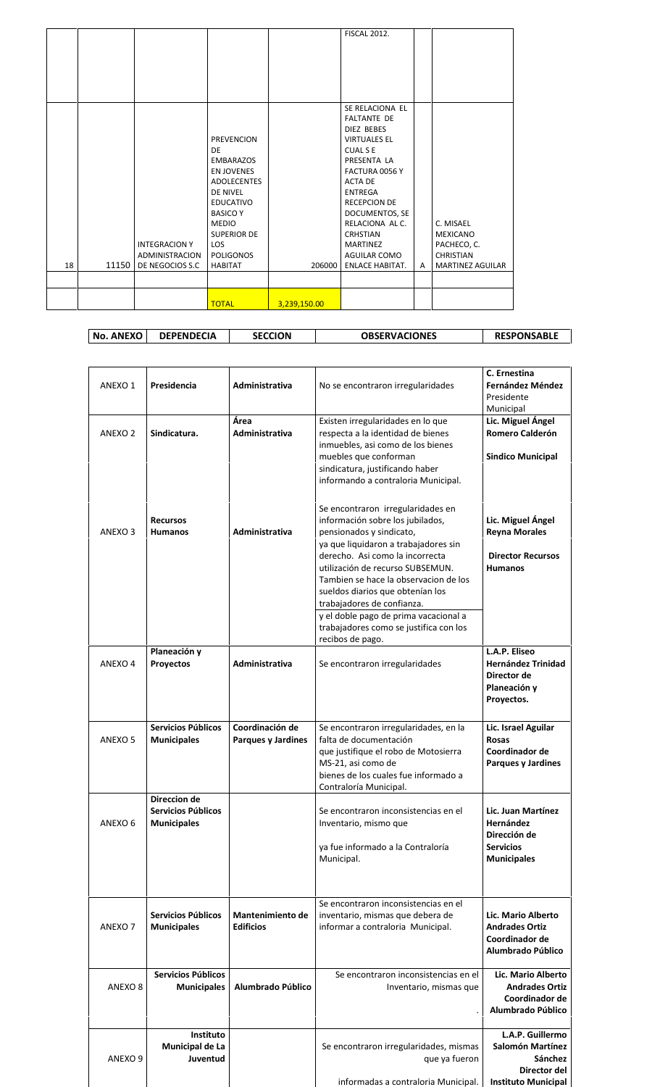|    |       |                                        |                                                                                                                                                                                                            |              | <b>FISCAL 2012.</b><br>SE RELACIONA EL<br><b>FALTANTE DE</b>                                                                                                                                                                                     |   |                                                                 |
|----|-------|----------------------------------------|------------------------------------------------------------------------------------------------------------------------------------------------------------------------------------------------------------|--------------|--------------------------------------------------------------------------------------------------------------------------------------------------------------------------------------------------------------------------------------------------|---|-----------------------------------------------------------------|
|    |       | <b>INTEGRACION Y</b><br>ADMINISTRACION | <b>PREVENCION</b><br>DE<br><b>EMBARAZOS</b><br><b>EN JOVENES</b><br><b>ADOLECENTES</b><br>DE NIVEL<br><b>EDUCATIVO</b><br><b>BASICO Y</b><br><b>MEDIO</b><br><b>SUPERIOR DE</b><br>LOS<br><b>POLIGONOS</b> |              | <b>DIEZ BEBES</b><br><b>VIRTUALES EL</b><br><b>CUALSE</b><br>PRESENTA LA<br>FACTURA 0056 Y<br><b>ACTA DE</b><br><b>ENTREGA</b><br><b>RECEPCION DE</b><br>DOCUMENTOS, SE<br>RELACIONA AL C.<br><b>CRHSTIAN</b><br><b>MARTINEZ</b><br>AGUILAR COMO |   | C. MISAEL<br><b>MEXICANO</b><br>PACHECO, C.<br><b>CHRISTIAN</b> |
| 18 | 11150 | DE NEGOCIOS S.C                        | <b>HABITAT</b>                                                                                                                                                                                             | 206000       | <b>ENLACE HABITAT.</b>                                                                                                                                                                                                                           | A | <b>MARTINEZ AGUILAR</b>                                         |
|    |       |                                        | <b>TOTAL</b>                                                                                                                                                                                               | 3,239,150.00 |                                                                                                                                                                                                                                                  |   |                                                                 |

| <b>OBSERVACIONES</b><br><b>RESPONSABLE</b><br><b>DEPENDECIA</b><br><b>SECCION</b><br>$\blacksquare$ No. ANEXO $\blacksquare$ |
|------------------------------------------------------------------------------------------------------------------------------|
|------------------------------------------------------------------------------------------------------------------------------|

| ANEXO 1            | Presidencia                                                            | Administrativa                               | No se encontraron irregularidades                                                                                                                                                                                                                                                                                                                                                                                                  | C. Ernestina<br><b>Fernández Méndez</b><br>Presidente<br>Municipal                               |
|--------------------|------------------------------------------------------------------------|----------------------------------------------|------------------------------------------------------------------------------------------------------------------------------------------------------------------------------------------------------------------------------------------------------------------------------------------------------------------------------------------------------------------------------------------------------------------------------------|--------------------------------------------------------------------------------------------------|
| ANEXO 2            | Sindicatura.                                                           | Área<br><b>Administrativa</b>                | Existen irregularidades en lo que<br>respecta a la identidad de bienes<br>inmuebles, asi como de los bienes<br>muebles que conforman<br>sindicatura, justificando haber<br>informando a contraloria Municipal.                                                                                                                                                                                                                     | Lic. Miguel Ángel<br><b>Romero Calderón</b><br><b>Sindico Municipal</b>                          |
| ANEXO <sub>3</sub> | <b>Recursos</b><br><b>Humanos</b>                                      | Administrativa                               | Se encontraron irregularidades en<br>información sobre los jubilados,<br>pensionados y sindicato,<br>ya que liquidaron a trabajadores sin<br>derecho. Asi como la incorrecta<br>utilización de recurso SUBSEMUN.<br>Tambien se hace la observacion de los<br>sueldos diarios que obtenían los<br>trabajadores de confianza.<br>y el doble pago de prima vacacional a<br>trabajadores como se justifica con los<br>recibos de pago. | Lic. Miguel Ángel<br><b>Reyna Morales</b><br><b>Director Recursos</b><br><b>Humanos</b>          |
| ANEXO 4            | Planeación y<br><b>Provectos</b>                                       | <b>Administrativa</b>                        | Se encontraron irregularidades                                                                                                                                                                                                                                                                                                                                                                                                     | L.A.P. Eliseo<br><b>Hernández Trinidad</b><br>Director de<br>Planeación y<br>Proyectos.          |
| ANEXO <sub>5</sub> | <b>Servicios Públicos</b><br><b>Municipales</b>                        | Coordinación de<br><b>Parques y Jardines</b> | Se encontraron irregularidades, en la<br>falta de documentación<br>que justifique el robo de Motosierra<br>MS-21, asi como de<br>bienes de los cuales fue informado a<br>Contraloría Municipal.                                                                                                                                                                                                                                    | Lic. Israel Aguilar<br><b>Rosas</b><br>Coordinador de<br><b>Parques y Jardines</b>               |
| ANEXO <sub>6</sub> | <b>Direccion de</b><br><b>Servicios Públicos</b><br><b>Municipales</b> |                                              | Se encontraron inconsistencias en el<br>Inventario, mismo que<br>ya fue informado a la Contraloría<br>Municipal.                                                                                                                                                                                                                                                                                                                   | Lic. Juan Martínez<br><b>Hernández</b><br>Dirección de<br><b>Servicios</b><br><b>Municipales</b> |
| ANEXO <sub>7</sub> | Servicios Públicos<br><b>Municipales</b>                               | Mantenimiento de<br><b>Edificios</b>         | Se encontraron inconsistencias en el<br>inventario, mismas que debera de<br>informar a contraloria Municipal.                                                                                                                                                                                                                                                                                                                      | Lic. Mario Alberto<br><b>Andrades Ortiz</b><br>Coordinador de<br>Alumbrado Público               |
| ANEXO <sub>8</sub> | Servicios Públicos<br><b>Municipales</b>                               | Alumbrado Público                            | Se encontraron inconsistencias en el<br>Inventario, mismas que<br>$\cdot$                                                                                                                                                                                                                                                                                                                                                          | Lic. Mario Alberto<br><b>Andrades Ortiz</b><br>Coordinador de<br>Alumbrado Público               |
| ANEXO 9            | Instituto<br>Municipal de La<br>Juventud                               |                                              | Se encontraron irregularidades, mismas<br>que ya fueron                                                                                                                                                                                                                                                                                                                                                                            | L.A.P. Guillermo<br>Salomón Martínez<br>Sánchez<br>Director del                                  |
|                    |                                                                        |                                              | informadas a contraloria Municipal.                                                                                                                                                                                                                                                                                                                                                                                                | <b>Instituto Municipal</b>                                                                       |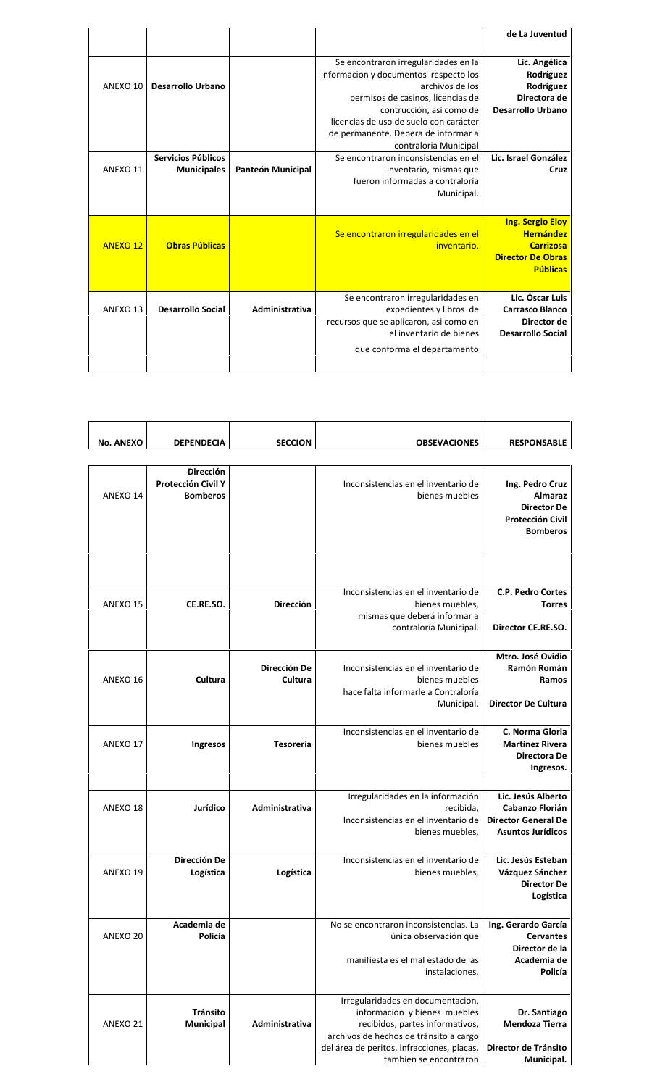| de La Juventud           |                                        |                   |                          |                 |
|--------------------------|----------------------------------------|-------------------|--------------------------|-----------------|
| Lic. Angélica            | Se encontraron irregularidades en la   |                   |                          |                 |
| Rodríguez                | informacion y documentos respecto los  |                   |                          |                 |
| Rodríguez                | archivos de los                        |                   | Desarrollo Urbano        | ANEXO 10        |
| Directora de             | permisos de casinos, licencias de      |                   |                          |                 |
| <b>Desarrollo Urbano</b> | contrucción, así como de               |                   |                          |                 |
|                          | licencias de uso de suelo con carácter |                   |                          |                 |
|                          | de permanente. Debera de informar a    |                   |                          |                 |
|                          | contraloria Municipal                  |                   |                          |                 |
| Lic. Israel González     | Se encontraron inconsistencias en el   |                   | Servicios Públicos       |                 |
| Cruz                     | inventario, mismas que                 | Panteón Municipal | <b>Municipales</b>       | ANEXO 11        |
|                          | fueron informadas a contraloría        |                   |                          |                 |
|                          | Municipal.                             |                   |                          |                 |
|                          |                                        |                   |                          |                 |
| <b>Ing. Sergio Eloy</b>  |                                        |                   |                          |                 |
| <b>Hernández</b>         | Se encontraron irregularidades en el   |                   |                          |                 |
| <b>Carrizosa</b>         | inventario.                            |                   | <b>Obras Públicas</b>    | <b>ANEXO 12</b> |
| <b>Director De Obras</b> |                                        |                   |                          |                 |
| <b>Públicas</b>          |                                        |                   |                          |                 |
|                          |                                        |                   |                          |                 |
| Lic. Óscar Luis          | Se encontraron irregularidades en      |                   |                          |                 |
|                          |                                        |                   |                          |                 |
| <b>Carrasco Blanco</b>   | expedientes y libros de                | Administrativa    | <b>Desarrollo Social</b> | ANEXO 13        |
| Director de              | recursos que se aplicaron, asi como en |                   |                          |                 |
|                          | el inventario de bienes                |                   |                          |                 |
|                          |                                        |                   |                          |                 |
| <b>Desarrollo Social</b> | que conforma el departamento           |                   |                          |                 |

| <b>RESPONSABLE</b>                                                                                    | <b>OBSEVACIONES</b>                                                                                                                            | <b>SECCION</b>          | <b>DEPENDECIA</b>                                  | <b>No. ANEXO</b> |
|-------------------------------------------------------------------------------------------------------|------------------------------------------------------------------------------------------------------------------------------------------------|-------------------------|----------------------------------------------------|------------------|
|                                                                                                       |                                                                                                                                                |                         |                                                    |                  |
| Ing. Pedro Cruz<br><b>Almaraz</b><br><b>Director De</b><br><b>Protección Civil</b><br><b>Bomberos</b> | Inconsistencias en el inventario de<br>bienes muebles                                                                                          |                         | Dirección<br>Protección Civil Y<br><b>Bomberos</b> | ANEXO 14         |
| <b>C.P. Pedro Cortes</b><br><b>Torres</b>                                                             | Inconsistencias en el inventario de<br>bienes muebles,<br>mismas que deberá informar a                                                         | <b>Dirección</b>        | CE.RE.SO.                                          | ANEXO 15         |
| Director CE.RE.SO.                                                                                    | contraloría Municipal.                                                                                                                         |                         |                                                    |                  |
| Mtro. José Ovidio<br>Ramón Román<br>Ramos                                                             | Inconsistencias en el inventario de<br>bienes muebles<br>hace falta informarle a Contraloría                                                   | Dirección De<br>Cultura | Cultura                                            | ANEXO 16         |
| <b>Director De Cultura</b>                                                                            | Municipal.                                                                                                                                     |                         |                                                    |                  |
| C. Norma Gloria<br><b>Martínez Rivera</b><br>Directora De<br>Ingresos.                                | Inconsistencias en el inventario de<br>bienes muebles                                                                                          | <b>Tesorería</b>        | Ingresos                                           | ANEXO 17         |
| Lic. Jesús Alberto<br>Cabanzo Florián<br><b>Director General De</b>                                   | Irregularidades en la información<br>recibida,<br>Inconsistencias en el inventario de                                                          | Administrativa          | Jurídico                                           | ANEXO 18         |
| <b>Asuntos Jurídicos</b>                                                                              | bienes muebles,                                                                                                                                |                         |                                                    |                  |
| Lic. Jesús Esteban<br>Vázquez Sánchez<br><b>Director De</b><br>Logística                              | Inconsistencias en el inventario de<br>bienes muebles,                                                                                         | Logística               | Dirección De<br>Logística                          | ANEXO 19         |
| Ing. Gerardo García                                                                                   | No se encontraron inconsistencias. La                                                                                                          |                         | Academia de                                        |                  |
| <b>Cervantes</b><br>Director de la<br>Academia de                                                     | única observación que<br>manifiesta es el mal estado de las                                                                                    |                         | Policía                                            | ANEXO 20         |
| Policía                                                                                               | instalaciones.                                                                                                                                 |                         |                                                    |                  |
| Dr. Santiago<br><b>Mendoza Tierra</b>                                                                 | Irregularidades en documentacion,<br>informacion y bienes muebles<br>recibidos, partes informativos,<br>archivos de hechos de tránsito a cargo | Administrativa          | Tránsito<br><b>Municipal</b>                       | ANEXO 21         |
| Director de Tránsito<br>Municipal.                                                                    | del área de peritos, infracciones, placas,<br>tambien se encontraron                                                                           |                         |                                                    |                  |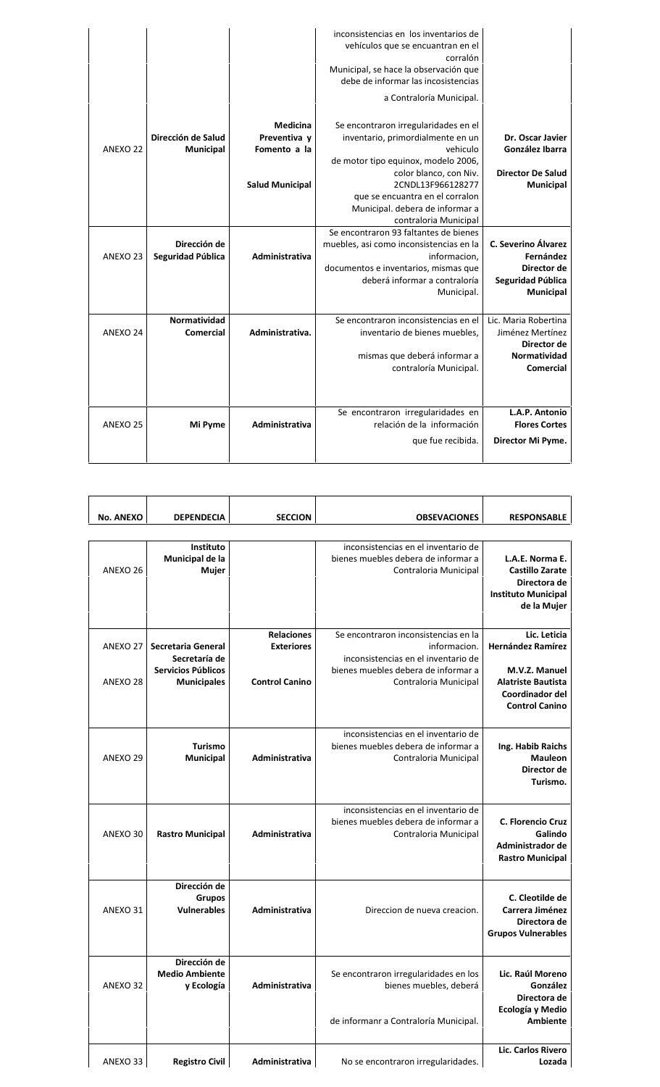|                               |                        | inconsistencias en los inventarios de<br>vehículos que se encuantran en el<br>corralón<br>Municipal, se hace la observación que<br>debe de informar las incosistencias<br>a Contraloría Municipal. |                                 |
|-------------------------------|------------------------|----------------------------------------------------------------------------------------------------------------------------------------------------------------------------------------------------|---------------------------------|
|                               | Medicina               | Se encontraron irregularidades en el                                                                                                                                                               |                                 |
| Dirección de Salud            | Preventiva y           | inventario, primordialmente en un                                                                                                                                                                  | Dr. Oscar Javier                |
| ANEXO 22<br><b>Municipal</b>  | Fomento a la           | vehiculo                                                                                                                                                                                           | González Ibarra                 |
|                               |                        | de motor tipo equinox, modelo 2006,                                                                                                                                                                |                                 |
|                               |                        | color blanco, con Niv.                                                                                                                                                                             | <b>Director De Salud</b>        |
|                               | <b>Salud Municipal</b> | 2CNDL13F966128277                                                                                                                                                                                  | <b>Municipal</b>                |
|                               |                        | que se encuantra en el corralon                                                                                                                                                                    |                                 |
|                               |                        | Municipal. debera de informar a                                                                                                                                                                    |                                 |
|                               |                        | contraloria Municipal                                                                                                                                                                              |                                 |
|                               |                        | Se encontraron 93 faltantes de bienes                                                                                                                                                              |                                 |
| Dirección de                  |                        | muebles, asi como inconsistencias en la                                                                                                                                                            | C. Severino Álvarez             |
| Seguridad Pública<br>ANEXO 23 | Administrativa         | informacion.                                                                                                                                                                                       | Fernández<br>Director de        |
|                               |                        | documentos e inventarios, mismas que<br>deberá informar a contraloría                                                                                                                              | Seguridad Pública               |
|                               |                        | Municipal.                                                                                                                                                                                         | <b>Municipal</b>                |
|                               |                        |                                                                                                                                                                                                    |                                 |
| Normatividad                  |                        | Se encontraron inconsistencias en el                                                                                                                                                               | Lic. Maria Robertina            |
| ANEXO 24<br><b>Comercial</b>  | Administrativa.        | inventario de bienes muebles,                                                                                                                                                                      | Jiménez Mertínez<br>Director de |
|                               |                        | mismas que deberá informar a                                                                                                                                                                       | Normatividad                    |
|                               |                        | contraloría Municipal.                                                                                                                                                                             | <b>Comercial</b>                |
|                               |                        |                                                                                                                                                                                                    |                                 |
|                               |                        | Se encontraron irregularidades en                                                                                                                                                                  | L.A.P. Antonio                  |
|                               |                        |                                                                                                                                                                                                    |                                 |
| ANEXO 25<br>Mi Pyme           | Administrativa         | relación de la información                                                                                                                                                                         | <b>Flores Cortes</b>            |

| <b>RESPONSABLE</b>                                                                                     | <b>OBSEVACIONES</b>                                                                                                                | <b>SECCION</b>                         | <b>DEPENDECIA</b>                                         | <b>No. ANEXO</b> |
|--------------------------------------------------------------------------------------------------------|------------------------------------------------------------------------------------------------------------------------------------|----------------------------------------|-----------------------------------------------------------|------------------|
|                                                                                                        |                                                                                                                                    |                                        |                                                           |                  |
| L.A.E. Norma E.<br><b>Castillo Zarate</b><br>Directora de<br><b>Instituto Municipal</b><br>de la Mujer | inconsistencias en el inventario de<br>bienes muebles debera de informar a<br>Contraloria Municipal                                |                                        | Instituto<br>Municipal de la<br>Mujer                     | ANEXO 26         |
| Lic. Leticia<br><b>Hernández Ramírez</b><br>M.V.Z. Manuel                                              | Se encontraron inconsistencias en la<br>informacion.<br>inconsistencias en el inventario de<br>bienes muebles debera de informar a | <b>Relaciones</b><br><b>Exteriores</b> | Secretaria General<br>Secretaría de<br>Servicios Públicos | ANEXO 27         |
| <b>Alatriste Bautista</b><br>Coordinador del<br><b>Control Canino</b>                                  | Contraloria Municipal                                                                                                              | <b>Control Canino</b>                  | <b>Municipales</b>                                        | ANEXO 28         |
| Ing. Habib Raichs<br><b>Mauleon</b><br>Director de<br>Turismo.                                         | inconsistencias en el inventario de<br>bienes muebles debera de informar a<br>Contraloria Municipal                                | Administrativa                         | <b>Turismo</b><br>Municipal                               | ANEXO 29         |
| C. Florencio Cruz<br>Galindo<br>Administrador de<br><b>Rastro Municipal</b>                            | inconsistencias en el inventario de<br>bienes muebles debera de informar a<br>Contraloria Municipal                                | Administrativa                         | <b>Rastro Municipal</b>                                   | ANEXO 30         |
| C. Cleotilde de<br>Carrera Jiménez<br>Directora de<br><b>Grupos Vulnerables</b>                        | Direccion de nueva creacion.                                                                                                       | Administrativa                         | Dirección de<br>Grupos<br><b>Vulnerables</b>              | ANEXO 31         |
| Lic. Raúl Moreno<br>González<br>Directora de<br>Ecología y Medio                                       | Se encontraron irregularidades en los<br>bienes muebles, deberá                                                                    | Administrativa                         | Dirección de<br><b>Medio Ambiente</b><br>y Ecología       | ANEXO 32         |
| Ambiente                                                                                               | de informanr a Contraloría Municipal.                                                                                              |                                        |                                                           |                  |
| Lic. Carlos Rivero<br>Lozada                                                                           | No se encontraron irregularidades.                                                                                                 | Administrativa                         | <b>Registro Civil</b>                                     | ANEXO 33         |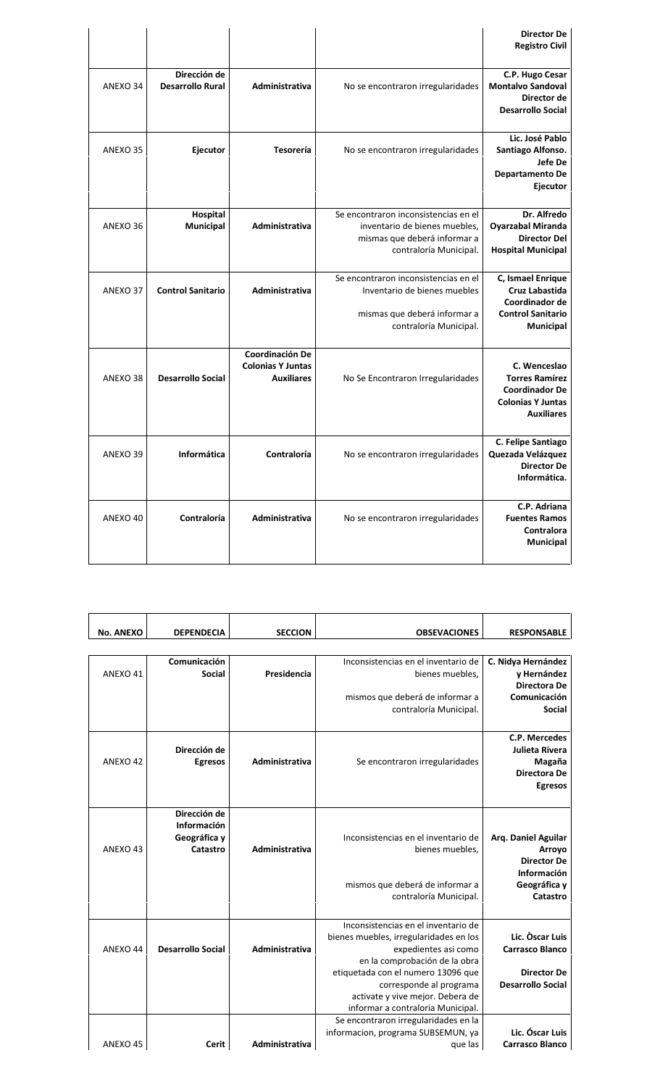| <b>Director De</b><br><b>Registro Civil</b>                                                                     |                                                                                                                                 |                                                                         |                                         |          |
|-----------------------------------------------------------------------------------------------------------------|---------------------------------------------------------------------------------------------------------------------------------|-------------------------------------------------------------------------|-----------------------------------------|----------|
| C.P. Hugo Cesar<br><b>Montalvo Sandoval</b><br>Director de<br><b>Desarrollo Social</b>                          | No se encontraron irregularidades                                                                                               | Administrativa                                                          | Dirección de<br><b>Desarrollo Rural</b> | ANEXO 34 |
| Lic. José Pablo<br>Santiago Alfonso.<br>Jefe De<br><b>Departamento De</b><br>Ejecutor                           | No se encontraron irregularidades                                                                                               | <b>Tesorería</b>                                                        | Ejecutor                                | ANEXO 35 |
| Dr. Alfredo<br><b>Oyarzabal Miranda</b><br><b>Director Del</b><br><b>Hospital Municipal</b>                     | Se encontraron inconsistencias en el<br>inventario de bienes muebles,<br>mismas que deberá informar a<br>contraloría Municipal. | Administrativa                                                          | Hospital<br><b>Municipal</b>            | ANEXO 36 |
| C, Ismael Enrique<br>Cruz Labastida<br>Coordinador de<br><b>Control Sanitario</b><br>Municipal                  | Se encontraron inconsistencias en el<br>Inventario de bienes muebles<br>mismas que deberá informar a<br>contraloría Municipal.  | Administrativa                                                          | <b>Control Sanitario</b>                | ANEXO 37 |
| C. Wenceslao<br><b>Torres Ramírez</b><br><b>Coordinador De</b><br><b>Colonias Y Juntas</b><br><b>Auxiliares</b> | No Se Encontraron Irregularidades                                                                                               | <b>Coordinación De</b><br><b>Colonias Y Juntas</b><br><b>Auxiliares</b> | <b>Desarrollo Social</b>                | ANEXO 38 |
| C. Felipe Santiago<br>Quezada Velázquez<br><b>Director De</b><br>Informática.                                   | No se encontraron irregularidades                                                                                               | Contraloría                                                             | Informática                             | ANEXO 39 |
| C.P. Adriana<br><b>Fuentes Ramos</b><br>Contralora<br><b>Municipal</b>                                          | No se encontraron irregularidades                                                                                               | Administrativa                                                          | Contraloría                             | ANEXO 40 |

| <b>RESPONSABLE</b>       | <b>OBSEVACIONES</b>                    | <b>SECCION</b> | <b>DEPENDECIA</b>        | <b>No. ANEXO</b> |
|--------------------------|----------------------------------------|----------------|--------------------------|------------------|
|                          |                                        |                |                          |                  |
| C. Nidya Hernández       | Inconsistencias en el inventario de    |                | Comunicación             |                  |
| y Hernández              | bienes muebles.                        | Presidencia    | <b>Social</b>            | ANEXO 41         |
| <b>Directora De</b>      |                                        |                |                          |                  |
| Comunicación             | mismos que deberá de informar a        |                |                          |                  |
| <b>Social</b>            | contraloría Municipal.                 |                |                          |                  |
| C.P. Mercedes            |                                        |                |                          |                  |
| Julieta Rivera           |                                        |                | Dirección de             |                  |
| Magaña                   | Se encontraron irregularidades         | Administrativa | <b>Egresos</b>           | ANEXO 42         |
| Directora De             |                                        |                |                          |                  |
| <b>Egresos</b>           |                                        |                |                          |                  |
|                          |                                        |                | Dirección de             |                  |
|                          |                                        |                | Información              |                  |
| Arq. Daniel Aguilar      | Inconsistencias en el inventario de    |                | Geográfica y             |                  |
| Arroyo                   | bienes muebles.                        | Administrativa | Catastro                 | ANEXO 43         |
| <b>Director De</b>       |                                        |                |                          |                  |
| Información              |                                        |                |                          |                  |
| Geográfica y             | mismos que deberá de informar a        |                |                          |                  |
| Catastro                 | contraloría Municipal.                 |                |                          |                  |
|                          |                                        |                |                          |                  |
|                          | Inconsistencias en el inventario de    |                |                          |                  |
| Lic. Oscar Luis          | bienes muebles, irregularidades en los |                |                          |                  |
| <b>Carrasco Blanco</b>   | expedientes asi como                   | Administrativa | <b>Desarrollo Social</b> | ANEXO 44         |
|                          | en la comprobación de la obra          |                |                          |                  |
| <b>Director De</b>       | etiquetada con el numero 13096 que     |                |                          |                  |
| <b>Desarrollo Social</b> | corresponde al programa                |                |                          |                  |
|                          | activate y vive mejor. Debera de       |                |                          |                  |
|                          | informar a contraloria Municipal.      |                |                          |                  |
|                          | Se encontraron irregularidades en la   |                |                          |                  |
| Lic. Óscar Luis          | informacion, programa SUBSEMUN, ya     |                |                          |                  |
| <b>Carrasco Blanco</b>   | que las                                | Administrativa | Cerit                    | ANEXO 45         |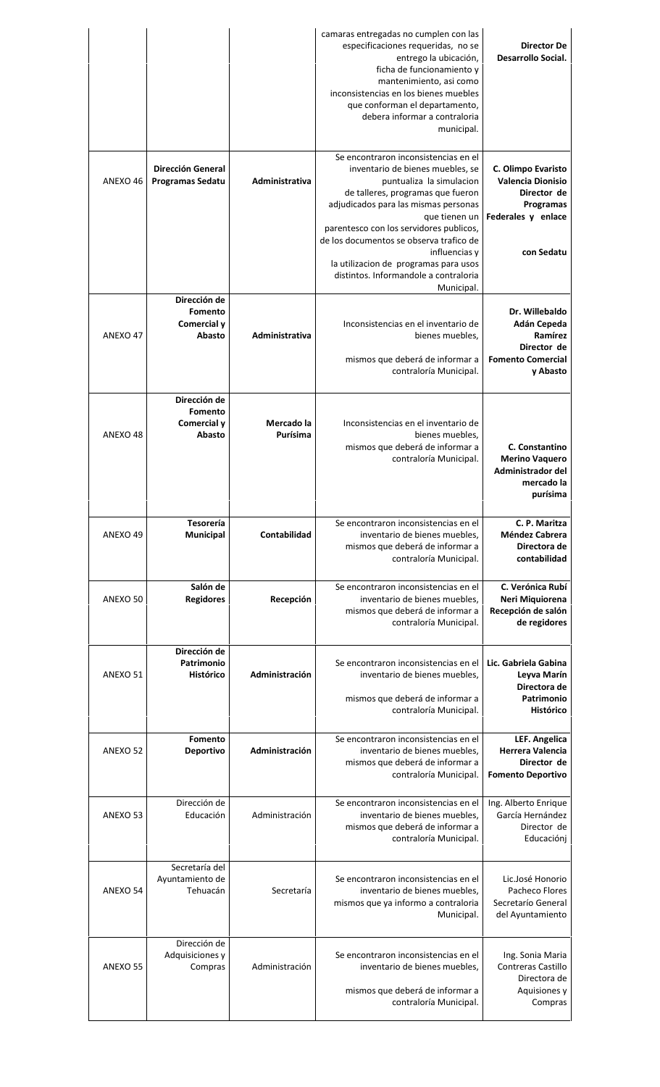| <b>Director De</b><br><b>Desarrollo Social.</b>                                                                | camaras entregadas no cumplen con las<br>especificaciones requeridas, no se<br>entrego la ubicación,<br>ficha de funcionamiento y<br>mantenimiento, asi como<br>inconsistencias en los bienes muebles<br>que conforman el departamento,<br>debera informar a contraloria<br>municipal.                                                                                                      |                        |                                                     |                     |
|----------------------------------------------------------------------------------------------------------------|---------------------------------------------------------------------------------------------------------------------------------------------------------------------------------------------------------------------------------------------------------------------------------------------------------------------------------------------------------------------------------------------|------------------------|-----------------------------------------------------|---------------------|
| C. Olimpo Evaristo<br><b>Valencia Dionisio</b><br>Director de<br>Programas<br>Federales y enlace<br>con Sedatu | Se encontraron inconsistencias en el<br>inventario de bienes muebles, se<br>puntualiza la simulacion<br>de talleres, programas que fueron<br>adjudicados para las mismas personas<br>que tienen un<br>parentesco con los servidores publicos,<br>de los documentos se observa trafico de<br>influencias y<br>la utilizacion de programas para usos<br>distintos. Informandole a contraloria | Administrativa         | <b>Dirección General</b><br><b>Programas Sedatu</b> | ANEXO 46            |
| Dr. Willebaldo<br>Adán Cepeda<br>Ramírez<br>Director de<br><b>Fomento Comercial</b><br>y Abasto                | Municipal.<br>Inconsistencias en el inventario de<br>bienes muebles,<br>mismos que deberá de informar a<br>contraloría Municipal.                                                                                                                                                                                                                                                           | Administrativa         | Dirección de<br>Fomento<br>Comercial y<br>Abasto    | ANEXO 47            |
| C. Constantino<br><b>Merino Vaquero</b><br>Administrador del<br>mercado la<br>purísima                         | Inconsistencias en el inventario de<br>bienes muebles,<br>mismos que deberá de informar a<br>contraloría Municipal.                                                                                                                                                                                                                                                                         | Mercado la<br>Purísima | Dirección de<br>Fomento<br>Comercial y<br>Abasto    | ANEXO 48            |
| C. P. Maritza<br>Méndez Cabrera<br>Directora de<br>contabilidad                                                | Se encontraron inconsistencias en el<br>inventario de bienes muebles.<br>mismos que deberá de informar a<br>contraloría Municipal.                                                                                                                                                                                                                                                          | <b>Contabilidad</b>    | Tesorería<br><b>Municipal</b>                       | ANEXO 49            |
| C. Verónica Rubí<br>Neri Miquiorena<br>Recepción de salón<br>de regidores                                      | Se encontraron inconsistencias en el<br>inventario de bienes muebles,<br>mismos que deberá de informar a<br>contraloría Municipal.                                                                                                                                                                                                                                                          | Recepción              | Salón de<br><b>Regidores</b>                        | ANEXO 50            |
| Lic. Gabriela Gabina<br>Leyva Marín<br>Directora de<br>Patrimonio<br>Histórico                                 | Se encontraron inconsistencias en el<br>inventario de bienes muebles,<br>mismos que deberá de informar a<br>contraloría Municipal.                                                                                                                                                                                                                                                          | Administración         | Dirección de<br>Patrimonio<br>Histórico             | ANEXO 51            |
| LEF. Angelica<br><b>Herrera Valencia</b><br>Director de<br><b>Fomento Deportivo</b>                            | Se encontraron inconsistencias en el<br>inventario de bienes muebles,<br>mismos que deberá de informar a<br>contraloría Municipal.                                                                                                                                                                                                                                                          | Administración         | Fomento<br><b>Deportivo</b>                         | ANEXO <sub>52</sub> |
| Ing. Alberto Enrique<br>García Hernández<br>Director de<br>Educaciónj                                          | Se encontraron inconsistencias en el<br>inventario de bienes muebles,<br>mismos que deberá de informar a<br>contraloría Municipal.                                                                                                                                                                                                                                                          | Administración         | Dirección de<br>Educación                           | ANEXO 53            |
|                                                                                                                |                                                                                                                                                                                                                                                                                                                                                                                             |                        | Secretaría del<br>Ayuntamiento de                   | ANEXO 54            |
| Lic.José Honorio<br>Pacheco Flores<br>Secretarío General<br>del Ayuntamiento                                   | Se encontraron inconsistencias en el<br>inventario de bienes muebles,<br>mismos que ya informo a contraloria<br>Municipal.                                                                                                                                                                                                                                                                  | Secretaría             | Tehuacán                                            |                     |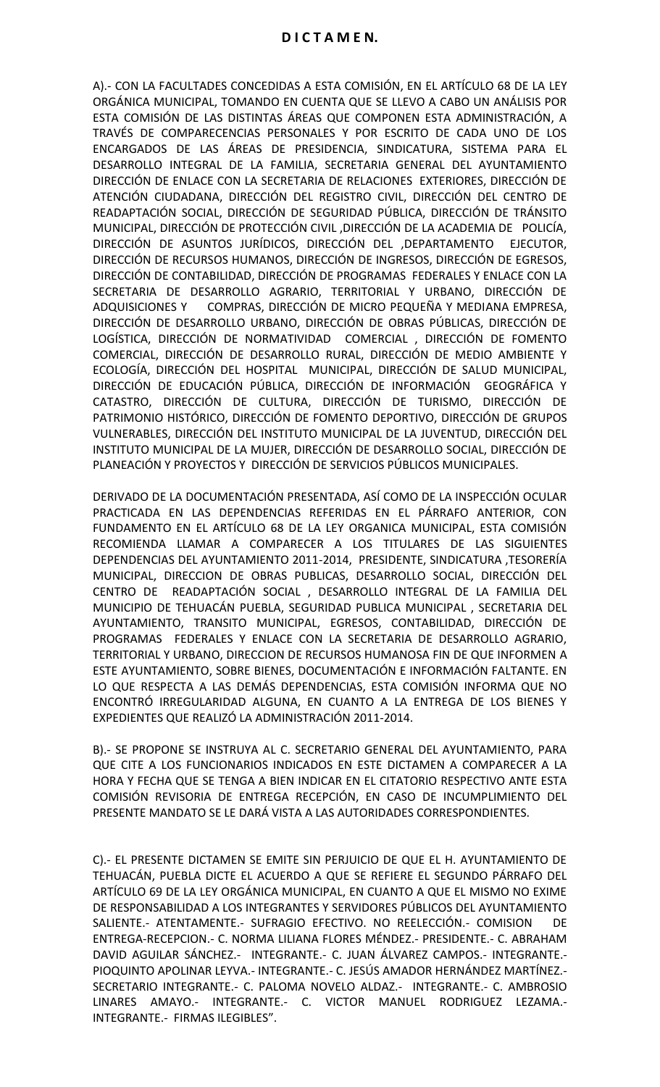A).- CON LA FACULTADES CONCEDIDAS A ESTA COMISIÓN, EN EL ARTÍCULO 68 DE LA LEY ORGÁNICA MUNICIPAL, TOMANDO EN CUENTA QUE SE LLEVO A CABO UN ANÁLISIS POR ESTA COMISIÓN DE LAS DISTINTAS ÁREAS QUE COMPONEN ESTA ADMINISTRACIÓN, A TRAVÉS DE COMPARECENCIAS PERSONALES Y POR ESCRITO DE CADA UNO DE LOS ENCARGADOS DE LAS ÁREAS DE PRESIDENCIA, SINDICATURA, SISTEMA PARA EL DESARROLLO INTEGRAL DE LA FAMILIA, SECRETARIA GENERAL DEL AYUNTAMIENTO DIRECCIÓN DE ENLACE CON LA SECRETARIA DE RELACIONES EXTERIORES, DIRECCIÓN DE ATENCIÓN CIUDADANA, DIRECCIÓN DEL REGISTRO CIVIL, DIRECCIÓN DEL CENTRO DE READAPTACIÓN SOCIAL, DIRECCIÓN DE SEGURIDAD PÚBLICA, DIRECCIÓN DE TRÁNSITO MUNICIPAL, DIRECCIÓN DE PROTECCIÓN CIVIL ,DIRECCIÓN DE LA ACADEMIA DE POLICÍA, DIRECCIÓN DE ASUNTOS JURÍDICOS, DIRECCIÓN DEL ,DEPARTAMENTO EJECUTOR, DIRECCIÓN DE RECURSOS HUMANOS, DIRECCIÓN DE INGRESOS, DIRECCIÓN DE EGRESOS, DIRECCIÓN DE CONTABILIDAD, DIRECCIÓN DE PROGRAMAS FEDERALES Y ENLACE CON LA SECRETARIA DE DESARROLLO AGRARIO, TERRITORIAL Y URBANO, DIRECCIÓN DE ADQUISICIONES Y COMPRAS, DIRECCIÓN DE MICRO PEQUEÑA Y MEDIANA EMPRESA, DIRECCIÓN DE DESARROLLO URBANO, DIRECCIÓN DE OBRAS PÚBLICAS, DIRECCIÓN DE LOGÍSTICA, DIRECCIÓN DE NORMATIVIDAD COMERCIAL , DIRECCIÓN DE FOMENTO COMERCIAL, DIRECCIÓN DE DESARROLLO RURAL, DIRECCIÓN DE MEDIO AMBIENTE Y ECOLOGÍA, DIRECCIÓN DEL HOSPITAL MUNICIPAL, DIRECCIÓN DE SALUD MUNICIPAL, DIRECCIÓN DE EDUCACIÓN PÚBLICA, DIRECCIÓN DE INFORMACIÓN GEOGRÁFICA Y CATASTRO, DIRECCIÓN DE CULTURA, DIRECCIÓN DE TURISMO, DIRECCIÓN DE PATRIMONIO HISTÓRICO, DIRECCIÓN DE FOMENTO DEPORTIVO, DIRECCIÓN DE GRUPOS VULNERABLES, DIRECCIÓN DEL INSTITUTO MUNICIPAL DE LA JUVENTUD, DIRECCIÓN DEL INSTITUTO MUNICIPAL DE LA MUJER, DIRECCIÓN DE DESARROLLO SOCIAL, DIRECCIÓN DE PLANEACIÓN Y PROYECTOS Y DIRECCIÓN DE SERVICIOS PÚBLICOS MUNICIPALES.

DERIVADO DE LA DOCUMENTACIÓN PRESENTADA, ASÍ COMO DE LA INSPECCIÓN OCULAR PRACTICADA EN LAS DEPENDENCIAS REFERIDAS EN EL PÁRRAFO ANTERIOR, CON FUNDAMENTO EN EL ARTÍCULO 68 DE LA LEY ORGANICA MUNICIPAL, ESTA COMISIÓN RECOMIENDA LLAMAR A COMPARECER A LOS TITULARES DE LAS SIGUIENTES DEPENDENCIAS DEL AYUNTAMIENTO 2011-2014, PRESIDENTE, SINDICATURA ,TESORERÍA MUNICIPAL, DIRECCION DE OBRAS PUBLICAS, DESARROLLO SOCIAL, DIRECCIÓN DEL CENTRO DE READAPTACIÓN SOCIAL , DESARROLLO INTEGRAL DE LA FAMILIA DEL MUNICIPIO DE TEHUACÁN PUEBLA, SEGURIDAD PUBLICA MUNICIPAL , SECRETARIA DEL AYUNTAMIENTO, TRANSITO MUNICIPAL, EGRESOS, CONTABILIDAD, DIRECCIÓN DE PROGRAMAS FEDERALES Y ENLACE CON LA SECRETARIA DE DESARROLLO AGRARIO, TERRITORIAL Y URBANO, DIRECCION DE RECURSOS HUMANOSA FIN DE QUE INFORMEN A ESTE AYUNTAMIENTO, SOBRE BIENES, DOCUMENTACIÓN E INFORMACIÓN FALTANTE. EN LO QUE RESPECTA A LAS DEMÁS DEPENDENCIAS, ESTA COMISIÓN INFORMA QUE NO ENCONTRÓ IRREGULARIDAD ALGUNA, EN CUANTO A LA ENTREGA DE LOS BIENES Y EXPEDIENTES QUE REALIZÓ LA ADMINISTRACIÓN 2011-2014.

B).- SE PROPONE SE INSTRUYA AL C. SECRETARIO GENERAL DEL AYUNTAMIENTO, PARA QUE CITE A LOS FUNCIONARIOS INDICADOS EN ESTE DICTAMEN A COMPARECER A LA HORA Y FECHA QUE SE TENGA A BIEN INDICAR EN EL CITATORIO RESPECTIVO ANTE ESTA COMISIÓN REVISORIA DE ENTREGA RECEPCIÓN, EN CASO DE INCUMPLIMIENTO DEL PRESENTE MANDATO SE LE DARÁ VISTA A LAS AUTORIDADES CORRESPONDIENTES.

C).- EL PRESENTE DICTAMEN SE EMITE SIN PERJUICIO DE QUE EL H. AYUNTAMIENTO DE TEHUACÁN, PUEBLA DICTE EL ACUERDO A QUE SE REFIERE EL SEGUNDO PÁRRAFO DEL ARTÍCULO 69 DE LA LEY ORGÁNICA MUNICIPAL, EN CUANTO A QUE EL MISMO NO EXIME DE RESPONSABILIDAD A LOS INTEGRANTES Y SERVIDORES PÚBLICOS DEL AYUNTAMIENTO SALIENTE.- ATENTAMENTE.- SUFRAGIO EFECTIVO. NO REELECCIÓN.- COMISION DE ENTREGA-RECEPCION.- C. NORMA LILIANA FLORES MÉNDEZ.- PRESIDENTE.- C. ABRAHAM DAVID AGUILAR SÁNCHEZ.- INTEGRANTE.- C. JUAN ÁLVAREZ CAMPOS.- INTEGRANTE.- PIOQUINTO APOLINAR LEYVA.- INTEGRANTE.- C. JESÚS AMADOR HERNÁNDEZ MARTÍNEZ.- SECRETARIO INTEGRANTE.- C. PALOMA NOVELO ALDAZ.- INTEGRANTE.- C. AMBROSIO LINARES AMAYO.- INTEGRANTE.- C. VICTOR MANUEL RODRIGUEZ LEZAMA.- INTEGRANTE.- FIRMAS ILEGIBLES".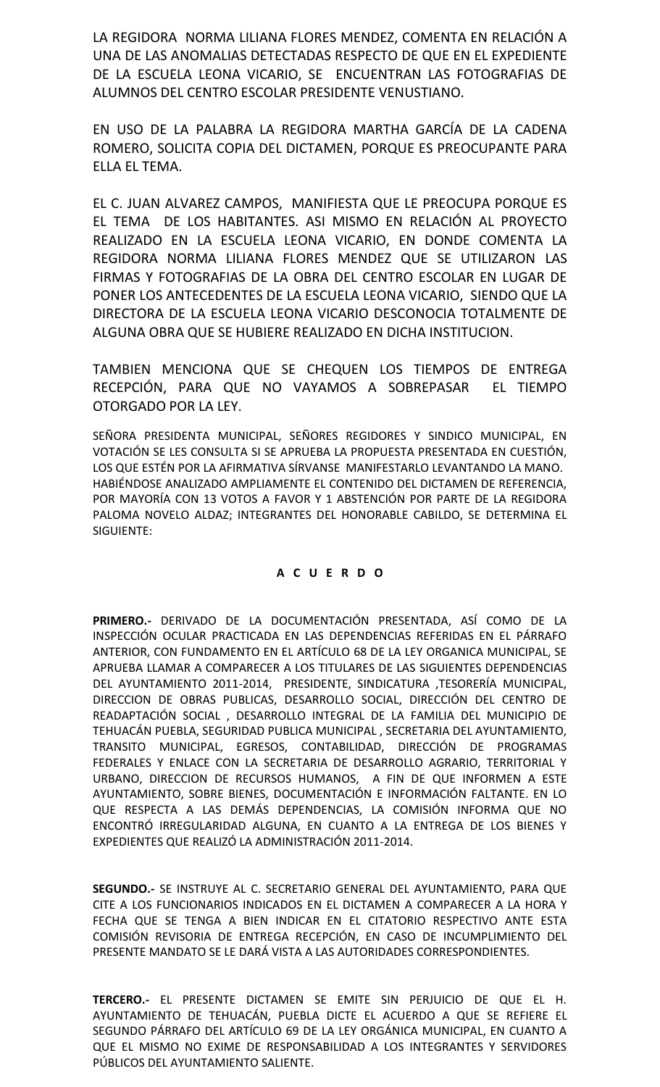LA REGIDORA NORMA LILIANA FLORES MENDEZ, COMENTA EN RELACIÓN A UNA DE LAS ANOMALIAS DETECTADAS RESPECTO DE QUE EN EL EXPEDIENTE DE LA ESCUELA LEONA VICARIO, SE ENCUENTRAN LAS FOTOGRAFIAS DE ALUMNOS DEL CENTRO ESCOLAR PRESIDENTE VENUSTIANO.

EN USO DE LA PALABRA LA REGIDORA MARTHA GARCÍA DE LA CADENA ROMERO, SOLICITA COPIA DEL DICTAMEN, PORQUE ES PREOCUPANTE PARA ELLA EL TEMA.

EL C. JUAN ALVAREZ CAMPOS, MANIFIESTA QUE LE PREOCUPA PORQUE ES EL TEMA DE LOS HABITANTES. ASI MISMO EN RELACIÓN AL PROYECTO REALIZADO EN LA ESCUELA LEONA VICARIO, EN DONDE COMENTA LA REGIDORA NORMA LILIANA FLORES MENDEZ QUE SE UTILIZARON LAS FIRMAS Y FOTOGRAFIAS DE LA OBRA DEL CENTRO ESCOLAR EN LUGAR DE PONER LOS ANTECEDENTES DE LA ESCUELA LEONA VICARIO, SIENDO QUE LA DIRECTORA DE LA ESCUELA LEONA VICARIO DESCONOCIA TOTALMENTE DE ALGUNA OBRA QUE SE HUBIERE REALIZADO EN DICHA INSTITUCION.

TAMBIEN MENCIONA QUE SE CHEQUEN LOS TIEMPOS DE ENTREGA RECEPCIÓN, PARA QUE NO VAYAMOS A SOBREPASAR EL TIEMPO OTORGADO POR LA LEY.

SEÑORA PRESIDENTA MUNICIPAL, SEÑORES REGIDORES Y SINDICO MUNICIPAL, EN VOTACIÓN SE LES CONSULTA SI SE APRUEBA LA PROPUESTA PRESENTADA EN CUESTIÓN, LOS QUE ESTÉN POR LA AFIRMATIVA SÍRVANSE MANIFESTARLO LEVANTANDO LA MANO. HABIÉNDOSE ANALIZADO AMPLIAMENTE EL CONTENIDO DEL DICTAMEN DE REFERENCIA, POR MAYORÍA CON 13 VOTOS A FAVOR Y 1 ABSTENCIÓN POR PARTE DE LA REGIDORA PALOMA NOVELO ALDAZ; INTEGRANTES DEL HONORABLE CABILDO, SE DETERMINA EL SIGUIENTE:

# **A C U E R D O**

**PRIMERO.-** DERIVADO DE LA DOCUMENTACIÓN PRESENTADA, ASÍ COMO DE LA INSPECCIÓN OCULAR PRACTICADA EN LAS DEPENDENCIAS REFERIDAS EN EL PÁRRAFO ANTERIOR, CON FUNDAMENTO EN EL ARTÍCULO 68 DE LA LEY ORGANICA MUNICIPAL, SE APRUEBA LLAMAR A COMPARECER A LOS TITULARES DE LAS SIGUIENTES DEPENDENCIAS DEL AYUNTAMIENTO 2011-2014, PRESIDENTE, SINDICATURA ,TESORERÍA MUNICIPAL, DIRECCION DE OBRAS PUBLICAS, DESARROLLO SOCIAL, DIRECCIÓN DEL CENTRO DE READAPTACIÓN SOCIAL , DESARROLLO INTEGRAL DE LA FAMILIA DEL MUNICIPIO DE TEHUACÁN PUEBLA, SEGURIDAD PUBLICA MUNICIPAL , SECRETARIA DEL AYUNTAMIENTO, TRANSITO MUNICIPAL, EGRESOS, CONTABILIDAD, DIRECCIÓN DE PROGRAMAS FEDERALES Y ENLACE CON LA SECRETARIA DE DESARROLLO AGRARIO, TERRITORIAL Y URBANO, DIRECCION DE RECURSOS HUMANOS, A FIN DE QUE INFORMEN A ESTE AYUNTAMIENTO, SOBRE BIENES, DOCUMENTACIÓN E INFORMACIÓN FALTANTE. EN LO QUE RESPECTA A LAS DEMÁS DEPENDENCIAS, LA COMISIÓN INFORMA QUE NO ENCONTRÓ IRREGULARIDAD ALGUNA, EN CUANTO A LA ENTREGA DE LOS BIENES Y EXPEDIENTES QUE REALIZÓ LA ADMINISTRACIÓN 2011-2014.

**SEGUNDO.-** SE INSTRUYE AL C. SECRETARIO GENERAL DEL AYUNTAMIENTO, PARA QUE CITE A LOS FUNCIONARIOS INDICADOS EN EL DICTAMEN A COMPARECER A LA HORA Y FECHA QUE SE TENGA A BIEN INDICAR EN EL CITATORIO RESPECTIVO ANTE ESTA COMISIÓN REVISORIA DE ENTREGA RECEPCIÓN, EN CASO DE INCUMPLIMIENTO DEL PRESENTE MANDATO SE LE DARÁ VISTA A LAS AUTORIDADES CORRESPONDIENTES.

**TERCERO.-** EL PRESENTE DICTAMEN SE EMITE SIN PERJUICIO DE QUE EL H. AYUNTAMIENTO DE TEHUACÁN, PUEBLA DICTE EL ACUERDO A QUE SE REFIERE EL SEGUNDO PÁRRAFO DEL ARTÍCULO 69 DE LA LEY ORGÁNICA MUNICIPAL, EN CUANTO A QUE EL MISMO NO EXIME DE RESPONSABILIDAD A LOS INTEGRANTES Y SERVIDORES PÚBLICOS DEL AYUNTAMIENTO SALIENTE.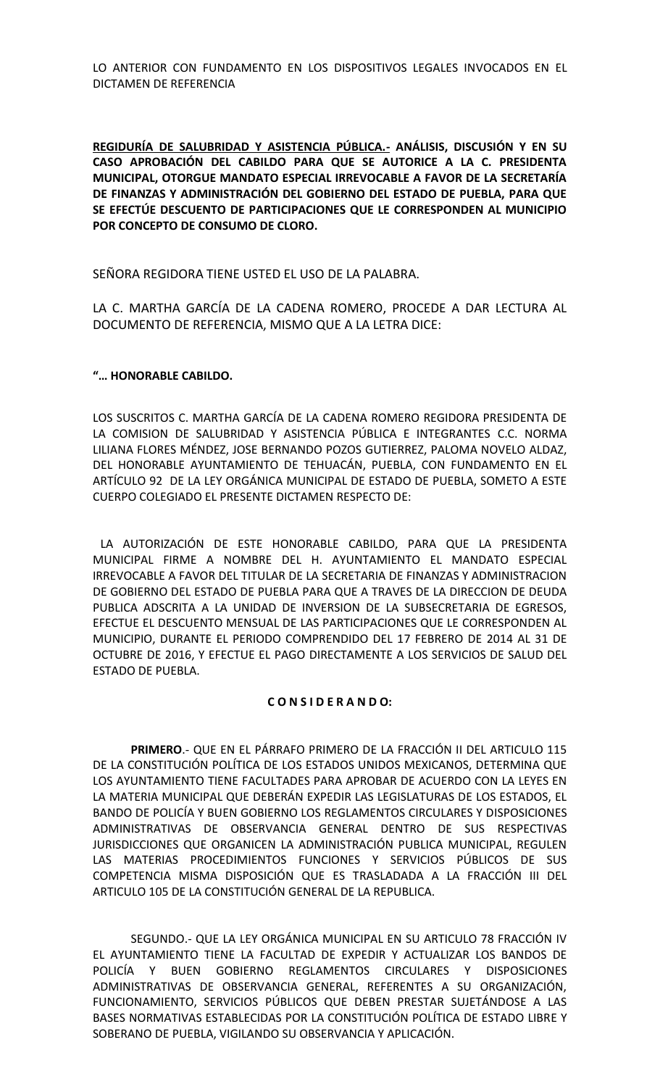LO ANTERIOR CON FUNDAMENTO EN LOS DISPOSITIVOS LEGALES INVOCADOS EN EL DICTAMEN DE REFERENCIA

**REGIDURÍA DE SALUBRIDAD Y ASISTENCIA PÚBLICA.- ANÁLISIS, DISCUSIÓN Y EN SU CASO APROBACIÓN DEL CABILDO PARA QUE SE AUTORICE A LA C. PRESIDENTA MUNICIPAL, OTORGUE MANDATO ESPECIAL IRREVOCABLE A FAVOR DE LA SECRETARÍA DE FINANZAS Y ADMINISTRACIÓN DEL GOBIERNO DEL ESTADO DE PUEBLA, PARA QUE SE EFECTÚE DESCUENTO DE PARTICIPACIONES QUE LE CORRESPONDEN AL MUNICIPIO POR CONCEPTO DE CONSUMO DE CLORO.**

SEÑORA REGIDORA TIENE USTED EL USO DE LA PALABRA.

LA C. MARTHA GARCÍA DE LA CADENA ROMERO, PROCEDE A DAR LECTURA AL DOCUMENTO DE REFERENCIA, MISMO QUE A LA LETRA DICE:

# **"… HONORABLE CABILDO.**

LOS SUSCRITOS C. MARTHA GARCÍA DE LA CADENA ROMERO REGIDORA PRESIDENTA DE LA COMISION DE SALUBRIDAD Y ASISTENCIA PÚBLICA E INTEGRANTES C.C. NORMA LILIANA FLORES MÉNDEZ, JOSE BERNANDO POZOS GUTIERREZ, PALOMA NOVELO ALDAZ, DEL HONORABLE AYUNTAMIENTO DE TEHUACÁN, PUEBLA, CON FUNDAMENTO EN EL ARTÍCULO 92 DE LA LEY ORGÁNICA MUNICIPAL DE ESTADO DE PUEBLA, SOMETO A ESTE CUERPO COLEGIADO EL PRESENTE DICTAMEN RESPECTO DE:

LA AUTORIZACIÓN DE ESTE HONORABLE CABILDO, PARA QUE LA PRESIDENTA MUNICIPAL FIRME A NOMBRE DEL H. AYUNTAMIENTO EL MANDATO ESPECIAL IRREVOCABLE A FAVOR DEL TITULAR DE LA SECRETARIA DE FINANZAS Y ADMINISTRACION DE GOBIERNO DEL ESTADO DE PUEBLA PARA QUE A TRAVES DE LA DIRECCION DE DEUDA PUBLICA ADSCRITA A LA UNIDAD DE INVERSION DE LA SUBSECRETARIA DE EGRESOS, EFECTUE EL DESCUENTO MENSUAL DE LAS PARTICIPACIONES QUE LE CORRESPONDEN AL MUNICIPIO, DURANTE EL PERIODO COMPRENDIDO DEL 17 FEBRERO DE 2014 AL 31 DE OCTUBRE DE 2016, Y EFECTUE EL PAGO DIRECTAMENTE A LOS SERVICIOS DE SALUD DEL ESTADO DE PUEBLA.

#### **C O N S I D E R A N D O:**

**PRIMERO**.- QUE EN EL PÁRRAFO PRIMERO DE LA FRACCIÓN II DEL ARTICULO 115 DE LA CONSTITUCIÓN POLÍTICA DE LOS ESTADOS UNIDOS MEXICANOS, DETERMINA QUE LOS AYUNTAMIENTO TIENE FACULTADES PARA APROBAR DE ACUERDO CON LA LEYES EN LA MATERIA MUNICIPAL QUE DEBERÁN EXPEDIR LAS LEGISLATURAS DE LOS ESTADOS, EL BANDO DE POLICÍA Y BUEN GOBIERNO LOS REGLAMENTOS CIRCULARES Y DISPOSICIONES ADMINISTRATIVAS DE OBSERVANCIA GENERAL DENTRO DE SUS RESPECTIVAS JURISDICCIONES QUE ORGANICEN LA ADMINISTRACIÓN PUBLICA MUNICIPAL, REGULEN LAS MATERIAS PROCEDIMIENTOS FUNCIONES Y SERVICIOS PÚBLICOS DE SUS COMPETENCIA MISMA DISPOSICIÓN QUE ES TRASLADADA A LA FRACCIÓN III DEL ARTICULO 105 DE LA CONSTITUCIÓN GENERAL DE LA REPUBLICA.

SEGUNDO.- QUE LA LEY ORGÁNICA MUNICIPAL EN SU ARTICULO 78 FRACCIÓN IV EL AYUNTAMIENTO TIENE LA FACULTAD DE EXPEDIR Y ACTUALIZAR LOS BANDOS DE POLICÍA Y BUEN GOBIERNO REGLAMENTOS CIRCULARES Y DISPOSICIONES ADMINISTRATIVAS DE OBSERVANCIA GENERAL, REFERENTES A SU ORGANIZACIÓN, FUNCIONAMIENTO, SERVICIOS PÚBLICOS QUE DEBEN PRESTAR SUJETÁNDOSE A LAS BASES NORMATIVAS ESTABLECIDAS POR LA CONSTITUCIÓN POLÍTICA DE ESTADO LIBRE Y SOBERANO DE PUEBLA, VIGILANDO SU OBSERVANCIA Y APLICACIÓN.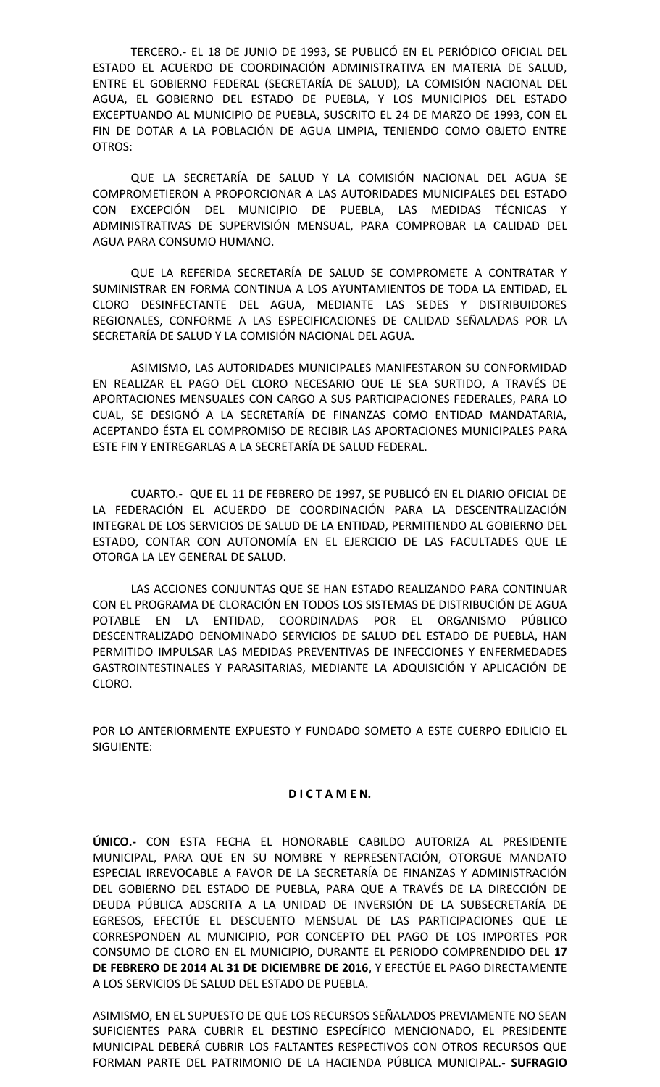TERCERO.- EL 18 DE JUNIO DE 1993, SE PUBLICÓ EN EL PERIÓDICO OFICIAL DEL ESTADO EL ACUERDO DE COORDINACIÓN ADMINISTRATIVA EN MATERIA DE SALUD, ENTRE EL GOBIERNO FEDERAL (SECRETARÍA DE SALUD), LA COMISIÓN NACIONAL DEL AGUA, EL GOBIERNO DEL ESTADO DE PUEBLA, Y LOS MUNICIPIOS DEL ESTADO EXCEPTUANDO AL MUNICIPIO DE PUEBLA, SUSCRITO EL 24 DE MARZO DE 1993, CON EL FIN DE DOTAR A LA POBLACIÓN DE AGUA LIMPIA, TENIENDO COMO OBJETO ENTRE OTROS:

QUE LA SECRETARÍA DE SALUD Y LA COMISIÓN NACIONAL DEL AGUA SE COMPROMETIERON A PROPORCIONAR A LAS AUTORIDADES MUNICIPALES DEL ESTADO CON EXCEPCIÓN DEL MUNICIPIO DE PUEBLA, LAS MEDIDAS TÉCNICAS Y ADMINISTRATIVAS DE SUPERVISIÓN MENSUAL, PARA COMPROBAR LA CALIDAD DEL AGUA PARA CONSUMO HUMANO.

QUE LA REFERIDA SECRETARÍA DE SALUD SE COMPROMETE A CONTRATAR Y SUMINISTRAR EN FORMA CONTINUA A LOS AYUNTAMIENTOS DE TODA LA ENTIDAD, EL CLORO DESINFECTANTE DEL AGUA, MEDIANTE LAS SEDES Y DISTRIBUIDORES REGIONALES, CONFORME A LAS ESPECIFICACIONES DE CALIDAD SEÑALADAS POR LA SECRETARÍA DE SALUD Y LA COMISIÓN NACIONAL DEL AGUA.

ASIMISMO, LAS AUTORIDADES MUNICIPALES MANIFESTARON SU CONFORMIDAD EN REALIZAR EL PAGO DEL CLORO NECESARIO QUE LE SEA SURTIDO, A TRAVÉS DE APORTACIONES MENSUALES CON CARGO A SUS PARTICIPACIONES FEDERALES, PARA LO CUAL, SE DESIGNÓ A LA SECRETARÍA DE FINANZAS COMO ENTIDAD MANDATARIA, ACEPTANDO ÉSTA EL COMPROMISO DE RECIBIR LAS APORTACIONES MUNICIPALES PARA ESTE FIN Y ENTREGARLAS A LA SECRETARÍA DE SALUD FEDERAL.

CUARTO.- QUE EL 11 DE FEBRERO DE 1997, SE PUBLICÓ EN EL DIARIO OFICIAL DE LA FEDERACIÓN EL ACUERDO DE COORDINACIÓN PARA LA DESCENTRALIZACIÓN INTEGRAL DE LOS SERVICIOS DE SALUD DE LA ENTIDAD, PERMITIENDO AL GOBIERNO DEL ESTADO, CONTAR CON AUTONOMÍA EN EL EJERCICIO DE LAS FACULTADES QUE LE OTORGA LA LEY GENERAL DE SALUD.

LAS ACCIONES CONJUNTAS QUE SE HAN ESTADO REALIZANDO PARA CONTINUAR CON EL PROGRAMA DE CLORACIÓN EN TODOS LOS SISTEMAS DE DISTRIBUCIÓN DE AGUA POTABLE EN LA ENTIDAD, COORDINADAS POR EL ORGANISMO PÚBLICO DESCENTRALIZADO DENOMINADO SERVICIOS DE SALUD DEL ESTADO DE PUEBLA, HAN PERMITIDO IMPULSAR LAS MEDIDAS PREVENTIVAS DE INFECCIONES Y ENFERMEDADES GASTROINTESTINALES Y PARASITARIAS, MEDIANTE LA ADQUISICIÓN Y APLICACIÓN DE CLORO.

POR LO ANTERIORMENTE EXPUESTO Y FUNDADO SOMETO A ESTE CUERPO EDILICIO EL SIGUIENTE:

# **D I C T A M E N.**

**ÚNICO.-** CON ESTA FECHA EL HONORABLE CABILDO AUTORIZA AL PRESIDENTE MUNICIPAL, PARA QUE EN SU NOMBRE Y REPRESENTACIÓN, OTORGUE MANDATO ESPECIAL IRREVOCABLE A FAVOR DE LA SECRETARÍA DE FINANZAS Y ADMINISTRACIÓN DEL GOBIERNO DEL ESTADO DE PUEBLA, PARA QUE A TRAVÉS DE LA DIRECCIÓN DE DEUDA PÚBLICA ADSCRITA A LA UNIDAD DE INVERSIÓN DE LA SUBSECRETARÍA DE EGRESOS, EFECTÚE EL DESCUENTO MENSUAL DE LAS PARTICIPACIONES QUE LE CORRESPONDEN AL MUNICIPIO, POR CONCEPTO DEL PAGO DE LOS IMPORTES POR CONSUMO DE CLORO EN EL MUNICIPIO, DURANTE EL PERIODO COMPRENDIDO DEL **17 DE FEBRERO DE 2014 AL 31 DE DICIEMBRE DE 2016**, Y EFECTÚE EL PAGO DIRECTAMENTE A LOS SERVICIOS DE SALUD DEL ESTADO DE PUEBLA.

ASIMISMO, EN EL SUPUESTO DE QUE LOS RECURSOS SEÑALADOS PREVIAMENTE NO SEAN SUFICIENTES PARA CUBRIR EL DESTINO ESPECÍFICO MENCIONADO, EL PRESIDENTE MUNICIPAL DEBERÁ CUBRIR LOS FALTANTES RESPECTIVOS CON OTROS RECURSOS QUE FORMAN PARTE DEL PATRIMONIO DE LA HACIENDA PÚBLICA MUNICIPAL.- **SUFRAGIO**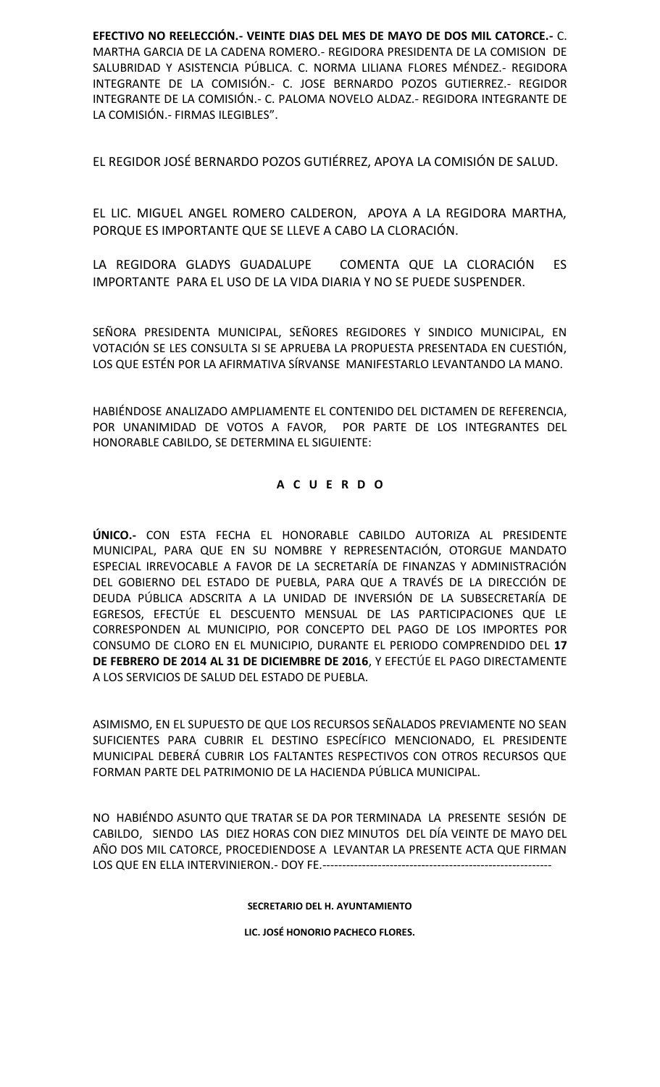**EFECTIVO NO REELECCIÓN.- VEINTE DIAS DEL MES DE MAYO DE DOS MIL CATORCE.-** C. MARTHA GARCIA DE LA CADENA ROMERO.- REGIDORA PRESIDENTA DE LA COMISION DE SALUBRIDAD Y ASISTENCIA PÚBLICA. C. NORMA LILIANA FLORES MÉNDEZ.- REGIDORA INTEGRANTE DE LA COMISIÓN.- C. JOSE BERNARDO POZOS GUTIERREZ.- REGIDOR INTEGRANTE DE LA COMISIÓN.- C. PALOMA NOVELO ALDAZ.- REGIDORA INTEGRANTE DE LA COMISIÓN.- FIRMAS ILEGIBLES".

EL REGIDOR JOSÉ BERNARDO POZOS GUTIÉRREZ, APOYA LA COMISIÓN DE SALUD.

EL LIC. MIGUEL ANGEL ROMERO CALDERON, APOYA A LA REGIDORA MARTHA, PORQUE ES IMPORTANTE QUE SE LLEVE A CABO LA CLORACIÓN.

LA REGIDORA GLADYS GUADALUPE COMENTA QUE LA CLORACIÓN ES IMPORTANTE PARA EL USO DE LA VIDA DIARIA Y NO SE PUEDE SUSPENDER.

SEÑORA PRESIDENTA MUNICIPAL, SEÑORES REGIDORES Y SINDICO MUNICIPAL, EN VOTACIÓN SE LES CONSULTA SI SE APRUEBA LA PROPUESTA PRESENTADA EN CUESTIÓN, LOS QUE ESTÉN POR LA AFIRMATIVA SÍRVANSE MANIFESTARLO LEVANTANDO LA MANO.

HABIÉNDOSE ANALIZADO AMPLIAMENTE EL CONTENIDO DEL DICTAMEN DE REFERENCIA, POR UNANIMIDAD DE VOTOS A FAVOR, POR PARTE DE LOS INTEGRANTES DEL HONORABLE CABILDO, SE DETERMINA EL SIGUIENTE:

# **A C U E R D O**

**ÚNICO.-** CON ESTA FECHA EL HONORABLE CABILDO AUTORIZA AL PRESIDENTE MUNICIPAL, PARA QUE EN SU NOMBRE Y REPRESENTACIÓN, OTORGUE MANDATO ESPECIAL IRREVOCABLE A FAVOR DE LA SECRETARÍA DE FINANZAS Y ADMINISTRACIÓN DEL GOBIERNO DEL ESTADO DE PUEBLA, PARA QUE A TRAVÉS DE LA DIRECCIÓN DE DEUDA PÚBLICA ADSCRITA A LA UNIDAD DE INVERSIÓN DE LA SUBSECRETARÍA DE EGRESOS, EFECTÚE EL DESCUENTO MENSUAL DE LAS PARTICIPACIONES QUE LE CORRESPONDEN AL MUNICIPIO, POR CONCEPTO DEL PAGO DE LOS IMPORTES POR CONSUMO DE CLORO EN EL MUNICIPIO, DURANTE EL PERIODO COMPRENDIDO DEL **17 DE FEBRERO DE 2014 AL 31 DE DICIEMBRE DE 2016**, Y EFECTÚE EL PAGO DIRECTAMENTE A LOS SERVICIOS DE SALUD DEL ESTADO DE PUEBLA.

ASIMISMO, EN EL SUPUESTO DE QUE LOS RECURSOS SEÑALADOS PREVIAMENTE NO SEAN SUFICIENTES PARA CUBRIR EL DESTINO ESPECÍFICO MENCIONADO, EL PRESIDENTE MUNICIPAL DEBERÁ CUBRIR LOS FALTANTES RESPECTIVOS CON OTROS RECURSOS QUE FORMAN PARTE DEL PATRIMONIO DE LA HACIENDA PÚBLICA MUNICIPAL.

NO HABIÉNDO ASUNTO QUE TRATAR SE DA POR TERMINADA LA PRESENTE SESIÓN DE CABILDO, SIENDO LAS DIEZ HORAS CON DIEZ MINUTOS DEL DÍA VEINTE DE MAYO DEL AÑO DOS MIL CATORCE, PROCEDIENDOSE A LEVANTAR LA PRESENTE ACTA QUE FIRMAN LOS QUE EN ELLA INTERVINIERON.- DOY FE.----------------------------------------------------------

#### **SECRETARIO DEL H. AYUNTAMIENTO**

**LIC. JOSÉ HONORIO PACHECO FLORES.**